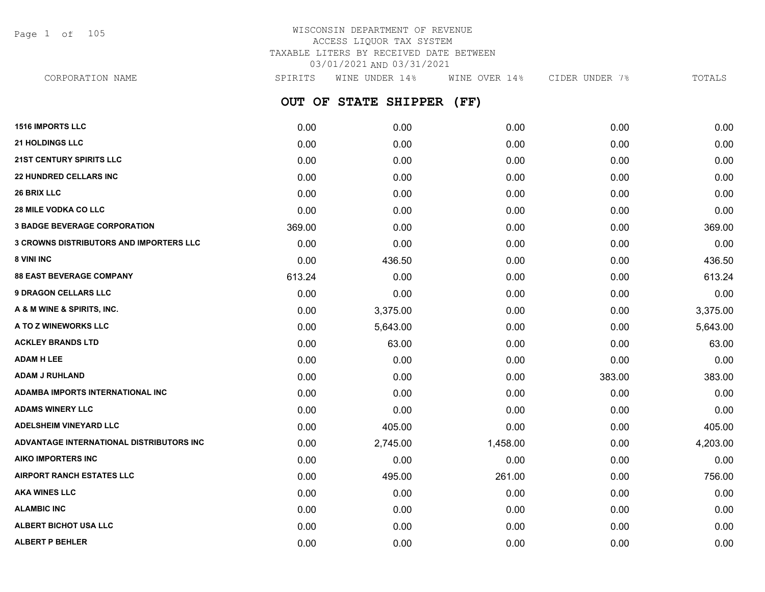Page 1 of 105

# WISCONSIN DEPARTMENT OF REVENUE ACCESS LIQUOR TAX SYSTEM TAXABLE LITERS BY RECEIVED DATE BETWEEN 03/01/2021 AND 03/31/2021

**OUT OF STATE SHIPPER (FF) 1516 IMPORTS LLC** 0.00 0.00 0.00 0.00 0.00 **21 HOLDINGS LLC** 0.00 0.00 0.00 0.00 0.00 **21ST CENTURY SPIRITS LLC** 0.00 0.00 0.00 0.00 0.00 **22 HUNDRED CELLARS INC** 0.00 0.00 0.00 0.00 0.00 **26 BRIX LLC** 0.00 0.00 0.00 0.00 0.00 **28 MILE VODKA CO LLC** 0.00 0.00 0.00 0.00 0.00 **3 BADGE BEVERAGE CORPORATION** 369.00 0.00 0.00 0.00 369.00 **3 CROWNS DISTRIBUTORS AND IMPORTERS LLC** 0.00 0.00 0.00 0.00 0.00 **8 VINI INC** 6.00 **436.50 0.00 436.50 0.00 936.50 0.00 0.00 436.50 0.00 436.50 88 EAST BEVERAGE COMPANY** 613.24 0.00 0.00 0.00 613.24 **9 DRAGON CELLARS LLC** 0.00 0.00 0.00 0.00 0.00 **A & M WINE & SPIRITS, INC.** 0.00 3,375.00 0.00 0.00 3,375.00 **A TO Z WINEWORKS LLC** 0.00 5,643.00 0.00 0.00 5,643.00 **ACKLEY BRANDS LTD** 0.00 63.00 0.00 0.00 63.00 **ADAM H LEE** 0.00 0.00 0.00 0.00 0.00 **ADAM J RUHLAND** 0.00 0.00 0.00 383.00 383.00 **ADAMBA IMPORTS INTERNATIONAL INC** 0.00 0.00 0.00 0.00 0.00 **ADAMS WINERY LLC** 0.00 0.00 0.00 0.00 0.00 **ADELSHEIM VINEYARD LLC** 0.00 405.00 0.00 0.00 405.00 **ADVANTAGE INTERNATIONAL DISTRIBUTORS INC** 0.00 2,745.00 1,458.00 0.00 4,203.00 **AIKO IMPORTERS INC** 0.00 0.00 0.00 0.00 0.00 **AIRPORT RANCH ESTATES LLC** 0.00 495.00 261.00 0.00 756.00 **AKA WINES LLC** 0.00 0.00 0.00 0.00 0.00 **ALAMBIC INC** 0.00 0.00 0.00 0.00 0.00 **ALBERT BICHOT USA LLC** 0.00 0.00 0.00 0.00 0.00 CORPORATION NAME SPIRITS WINE UNDER 14% WINE OVER 14% CIDER UNDER 7% TOTALS

**ALBERT P BEHLER** 0.00 0.00 0.00 0.00 0.00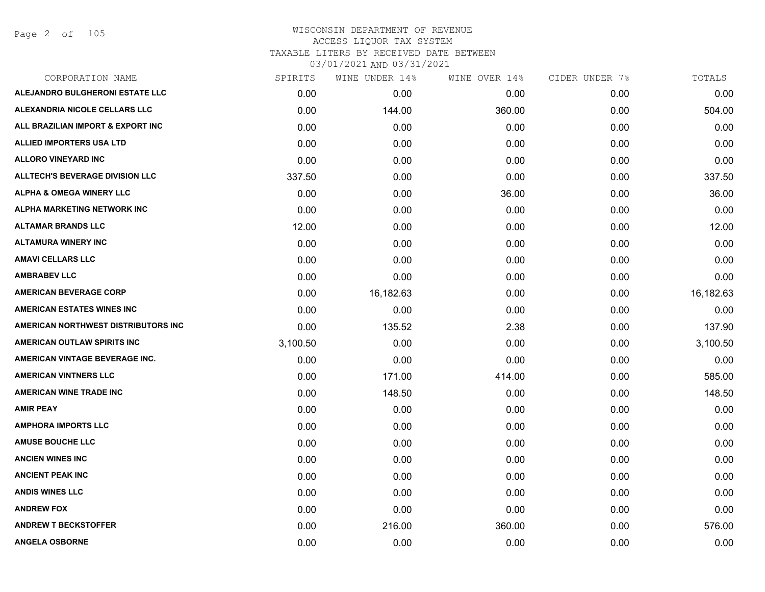Page 2 of 105

| CORPORATION NAME                       | SPIRITS  | WINE UNDER 14% | WINE OVER 14% | CIDER UNDER 7% | TOTALS    |
|----------------------------------------|----------|----------------|---------------|----------------|-----------|
| ALEJANDRO BULGHERONI ESTATE LLC        | 0.00     | 0.00           | 0.00          | 0.00           | 0.00      |
| ALEXANDRIA NICOLE CELLARS LLC          | 0.00     | 144.00         | 360.00        | 0.00           | 504.00    |
| ALL BRAZILIAN IMPORT & EXPORT INC      | 0.00     | 0.00           | 0.00          | 0.00           | 0.00      |
| <b>ALLIED IMPORTERS USA LTD</b>        | 0.00     | 0.00           | 0.00          | 0.00           | 0.00      |
| <b>ALLORO VINEYARD INC</b>             | 0.00     | 0.00           | 0.00          | 0.00           | 0.00      |
| <b>ALLTECH'S BEVERAGE DIVISION LLC</b> | 337.50   | 0.00           | 0.00          | 0.00           | 337.50    |
| <b>ALPHA &amp; OMEGA WINERY LLC</b>    | 0.00     | 0.00           | 36.00         | 0.00           | 36.00     |
| ALPHA MARKETING NETWORK INC            | 0.00     | 0.00           | 0.00          | 0.00           | 0.00      |
| <b>ALTAMAR BRANDS LLC</b>              | 12.00    | 0.00           | 0.00          | 0.00           | 12.00     |
| <b>ALTAMURA WINERY INC</b>             | 0.00     | 0.00           | 0.00          | 0.00           | 0.00      |
| <b>AMAVI CELLARS LLC</b>               | 0.00     | 0.00           | 0.00          | 0.00           | 0.00      |
| <b>AMBRABEV LLC</b>                    | 0.00     | 0.00           | 0.00          | 0.00           | 0.00      |
| <b>AMERICAN BEVERAGE CORP</b>          | 0.00     | 16,182.63      | 0.00          | 0.00           | 16,182.63 |
| <b>AMERICAN ESTATES WINES INC</b>      | 0.00     | 0.00           | 0.00          | 0.00           | 0.00      |
| AMERICAN NORTHWEST DISTRIBUTORS INC    | 0.00     | 135.52         | 2.38          | 0.00           | 137.90    |
| AMERICAN OUTLAW SPIRITS INC            | 3,100.50 | 0.00           | 0.00          | 0.00           | 3,100.50  |
| AMERICAN VINTAGE BEVERAGE INC.         | 0.00     | 0.00           | 0.00          | 0.00           | 0.00      |
| <b>AMERICAN VINTNERS LLC</b>           | 0.00     | 171.00         | 414.00        | 0.00           | 585.00    |
| <b>AMERICAN WINE TRADE INC</b>         | 0.00     | 148.50         | 0.00          | 0.00           | 148.50    |
| <b>AMIR PEAY</b>                       | 0.00     | 0.00           | 0.00          | 0.00           | 0.00      |
| <b>AMPHORA IMPORTS LLC</b>             | 0.00     | 0.00           | 0.00          | 0.00           | 0.00      |
| <b>AMUSE BOUCHE LLC</b>                | 0.00     | 0.00           | 0.00          | 0.00           | 0.00      |
| <b>ANCIEN WINES INC</b>                | 0.00     | 0.00           | 0.00          | 0.00           | 0.00      |
| <b>ANCIENT PEAK INC</b>                | 0.00     | 0.00           | 0.00          | 0.00           | 0.00      |
| <b>ANDIS WINES LLC</b>                 | 0.00     | 0.00           | 0.00          | 0.00           | 0.00      |
| <b>ANDREW FOX</b>                      | 0.00     | 0.00           | 0.00          | 0.00           | 0.00      |
| <b>ANDREW T BECKSTOFFER</b>            | 0.00     | 216.00         | 360.00        | 0.00           | 576.00    |
| <b>ANGELA OSBORNE</b>                  | 0.00     | 0.00           | 0.00          | 0.00           | 0.00      |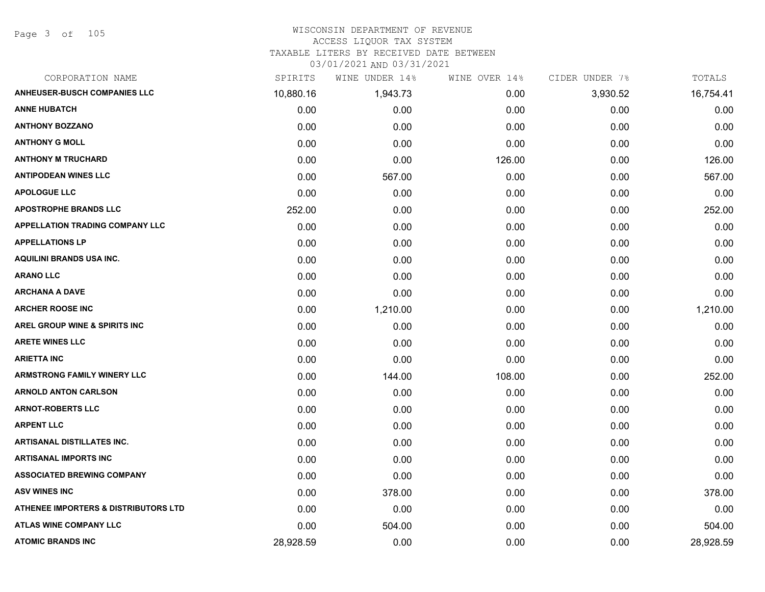### WISCONSIN DEPARTMENT OF REVENUE

#### ACCESS LIQUOR TAX SYSTEM

TAXABLE LITERS BY RECEIVED DATE BETWEEN

| CORPORATION NAME                                | SPIRITS   | WINE UNDER 14% | WINE OVER 14% | CIDER UNDER 7% | TOTALS    |
|-------------------------------------------------|-----------|----------------|---------------|----------------|-----------|
| <b>ANHEUSER-BUSCH COMPANIES LLC</b>             | 10,880.16 | 1,943.73       | 0.00          | 3,930.52       | 16,754.41 |
| <b>ANNE HUBATCH</b>                             | 0.00      | 0.00           | 0.00          | 0.00           | 0.00      |
| <b>ANTHONY BOZZANO</b>                          | 0.00      | 0.00           | 0.00          | 0.00           | 0.00      |
| <b>ANTHONY G MOLL</b>                           | 0.00      | 0.00           | 0.00          | 0.00           | 0.00      |
| <b>ANTHONY M TRUCHARD</b>                       | 0.00      | 0.00           | 126.00        | 0.00           | 126.00    |
| <b>ANTIPODEAN WINES LLC</b>                     | 0.00      | 567.00         | 0.00          | 0.00           | 567.00    |
| <b>APOLOGUE LLC</b>                             | 0.00      | 0.00           | 0.00          | 0.00           | 0.00      |
| <b>APOSTROPHE BRANDS LLC</b>                    | 252.00    | 0.00           | 0.00          | 0.00           | 252.00    |
| <b>APPELLATION TRADING COMPANY LLC</b>          | 0.00      | 0.00           | 0.00          | 0.00           | 0.00      |
| <b>APPELLATIONS LP</b>                          | 0.00      | 0.00           | 0.00          | 0.00           | 0.00      |
| <b>AQUILINI BRANDS USA INC.</b>                 | 0.00      | 0.00           | 0.00          | 0.00           | 0.00      |
| <b>ARANO LLC</b>                                | 0.00      | 0.00           | 0.00          | 0.00           | 0.00      |
| <b>ARCHANA A DAVE</b>                           | 0.00      | 0.00           | 0.00          | 0.00           | 0.00      |
| <b>ARCHER ROOSE INC</b>                         | 0.00      | 1,210.00       | 0.00          | 0.00           | 1,210.00  |
| <b>AREL GROUP WINE &amp; SPIRITS INC</b>        | 0.00      | 0.00           | 0.00          | 0.00           | 0.00      |
| <b>ARETE WINES LLC</b>                          | 0.00      | 0.00           | 0.00          | 0.00           | 0.00      |
| <b>ARIETTA INC</b>                              | 0.00      | 0.00           | 0.00          | 0.00           | 0.00      |
| <b>ARMSTRONG FAMILY WINERY LLC</b>              | 0.00      | 144.00         | 108.00        | 0.00           | 252.00    |
| <b>ARNOLD ANTON CARLSON</b>                     | 0.00      | 0.00           | 0.00          | 0.00           | 0.00      |
| <b>ARNOT-ROBERTS LLC</b>                        | 0.00      | 0.00           | 0.00          | 0.00           | 0.00      |
| <b>ARPENT LLC</b>                               | 0.00      | 0.00           | 0.00          | 0.00           | 0.00      |
| <b>ARTISANAL DISTILLATES INC.</b>               | 0.00      | 0.00           | 0.00          | 0.00           | 0.00      |
| <b>ARTISANAL IMPORTS INC</b>                    | 0.00      | 0.00           | 0.00          | 0.00           | 0.00      |
| <b>ASSOCIATED BREWING COMPANY</b>               | 0.00      | 0.00           | 0.00          | 0.00           | 0.00      |
| <b>ASV WINES INC</b>                            | 0.00      | 378.00         | 0.00          | 0.00           | 378.00    |
| <b>ATHENEE IMPORTERS &amp; DISTRIBUTORS LTD</b> | 0.00      | 0.00           | 0.00          | 0.00           | 0.00      |
| ATLAS WINE COMPANY LLC                          | 0.00      | 504.00         | 0.00          | 0.00           | 504.00    |
| <b>ATOMIC BRANDS INC</b>                        | 28,928.59 | 0.00           | 0.00          | 0.00           | 28,928.59 |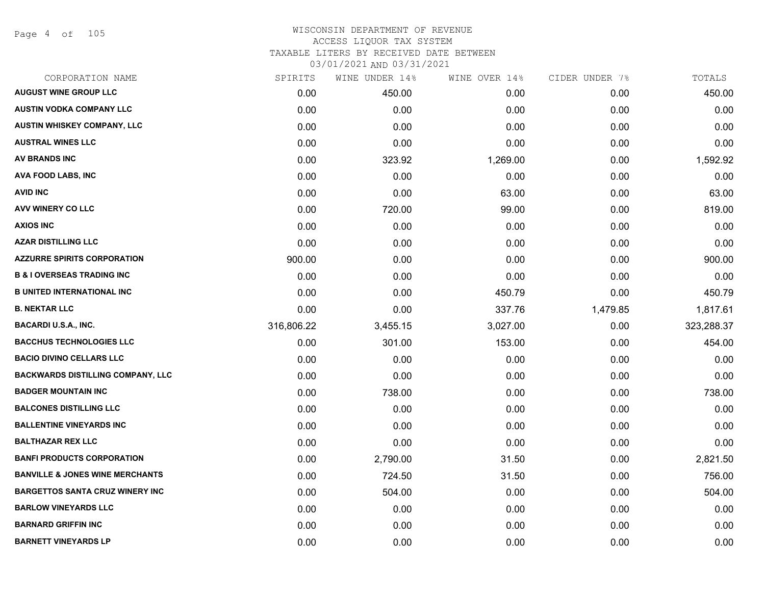Page 4 of 105

# WISCONSIN DEPARTMENT OF REVENUE ACCESS LIQUOR TAX SYSTEM TAXABLE LITERS BY RECEIVED DATE BETWEEN

| CORPORATION NAME                           | SPIRITS    | WINE UNDER 14% | WINE OVER 14% | CIDER UNDER 7% | TOTALS     |
|--------------------------------------------|------------|----------------|---------------|----------------|------------|
| <b>AUGUST WINE GROUP LLC</b>               | 0.00       | 450.00         | 0.00          | 0.00           | 450.00     |
| <b>AUSTIN VODKA COMPANY LLC</b>            | 0.00       | 0.00           | 0.00          | 0.00           | 0.00       |
| AUSTIN WHISKEY COMPANY, LLC                | 0.00       | 0.00           | 0.00          | 0.00           | 0.00       |
| <b>AUSTRAL WINES LLC</b>                   | 0.00       | 0.00           | 0.00          | 0.00           | 0.00       |
| AV BRANDS INC                              | 0.00       | 323.92         | 1,269.00      | 0.00           | 1,592.92   |
| <b>AVA FOOD LABS, INC</b>                  | 0.00       | 0.00           | 0.00          | 0.00           | 0.00       |
| <b>AVID INC</b>                            | 0.00       | 0.00           | 63.00         | 0.00           | 63.00      |
| <b>AVV WINERY CO LLC</b>                   | 0.00       | 720.00         | 99.00         | 0.00           | 819.00     |
| <b>AXIOS INC</b>                           | 0.00       | 0.00           | 0.00          | 0.00           | 0.00       |
| <b>AZAR DISTILLING LLC</b>                 | 0.00       | 0.00           | 0.00          | 0.00           | 0.00       |
| <b>AZZURRE SPIRITS CORPORATION</b>         | 900.00     | 0.00           | 0.00          | 0.00           | 900.00     |
| <b>B &amp; I OVERSEAS TRADING INC</b>      | 0.00       | 0.00           | 0.00          | 0.00           | 0.00       |
| <b>B UNITED INTERNATIONAL INC</b>          | 0.00       | 0.00           | 450.79        | 0.00           | 450.79     |
| <b>B. NEKTAR LLC</b>                       | 0.00       | 0.00           | 337.76        | 1,479.85       | 1,817.61   |
| <b>BACARDI U.S.A., INC.</b>                | 316,806.22 | 3,455.15       | 3,027.00      | 0.00           | 323,288.37 |
| <b>BACCHUS TECHNOLOGIES LLC</b>            | 0.00       | 301.00         | 153.00        | 0.00           | 454.00     |
| <b>BACIO DIVINO CELLARS LLC</b>            | 0.00       | 0.00           | 0.00          | 0.00           | 0.00       |
| <b>BACKWARDS DISTILLING COMPANY, LLC</b>   | 0.00       | 0.00           | 0.00          | 0.00           | 0.00       |
| <b>BADGER MOUNTAIN INC</b>                 | 0.00       | 738.00         | 0.00          | 0.00           | 738.00     |
| <b>BALCONES DISTILLING LLC</b>             | 0.00       | 0.00           | 0.00          | 0.00           | 0.00       |
| <b>BALLENTINE VINEYARDS INC</b>            | 0.00       | 0.00           | 0.00          | 0.00           | 0.00       |
| <b>BALTHAZAR REX LLC</b>                   | 0.00       | 0.00           | 0.00          | 0.00           | 0.00       |
| <b>BANFI PRODUCTS CORPORATION</b>          | 0.00       | 2,790.00       | 31.50         | 0.00           | 2,821.50   |
| <b>BANVILLE &amp; JONES WINE MERCHANTS</b> | 0.00       | 724.50         | 31.50         | 0.00           | 756.00     |
| <b>BARGETTOS SANTA CRUZ WINERY INC</b>     | 0.00       | 504.00         | 0.00          | 0.00           | 504.00     |
| <b>BARLOW VINEYARDS LLC</b>                | 0.00       | 0.00           | 0.00          | 0.00           | 0.00       |
| <b>BARNARD GRIFFIN INC</b>                 | 0.00       | 0.00           | 0.00          | 0.00           | 0.00       |
| <b>BARNETT VINEYARDS LP</b>                | 0.00       | 0.00           | 0.00          | 0.00           | 0.00       |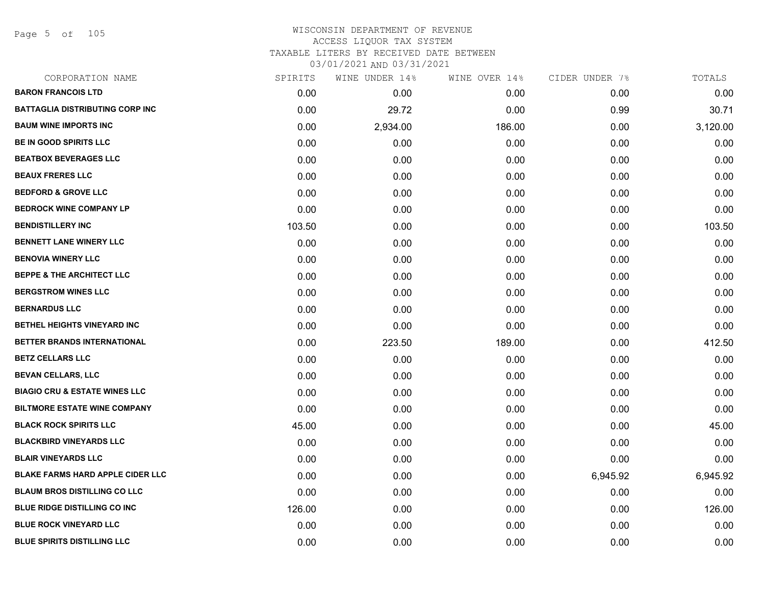Page 5 of 105

| CORPORATION NAME                         | SPIRITS | WINE UNDER 14% | WINE OVER 14% | CIDER UNDER 7% | TOTALS   |
|------------------------------------------|---------|----------------|---------------|----------------|----------|
| <b>BARON FRANCOIS LTD</b>                | 0.00    | 0.00           | 0.00          | 0.00           | 0.00     |
| <b>BATTAGLIA DISTRIBUTING CORP INC</b>   | 0.00    | 29.72          | 0.00          | 0.99           | 30.71    |
| <b>BAUM WINE IMPORTS INC</b>             | 0.00    | 2,934.00       | 186.00        | 0.00           | 3,120.00 |
| <b>BE IN GOOD SPIRITS LLC</b>            | 0.00    | 0.00           | 0.00          | 0.00           | 0.00     |
| <b>BEATBOX BEVERAGES LLC</b>             | 0.00    | 0.00           | 0.00          | 0.00           | 0.00     |
| <b>BEAUX FRERES LLC</b>                  | 0.00    | 0.00           | 0.00          | 0.00           | 0.00     |
| <b>BEDFORD &amp; GROVE LLC</b>           | 0.00    | 0.00           | 0.00          | 0.00           | 0.00     |
| <b>BEDROCK WINE COMPANY LP</b>           | 0.00    | 0.00           | 0.00          | 0.00           | 0.00     |
| <b>BENDISTILLERY INC</b>                 | 103.50  | 0.00           | 0.00          | 0.00           | 103.50   |
| <b>BENNETT LANE WINERY LLC</b>           | 0.00    | 0.00           | 0.00          | 0.00           | 0.00     |
| <b>BENOVIA WINERY LLC</b>                | 0.00    | 0.00           | 0.00          | 0.00           | 0.00     |
| <b>BEPPE &amp; THE ARCHITECT LLC</b>     | 0.00    | 0.00           | 0.00          | 0.00           | 0.00     |
| <b>BERGSTROM WINES LLC</b>               | 0.00    | 0.00           | 0.00          | 0.00           | 0.00     |
| <b>BERNARDUS LLC</b>                     | 0.00    | 0.00           | 0.00          | 0.00           | 0.00     |
| BETHEL HEIGHTS VINEYARD INC              | 0.00    | 0.00           | 0.00          | 0.00           | 0.00     |
| BETTER BRANDS INTERNATIONAL              | 0.00    | 223.50         | 189.00        | 0.00           | 412.50   |
| <b>BETZ CELLARS LLC</b>                  | 0.00    | 0.00           | 0.00          | 0.00           | 0.00     |
| <b>BEVAN CELLARS, LLC</b>                | 0.00    | 0.00           | 0.00          | 0.00           | 0.00     |
| <b>BIAGIO CRU &amp; ESTATE WINES LLC</b> | 0.00    | 0.00           | 0.00          | 0.00           | 0.00     |
| <b>BILTMORE ESTATE WINE COMPANY</b>      | 0.00    | 0.00           | 0.00          | 0.00           | 0.00     |
| <b>BLACK ROCK SPIRITS LLC</b>            | 45.00   | 0.00           | 0.00          | 0.00           | 45.00    |
| <b>BLACKBIRD VINEYARDS LLC</b>           | 0.00    | 0.00           | 0.00          | 0.00           | 0.00     |
| <b>BLAIR VINEYARDS LLC</b>               | 0.00    | 0.00           | 0.00          | 0.00           | 0.00     |
| <b>BLAKE FARMS HARD APPLE CIDER LLC</b>  | 0.00    | 0.00           | 0.00          | 6,945.92       | 6,945.92 |
| <b>BLAUM BROS DISTILLING CO LLC</b>      | 0.00    | 0.00           | 0.00          | 0.00           | 0.00     |
| <b>BLUE RIDGE DISTILLING CO INC</b>      | 126.00  | 0.00           | 0.00          | 0.00           | 126.00   |
| <b>BLUE ROCK VINEYARD LLC</b>            | 0.00    | 0.00           | 0.00          | 0.00           | 0.00     |
| <b>BLUE SPIRITS DISTILLING LLC</b>       | 0.00    | 0.00           | 0.00          | 0.00           | 0.00     |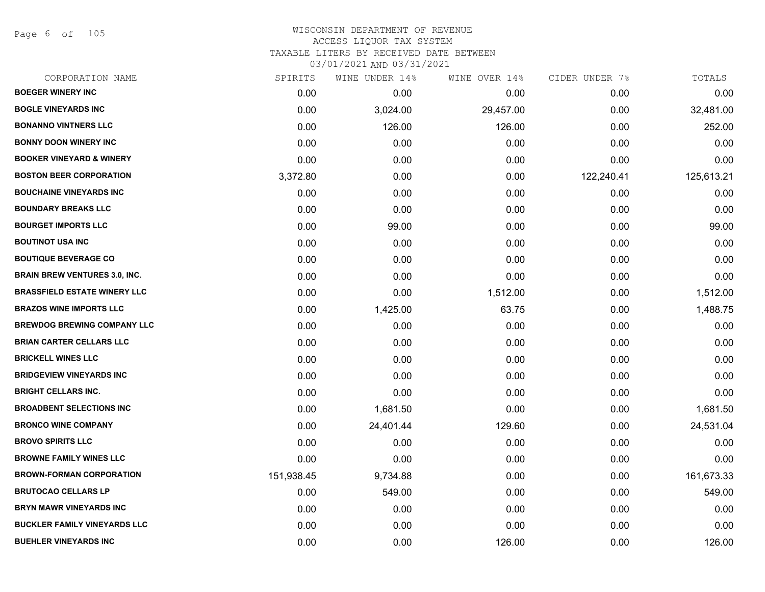Page 6 of 105

| CORPORATION NAME                     | SPIRITS    | WINE UNDER 14% | WINE OVER 14% | CIDER UNDER 7% | TOTALS     |
|--------------------------------------|------------|----------------|---------------|----------------|------------|
| <b>BOEGER WINERY INC</b>             | 0.00       | 0.00           | 0.00          | 0.00           | 0.00       |
| <b>BOGLE VINEYARDS INC</b>           | 0.00       | 3,024.00       | 29,457.00     | 0.00           | 32,481.00  |
| <b>BONANNO VINTNERS LLC</b>          | 0.00       | 126.00         | 126.00        | 0.00           | 252.00     |
| <b>BONNY DOON WINERY INC</b>         | 0.00       | 0.00           | 0.00          | 0.00           | 0.00       |
| <b>BOOKER VINEYARD &amp; WINERY</b>  | 0.00       | 0.00           | 0.00          | 0.00           | 0.00       |
| <b>BOSTON BEER CORPORATION</b>       | 3,372.80   | 0.00           | 0.00          | 122,240.41     | 125,613.21 |
| <b>BOUCHAINE VINEYARDS INC</b>       | 0.00       | 0.00           | 0.00          | 0.00           | 0.00       |
| <b>BOUNDARY BREAKS LLC</b>           | 0.00       | 0.00           | 0.00          | 0.00           | 0.00       |
| <b>BOURGET IMPORTS LLC</b>           | 0.00       | 99.00          | 0.00          | 0.00           | 99.00      |
| <b>BOUTINOT USA INC</b>              | 0.00       | 0.00           | 0.00          | 0.00           | 0.00       |
| <b>BOUTIQUE BEVERAGE CO</b>          | 0.00       | 0.00           | 0.00          | 0.00           | 0.00       |
| <b>BRAIN BREW VENTURES 3.0, INC.</b> | 0.00       | 0.00           | 0.00          | 0.00           | 0.00       |
| <b>BRASSFIELD ESTATE WINERY LLC</b>  | 0.00       | 0.00           | 1,512.00      | 0.00           | 1,512.00   |
| <b>BRAZOS WINE IMPORTS LLC</b>       | 0.00       | 1,425.00       | 63.75         | 0.00           | 1,488.75   |
| <b>BREWDOG BREWING COMPANY LLC</b>   | 0.00       | 0.00           | 0.00          | 0.00           | 0.00       |
| <b>BRIAN CARTER CELLARS LLC</b>      | 0.00       | 0.00           | 0.00          | 0.00           | 0.00       |
| <b>BRICKELL WINES LLC</b>            | 0.00       | 0.00           | 0.00          | 0.00           | 0.00       |
| <b>BRIDGEVIEW VINEYARDS INC</b>      | 0.00       | 0.00           | 0.00          | 0.00           | 0.00       |
| <b>BRIGHT CELLARS INC.</b>           | 0.00       | 0.00           | 0.00          | 0.00           | 0.00       |
| <b>BROADBENT SELECTIONS INC</b>      | 0.00       | 1,681.50       | 0.00          | 0.00           | 1,681.50   |
| <b>BRONCO WINE COMPANY</b>           | 0.00       | 24,401.44      | 129.60        | 0.00           | 24,531.04  |
| <b>BROVO SPIRITS LLC</b>             | 0.00       | 0.00           | 0.00          | 0.00           | 0.00       |
| <b>BROWNE FAMILY WINES LLC</b>       | 0.00       | 0.00           | 0.00          | 0.00           | 0.00       |
| <b>BROWN-FORMAN CORPORATION</b>      | 151,938.45 | 9,734.88       | 0.00          | 0.00           | 161,673.33 |
| <b>BRUTOCAO CELLARS LP</b>           | 0.00       | 549.00         | 0.00          | 0.00           | 549.00     |
| <b>BRYN MAWR VINEYARDS INC</b>       | 0.00       | 0.00           | 0.00          | 0.00           | 0.00       |
| <b>BUCKLER FAMILY VINEYARDS LLC</b>  | 0.00       | 0.00           | 0.00          | 0.00           | 0.00       |
| <b>BUEHLER VINEYARDS INC</b>         | 0.00       | 0.00           | 126.00        | 0.00           | 126.00     |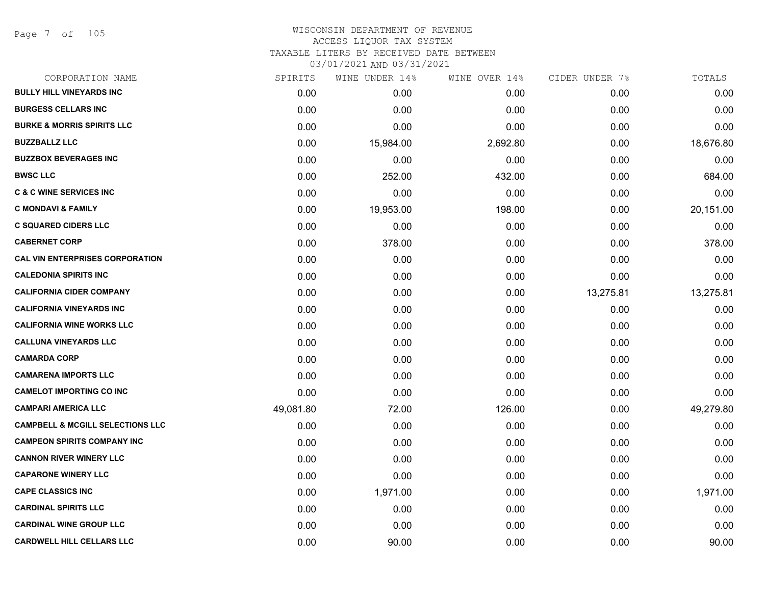Page 7 of 105

## WISCONSIN DEPARTMENT OF REVENUE ACCESS LIQUOR TAX SYSTEM TAXABLE LITERS BY RECEIVED DATE BETWEEN

| CORPORATION NAME                            | SPIRITS   | WINE UNDER 14% | WINE OVER 14% | CIDER UNDER 7% | TOTALS    |
|---------------------------------------------|-----------|----------------|---------------|----------------|-----------|
| <b>BULLY HILL VINEYARDS INC</b>             | 0.00      | 0.00           | 0.00          | 0.00           | 0.00      |
| <b>BURGESS CELLARS INC</b>                  | 0.00      | 0.00           | 0.00          | 0.00           | 0.00      |
| <b>BURKE &amp; MORRIS SPIRITS LLC</b>       | 0.00      | 0.00           | 0.00          | 0.00           | 0.00      |
| <b>BUZZBALLZ LLC</b>                        | 0.00      | 15,984.00      | 2,692.80      | 0.00           | 18,676.80 |
| <b>BUZZBOX BEVERAGES INC</b>                | 0.00      | 0.00           | 0.00          | 0.00           | 0.00      |
| <b>BWSC LLC</b>                             | 0.00      | 252.00         | 432.00        | 0.00           | 684.00    |
| <b>C &amp; C WINE SERVICES INC</b>          | 0.00      | 0.00           | 0.00          | 0.00           | 0.00      |
| <b>C MONDAVI &amp; FAMILY</b>               | 0.00      | 19,953.00      | 198.00        | 0.00           | 20,151.00 |
| <b>C SQUARED CIDERS LLC</b>                 | 0.00      | 0.00           | 0.00          | 0.00           | 0.00      |
| <b>CABERNET CORP</b>                        | 0.00      | 378.00         | 0.00          | 0.00           | 378.00    |
| <b>CAL VIN ENTERPRISES CORPORATION</b>      | 0.00      | 0.00           | 0.00          | 0.00           | 0.00      |
| <b>CALEDONIA SPIRITS INC</b>                | 0.00      | 0.00           | 0.00          | 0.00           | 0.00      |
| <b>CALIFORNIA CIDER COMPANY</b>             | 0.00      | 0.00           | 0.00          | 13,275.81      | 13,275.81 |
| <b>CALIFORNIA VINEYARDS INC</b>             | 0.00      | 0.00           | 0.00          | 0.00           | 0.00      |
| <b>CALIFORNIA WINE WORKS LLC</b>            | 0.00      | 0.00           | 0.00          | 0.00           | 0.00      |
| <b>CALLUNA VINEYARDS LLC</b>                | 0.00      | 0.00           | 0.00          | 0.00           | 0.00      |
| <b>CAMARDA CORP</b>                         | 0.00      | 0.00           | 0.00          | 0.00           | 0.00      |
| <b>CAMARENA IMPORTS LLC</b>                 | 0.00      | 0.00           | 0.00          | 0.00           | 0.00      |
| <b>CAMELOT IMPORTING CO INC</b>             | 0.00      | 0.00           | 0.00          | 0.00           | 0.00      |
| <b>CAMPARI AMERICA LLC</b>                  | 49,081.80 | 72.00          | 126.00        | 0.00           | 49,279.80 |
| <b>CAMPBELL &amp; MCGILL SELECTIONS LLC</b> | 0.00      | 0.00           | 0.00          | 0.00           | 0.00      |
| <b>CAMPEON SPIRITS COMPANY INC</b>          | 0.00      | 0.00           | 0.00          | 0.00           | 0.00      |
| <b>CANNON RIVER WINERY LLC</b>              | 0.00      | 0.00           | 0.00          | 0.00           | 0.00      |
| <b>CAPARONE WINERY LLC</b>                  | 0.00      | 0.00           | 0.00          | 0.00           | 0.00      |
| <b>CAPE CLASSICS INC</b>                    | 0.00      | 1,971.00       | 0.00          | 0.00           | 1,971.00  |
| <b>CARDINAL SPIRITS LLC</b>                 | 0.00      | 0.00           | 0.00          | 0.00           | 0.00      |
| <b>CARDINAL WINE GROUP LLC</b>              | 0.00      | 0.00           | 0.00          | 0.00           | 0.00      |
| <b>CARDWELL HILL CELLARS LLC</b>            | 0.00      | 90.00          | 0.00          | 0.00           | 90.00     |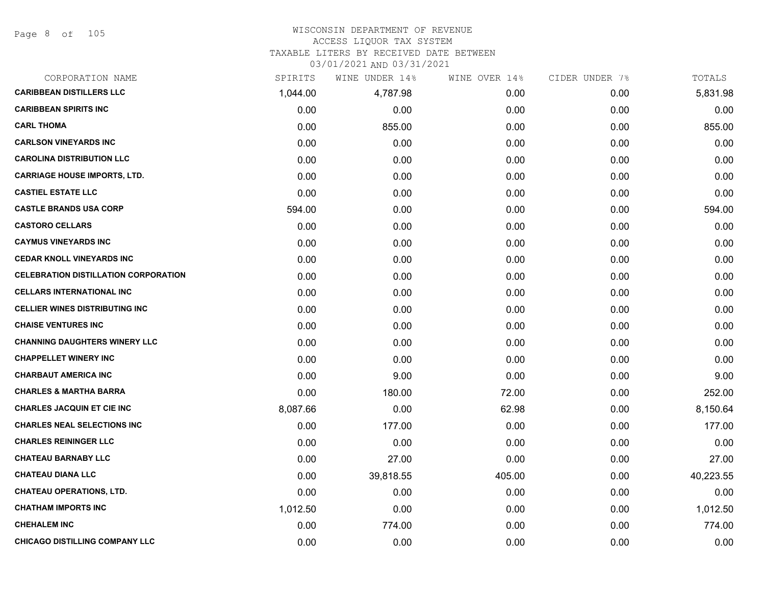# WISCONSIN DEPARTMENT OF REVENUE

# ACCESS LIQUOR TAX SYSTEM

TAXABLE LITERS BY RECEIVED DATE BETWEEN

| CORPORATION NAME                            | SPIRITS  | WINE UNDER 14% | WINE OVER 14% | CIDER UNDER 7% | TOTALS    |
|---------------------------------------------|----------|----------------|---------------|----------------|-----------|
| <b>CARIBBEAN DISTILLERS LLC</b>             | 1,044.00 | 4,787.98       | 0.00          | 0.00           | 5,831.98  |
| <b>CARIBBEAN SPIRITS INC</b>                | 0.00     | 0.00           | 0.00          | 0.00           | 0.00      |
| <b>CARL THOMA</b>                           | 0.00     | 855.00         | 0.00          | 0.00           | 855.00    |
| <b>CARLSON VINEYARDS INC</b>                | 0.00     | 0.00           | 0.00          | 0.00           | 0.00      |
| <b>CAROLINA DISTRIBUTION LLC</b>            | 0.00     | 0.00           | 0.00          | 0.00           | 0.00      |
| <b>CARRIAGE HOUSE IMPORTS, LTD.</b>         | 0.00     | 0.00           | 0.00          | 0.00           | 0.00      |
| <b>CASTIEL ESTATE LLC</b>                   | 0.00     | 0.00           | 0.00          | 0.00           | 0.00      |
| <b>CASTLE BRANDS USA CORP</b>               | 594.00   | 0.00           | 0.00          | 0.00           | 594.00    |
| <b>CASTORO CELLARS</b>                      | 0.00     | 0.00           | 0.00          | 0.00           | 0.00      |
| <b>CAYMUS VINEYARDS INC</b>                 | 0.00     | 0.00           | 0.00          | 0.00           | 0.00      |
| <b>CEDAR KNOLL VINEYARDS INC</b>            | 0.00     | 0.00           | 0.00          | 0.00           | 0.00      |
| <b>CELEBRATION DISTILLATION CORPORATION</b> | 0.00     | 0.00           | 0.00          | 0.00           | 0.00      |
| <b>CELLARS INTERNATIONAL INC</b>            | 0.00     | 0.00           | 0.00          | 0.00           | 0.00      |
| <b>CELLIER WINES DISTRIBUTING INC</b>       | 0.00     | 0.00           | 0.00          | 0.00           | 0.00      |
| <b>CHAISE VENTURES INC</b>                  | 0.00     | 0.00           | 0.00          | 0.00           | 0.00      |
| <b>CHANNING DAUGHTERS WINERY LLC</b>        | 0.00     | 0.00           | 0.00          | 0.00           | 0.00      |
| <b>CHAPPELLET WINERY INC</b>                | 0.00     | 0.00           | 0.00          | 0.00           | 0.00      |
| <b>CHARBAUT AMERICA INC</b>                 | 0.00     | 9.00           | 0.00          | 0.00           | 9.00      |
| <b>CHARLES &amp; MARTHA BARRA</b>           | 0.00     | 180.00         | 72.00         | 0.00           | 252.00    |
| <b>CHARLES JACQUIN ET CIE INC</b>           | 8,087.66 | 0.00           | 62.98         | 0.00           | 8,150.64  |
| <b>CHARLES NEAL SELECTIONS INC</b>          | 0.00     | 177.00         | 0.00          | 0.00           | 177.00    |
| <b>CHARLES REININGER LLC</b>                | 0.00     | 0.00           | 0.00          | 0.00           | 0.00      |
| <b>CHATEAU BARNABY LLC</b>                  | 0.00     | 27.00          | 0.00          | 0.00           | 27.00     |
| <b>CHATEAU DIANA LLC</b>                    | 0.00     | 39,818.55      | 405.00        | 0.00           | 40,223.55 |
| <b>CHATEAU OPERATIONS, LTD.</b>             | 0.00     | 0.00           | 0.00          | 0.00           | 0.00      |
| <b>CHATHAM IMPORTS INC</b>                  | 1,012.50 | 0.00           | 0.00          | 0.00           | 1,012.50  |
| <b>CHEHALEM INC</b>                         | 0.00     | 774.00         | 0.00          | 0.00           | 774.00    |
| CHICAGO DISTILLING COMPANY LLC              | 0.00     | 0.00           | 0.00          | 0.00           | 0.00      |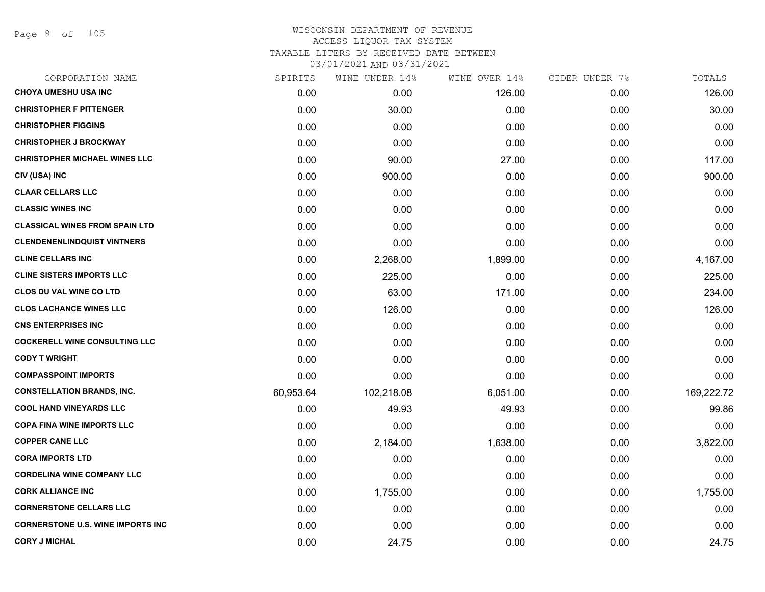Page 9 of 105

| CORPORATION NAME                         | SPIRITS   | WINE UNDER 14% | WINE OVER 14% | CIDER UNDER 7% | TOTALS     |
|------------------------------------------|-----------|----------------|---------------|----------------|------------|
| <b>CHOYA UMESHU USA INC</b>              | 0.00      | 0.00           | 126.00        | 0.00           | 126.00     |
| <b>CHRISTOPHER F PITTENGER</b>           | 0.00      | 30.00          | 0.00          | 0.00           | 30.00      |
| <b>CHRISTOPHER FIGGINS</b>               | 0.00      | 0.00           | 0.00          | 0.00           | 0.00       |
| <b>CHRISTOPHER J BROCKWAY</b>            | 0.00      | 0.00           | 0.00          | 0.00           | 0.00       |
| <b>CHRISTOPHER MICHAEL WINES LLC</b>     | 0.00      | 90.00          | 27.00         | 0.00           | 117.00     |
| CIV (USA) INC                            | 0.00      | 900.00         | 0.00          | 0.00           | 900.00     |
| <b>CLAAR CELLARS LLC</b>                 | 0.00      | 0.00           | 0.00          | 0.00           | 0.00       |
| <b>CLASSIC WINES INC</b>                 | 0.00      | 0.00           | 0.00          | 0.00           | 0.00       |
| <b>CLASSICAL WINES FROM SPAIN LTD</b>    | 0.00      | 0.00           | 0.00          | 0.00           | 0.00       |
| <b>CLENDENENLINDQUIST VINTNERS</b>       | 0.00      | 0.00           | 0.00          | 0.00           | 0.00       |
| <b>CLINE CELLARS INC</b>                 | 0.00      | 2,268.00       | 1,899.00      | 0.00           | 4,167.00   |
| <b>CLINE SISTERS IMPORTS LLC</b>         | 0.00      | 225.00         | 0.00          | 0.00           | 225.00     |
| <b>CLOS DU VAL WINE CO LTD</b>           | 0.00      | 63.00          | 171.00        | 0.00           | 234.00     |
| <b>CLOS LACHANCE WINES LLC</b>           | 0.00      | 126.00         | 0.00          | 0.00           | 126.00     |
| <b>CNS ENTERPRISES INC</b>               | 0.00      | 0.00           | 0.00          | 0.00           | 0.00       |
| <b>COCKERELL WINE CONSULTING LLC</b>     | 0.00      | 0.00           | 0.00          | 0.00           | 0.00       |
| <b>CODY T WRIGHT</b>                     | 0.00      | 0.00           | 0.00          | 0.00           | 0.00       |
| <b>COMPASSPOINT IMPORTS</b>              | 0.00      | 0.00           | 0.00          | 0.00           | 0.00       |
| <b>CONSTELLATION BRANDS, INC.</b>        | 60,953.64 | 102,218.08     | 6,051.00      | 0.00           | 169,222.72 |
| <b>COOL HAND VINEYARDS LLC</b>           | 0.00      | 49.93          | 49.93         | 0.00           | 99.86      |
| <b>COPA FINA WINE IMPORTS LLC</b>        | 0.00      | 0.00           | 0.00          | 0.00           | 0.00       |
| <b>COPPER CANE LLC</b>                   | 0.00      | 2,184.00       | 1,638.00      | 0.00           | 3,822.00   |
| <b>CORA IMPORTS LTD</b>                  | 0.00      | 0.00           | 0.00          | 0.00           | 0.00       |
| <b>CORDELINA WINE COMPANY LLC</b>        | 0.00      | 0.00           | 0.00          | 0.00           | 0.00       |
| <b>CORK ALLIANCE INC</b>                 | 0.00      | 1,755.00       | 0.00          | 0.00           | 1,755.00   |
| <b>CORNERSTONE CELLARS LLC</b>           | 0.00      | 0.00           | 0.00          | 0.00           | 0.00       |
| <b>CORNERSTONE U.S. WINE IMPORTS INC</b> | 0.00      | 0.00           | 0.00          | 0.00           | 0.00       |
| <b>CORY J MICHAL</b>                     | 0.00      | 24.75          | 0.00          | 0.00           | 24.75      |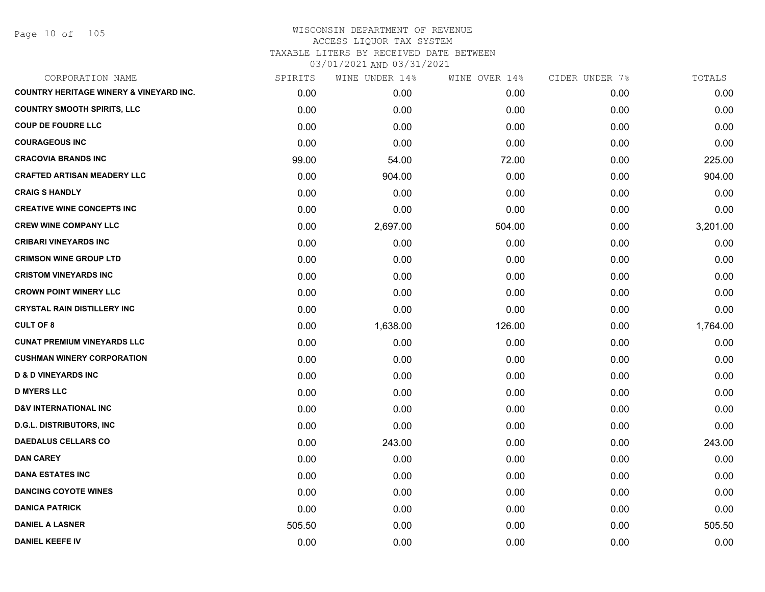Page 10 of 105

| CORPORATION NAME                                   | SPIRITS | WINE UNDER 14% | WINE OVER 14% | CIDER UNDER 7% | TOTALS   |
|----------------------------------------------------|---------|----------------|---------------|----------------|----------|
| <b>COUNTRY HERITAGE WINERY &amp; VINEYARD INC.</b> | 0.00    | 0.00           | 0.00          | 0.00           | 0.00     |
| <b>COUNTRY SMOOTH SPIRITS, LLC</b>                 | 0.00    | 0.00           | 0.00          | 0.00           | 0.00     |
| <b>COUP DE FOUDRE LLC</b>                          | 0.00    | 0.00           | 0.00          | 0.00           | 0.00     |
| <b>COURAGEOUS INC</b>                              | 0.00    | 0.00           | 0.00          | 0.00           | 0.00     |
| <b>CRACOVIA BRANDS INC</b>                         | 99.00   | 54.00          | 72.00         | 0.00           | 225.00   |
| <b>CRAFTED ARTISAN MEADERY LLC</b>                 | 0.00    | 904.00         | 0.00          | 0.00           | 904.00   |
| <b>CRAIG S HANDLY</b>                              | 0.00    | 0.00           | 0.00          | 0.00           | 0.00     |
| <b>CREATIVE WINE CONCEPTS INC</b>                  | 0.00    | 0.00           | 0.00          | 0.00           | 0.00     |
| <b>CREW WINE COMPANY LLC</b>                       | 0.00    | 2,697.00       | 504.00        | 0.00           | 3,201.00 |
| <b>CRIBARI VINEYARDS INC</b>                       | 0.00    | 0.00           | 0.00          | 0.00           | 0.00     |
| <b>CRIMSON WINE GROUP LTD</b>                      | 0.00    | 0.00           | 0.00          | 0.00           | 0.00     |
| <b>CRISTOM VINEYARDS INC</b>                       | 0.00    | 0.00           | 0.00          | 0.00           | 0.00     |
| <b>CROWN POINT WINERY LLC</b>                      | 0.00    | 0.00           | 0.00          | 0.00           | 0.00     |
| <b>CRYSTAL RAIN DISTILLERY INC</b>                 | 0.00    | 0.00           | 0.00          | 0.00           | 0.00     |
| <b>CULT OF 8</b>                                   | 0.00    | 1,638.00       | 126.00        | 0.00           | 1,764.00 |
| <b>CUNAT PREMIUM VINEYARDS LLC</b>                 | 0.00    | 0.00           | 0.00          | 0.00           | 0.00     |
| <b>CUSHMAN WINERY CORPORATION</b>                  | 0.00    | 0.00           | 0.00          | 0.00           | 0.00     |
| <b>D &amp; D VINEYARDS INC</b>                     | 0.00    | 0.00           | 0.00          | 0.00           | 0.00     |
| <b>D MYERS LLC</b>                                 | 0.00    | 0.00           | 0.00          | 0.00           | 0.00     |
| <b>D&amp;V INTERNATIONAL INC</b>                   | 0.00    | 0.00           | 0.00          | 0.00           | 0.00     |
| <b>D.G.L. DISTRIBUTORS, INC</b>                    | 0.00    | 0.00           | 0.00          | 0.00           | 0.00     |
| <b>DAEDALUS CELLARS CO</b>                         | 0.00    | 243.00         | 0.00          | 0.00           | 243.00   |
| <b>DAN CAREY</b>                                   | 0.00    | 0.00           | 0.00          | 0.00           | 0.00     |
| <b>DANA ESTATES INC</b>                            | 0.00    | 0.00           | 0.00          | 0.00           | 0.00     |
| <b>DANCING COYOTE WINES</b>                        | 0.00    | 0.00           | 0.00          | 0.00           | 0.00     |
| <b>DANICA PATRICK</b>                              | 0.00    | 0.00           | 0.00          | 0.00           | 0.00     |
| <b>DANIEL A LASNER</b>                             | 505.50  | 0.00           | 0.00          | 0.00           | 505.50   |
| <b>DANIEL KEEFE IV</b>                             | 0.00    | 0.00           | 0.00          | 0.00           | 0.00     |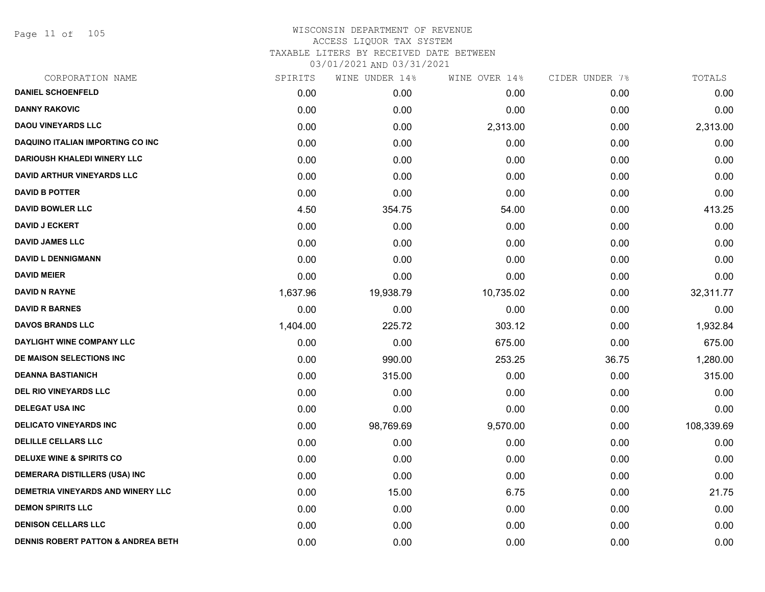Page 11 of 105

| 0.00<br>0.00<br>0.00<br>0.00<br>0.00<br>0.00<br>0.00<br>0.00 | 0.00<br>0.00<br>2,313.00<br>0.00<br>0.00<br>0.00 |
|--------------------------------------------------------------|--------------------------------------------------|
|                                                              |                                                  |
|                                                              |                                                  |
|                                                              |                                                  |
|                                                              |                                                  |
|                                                              |                                                  |
|                                                              |                                                  |
|                                                              | 0.00                                             |
|                                                              | 413.25                                           |
| 0.00                                                         | 0.00                                             |
| 0.00                                                         | 0.00                                             |
| 0.00                                                         | 0.00                                             |
| 0.00                                                         | 0.00                                             |
| 0.00                                                         | 32,311.77                                        |
| 0.00                                                         | 0.00                                             |
| 0.00                                                         | 1,932.84                                         |
| 0.00                                                         | 675.00                                           |
| 36.75                                                        | 1,280.00                                         |
| 0.00                                                         | 315.00                                           |
| 0.00                                                         | 0.00                                             |
| 0.00                                                         | 0.00                                             |
| 0.00                                                         | 108,339.69                                       |
| 0.00                                                         | 0.00                                             |
| 0.00                                                         | 0.00                                             |
| 0.00                                                         | 0.00                                             |
| 0.00                                                         | 21.75                                            |
| 0.00                                                         | 0.00                                             |
| 0.00                                                         | 0.00                                             |
|                                                              | 0.00                                             |
|                                                              | 0.00                                             |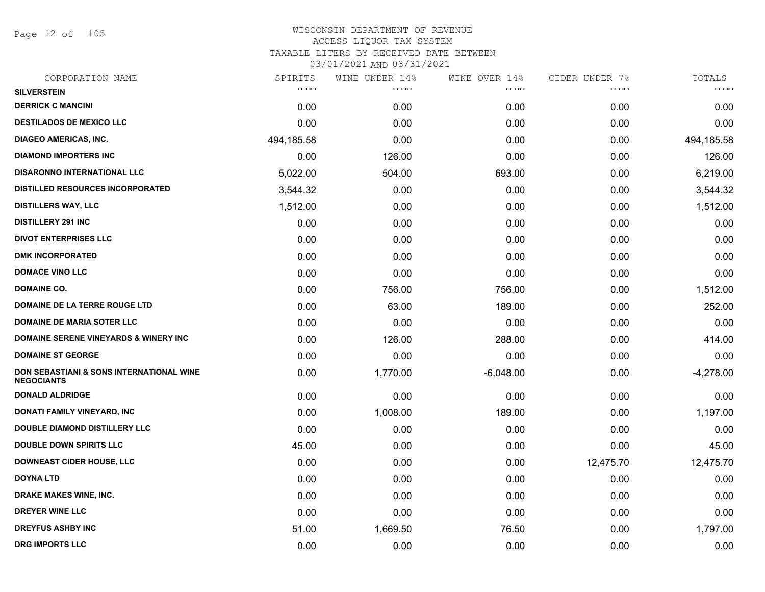Page 12 of 105

| SPIRITS                            | WINE UNDER 14% | WINE OVER 14% |           | TOTALS         |
|------------------------------------|----------------|---------------|-----------|----------------|
| $\alpha$ , $\alpha$ , and $\alpha$ | .              | .             | .         | <b>COLOR</b>   |
| 0.00                               | 0.00           | 0.00          | 0.00      | 0.00           |
| 0.00                               | 0.00           | 0.00          | 0.00      | 0.00           |
| 494,185.58                         | 0.00           | 0.00          | 0.00      | 494,185.58     |
| 0.00                               | 126.00         | 0.00          | 0.00      | 126.00         |
| 5,022.00                           | 504.00         | 693.00        | 0.00      | 6,219.00       |
| 3,544.32                           | 0.00           | 0.00          | 0.00      | 3,544.32       |
| 1,512.00                           | 0.00           | 0.00          | 0.00      | 1,512.00       |
| 0.00                               | 0.00           | 0.00          | 0.00      | 0.00           |
| 0.00                               | 0.00           | 0.00          | 0.00      | 0.00           |
| 0.00                               | 0.00           | 0.00          | 0.00      | 0.00           |
| 0.00                               | 0.00           | 0.00          | 0.00      | 0.00           |
| 0.00                               | 756.00         | 756.00        | 0.00      | 1,512.00       |
| 0.00                               | 63.00          | 189.00        | 0.00      | 252.00         |
| 0.00                               | 0.00           | 0.00          | 0.00      | 0.00           |
| 0.00                               | 126.00         | 288.00        | 0.00      | 414.00         |
| 0.00                               | 0.00           | 0.00          | 0.00      | 0.00           |
| 0.00                               | 1,770.00       | $-6,048.00$   | 0.00      | $-4,278.00$    |
| 0.00                               | 0.00           | 0.00          | 0.00      | 0.00           |
| 0.00                               | 1,008.00       | 189.00        | 0.00      | 1,197.00       |
| 0.00                               | 0.00           | 0.00          | 0.00      | 0.00           |
| 45.00                              | 0.00           | 0.00          | 0.00      | 45.00          |
| 0.00                               | 0.00           | 0.00          | 12,475.70 | 12,475.70      |
| 0.00                               | 0.00           | 0.00          | 0.00      | 0.00           |
| 0.00                               | 0.00           | 0.00          | 0.00      | 0.00           |
| 0.00                               | 0.00           | 0.00          | 0.00      | 0.00           |
| 51.00                              | 1,669.50       | 76.50         | 0.00      | 1,797.00       |
| 0.00                               | 0.00           | 0.00          | 0.00      | 0.00           |
|                                    |                |               |           | CIDER UNDER 7% |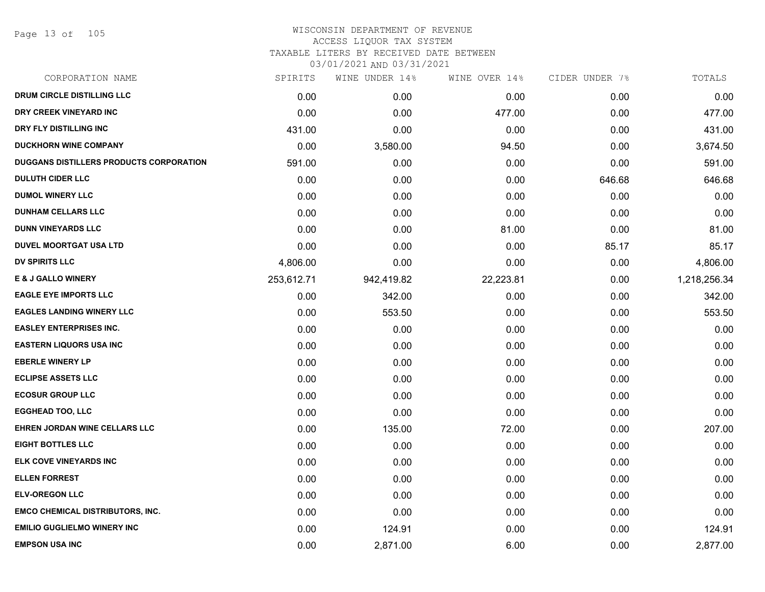Page 13 of 105

| CORPORATION NAME                        | SPIRITS    | WINE UNDER 14% | WINE OVER 14% | CIDER UNDER 7% | TOTALS       |
|-----------------------------------------|------------|----------------|---------------|----------------|--------------|
| DRUM CIRCLE DISTILLING LLC              | 0.00       | 0.00           | 0.00          | 0.00           | 0.00         |
| DRY CREEK VINEYARD INC                  | 0.00       | 0.00           | 477.00        | 0.00           | 477.00       |
| DRY FLY DISTILLING INC                  | 431.00     | 0.00           | 0.00          | 0.00           | 431.00       |
| <b>DUCKHORN WINE COMPANY</b>            | 0.00       | 3,580.00       | 94.50         | 0.00           | 3,674.50     |
| DUGGANS DISTILLERS PRODUCTS CORPORATION | 591.00     | 0.00           | 0.00          | 0.00           | 591.00       |
| <b>DULUTH CIDER LLC</b>                 | 0.00       | 0.00           | 0.00          | 646.68         | 646.68       |
| <b>DUMOL WINERY LLC</b>                 | 0.00       | 0.00           | 0.00          | 0.00           | 0.00         |
| <b>DUNHAM CELLARS LLC</b>               | 0.00       | 0.00           | 0.00          | 0.00           | 0.00         |
| <b>DUNN VINEYARDS LLC</b>               | 0.00       | 0.00           | 81.00         | 0.00           | 81.00        |
| <b>DUVEL MOORTGAT USA LTD</b>           | 0.00       | 0.00           | 0.00          | 85.17          | 85.17        |
| <b>DV SPIRITS LLC</b>                   | 4,806.00   | 0.00           | 0.00          | 0.00           | 4,806.00     |
| <b>E &amp; J GALLO WINERY</b>           | 253,612.71 | 942,419.82     | 22,223.81     | 0.00           | 1,218,256.34 |
| <b>EAGLE EYE IMPORTS LLC</b>            | 0.00       | 342.00         | 0.00          | 0.00           | 342.00       |
| <b>EAGLES LANDING WINERY LLC</b>        | 0.00       | 553.50         | 0.00          | 0.00           | 553.50       |
| <b>EASLEY ENTERPRISES INC.</b>          | 0.00       | 0.00           | 0.00          | 0.00           | 0.00         |
| <b>EASTERN LIQUORS USA INC</b>          | 0.00       | 0.00           | 0.00          | 0.00           | 0.00         |
| <b>EBERLE WINERY LP</b>                 | 0.00       | 0.00           | 0.00          | 0.00           | 0.00         |
| <b>ECLIPSE ASSETS LLC</b>               | 0.00       | 0.00           | 0.00          | 0.00           | 0.00         |
| <b>ECOSUR GROUP LLC</b>                 | 0.00       | 0.00           | 0.00          | 0.00           | 0.00         |
| <b>EGGHEAD TOO, LLC</b>                 | 0.00       | 0.00           | 0.00          | 0.00           | 0.00         |
| EHREN JORDAN WINE CELLARS LLC           | 0.00       | 135.00         | 72.00         | 0.00           | 207.00       |
| <b>EIGHT BOTTLES LLC</b>                | 0.00       | 0.00           | 0.00          | 0.00           | 0.00         |
| ELK COVE VINEYARDS INC                  | 0.00       | 0.00           | 0.00          | 0.00           | 0.00         |
| <b>ELLEN FORREST</b>                    | 0.00       | 0.00           | 0.00          | 0.00           | 0.00         |
| <b>ELV-OREGON LLC</b>                   | 0.00       | 0.00           | 0.00          | 0.00           | 0.00         |
| <b>EMCO CHEMICAL DISTRIBUTORS, INC.</b> | 0.00       | 0.00           | 0.00          | 0.00           | 0.00         |
| <b>EMILIO GUGLIELMO WINERY INC</b>      | 0.00       | 124.91         | 0.00          | 0.00           | 124.91       |
| <b>EMPSON USA INC</b>                   | 0.00       | 2,871.00       | 6.00          | 0.00           | 2,877.00     |
|                                         |            |                |               |                |              |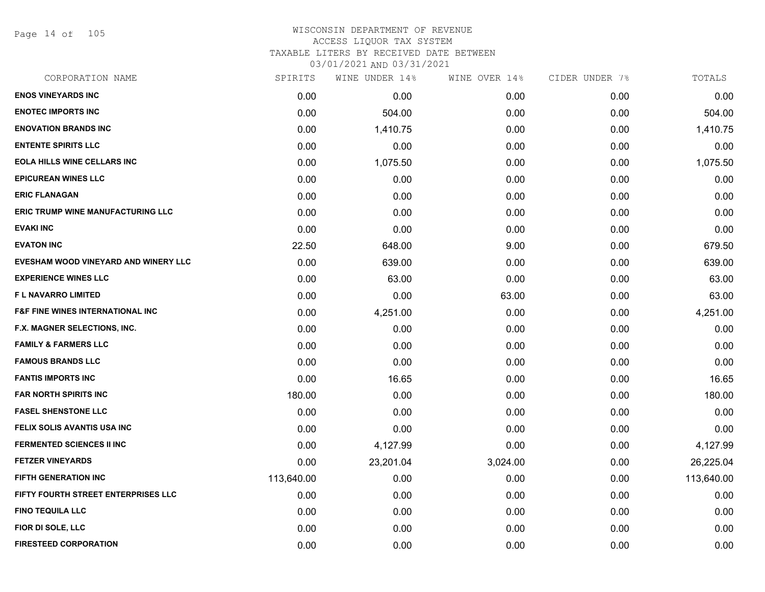Page 14 of 105

| CORPORATION NAME                            | SPIRITS    | WINE UNDER 14% | WINE OVER 14% | CIDER UNDER 7% | TOTALS     |
|---------------------------------------------|------------|----------------|---------------|----------------|------------|
| <b>ENOS VINEYARDS INC</b>                   | 0.00       | 0.00           | 0.00          | 0.00           | 0.00       |
| <b>ENOTEC IMPORTS INC</b>                   | 0.00       | 504.00         | 0.00          | 0.00           | 504.00     |
| <b>ENOVATION BRANDS INC</b>                 | 0.00       | 1,410.75       | 0.00          | 0.00           | 1,410.75   |
| <b>ENTENTE SPIRITS LLC</b>                  | 0.00       | 0.00           | 0.00          | 0.00           | 0.00       |
| <b>EOLA HILLS WINE CELLARS INC</b>          | 0.00       | 1,075.50       | 0.00          | 0.00           | 1,075.50   |
| <b>EPICUREAN WINES LLC</b>                  | 0.00       | 0.00           | 0.00          | 0.00           | 0.00       |
| <b>ERIC FLANAGAN</b>                        | 0.00       | 0.00           | 0.00          | 0.00           | 0.00       |
| <b>ERIC TRUMP WINE MANUFACTURING LLC</b>    | 0.00       | 0.00           | 0.00          | 0.00           | 0.00       |
| <b>EVAKI INC</b>                            | 0.00       | 0.00           | 0.00          | 0.00           | 0.00       |
| <b>EVATON INC</b>                           | 22.50      | 648.00         | 9.00          | 0.00           | 679.50     |
| EVESHAM WOOD VINEYARD AND WINERY LLC        | 0.00       | 639.00         | 0.00          | 0.00           | 639.00     |
| <b>EXPERIENCE WINES LLC</b>                 | 0.00       | 63.00          | 0.00          | 0.00           | 63.00      |
| <b>FL NAVARRO LIMITED</b>                   | 0.00       | 0.00           | 63.00         | 0.00           | 63.00      |
| <b>F&amp;F FINE WINES INTERNATIONAL INC</b> | 0.00       | 4,251.00       | 0.00          | 0.00           | 4,251.00   |
| F.X. MAGNER SELECTIONS, INC.                | 0.00       | 0.00           | 0.00          | 0.00           | 0.00       |
| <b>FAMILY &amp; FARMERS LLC</b>             | 0.00       | 0.00           | 0.00          | 0.00           | 0.00       |
| <b>FAMOUS BRANDS LLC</b>                    | 0.00       | 0.00           | 0.00          | 0.00           | 0.00       |
| <b>FANTIS IMPORTS INC</b>                   | 0.00       | 16.65          | 0.00          | 0.00           | 16.65      |
| <b>FAR NORTH SPIRITS INC</b>                | 180.00     | 0.00           | 0.00          | 0.00           | 180.00     |
| <b>FASEL SHENSTONE LLC</b>                  | 0.00       | 0.00           | 0.00          | 0.00           | 0.00       |
| FELIX SOLIS AVANTIS USA INC                 | 0.00       | 0.00           | 0.00          | 0.00           | 0.00       |
| <b>FERMENTED SCIENCES II INC</b>            | 0.00       | 4,127.99       | 0.00          | 0.00           | 4,127.99   |
| <b>FETZER VINEYARDS</b>                     | 0.00       | 23,201.04      | 3,024.00      | 0.00           | 26,225.04  |
| <b>FIFTH GENERATION INC</b>                 | 113,640.00 | 0.00           | 0.00          | 0.00           | 113,640.00 |
| FIFTY FOURTH STREET ENTERPRISES LLC         | 0.00       | 0.00           | 0.00          | 0.00           | 0.00       |
| <b>FINO TEQUILA LLC</b>                     | 0.00       | 0.00           | 0.00          | 0.00           | 0.00       |
| FIOR DI SOLE, LLC                           | 0.00       | 0.00           | 0.00          | 0.00           | 0.00       |
| <b>FIRESTEED CORPORATION</b>                | 0.00       | 0.00           | 0.00          | 0.00           | 0.00       |
|                                             |            |                |               |                |            |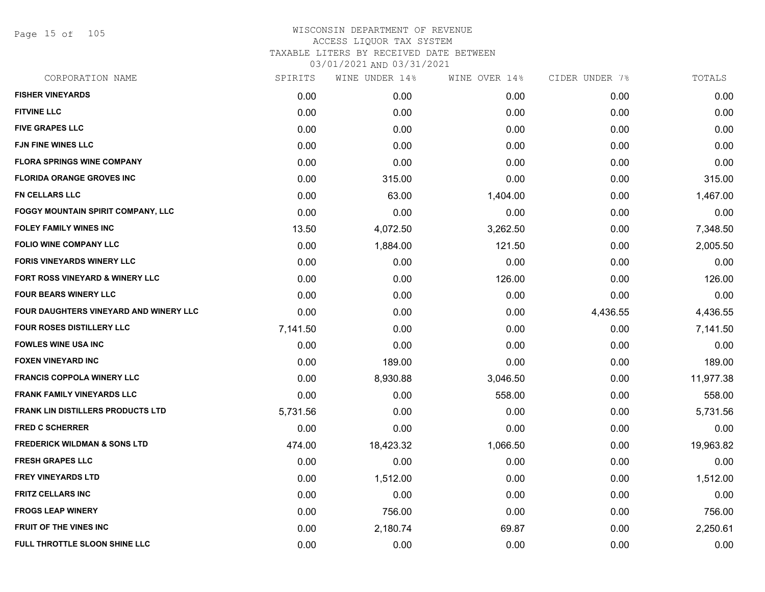Page 15 of 105

| CORPORATION NAME                              | SPIRITS  | WINE UNDER 14% | WINE OVER 14% | CIDER UNDER 7% | TOTALS    |
|-----------------------------------------------|----------|----------------|---------------|----------------|-----------|
| <b>FISHER VINEYARDS</b>                       | 0.00     | 0.00           | 0.00          | 0.00           | 0.00      |
| <b>FITVINE LLC</b>                            | 0.00     | 0.00           | 0.00          | 0.00           | 0.00      |
| <b>FIVE GRAPES LLC</b>                        | 0.00     | 0.00           | 0.00          | 0.00           | 0.00      |
| <b>FJN FINE WINES LLC</b>                     | 0.00     | 0.00           | 0.00          | 0.00           | 0.00      |
| <b>FLORA SPRINGS WINE COMPANY</b>             | 0.00     | 0.00           | 0.00          | 0.00           | 0.00      |
| <b>FLORIDA ORANGE GROVES INC</b>              | 0.00     | 315.00         | 0.00          | 0.00           | 315.00    |
| <b>FN CELLARS LLC</b>                         | 0.00     | 63.00          | 1,404.00      | 0.00           | 1,467.00  |
| <b>FOGGY MOUNTAIN SPIRIT COMPANY, LLC</b>     | 0.00     | 0.00           | 0.00          | 0.00           | 0.00      |
| <b>FOLEY FAMILY WINES INC</b>                 | 13.50    | 4,072.50       | 3,262.50      | 0.00           | 7,348.50  |
| FOLIO WINE COMPANY LLC                        | 0.00     | 1,884.00       | 121.50        | 0.00           | 2,005.50  |
| <b>FORIS VINEYARDS WINERY LLC</b>             | 0.00     | 0.00           | 0.00          | 0.00           | 0.00      |
| FORT ROSS VINEYARD & WINERY LLC               | 0.00     | 0.00           | 126.00        | 0.00           | 126.00    |
| <b>FOUR BEARS WINERY LLC</b>                  | 0.00     | 0.00           | 0.00          | 0.00           | 0.00      |
| <b>FOUR DAUGHTERS VINEYARD AND WINERY LLC</b> | 0.00     | 0.00           | 0.00          | 4,436.55       | 4,436.55  |
| FOUR ROSES DISTILLERY LLC                     | 7,141.50 | 0.00           | 0.00          | 0.00           | 7,141.50  |
| <b>FOWLES WINE USA INC</b>                    | 0.00     | 0.00           | 0.00          | 0.00           | 0.00      |
| <b>FOXEN VINEYARD INC</b>                     | 0.00     | 189.00         | 0.00          | 0.00           | 189.00    |
| <b>FRANCIS COPPOLA WINERY LLC</b>             | 0.00     | 8,930.88       | 3,046.50      | 0.00           | 11,977.38 |
| <b>FRANK FAMILY VINEYARDS LLC</b>             | 0.00     | 0.00           | 558.00        | 0.00           | 558.00    |
| <b>FRANK LIN DISTILLERS PRODUCTS LTD</b>      | 5,731.56 | 0.00           | 0.00          | 0.00           | 5,731.56  |
| <b>FRED C SCHERRER</b>                        | 0.00     | 0.00           | 0.00          | 0.00           | 0.00      |
| <b>FREDERICK WILDMAN &amp; SONS LTD</b>       | 474.00   | 18,423.32      | 1,066.50      | 0.00           | 19,963.82 |
| <b>FRESH GRAPES LLC</b>                       | 0.00     | 0.00           | 0.00          | 0.00           | 0.00      |
| <b>FREY VINEYARDS LTD</b>                     | 0.00     | 1,512.00       | 0.00          | 0.00           | 1,512.00  |
| <b>FRITZ CELLARS INC</b>                      | 0.00     | 0.00           | 0.00          | 0.00           | 0.00      |
| <b>FROGS LEAP WINERY</b>                      | 0.00     | 756.00         | 0.00          | 0.00           | 756.00    |
| <b>FRUIT OF THE VINES INC</b>                 | 0.00     | 2,180.74       | 69.87         | 0.00           | 2,250.61  |
| FULL THROTTLE SLOON SHINE LLC                 | 0.00     | 0.00           | 0.00          | 0.00           | 0.00      |
|                                               |          |                |               |                |           |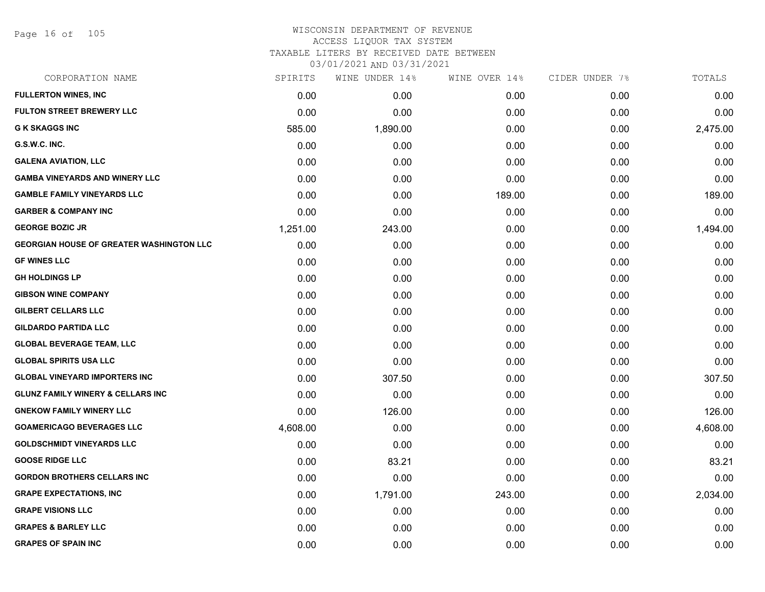Page 16 of 105

| CORPORATION NAME                                | SPIRITS  | WINE UNDER 14% | WINE OVER 14% | CIDER UNDER 7% | TOTALS   |
|-------------------------------------------------|----------|----------------|---------------|----------------|----------|
| <b>FULLERTON WINES, INC</b>                     | 0.00     | 0.00           | 0.00          | 0.00           | 0.00     |
| <b>FULTON STREET BREWERY LLC</b>                | 0.00     | 0.00           | 0.00          | 0.00           | 0.00     |
| <b>G K SKAGGS INC</b>                           | 585.00   | 1,890.00       | 0.00          | 0.00           | 2,475.00 |
| G.S.W.C. INC.                                   | 0.00     | 0.00           | 0.00          | 0.00           | 0.00     |
| <b>GALENA AVIATION, LLC</b>                     | 0.00     | 0.00           | 0.00          | 0.00           | 0.00     |
| <b>GAMBA VINEYARDS AND WINERY LLC</b>           | 0.00     | 0.00           | 0.00          | 0.00           | 0.00     |
| <b>GAMBLE FAMILY VINEYARDS LLC</b>              | 0.00     | 0.00           | 189.00        | 0.00           | 189.00   |
| <b>GARBER &amp; COMPANY INC</b>                 | 0.00     | 0.00           | 0.00          | 0.00           | 0.00     |
| <b>GEORGE BOZIC JR</b>                          | 1,251.00 | 243.00         | 0.00          | 0.00           | 1,494.00 |
| <b>GEORGIAN HOUSE OF GREATER WASHINGTON LLC</b> | 0.00     | 0.00           | 0.00          | 0.00           | 0.00     |
| <b>GF WINES LLC</b>                             | 0.00     | 0.00           | 0.00          | 0.00           | 0.00     |
| <b>GH HOLDINGS LP</b>                           | 0.00     | 0.00           | 0.00          | 0.00           | 0.00     |
| <b>GIBSON WINE COMPANY</b>                      | 0.00     | 0.00           | 0.00          | 0.00           | 0.00     |
| <b>GILBERT CELLARS LLC</b>                      | 0.00     | 0.00           | 0.00          | 0.00           | 0.00     |
| <b>GILDARDO PARTIDA LLC</b>                     | 0.00     | 0.00           | 0.00          | 0.00           | 0.00     |
| <b>GLOBAL BEVERAGE TEAM, LLC</b>                | 0.00     | 0.00           | 0.00          | 0.00           | 0.00     |
| <b>GLOBAL SPIRITS USA LLC</b>                   | 0.00     | 0.00           | 0.00          | 0.00           | 0.00     |
| <b>GLOBAL VINEYARD IMPORTERS INC</b>            | 0.00     | 307.50         | 0.00          | 0.00           | 307.50   |
| <b>GLUNZ FAMILY WINERY &amp; CELLARS INC</b>    | 0.00     | 0.00           | 0.00          | 0.00           | 0.00     |
| <b>GNEKOW FAMILY WINERY LLC</b>                 | 0.00     | 126.00         | 0.00          | 0.00           | 126.00   |
| <b>GOAMERICAGO BEVERAGES LLC</b>                | 4,608.00 | 0.00           | 0.00          | 0.00           | 4,608.00 |
| <b>GOLDSCHMIDT VINEYARDS LLC</b>                | 0.00     | 0.00           | 0.00          | 0.00           | 0.00     |
| <b>GOOSE RIDGE LLC</b>                          | 0.00     | 83.21          | 0.00          | 0.00           | 83.21    |
| <b>GORDON BROTHERS CELLARS INC</b>              | 0.00     | 0.00           | 0.00          | 0.00           | 0.00     |
| <b>GRAPE EXPECTATIONS, INC</b>                  | 0.00     | 1,791.00       | 243.00        | 0.00           | 2,034.00 |
| <b>GRAPE VISIONS LLC</b>                        | 0.00     | 0.00           | 0.00          | 0.00           | 0.00     |
| <b>GRAPES &amp; BARLEY LLC</b>                  | 0.00     | 0.00           | 0.00          | 0.00           | 0.00     |
| <b>GRAPES OF SPAIN INC</b>                      | 0.00     | 0.00           | 0.00          | 0.00           | 0.00     |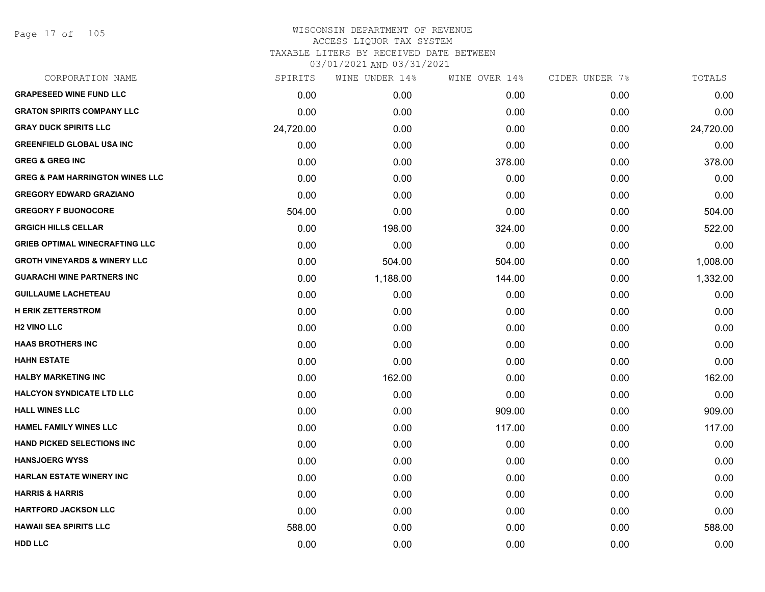Page 17 of 105

| CORPORATION NAME                           | SPIRITS   | WINE UNDER 14% | WINE OVER 14% | CIDER UNDER 7% | TOTALS    |
|--------------------------------------------|-----------|----------------|---------------|----------------|-----------|
| <b>GRAPESEED WINE FUND LLC</b>             | 0.00      | 0.00           | 0.00          | 0.00           | 0.00      |
| <b>GRATON SPIRITS COMPANY LLC</b>          | 0.00      | 0.00           | 0.00          | 0.00           | 0.00      |
| <b>GRAY DUCK SPIRITS LLC</b>               | 24,720.00 | 0.00           | 0.00          | 0.00           | 24,720.00 |
| <b>GREENFIELD GLOBAL USA INC</b>           | 0.00      | 0.00           | 0.00          | 0.00           | 0.00      |
| <b>GREG &amp; GREG INC</b>                 | 0.00      | 0.00           | 378.00        | 0.00           | 378.00    |
| <b>GREG &amp; PAM HARRINGTON WINES LLC</b> | 0.00      | 0.00           | 0.00          | 0.00           | 0.00      |
| <b>GREGORY EDWARD GRAZIANO</b>             | 0.00      | 0.00           | 0.00          | 0.00           | 0.00      |
| <b>GREGORY F BUONOCORE</b>                 | 504.00    | 0.00           | 0.00          | 0.00           | 504.00    |
| <b>GRGICH HILLS CELLAR</b>                 | 0.00      | 198.00         | 324.00        | 0.00           | 522.00    |
| <b>GRIEB OPTIMAL WINECRAFTING LLC</b>      | 0.00      | 0.00           | 0.00          | 0.00           | 0.00      |
| <b>GROTH VINEYARDS &amp; WINERY LLC</b>    | 0.00      | 504.00         | 504.00        | 0.00           | 1,008.00  |
| <b>GUARACHI WINE PARTNERS INC</b>          | 0.00      | 1,188.00       | 144.00        | 0.00           | 1,332.00  |
| <b>GUILLAUME LACHETEAU</b>                 | 0.00      | 0.00           | 0.00          | 0.00           | 0.00      |
| <b>H ERIK ZETTERSTROM</b>                  | 0.00      | 0.00           | 0.00          | 0.00           | 0.00      |
| <b>H2 VINO LLC</b>                         | 0.00      | 0.00           | 0.00          | 0.00           | 0.00      |
| <b>HAAS BROTHERS INC</b>                   | 0.00      | 0.00           | 0.00          | 0.00           | 0.00      |
| <b>HAHN ESTATE</b>                         | 0.00      | 0.00           | 0.00          | 0.00           | 0.00      |
| <b>HALBY MARKETING INC</b>                 | 0.00      | 162.00         | 0.00          | 0.00           | 162.00    |
| <b>HALCYON SYNDICATE LTD LLC</b>           | 0.00      | 0.00           | 0.00          | 0.00           | 0.00      |
| <b>HALL WINES LLC</b>                      | 0.00      | 0.00           | 909.00        | 0.00           | 909.00    |
| <b>HAMEL FAMILY WINES LLC</b>              | 0.00      | 0.00           | 117.00        | 0.00           | 117.00    |
| <b>HAND PICKED SELECTIONS INC</b>          | 0.00      | 0.00           | 0.00          | 0.00           | 0.00      |
| <b>HANSJOERG WYSS</b>                      | 0.00      | 0.00           | 0.00          | 0.00           | 0.00      |
| <b>HARLAN ESTATE WINERY INC</b>            | 0.00      | 0.00           | 0.00          | 0.00           | 0.00      |
| <b>HARRIS &amp; HARRIS</b>                 | 0.00      | 0.00           | 0.00          | 0.00           | 0.00      |
| <b>HARTFORD JACKSON LLC</b>                | 0.00      | 0.00           | 0.00          | 0.00           | 0.00      |
| <b>HAWAII SEA SPIRITS LLC</b>              | 588.00    | 0.00           | 0.00          | 0.00           | 588.00    |
| <b>HDD LLC</b>                             | 0.00      | 0.00           | 0.00          | 0.00           | 0.00      |
|                                            |           |                |               |                |           |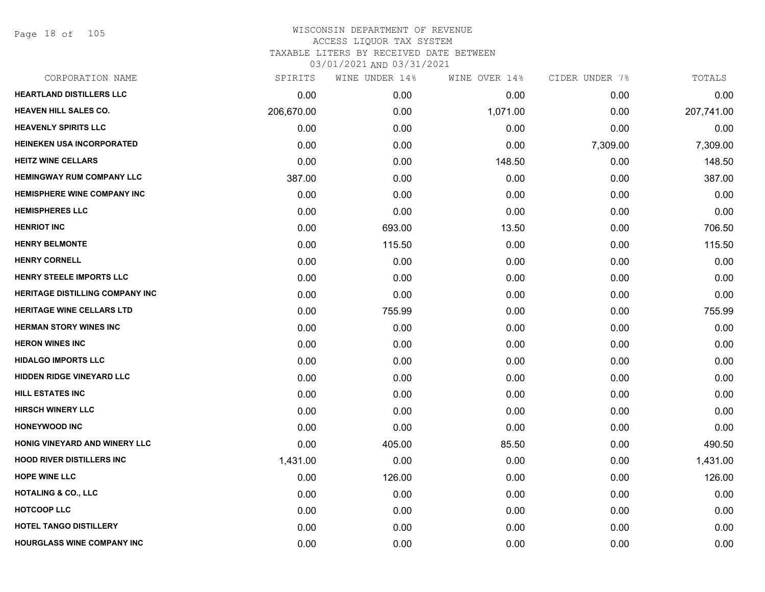Page 18 of 105

| CORPORATION NAME                       | SPIRITS    | WINE UNDER 14% | WINE OVER 14% | CIDER UNDER 7% | TOTALS     |
|----------------------------------------|------------|----------------|---------------|----------------|------------|
| <b>HEARTLAND DISTILLERS LLC</b>        | 0.00       | 0.00           | 0.00          | 0.00           | 0.00       |
| <b>HEAVEN HILL SALES CO.</b>           | 206,670.00 | 0.00           | 1,071.00      | 0.00           | 207,741.00 |
| <b>HEAVENLY SPIRITS LLC</b>            | 0.00       | 0.00           | 0.00          | 0.00           | 0.00       |
| <b>HEINEKEN USA INCORPORATED</b>       | 0.00       | 0.00           | 0.00          | 7,309.00       | 7,309.00   |
| <b>HEITZ WINE CELLARS</b>              | 0.00       | 0.00           | 148.50        | 0.00           | 148.50     |
| <b>HEMINGWAY RUM COMPANY LLC</b>       | 387.00     | 0.00           | 0.00          | 0.00           | 387.00     |
| <b>HEMISPHERE WINE COMPANY INC</b>     | 0.00       | 0.00           | 0.00          | 0.00           | 0.00       |
| <b>HEMISPHERES LLC</b>                 | 0.00       | 0.00           | 0.00          | 0.00           | 0.00       |
| <b>HENRIOT INC</b>                     | 0.00       | 693.00         | 13.50         | 0.00           | 706.50     |
| <b>HENRY BELMONTE</b>                  | 0.00       | 115.50         | 0.00          | 0.00           | 115.50     |
| <b>HENRY CORNELL</b>                   | 0.00       | 0.00           | 0.00          | 0.00           | 0.00       |
| HENRY STEELE IMPORTS LLC               | 0.00       | 0.00           | 0.00          | 0.00           | 0.00       |
| <b>HERITAGE DISTILLING COMPANY INC</b> | 0.00       | 0.00           | 0.00          | 0.00           | 0.00       |
| <b>HERITAGE WINE CELLARS LTD</b>       | 0.00       | 755.99         | 0.00          | 0.00           | 755.99     |
| <b>HERMAN STORY WINES INC</b>          | 0.00       | 0.00           | 0.00          | 0.00           | 0.00       |
| <b>HERON WINES INC</b>                 | 0.00       | 0.00           | 0.00          | 0.00           | 0.00       |
| <b>HIDALGO IMPORTS LLC</b>             | 0.00       | 0.00           | 0.00          | 0.00           | 0.00       |
| <b>HIDDEN RIDGE VINEYARD LLC</b>       | 0.00       | 0.00           | 0.00          | 0.00           | 0.00       |
| <b>HILL ESTATES INC</b>                | 0.00       | 0.00           | 0.00          | 0.00           | 0.00       |
| <b>HIRSCH WINERY LLC</b>               | 0.00       | 0.00           | 0.00          | 0.00           | 0.00       |
| <b>HONEYWOOD INC</b>                   | 0.00       | 0.00           | 0.00          | 0.00           | 0.00       |
| HONIG VINEYARD AND WINERY LLC          | 0.00       | 405.00         | 85.50         | 0.00           | 490.50     |
| <b>HOOD RIVER DISTILLERS INC</b>       | 1,431.00   | 0.00           | 0.00          | 0.00           | 1,431.00   |
| <b>HOPE WINE LLC</b>                   | 0.00       | 126.00         | 0.00          | 0.00           | 126.00     |
| <b>HOTALING &amp; CO., LLC</b>         | 0.00       | 0.00           | 0.00          | 0.00           | 0.00       |
| <b>HOTCOOP LLC</b>                     | 0.00       | 0.00           | 0.00          | 0.00           | 0.00       |
| <b>HOTEL TANGO DISTILLERY</b>          | 0.00       | 0.00           | 0.00          | 0.00           | 0.00       |
| HOURGLASS WINE COMPANY INC             | 0.00       | 0.00           | 0.00          | 0.00           | 0.00       |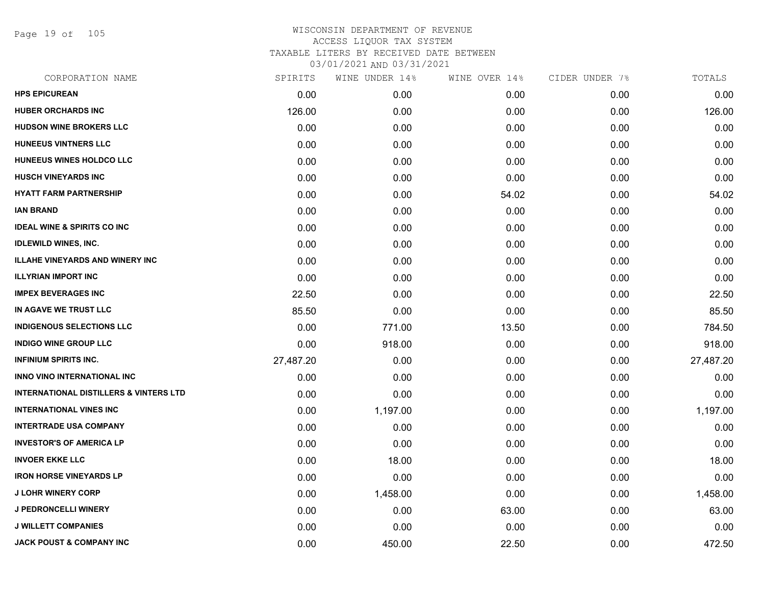Page 19 of 105

| CORPORATION NAME                                  | SPIRITS   | WINE UNDER 14% | WINE OVER 14% | CIDER UNDER 7% | TOTALS    |
|---------------------------------------------------|-----------|----------------|---------------|----------------|-----------|
| <b>HPS EPICUREAN</b>                              | 0.00      | 0.00           | 0.00          | 0.00           | 0.00      |
| <b>HUBER ORCHARDS INC</b>                         | 126.00    | 0.00           | 0.00          | 0.00           | 126.00    |
| HUDSON WINE BROKERS LLC                           | 0.00      | 0.00           | 0.00          | 0.00           | 0.00      |
| HUNEEUS VINTNERS LLC                              | 0.00      | 0.00           | 0.00          | 0.00           | 0.00      |
| HUNEEUS WINES HOLDCO LLC                          | 0.00      | 0.00           | 0.00          | 0.00           | 0.00      |
| <b>HUSCH VINEYARDS INC</b>                        | 0.00      | 0.00           | 0.00          | 0.00           | 0.00      |
| <b>HYATT FARM PARTNERSHIP</b>                     | 0.00      | 0.00           | 54.02         | 0.00           | 54.02     |
| <b>IAN BRAND</b>                                  | 0.00      | 0.00           | 0.00          | 0.00           | 0.00      |
| <b>IDEAL WINE &amp; SPIRITS CO INC</b>            | 0.00      | 0.00           | 0.00          | 0.00           | 0.00      |
| <b>IDLEWILD WINES, INC.</b>                       | 0.00      | 0.00           | 0.00          | 0.00           | 0.00      |
| <b>ILLAHE VINEYARDS AND WINERY INC</b>            | 0.00      | 0.00           | 0.00          | 0.00           | 0.00      |
| <b>ILLYRIAN IMPORT INC</b>                        | 0.00      | 0.00           | 0.00          | 0.00           | 0.00      |
| <b>IMPEX BEVERAGES INC</b>                        | 22.50     | 0.00           | 0.00          | 0.00           | 22.50     |
| IN AGAVE WE TRUST LLC                             | 85.50     | 0.00           | 0.00          | 0.00           | 85.50     |
| <b>INDIGENOUS SELECTIONS LLC</b>                  | 0.00      | 771.00         | 13.50         | 0.00           | 784.50    |
| <b>INDIGO WINE GROUP LLC</b>                      | 0.00      | 918.00         | 0.00          | 0.00           | 918.00    |
| <b>INFINIUM SPIRITS INC.</b>                      | 27,487.20 | 0.00           | 0.00          | 0.00           | 27,487.20 |
| INNO VINO INTERNATIONAL INC                       | 0.00      | 0.00           | 0.00          | 0.00           | 0.00      |
| <b>INTERNATIONAL DISTILLERS &amp; VINTERS LTD</b> | 0.00      | 0.00           | 0.00          | 0.00           | 0.00      |
| <b>INTERNATIONAL VINES INC</b>                    | 0.00      | 1,197.00       | 0.00          | 0.00           | 1,197.00  |
| <b>INTERTRADE USA COMPANY</b>                     | 0.00      | 0.00           | 0.00          | 0.00           | 0.00      |
| <b>INVESTOR'S OF AMERICA LP</b>                   | 0.00      | 0.00           | 0.00          | 0.00           | 0.00      |
| <b>INVOER EKKE LLC</b>                            | 0.00      | 18.00          | 0.00          | 0.00           | 18.00     |
| <b>IRON HORSE VINEYARDS LP</b>                    | 0.00      | 0.00           | 0.00          | 0.00           | 0.00      |
| <b>J LOHR WINERY CORP</b>                         | 0.00      | 1,458.00       | 0.00          | 0.00           | 1,458.00  |
| J PEDRONCELLI WINERY                              | 0.00      | 0.00           | 63.00         | 0.00           | 63.00     |
| <b>J WILLETT COMPANIES</b>                        | 0.00      | 0.00           | 0.00          | 0.00           | 0.00      |
| <b>JACK POUST &amp; COMPANY INC</b>               | 0.00      | 450.00         | 22.50         | 0.00           | 472.50    |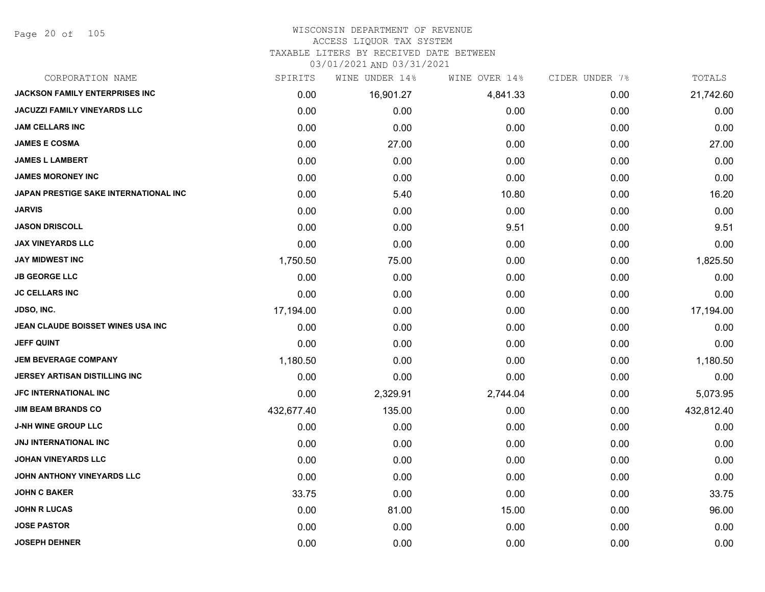Page 20 of 105

# WISCONSIN DEPARTMENT OF REVENUE

### ACCESS LIQUOR TAX SYSTEM

TAXABLE LITERS BY RECEIVED DATE BETWEEN

| CORPORATION NAME                      | SPIRITS    | WINE UNDER 14% | WINE OVER 14% | CIDER UNDER 7% | TOTALS     |
|---------------------------------------|------------|----------------|---------------|----------------|------------|
| <b>JACKSON FAMILY ENTERPRISES INC</b> | 0.00       | 16,901.27      | 4,841.33      | 0.00           | 21,742.60  |
| JACUZZI FAMILY VINEYARDS LLC          | 0.00       | 0.00           | 0.00          | 0.00           | 0.00       |
| <b>JAM CELLARS INC</b>                | 0.00       | 0.00           | 0.00          | 0.00           | 0.00       |
| <b>JAMES E COSMA</b>                  | 0.00       | 27.00          | 0.00          | 0.00           | 27.00      |
| <b>JAMES L LAMBERT</b>                | 0.00       | 0.00           | 0.00          | 0.00           | 0.00       |
| <b>JAMES MORONEY INC</b>              | 0.00       | 0.00           | 0.00          | 0.00           | 0.00       |
| JAPAN PRESTIGE SAKE INTERNATIONAL INC | 0.00       | 5.40           | 10.80         | 0.00           | 16.20      |
| <b>JARVIS</b>                         | 0.00       | 0.00           | 0.00          | 0.00           | 0.00       |
| <b>JASON DRISCOLL</b>                 | 0.00       | 0.00           | 9.51          | 0.00           | 9.51       |
| <b>JAX VINEYARDS LLC</b>              | 0.00       | 0.00           | 0.00          | 0.00           | 0.00       |
| <b>JAY MIDWEST INC</b>                | 1,750.50   | 75.00          | 0.00          | 0.00           | 1,825.50   |
| <b>JB GEORGE LLC</b>                  | 0.00       | 0.00           | 0.00          | 0.00           | 0.00       |
| <b>JC CELLARS INC</b>                 | 0.00       | 0.00           | 0.00          | 0.00           | 0.00       |
| JDSO, INC.                            | 17,194.00  | 0.00           | 0.00          | 0.00           | 17,194.00  |
| JEAN CLAUDE BOISSET WINES USA INC     | 0.00       | 0.00           | 0.00          | 0.00           | 0.00       |
| <b>JEFF QUINT</b>                     | 0.00       | 0.00           | 0.00          | 0.00           | 0.00       |
| <b>JEM BEVERAGE COMPANY</b>           | 1,180.50   | 0.00           | 0.00          | 0.00           | 1,180.50   |
| JERSEY ARTISAN DISTILLING INC         | 0.00       | 0.00           | 0.00          | 0.00           | 0.00       |
| JFC INTERNATIONAL INC                 | 0.00       | 2,329.91       | 2,744.04      | 0.00           | 5,073.95   |
| <b>JIM BEAM BRANDS CO</b>             | 432,677.40 | 135.00         | 0.00          | 0.00           | 432,812.40 |
| <b>J-NH WINE GROUP LLC</b>            | 0.00       | 0.00           | 0.00          | 0.00           | 0.00       |
| JNJ INTERNATIONAL INC                 | 0.00       | 0.00           | 0.00          | 0.00           | 0.00       |
| <b>JOHAN VINEYARDS LLC</b>            | 0.00       | 0.00           | 0.00          | 0.00           | 0.00       |
| JOHN ANTHONY VINEYARDS LLC            | 0.00       | 0.00           | 0.00          | 0.00           | 0.00       |
| <b>JOHN C BAKER</b>                   | 33.75      | 0.00           | 0.00          | 0.00           | 33.75      |
| <b>JOHN R LUCAS</b>                   | 0.00       | 81.00          | 15.00         | 0.00           | 96.00      |
| <b>JOSE PASTOR</b>                    | 0.00       | 0.00           | 0.00          | 0.00           | 0.00       |
| <b>JOSEPH DEHNER</b>                  | 0.00       | 0.00           | 0.00          | 0.00           | 0.00       |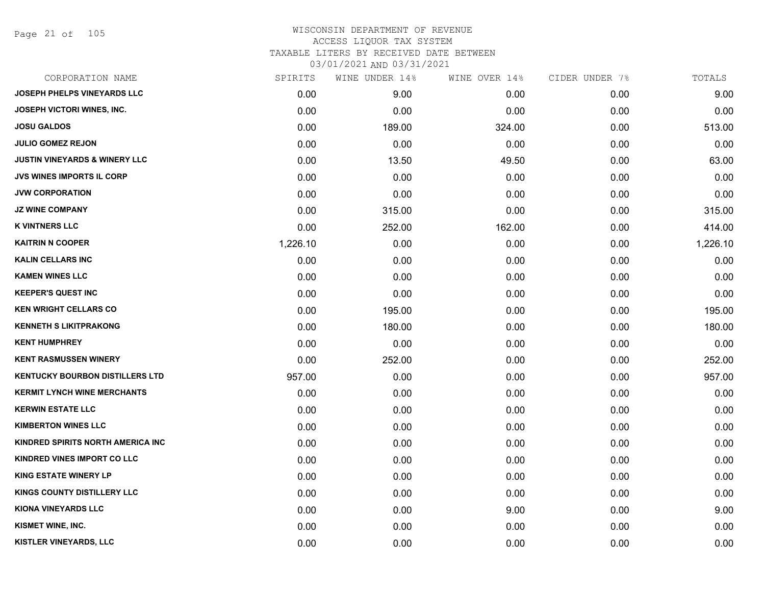Page 21 of 105

# WISCONSIN DEPARTMENT OF REVENUE ACCESS LIQUOR TAX SYSTEM TAXABLE LITERS BY RECEIVED DATE BETWEEN

| CORPORATION NAME                         | SPIRITS  | WINE UNDER 14% | WINE OVER 14% | CIDER UNDER 7% | TOTALS   |
|------------------------------------------|----------|----------------|---------------|----------------|----------|
| <b>JOSEPH PHELPS VINEYARDS LLC</b>       | 0.00     | 9.00           | 0.00          | 0.00           | 9.00     |
| JOSEPH VICTORI WINES, INC.               | 0.00     | 0.00           | 0.00          | 0.00           | 0.00     |
| <b>JOSU GALDOS</b>                       | 0.00     | 189.00         | 324.00        | 0.00           | 513.00   |
| <b>JULIO GOMEZ REJON</b>                 | 0.00     | 0.00           | 0.00          | 0.00           | 0.00     |
| <b>JUSTIN VINEYARDS &amp; WINERY LLC</b> | 0.00     | 13.50          | 49.50         | 0.00           | 63.00    |
| <b>JVS WINES IMPORTS IL CORP</b>         | 0.00     | 0.00           | 0.00          | 0.00           | 0.00     |
| <b>JVW CORPORATION</b>                   | 0.00     | 0.00           | 0.00          | 0.00           | 0.00     |
| <b>JZ WINE COMPANY</b>                   | 0.00     | 315.00         | 0.00          | 0.00           | 315.00   |
| <b>K VINTNERS LLC</b>                    | 0.00     | 252.00         | 162.00        | 0.00           | 414.00   |
| <b>KAITRIN N COOPER</b>                  | 1,226.10 | 0.00           | 0.00          | 0.00           | 1,226.10 |
| <b>KALIN CELLARS INC</b>                 | 0.00     | 0.00           | 0.00          | 0.00           | 0.00     |
| <b>KAMEN WINES LLC</b>                   | 0.00     | 0.00           | 0.00          | 0.00           | 0.00     |
| <b>KEEPER'S QUEST INC</b>                | 0.00     | 0.00           | 0.00          | 0.00           | 0.00     |
| <b>KEN WRIGHT CELLARS CO</b>             | 0.00     | 195.00         | 0.00          | 0.00           | 195.00   |
| <b>KENNETH S LIKITPRAKONG</b>            | 0.00     | 180.00         | 0.00          | 0.00           | 180.00   |
| <b>KENT HUMPHREY</b>                     | 0.00     | 0.00           | 0.00          | 0.00           | 0.00     |
| <b>KENT RASMUSSEN WINERY</b>             | 0.00     | 252.00         | 0.00          | 0.00           | 252.00   |
| <b>KENTUCKY BOURBON DISTILLERS LTD</b>   | 957.00   | 0.00           | 0.00          | 0.00           | 957.00   |
| <b>KERMIT LYNCH WINE MERCHANTS</b>       | 0.00     | 0.00           | 0.00          | 0.00           | 0.00     |
| <b>KERWIN ESTATE LLC</b>                 | 0.00     | 0.00           | 0.00          | 0.00           | 0.00     |
| <b>KIMBERTON WINES LLC</b>               | 0.00     | 0.00           | 0.00          | 0.00           | 0.00     |
| KINDRED SPIRITS NORTH AMERICA INC        | 0.00     | 0.00           | 0.00          | 0.00           | 0.00     |
| KINDRED VINES IMPORT CO LLC              | 0.00     | 0.00           | 0.00          | 0.00           | 0.00     |
| <b>KING ESTATE WINERY LP</b>             | 0.00     | 0.00           | 0.00          | 0.00           | 0.00     |
| KINGS COUNTY DISTILLERY LLC              | 0.00     | 0.00           | 0.00          | 0.00           | 0.00     |
| <b>KIONA VINEYARDS LLC</b>               | 0.00     | 0.00           | 9.00          | 0.00           | 9.00     |
| <b>KISMET WINE, INC.</b>                 | 0.00     | 0.00           | 0.00          | 0.00           | 0.00     |
| KISTLER VINEYARDS, LLC                   | 0.00     | 0.00           | 0.00          | 0.00           | 0.00     |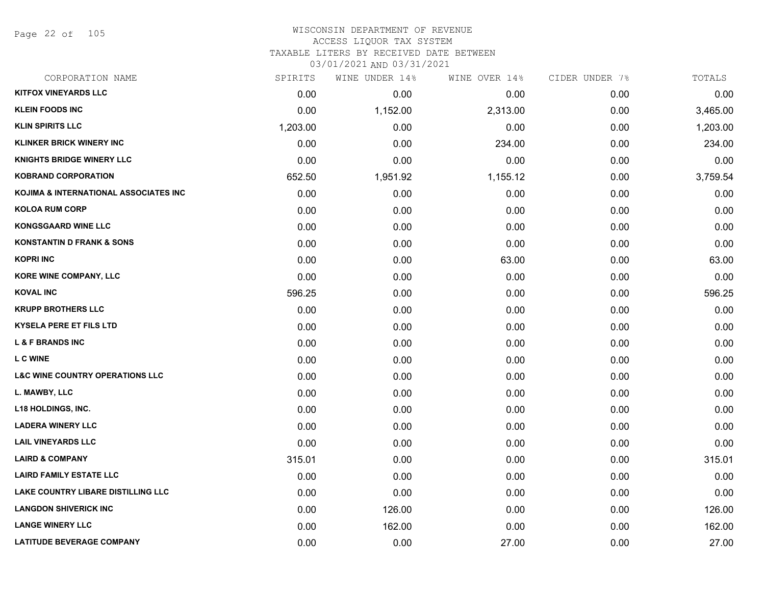Page 22 of 105

### WISCONSIN DEPARTMENT OF REVENUE ACCESS LIQUOR TAX SYSTEM TAXABLE LITERS BY RECEIVED DATE BETWEEN

| CORPORATION NAME                           | SPIRITS  | WINE UNDER 14% | WINE OVER 14% | CIDER UNDER 7% | TOTALS   |
|--------------------------------------------|----------|----------------|---------------|----------------|----------|
| <b>KITFOX VINEYARDS LLC</b>                | 0.00     | 0.00           | 0.00          | 0.00           | 0.00     |
| <b>KLEIN FOODS INC</b>                     | 0.00     | 1,152.00       | 2,313.00      | 0.00           | 3,465.00 |
| <b>KLIN SPIRITS LLC</b>                    | 1,203.00 | 0.00           | 0.00          | 0.00           | 1,203.00 |
| <b>KLINKER BRICK WINERY INC</b>            | 0.00     | 0.00           | 234.00        | 0.00           | 234.00   |
| <b>KNIGHTS BRIDGE WINERY LLC</b>           | 0.00     | 0.00           | 0.00          | 0.00           | 0.00     |
| <b>KOBRAND CORPORATION</b>                 | 652.50   | 1,951.92       | 1,155.12      | 0.00           | 3,759.54 |
| KOJIMA & INTERNATIONAL ASSOCIATES INC      | 0.00     | 0.00           | 0.00          | 0.00           | 0.00     |
| <b>KOLOA RUM CORP</b>                      | 0.00     | 0.00           | 0.00          | 0.00           | 0.00     |
| <b>KONGSGAARD WINE LLC</b>                 | 0.00     | 0.00           | 0.00          | 0.00           | 0.00     |
| <b>KONSTANTIN D FRANK &amp; SONS</b>       | 0.00     | 0.00           | 0.00          | 0.00           | 0.00     |
| <b>KOPRI INC</b>                           | 0.00     | 0.00           | 63.00         | 0.00           | 63.00    |
| KORE WINE COMPANY, LLC                     | 0.00     | 0.00           | 0.00          | 0.00           | 0.00     |
| <b>KOVAL INC</b>                           | 596.25   | 0.00           | 0.00          | 0.00           | 596.25   |
| <b>KRUPP BROTHERS LLC</b>                  | 0.00     | 0.00           | 0.00          | 0.00           | 0.00     |
| <b>KYSELA PERE ET FILS LTD</b>             | 0.00     | 0.00           | 0.00          | 0.00           | 0.00     |
| <b>L &amp; F BRANDS INC</b>                | 0.00     | 0.00           | 0.00          | 0.00           | 0.00     |
| <b>L C WINE</b>                            | 0.00     | 0.00           | 0.00          | 0.00           | 0.00     |
| <b>L&amp;C WINE COUNTRY OPERATIONS LLC</b> | 0.00     | 0.00           | 0.00          | 0.00           | 0.00     |
| L. MAWBY, LLC                              | 0.00     | 0.00           | 0.00          | 0.00           | 0.00     |
| <b>L18 HOLDINGS, INC.</b>                  | 0.00     | 0.00           | 0.00          | 0.00           | 0.00     |
| <b>LADERA WINERY LLC</b>                   | 0.00     | 0.00           | 0.00          | 0.00           | 0.00     |
| <b>LAIL VINEYARDS LLC</b>                  | 0.00     | 0.00           | 0.00          | 0.00           | 0.00     |
| <b>LAIRD &amp; COMPANY</b>                 | 315.01   | 0.00           | 0.00          | 0.00           | 315.01   |
| <b>LAIRD FAMILY ESTATE LLC</b>             | 0.00     | 0.00           | 0.00          | 0.00           | 0.00     |
| <b>LAKE COUNTRY LIBARE DISTILLING LLC</b>  | 0.00     | 0.00           | 0.00          | 0.00           | 0.00     |
| <b>LANGDON SHIVERICK INC</b>               | 0.00     | 126.00         | 0.00          | 0.00           | 126.00   |
| <b>LANGE WINERY LLC</b>                    | 0.00     | 162.00         | 0.00          | 0.00           | 162.00   |
| <b>LATITUDE BEVERAGE COMPANY</b>           | 0.00     | 0.00           | 27.00         | 0.00           | 27.00    |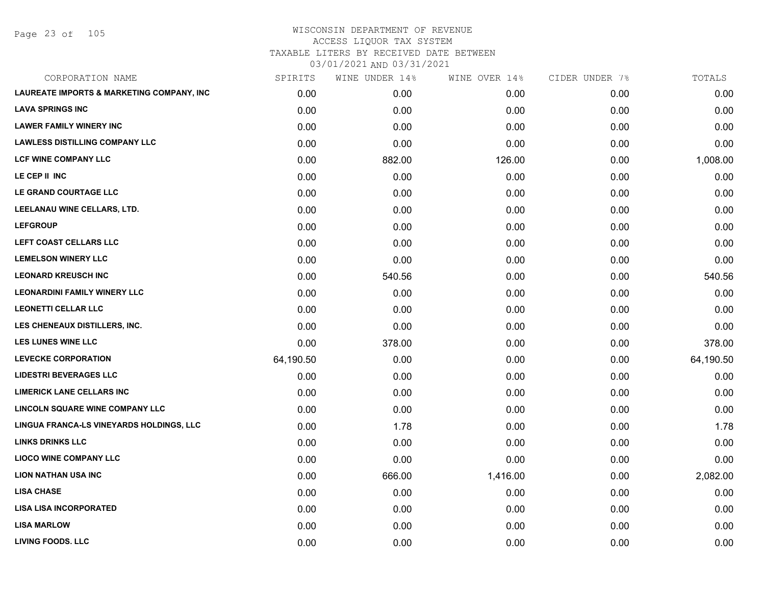Page 23 of 105

## WISCONSIN DEPARTMENT OF REVENUE ACCESS LIQUOR TAX SYSTEM TAXABLE LITERS BY RECEIVED DATE BETWEEN

| CORPORATION NAME                          | SPIRITS   | WINE UNDER 14% | WINE OVER 14% | CIDER UNDER 7% | TOTALS    |
|-------------------------------------------|-----------|----------------|---------------|----------------|-----------|
| LAUREATE IMPORTS & MARKETING COMPANY, INC | 0.00      | 0.00           | 0.00          | 0.00           | 0.00      |
| <b>LAVA SPRINGS INC</b>                   | 0.00      | 0.00           | 0.00          | 0.00           | 0.00      |
| <b>LAWER FAMILY WINERY INC</b>            | 0.00      | 0.00           | 0.00          | 0.00           | 0.00      |
| <b>LAWLESS DISTILLING COMPANY LLC</b>     | 0.00      | 0.00           | 0.00          | 0.00           | 0.00      |
| LCF WINE COMPANY LLC                      | 0.00      | 882.00         | 126.00        | 0.00           | 1,008.00  |
| LE CEP II INC                             | 0.00      | 0.00           | 0.00          | 0.00           | 0.00      |
| LE GRAND COURTAGE LLC                     | 0.00      | 0.00           | 0.00          | 0.00           | 0.00      |
| LEELANAU WINE CELLARS, LTD.               | 0.00      | 0.00           | 0.00          | 0.00           | 0.00      |
| <b>LEFGROUP</b>                           | 0.00      | 0.00           | 0.00          | 0.00           | 0.00      |
| LEFT COAST CELLARS LLC                    | 0.00      | 0.00           | 0.00          | 0.00           | 0.00      |
| <b>LEMELSON WINERY LLC</b>                | 0.00      | 0.00           | 0.00          | 0.00           | 0.00      |
| <b>LEONARD KREUSCH INC</b>                | 0.00      | 540.56         | 0.00          | 0.00           | 540.56    |
| <b>LEONARDINI FAMILY WINERY LLC</b>       | 0.00      | 0.00           | 0.00          | 0.00           | 0.00      |
| <b>LEONETTI CELLAR LLC</b>                | 0.00      | 0.00           | 0.00          | 0.00           | 0.00      |
| LES CHENEAUX DISTILLERS, INC.             | 0.00      | 0.00           | 0.00          | 0.00           | 0.00      |
| <b>LES LUNES WINE LLC</b>                 | 0.00      | 378.00         | 0.00          | 0.00           | 378.00    |
| <b>LEVECKE CORPORATION</b>                | 64,190.50 | 0.00           | 0.00          | 0.00           | 64,190.50 |
| <b>LIDESTRI BEVERAGES LLC</b>             | 0.00      | 0.00           | 0.00          | 0.00           | 0.00      |
| <b>LIMERICK LANE CELLARS INC</b>          | 0.00      | 0.00           | 0.00          | 0.00           | 0.00      |
| LINCOLN SQUARE WINE COMPANY LLC           | 0.00      | 0.00           | 0.00          | 0.00           | 0.00      |
| LINGUA FRANCA-LS VINEYARDS HOLDINGS, LLC  | 0.00      | 1.78           | 0.00          | 0.00           | 1.78      |
| <b>LINKS DRINKS LLC</b>                   | 0.00      | 0.00           | 0.00          | 0.00           | 0.00      |
| <b>LIOCO WINE COMPANY LLC</b>             | 0.00      | 0.00           | 0.00          | 0.00           | 0.00      |
| <b>LION NATHAN USA INC</b>                | 0.00      | 666.00         | 1,416.00      | 0.00           | 2,082.00  |
| <b>LISA CHASE</b>                         | 0.00      | 0.00           | 0.00          | 0.00           | 0.00      |
| <b>LISA LISA INCORPORATED</b>             | 0.00      | 0.00           | 0.00          | 0.00           | 0.00      |
| <b>LISA MARLOW</b>                        | 0.00      | 0.00           | 0.00          | 0.00           | 0.00      |
| <b>LIVING FOODS. LLC</b>                  | 0.00      | 0.00           | 0.00          | 0.00           | 0.00      |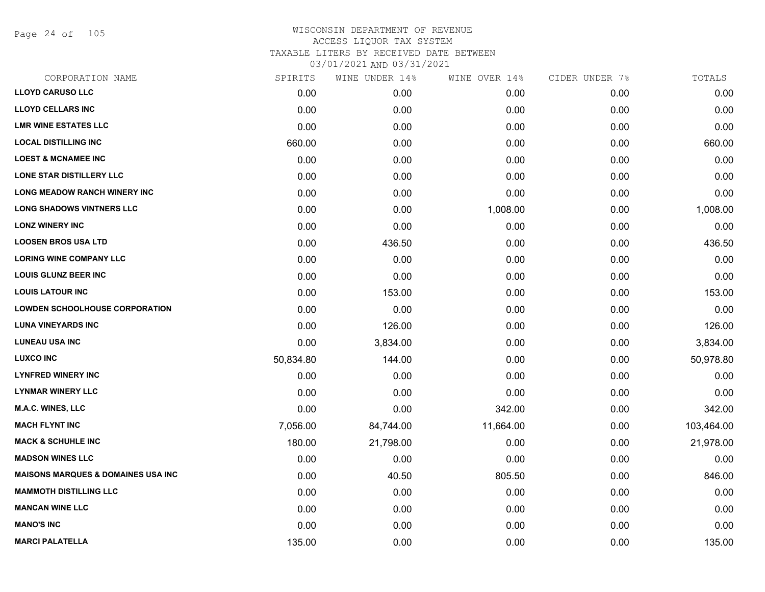Page 24 of 105

| CORPORATION NAME                               | SPIRITS   | WINE UNDER 14% | WINE OVER 14% | CIDER UNDER 7% | TOTALS     |
|------------------------------------------------|-----------|----------------|---------------|----------------|------------|
| <b>LLOYD CARUSO LLC</b>                        | 0.00      | 0.00           | 0.00          | 0.00           | 0.00       |
| <b>LLOYD CELLARS INC</b>                       | 0.00      | 0.00           | 0.00          | 0.00           | 0.00       |
| <b>LMR WINE ESTATES LLC</b>                    | 0.00      | 0.00           | 0.00          | 0.00           | 0.00       |
| <b>LOCAL DISTILLING INC</b>                    | 660.00    | 0.00           | 0.00          | 0.00           | 660.00     |
| <b>LOEST &amp; MCNAMEE INC</b>                 | 0.00      | 0.00           | 0.00          | 0.00           | 0.00       |
| LONE STAR DISTILLERY LLC                       | 0.00      | 0.00           | 0.00          | 0.00           | 0.00       |
| <b>LONG MEADOW RANCH WINERY INC</b>            | 0.00      | 0.00           | 0.00          | 0.00           | 0.00       |
| <b>LONG SHADOWS VINTNERS LLC</b>               | 0.00      | 0.00           | 1,008.00      | 0.00           | 1,008.00   |
| <b>LONZ WINERY INC</b>                         | 0.00      | 0.00           | 0.00          | 0.00           | 0.00       |
| <b>LOOSEN BROS USA LTD</b>                     | 0.00      | 436.50         | 0.00          | 0.00           | 436.50     |
| <b>LORING WINE COMPANY LLC</b>                 | 0.00      | 0.00           | 0.00          | 0.00           | 0.00       |
| <b>LOUIS GLUNZ BEER INC</b>                    | 0.00      | 0.00           | 0.00          | 0.00           | 0.00       |
| <b>LOUIS LATOUR INC</b>                        | 0.00      | 153.00         | 0.00          | 0.00           | 153.00     |
| <b>LOWDEN SCHOOLHOUSE CORPORATION</b>          | 0.00      | 0.00           | 0.00          | 0.00           | 0.00       |
| <b>LUNA VINEYARDS INC</b>                      | 0.00      | 126.00         | 0.00          | 0.00           | 126.00     |
| <b>LUNEAU USA INC</b>                          | 0.00      | 3,834.00       | 0.00          | 0.00           | 3,834.00   |
| <b>LUXCO INC</b>                               | 50,834.80 | 144.00         | 0.00          | 0.00           | 50,978.80  |
| <b>LYNFRED WINERY INC</b>                      | 0.00      | 0.00           | 0.00          | 0.00           | 0.00       |
| <b>LYNMAR WINERY LLC</b>                       | 0.00      | 0.00           | 0.00          | 0.00           | 0.00       |
| <b>M.A.C. WINES, LLC</b>                       | 0.00      | 0.00           | 342.00        | 0.00           | 342.00     |
| <b>MACH FLYNT INC</b>                          | 7,056.00  | 84,744.00      | 11,664.00     | 0.00           | 103,464.00 |
| <b>MACK &amp; SCHUHLE INC</b>                  | 180.00    | 21,798.00      | 0.00          | 0.00           | 21,978.00  |
| <b>MADSON WINES LLC</b>                        | 0.00      | 0.00           | 0.00          | 0.00           | 0.00       |
| <b>MAISONS MARQUES &amp; DOMAINES USA INC.</b> | 0.00      | 40.50          | 805.50        | 0.00           | 846.00     |
| <b>MAMMOTH DISTILLING LLC</b>                  | 0.00      | 0.00           | 0.00          | 0.00           | 0.00       |
| <b>MANCAN WINE LLC</b>                         | 0.00      | 0.00           | 0.00          | 0.00           | 0.00       |
| <b>MANO'S INC</b>                              | 0.00      | 0.00           | 0.00          | 0.00           | 0.00       |
| <b>MARCI PALATELLA</b>                         | 135.00    | 0.00           | 0.00          | 0.00           | 135.00     |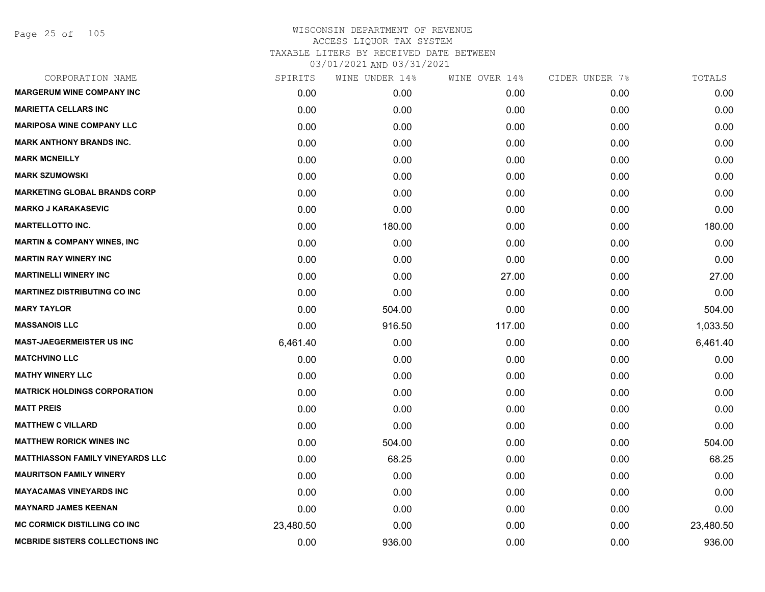Page 25 of 105

| CORPORATION NAME                        | SPIRITS   | WINE UNDER 14% | WINE OVER 14% | CIDER UNDER 7% | TOTALS    |
|-----------------------------------------|-----------|----------------|---------------|----------------|-----------|
| <b>MARGERUM WINE COMPANY INC</b>        | 0.00      | 0.00           | 0.00          | 0.00           | 0.00      |
| <b>MARIETTA CELLARS INC</b>             | 0.00      | 0.00           | 0.00          | 0.00           | 0.00      |
| <b>MARIPOSA WINE COMPANY LLC</b>        | 0.00      | 0.00           | 0.00          | 0.00           | 0.00      |
| <b>MARK ANTHONY BRANDS INC.</b>         | 0.00      | 0.00           | 0.00          | 0.00           | 0.00      |
| <b>MARK MCNEILLY</b>                    | 0.00      | 0.00           | 0.00          | 0.00           | 0.00      |
| <b>MARK SZUMOWSKI</b>                   | 0.00      | 0.00           | 0.00          | 0.00           | 0.00      |
| <b>MARKETING GLOBAL BRANDS CORP</b>     | 0.00      | 0.00           | 0.00          | 0.00           | 0.00      |
| <b>MARKO J KARAKASEVIC</b>              | 0.00      | 0.00           | 0.00          | 0.00           | 0.00      |
| <b>MARTELLOTTO INC.</b>                 | 0.00      | 180.00         | 0.00          | 0.00           | 180.00    |
| <b>MARTIN &amp; COMPANY WINES, INC</b>  | 0.00      | 0.00           | 0.00          | 0.00           | 0.00      |
| <b>MARTIN RAY WINERY INC</b>            | 0.00      | 0.00           | 0.00          | 0.00           | 0.00      |
| <b>MARTINELLI WINERY INC</b>            | 0.00      | 0.00           | 27.00         | 0.00           | 27.00     |
| <b>MARTINEZ DISTRIBUTING CO INC</b>     | 0.00      | 0.00           | 0.00          | 0.00           | 0.00      |
| <b>MARY TAYLOR</b>                      | 0.00      | 504.00         | 0.00          | 0.00           | 504.00    |
| <b>MASSANOIS LLC</b>                    | 0.00      | 916.50         | 117.00        | 0.00           | 1,033.50  |
| <b>MAST-JAEGERMEISTER US INC</b>        | 6,461.40  | 0.00           | 0.00          | 0.00           | 6,461.40  |
| <b>MATCHVINO LLC</b>                    | 0.00      | 0.00           | 0.00          | 0.00           | 0.00      |
| <b>MATHY WINERY LLC</b>                 | 0.00      | 0.00           | 0.00          | 0.00           | 0.00      |
| <b>MATRICK HOLDINGS CORPORATION</b>     | 0.00      | 0.00           | 0.00          | 0.00           | 0.00      |
| <b>MATT PREIS</b>                       | 0.00      | 0.00           | 0.00          | 0.00           | 0.00      |
| <b>MATTHEW C VILLARD</b>                | 0.00      | 0.00           | 0.00          | 0.00           | 0.00      |
| <b>MATTHEW RORICK WINES INC</b>         | 0.00      | 504.00         | 0.00          | 0.00           | 504.00    |
| <b>MATTHIASSON FAMILY VINEYARDS LLC</b> | 0.00      | 68.25          | 0.00          | 0.00           | 68.25     |
| <b>MAURITSON FAMILY WINERY</b>          | 0.00      | 0.00           | 0.00          | 0.00           | 0.00      |
| <b>MAYACAMAS VINEYARDS INC</b>          | 0.00      | 0.00           | 0.00          | 0.00           | 0.00      |
| <b>MAYNARD JAMES KEENAN</b>             | 0.00      | 0.00           | 0.00          | 0.00           | 0.00      |
| <b>MC CORMICK DISTILLING CO INC</b>     | 23,480.50 | 0.00           | 0.00          | 0.00           | 23,480.50 |
| <b>MCBRIDE SISTERS COLLECTIONS INC</b>  | 0.00      | 936.00         | 0.00          | 0.00           | 936.00    |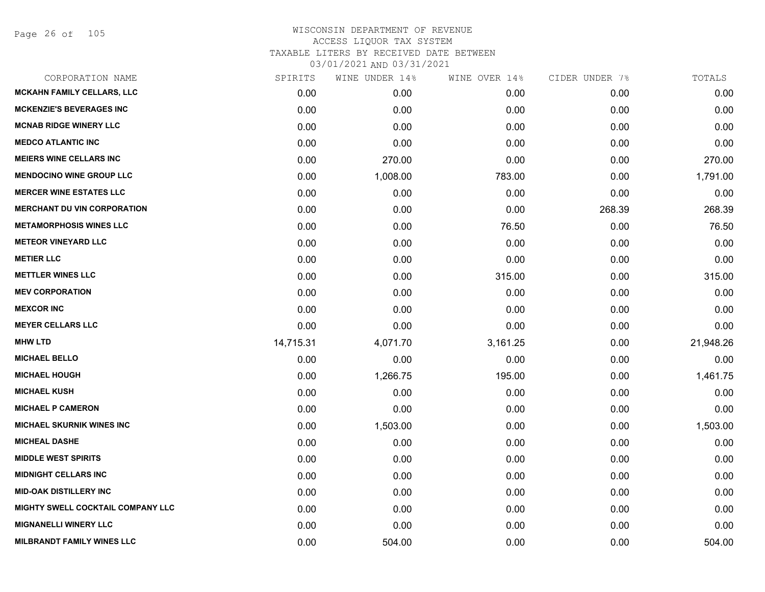Page 26 of 105

| CORPORATION NAME                   | SPIRITS   | WINE UNDER 14% | WINE OVER 14% | CIDER UNDER 7% | TOTALS    |
|------------------------------------|-----------|----------------|---------------|----------------|-----------|
| <b>MCKAHN FAMILY CELLARS, LLC</b>  | 0.00      | 0.00           | 0.00          | 0.00           | 0.00      |
| <b>MCKENZIE'S BEVERAGES INC</b>    | 0.00      | 0.00           | 0.00          | 0.00           | 0.00      |
| <b>MCNAB RIDGE WINERY LLC</b>      | 0.00      | 0.00           | 0.00          | 0.00           | 0.00      |
| <b>MEDCO ATLANTIC INC</b>          | 0.00      | 0.00           | 0.00          | 0.00           | 0.00      |
| <b>MEIERS WINE CELLARS INC</b>     | 0.00      | 270.00         | 0.00          | 0.00           | 270.00    |
| <b>MENDOCINO WINE GROUP LLC</b>    | 0.00      | 1,008.00       | 783.00        | 0.00           | 1,791.00  |
| <b>MERCER WINE ESTATES LLC</b>     | 0.00      | 0.00           | 0.00          | 0.00           | 0.00      |
| <b>MERCHANT DU VIN CORPORATION</b> | 0.00      | 0.00           | 0.00          | 268.39         | 268.39    |
| <b>METAMORPHOSIS WINES LLC</b>     | 0.00      | 0.00           | 76.50         | 0.00           | 76.50     |
| <b>METEOR VINEYARD LLC</b>         | 0.00      | 0.00           | 0.00          | 0.00           | 0.00      |
| <b>METIER LLC</b>                  | 0.00      | 0.00           | 0.00          | 0.00           | 0.00      |
| <b>METTLER WINES LLC</b>           | 0.00      | 0.00           | 315.00        | 0.00           | 315.00    |
| <b>MEV CORPORATION</b>             | 0.00      | 0.00           | 0.00          | 0.00           | 0.00      |
| <b>MEXCOR INC</b>                  | 0.00      | 0.00           | 0.00          | 0.00           | 0.00      |
| <b>MEYER CELLARS LLC</b>           | 0.00      | 0.00           | 0.00          | 0.00           | 0.00      |
| <b>MHW LTD</b>                     | 14,715.31 | 4,071.70       | 3,161.25      | 0.00           | 21,948.26 |
| <b>MICHAEL BELLO</b>               | 0.00      | 0.00           | 0.00          | 0.00           | 0.00      |
| <b>MICHAEL HOUGH</b>               | 0.00      | 1,266.75       | 195.00        | 0.00           | 1,461.75  |
| <b>MICHAEL KUSH</b>                | 0.00      | 0.00           | 0.00          | 0.00           | 0.00      |
| <b>MICHAEL P CAMERON</b>           | 0.00      | 0.00           | 0.00          | 0.00           | 0.00      |
| <b>MICHAEL SKURNIK WINES INC</b>   | 0.00      | 1,503.00       | 0.00          | 0.00           | 1,503.00  |
| <b>MICHEAL DASHE</b>               | 0.00      | 0.00           | 0.00          | 0.00           | 0.00      |
| <b>MIDDLE WEST SPIRITS</b>         | 0.00      | 0.00           | 0.00          | 0.00           | 0.00      |
| <b>MIDNIGHT CELLARS INC</b>        | 0.00      | 0.00           | 0.00          | 0.00           | 0.00      |
| <b>MID-OAK DISTILLERY INC</b>      | 0.00      | 0.00           | 0.00          | 0.00           | 0.00      |
| MIGHTY SWELL COCKTAIL COMPANY LLC  | 0.00      | 0.00           | 0.00          | 0.00           | 0.00      |
| <b>MIGNANELLI WINERY LLC</b>       | 0.00      | 0.00           | 0.00          | 0.00           | 0.00      |
| <b>MILBRANDT FAMILY WINES LLC</b>  | 0.00      | 504.00         | 0.00          | 0.00           | 504.00    |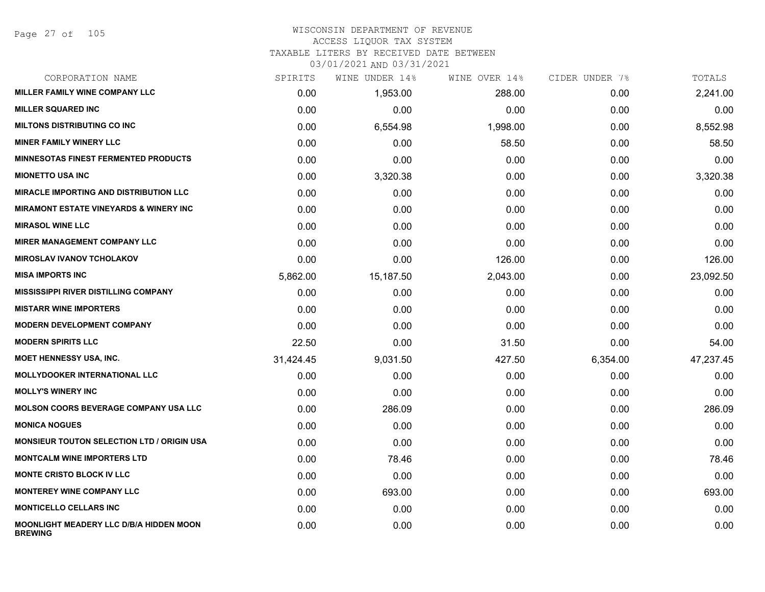#### WISCONSIN DEPARTMENT OF REVENUE ACCESS LIQUOR TAX SYSTEM

### TAXABLE LITERS BY RECEIVED DATE BETWEEN

| CORPORATION NAME                                          | SPIRITS   | WINE UNDER 14% | WINE OVER 14% | CIDER UNDER 7% | TOTALS    |
|-----------------------------------------------------------|-----------|----------------|---------------|----------------|-----------|
| <b>MILLER FAMILY WINE COMPANY LLC</b>                     | 0.00      | 1,953.00       | 288.00        | 0.00           | 2,241.00  |
| <b>MILLER SQUARED INC</b>                                 | 0.00      | 0.00           | 0.00          | 0.00           | 0.00      |
| <b>MILTONS DISTRIBUTING CO INC</b>                        | 0.00      | 6,554.98       | 1,998.00      | 0.00           | 8,552.98  |
| <b>MINER FAMILY WINERY LLC</b>                            | 0.00      | 0.00           | 58.50         | 0.00           | 58.50     |
| <b>MINNESOTAS FINEST FERMENTED PRODUCTS</b>               | 0.00      | 0.00           | 0.00          | 0.00           | 0.00      |
| <b>MIONETTO USA INC</b>                                   | 0.00      | 3,320.38       | 0.00          | 0.00           | 3,320.38  |
| <b>MIRACLE IMPORTING AND DISTRIBUTION LLC</b>             | 0.00      | 0.00           | 0.00          | 0.00           | 0.00      |
| <b>MIRAMONT ESTATE VINEYARDS &amp; WINERY INC.</b>        | 0.00      | 0.00           | 0.00          | 0.00           | 0.00      |
| <b>MIRASOL WINE LLC</b>                                   | 0.00      | 0.00           | 0.00          | 0.00           | 0.00      |
| <b>MIRER MANAGEMENT COMPANY LLC</b>                       | 0.00      | 0.00           | 0.00          | 0.00           | 0.00      |
| <b>MIROSLAV IVANOV TCHOLAKOV</b>                          | 0.00      | 0.00           | 126.00        | 0.00           | 126.00    |
| <b>MISA IMPORTS INC</b>                                   | 5,862.00  | 15,187.50      | 2,043.00      | 0.00           | 23,092.50 |
| MISSISSIPPI RIVER DISTILLING COMPANY                      | 0.00      | 0.00           | 0.00          | 0.00           | 0.00      |
| <b>MISTARR WINE IMPORTERS</b>                             | 0.00      | 0.00           | 0.00          | 0.00           | 0.00      |
| <b>MODERN DEVELOPMENT COMPANY</b>                         | 0.00      | 0.00           | 0.00          | 0.00           | 0.00      |
| <b>MODERN SPIRITS LLC</b>                                 | 22.50     | 0.00           | 31.50         | 0.00           | 54.00     |
| <b>MOET HENNESSY USA, INC.</b>                            | 31,424.45 | 9,031.50       | 427.50        | 6,354.00       | 47,237.45 |
| <b>MOLLYDOOKER INTERNATIONAL LLC</b>                      | 0.00      | 0.00           | 0.00          | 0.00           | 0.00      |
| <b>MOLLY'S WINERY INC</b>                                 | 0.00      | 0.00           | 0.00          | 0.00           | 0.00      |
| <b>MOLSON COORS BEVERAGE COMPANY USA LLC</b>              | 0.00      | 286.09         | 0.00          | 0.00           | 286.09    |
| <b>MONICA NOGUES</b>                                      | 0.00      | 0.00           | 0.00          | 0.00           | 0.00      |
| <b>MONSIEUR TOUTON SELECTION LTD / ORIGIN USA</b>         | 0.00      | 0.00           | 0.00          | 0.00           | 0.00      |
| <b>MONTCALM WINE IMPORTERS LTD</b>                        | 0.00      | 78.46          | 0.00          | 0.00           | 78.46     |
| <b>MONTE CRISTO BLOCK IV LLC</b>                          | 0.00      | 0.00           | 0.00          | 0.00           | 0.00      |
| <b>MONTEREY WINE COMPANY LLC</b>                          | 0.00      | 693.00         | 0.00          | 0.00           | 693.00    |
| <b>MONTICELLO CELLARS INC</b>                             | 0.00      | 0.00           | 0.00          | 0.00           | 0.00      |
| MOONLIGHT MEADERY LLC D/B/A HIDDEN MOON<br><b>BREWING</b> | 0.00      | 0.00           | 0.00          | 0.00           | 0.00      |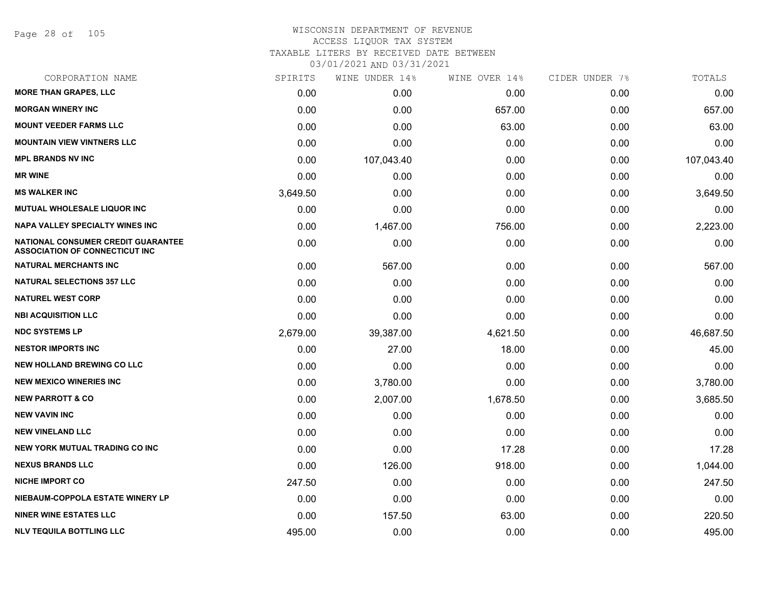Page 28 of 105

# WISCONSIN DEPARTMENT OF REVENUE ACCESS LIQUOR TAX SYSTEM TAXABLE LITERS BY RECEIVED DATE BETWEEN

| CORPORATION NAME                                                                   | SPIRITS  | WINE UNDER 14% | WINE OVER 14% | CIDER UNDER 7% | TOTALS     |
|------------------------------------------------------------------------------------|----------|----------------|---------------|----------------|------------|
| <b>MORE THAN GRAPES, LLC</b>                                                       | 0.00     | 0.00           | 0.00          | 0.00           | 0.00       |
| <b>MORGAN WINERY INC</b>                                                           | 0.00     | 0.00           | 657.00        | 0.00           | 657.00     |
| <b>MOUNT VEEDER FARMS LLC</b>                                                      | 0.00     | 0.00           | 63.00         | 0.00           | 63.00      |
| <b>MOUNTAIN VIEW VINTNERS LLC</b>                                                  | 0.00     | 0.00           | 0.00          | 0.00           | 0.00       |
| <b>MPL BRANDS NV INC</b>                                                           | 0.00     | 107,043.40     | 0.00          | 0.00           | 107,043.40 |
| <b>MR WINE</b>                                                                     | 0.00     | 0.00           | 0.00          | 0.00           | 0.00       |
| <b>MS WALKER INC</b>                                                               | 3,649.50 | 0.00           | 0.00          | 0.00           | 3,649.50   |
| <b>MUTUAL WHOLESALE LIQUOR INC</b>                                                 | 0.00     | 0.00           | 0.00          | 0.00           | 0.00       |
| NAPA VALLEY SPECIALTY WINES INC                                                    | 0.00     | 1,467.00       | 756.00        | 0.00           | 2,223.00   |
| <b>NATIONAL CONSUMER CREDIT GUARANTEE</b><br><b>ASSOCIATION OF CONNECTICUT INC</b> | 0.00     | 0.00           | 0.00          | 0.00           | 0.00       |
| <b>NATURAL MERCHANTS INC</b>                                                       | 0.00     | 567.00         | 0.00          | 0.00           | 567.00     |
| <b>NATURAL SELECTIONS 357 LLC</b>                                                  | 0.00     | 0.00           | 0.00          | 0.00           | 0.00       |
| <b>NATUREL WEST CORP</b>                                                           | 0.00     | 0.00           | 0.00          | 0.00           | 0.00       |
| <b>NBI ACQUISITION LLC</b>                                                         | 0.00     | 0.00           | 0.00          | 0.00           | 0.00       |
| <b>NDC SYSTEMS LP</b>                                                              | 2,679.00 | 39,387.00      | 4,621.50      | 0.00           | 46,687.50  |
| <b>NESTOR IMPORTS INC</b>                                                          | 0.00     | 27.00          | 18.00         | 0.00           | 45.00      |
| <b>NEW HOLLAND BREWING CO LLC</b>                                                  | 0.00     | 0.00           | 0.00          | 0.00           | 0.00       |
| <b>NEW MEXICO WINERIES INC</b>                                                     | 0.00     | 3,780.00       | 0.00          | 0.00           | 3,780.00   |
| <b>NEW PARROTT &amp; CO</b>                                                        | 0.00     | 2,007.00       | 1,678.50      | 0.00           | 3,685.50   |
| <b>NEW VAVIN INC</b>                                                               | 0.00     | 0.00           | 0.00          | 0.00           | 0.00       |
| <b>NEW VINELAND LLC</b>                                                            | 0.00     | 0.00           | 0.00          | 0.00           | 0.00       |
| <b>NEW YORK MUTUAL TRADING CO INC</b>                                              | 0.00     | 0.00           | 17.28         | 0.00           | 17.28      |
| <b>NEXUS BRANDS LLC</b>                                                            | 0.00     | 126.00         | 918.00        | 0.00           | 1,044.00   |
| <b>NICHE IMPORT CO</b>                                                             | 247.50   | 0.00           | 0.00          | 0.00           | 247.50     |
| NIEBAUM-COPPOLA ESTATE WINERY LP                                                   | 0.00     | 0.00           | 0.00          | 0.00           | 0.00       |
| <b>NINER WINE ESTATES LLC</b>                                                      | 0.00     | 157.50         | 63.00         | 0.00           | 220.50     |
| <b>NLV TEQUILA BOTTLING LLC</b>                                                    | 495.00   | 0.00           | 0.00          | 0.00           | 495.00     |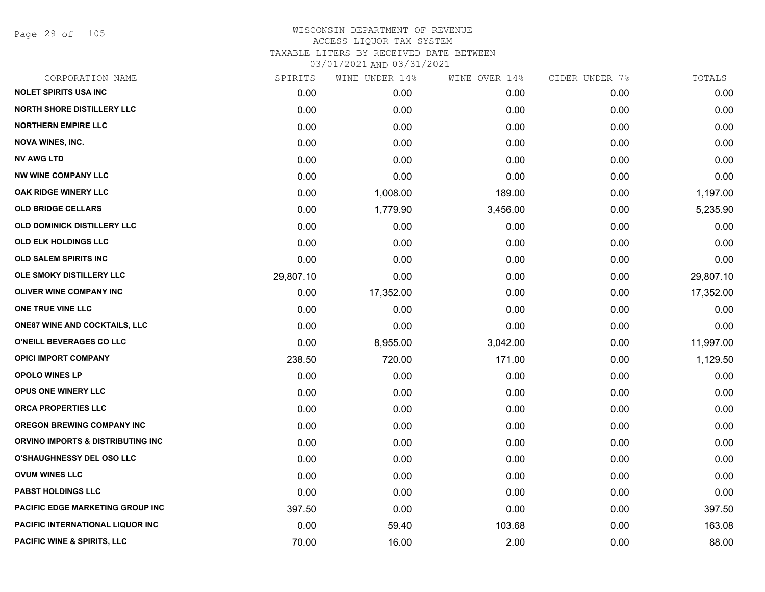Page 29 of 105

| CORPORATION NAME                        | SPIRITS   | WINE UNDER 14% | WINE OVER 14% | CIDER UNDER 7% | TOTALS    |
|-----------------------------------------|-----------|----------------|---------------|----------------|-----------|
| <b>NOLET SPIRITS USA INC</b>            | 0.00      | 0.00           | 0.00          | 0.00           | 0.00      |
| <b>NORTH SHORE DISTILLERY LLC</b>       | 0.00      | 0.00           | 0.00          | 0.00           | 0.00      |
| <b>NORTHERN EMPIRE LLC</b>              | 0.00      | 0.00           | 0.00          | 0.00           | 0.00      |
| <b>NOVA WINES, INC.</b>                 | 0.00      | 0.00           | 0.00          | 0.00           | 0.00      |
| <b>NV AWG LTD</b>                       | 0.00      | 0.00           | 0.00          | 0.00           | 0.00      |
| <b>NW WINE COMPANY LLC</b>              | 0.00      | 0.00           | 0.00          | 0.00           | 0.00      |
| <b>OAK RIDGE WINERY LLC</b>             | 0.00      | 1,008.00       | 189.00        | 0.00           | 1,197.00  |
| <b>OLD BRIDGE CELLARS</b>               | 0.00      | 1,779.90       | 3,456.00      | 0.00           | 5,235.90  |
| OLD DOMINICK DISTILLERY LLC             | 0.00      | 0.00           | 0.00          | 0.00           | 0.00      |
| <b>OLD ELK HOLDINGS LLC</b>             | 0.00      | 0.00           | 0.00          | 0.00           | 0.00      |
| <b>OLD SALEM SPIRITS INC</b>            | 0.00      | 0.00           | 0.00          | 0.00           | 0.00      |
| OLE SMOKY DISTILLERY LLC                | 29,807.10 | 0.00           | 0.00          | 0.00           | 29,807.10 |
| <b>OLIVER WINE COMPANY INC</b>          | 0.00      | 17,352.00      | 0.00          | 0.00           | 17,352.00 |
| ONE TRUE VINE LLC                       | 0.00      | 0.00           | 0.00          | 0.00           | 0.00      |
| <b>ONE87 WINE AND COCKTAILS, LLC</b>    | 0.00      | 0.00           | 0.00          | 0.00           | 0.00      |
| O'NEILL BEVERAGES CO LLC                | 0.00      | 8,955.00       | 3,042.00      | 0.00           | 11,997.00 |
| <b>OPICI IMPORT COMPANY</b>             | 238.50    | 720.00         | 171.00        | 0.00           | 1,129.50  |
| <b>OPOLO WINES LP</b>                   | 0.00      | 0.00           | 0.00          | 0.00           | 0.00      |
| OPUS ONE WINERY LLC                     | 0.00      | 0.00           | 0.00          | 0.00           | 0.00      |
| ORCA PROPERTIES LLC                     | 0.00      | 0.00           | 0.00          | 0.00           | 0.00      |
| OREGON BREWING COMPANY INC              | 0.00      | 0.00           | 0.00          | 0.00           | 0.00      |
| ORVINO IMPORTS & DISTRIBUTING INC       | 0.00      | 0.00           | 0.00          | 0.00           | 0.00      |
| <b>O'SHAUGHNESSY DEL OSO LLC</b>        | 0.00      | 0.00           | 0.00          | 0.00           | 0.00      |
| <b>OVUM WINES LLC</b>                   | 0.00      | 0.00           | 0.00          | 0.00           | 0.00      |
| <b>PABST HOLDINGS LLC</b>               | 0.00      | 0.00           | 0.00          | 0.00           | 0.00      |
| PACIFIC EDGE MARKETING GROUP INC        | 397.50    | 0.00           | 0.00          | 0.00           | 397.50    |
| <b>PACIFIC INTERNATIONAL LIQUOR INC</b> | 0.00      | 59.40          | 103.68        | 0.00           | 163.08    |
| PACIFIC WINE & SPIRITS, LLC             | 70.00     | 16.00          | 2.00          | 0.00           | 88.00     |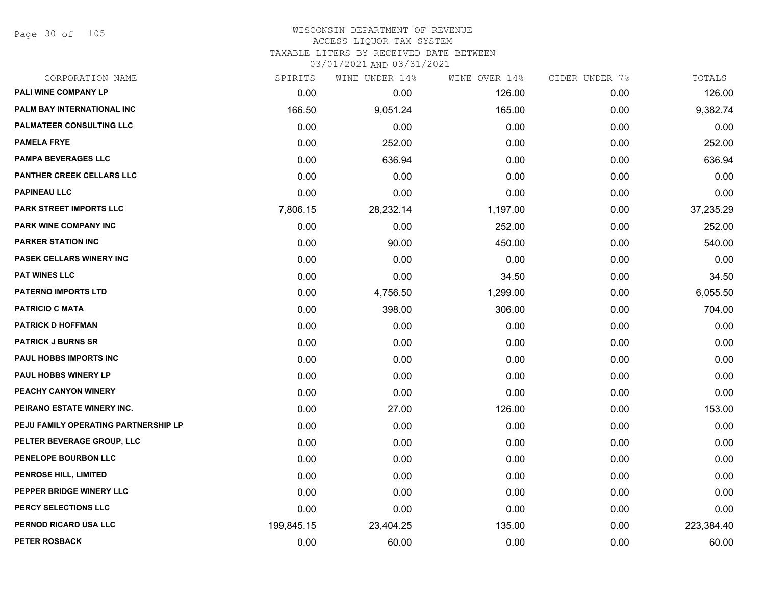Page 30 of 105

### WISCONSIN DEPARTMENT OF REVENUE ACCESS LIQUOR TAX SYSTEM TAXABLE LITERS BY RECEIVED DATE BETWEEN

| CORPORATION NAME                     | SPIRITS    | WINE UNDER 14% | WINE OVER 14% | CIDER UNDER 7% | TOTALS     |
|--------------------------------------|------------|----------------|---------------|----------------|------------|
| PALI WINE COMPANY LP                 | 0.00       | 0.00           | 126.00        | 0.00           | 126.00     |
| PALM BAY INTERNATIONAL INC           | 166.50     | 9,051.24       | 165.00        | 0.00           | 9,382.74   |
| <b>PALMATEER CONSULTING LLC</b>      | 0.00       | 0.00           | 0.00          | 0.00           | 0.00       |
| <b>PAMELA FRYE</b>                   | 0.00       | 252.00         | 0.00          | 0.00           | 252.00     |
| <b>PAMPA BEVERAGES LLC</b>           | 0.00       | 636.94         | 0.00          | 0.00           | 636.94     |
| PANTHER CREEK CELLARS LLC            | 0.00       | 0.00           | 0.00          | 0.00           | 0.00       |
| <b>PAPINEAU LLC</b>                  | 0.00       | 0.00           | 0.00          | 0.00           | 0.00       |
| PARK STREET IMPORTS LLC              | 7,806.15   | 28,232.14      | 1,197.00      | 0.00           | 37,235.29  |
| PARK WINE COMPANY INC                | 0.00       | 0.00           | 252.00        | 0.00           | 252.00     |
| <b>PARKER STATION INC</b>            | 0.00       | 90.00          | 450.00        | 0.00           | 540.00     |
| <b>PASEK CELLARS WINERY INC</b>      | 0.00       | 0.00           | 0.00          | 0.00           | 0.00       |
| <b>PAT WINES LLC</b>                 | 0.00       | 0.00           | 34.50         | 0.00           | 34.50      |
| <b>PATERNO IMPORTS LTD</b>           | 0.00       | 4,756.50       | 1,299.00      | 0.00           | 6,055.50   |
| <b>PATRICIO C MATA</b>               | 0.00       | 398.00         | 306.00        | 0.00           | 704.00     |
| <b>PATRICK D HOFFMAN</b>             | 0.00       | 0.00           | 0.00          | 0.00           | 0.00       |
| <b>PATRICK J BURNS SR</b>            | 0.00       | 0.00           | 0.00          | 0.00           | 0.00       |
| <b>PAUL HOBBS IMPORTS INC</b>        | 0.00       | 0.00           | 0.00          | 0.00           | 0.00       |
| <b>PAUL HOBBS WINERY LP</b>          | 0.00       | 0.00           | 0.00          | 0.00           | 0.00       |
| PEACHY CANYON WINERY                 | 0.00       | 0.00           | 0.00          | 0.00           | 0.00       |
| PEIRANO ESTATE WINERY INC.           | 0.00       | 27.00          | 126.00        | 0.00           | 153.00     |
| PEJU FAMILY OPERATING PARTNERSHIP LP | 0.00       | 0.00           | 0.00          | 0.00           | 0.00       |
| PELTER BEVERAGE GROUP, LLC           | 0.00       | 0.00           | 0.00          | 0.00           | 0.00       |
| PENELOPE BOURBON LLC                 | 0.00       | 0.00           | 0.00          | 0.00           | 0.00       |
| <b>PENROSE HILL, LIMITED</b>         | 0.00       | 0.00           | 0.00          | 0.00           | 0.00       |
| PEPPER BRIDGE WINERY LLC             | 0.00       | 0.00           | 0.00          | 0.00           | 0.00       |
| PERCY SELECTIONS LLC                 | 0.00       | 0.00           | 0.00          | 0.00           | 0.00       |
| PERNOD RICARD USA LLC                | 199,845.15 | 23,404.25      | 135.00        | 0.00           | 223,384.40 |
| <b>PETER ROSBACK</b>                 | 0.00       | 60.00          | 0.00          | 0.00           | 60.00      |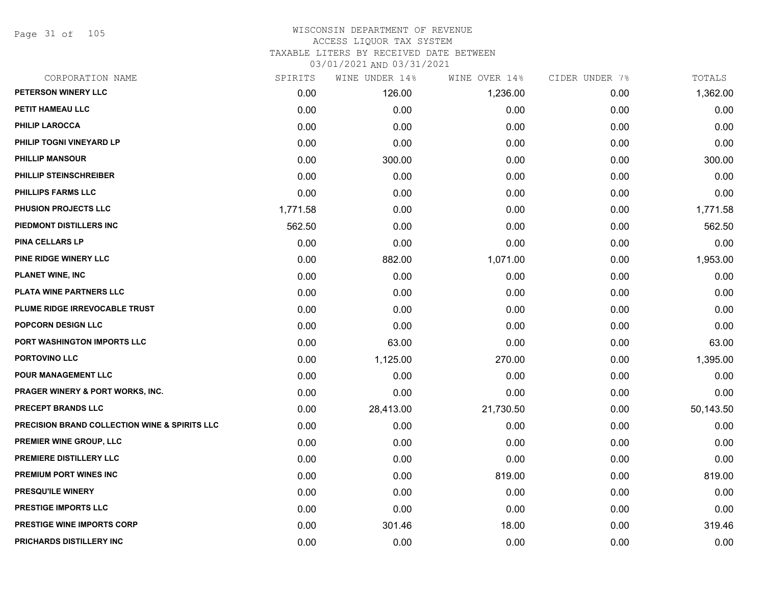Page 31 of 105

### WISCONSIN DEPARTMENT OF REVENUE ACCESS LIQUOR TAX SYSTEM TAXABLE LITERS BY RECEIVED DATE BETWEEN

| CORPORATION NAME                                         | SPIRITS  | WINE UNDER 14% | WINE OVER 14% | CIDER UNDER 7% | TOTALS    |
|----------------------------------------------------------|----------|----------------|---------------|----------------|-----------|
| PETERSON WINERY LLC                                      | 0.00     | 126.00         | 1,236.00      | 0.00           | 1,362.00  |
| PETIT HAMEAU LLC                                         | 0.00     | 0.00           | 0.00          | 0.00           | 0.00      |
| <b>PHILIP LAROCCA</b>                                    | 0.00     | 0.00           | 0.00          | 0.00           | 0.00      |
| PHILIP TOGNI VINEYARD LP                                 | 0.00     | 0.00           | 0.00          | 0.00           | 0.00      |
| <b>PHILLIP MANSOUR</b>                                   | 0.00     | 300.00         | 0.00          | 0.00           | 300.00    |
| PHILLIP STEINSCHREIBER                                   | 0.00     | 0.00           | 0.00          | 0.00           | 0.00      |
| PHILLIPS FARMS LLC                                       | 0.00     | 0.00           | 0.00          | 0.00           | 0.00      |
| <b>PHUSION PROJECTS LLC</b>                              | 1,771.58 | 0.00           | 0.00          | 0.00           | 1,771.58  |
| PIEDMONT DISTILLERS INC                                  | 562.50   | 0.00           | 0.00          | 0.00           | 562.50    |
| <b>PINA CELLARS LP</b>                                   | 0.00     | 0.00           | 0.00          | 0.00           | 0.00      |
| PINE RIDGE WINERY LLC                                    | 0.00     | 882.00         | 1,071.00      | 0.00           | 1,953.00  |
| <b>PLANET WINE, INC</b>                                  | 0.00     | 0.00           | 0.00          | 0.00           | 0.00      |
| PLATA WINE PARTNERS LLC                                  | 0.00     | 0.00           | 0.00          | 0.00           | 0.00      |
| PLUME RIDGE IRREVOCABLE TRUST                            | 0.00     | 0.00           | 0.00          | 0.00           | 0.00      |
| <b>POPCORN DESIGN LLC</b>                                | 0.00     | 0.00           | 0.00          | 0.00           | 0.00      |
| PORT WASHINGTON IMPORTS LLC                              | 0.00     | 63.00          | 0.00          | 0.00           | 63.00     |
| PORTOVINO LLC                                            | 0.00     | 1,125.00       | 270.00        | 0.00           | 1,395.00  |
| POUR MANAGEMENT LLC                                      | 0.00     | 0.00           | 0.00          | 0.00           | 0.00      |
| <b>PRAGER WINERY &amp; PORT WORKS, INC.</b>              | 0.00     | 0.00           | 0.00          | 0.00           | 0.00      |
| <b>PRECEPT BRANDS LLC</b>                                | 0.00     | 28,413.00      | 21,730.50     | 0.00           | 50,143.50 |
| <b>PRECISION BRAND COLLECTION WINE &amp; SPIRITS LLC</b> | 0.00     | 0.00           | 0.00          | 0.00           | 0.00      |
| PREMIER WINE GROUP, LLC                                  | 0.00     | 0.00           | 0.00          | 0.00           | 0.00      |
| PREMIERE DISTILLERY LLC                                  | 0.00     | 0.00           | 0.00          | 0.00           | 0.00      |
| PREMIUM PORT WINES INC                                   | 0.00     | 0.00           | 819.00        | 0.00           | 819.00    |
| <b>PRESQU'ILE WINERY</b>                                 | 0.00     | 0.00           | 0.00          | 0.00           | 0.00      |
| <b>PRESTIGE IMPORTS LLC</b>                              | 0.00     | 0.00           | 0.00          | 0.00           | 0.00      |
| PRESTIGE WINE IMPORTS CORP                               | 0.00     | 301.46         | 18.00         | 0.00           | 319.46    |
| PRICHARDS DISTILLERY INC                                 | 0.00     | 0.00           | 0.00          | 0.00           | 0.00      |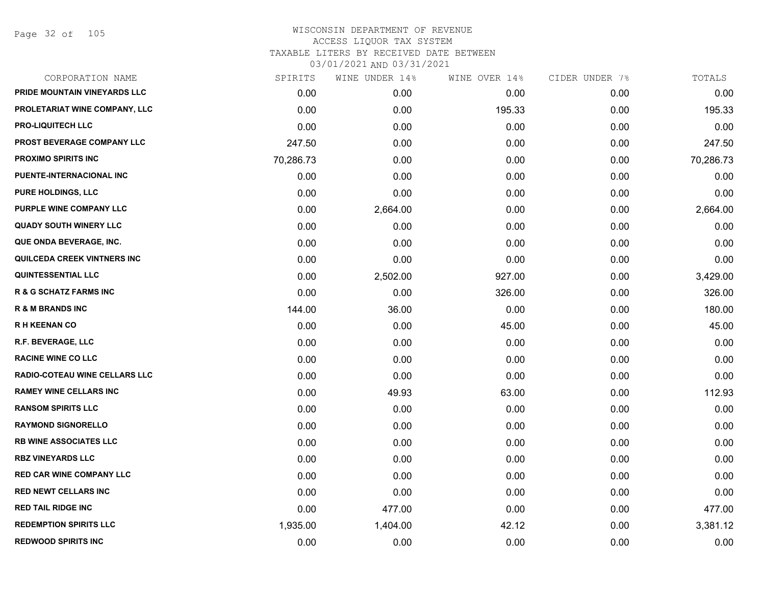Page 32 of 105

| CORPORATION NAME                     | SPIRITS   | WINE UNDER 14% | WINE OVER 14% | CIDER UNDER 7% | TOTALS    |
|--------------------------------------|-----------|----------------|---------------|----------------|-----------|
| PRIDE MOUNTAIN VINEYARDS LLC         | 0.00      | 0.00           | 0.00          | 0.00           | 0.00      |
| PROLETARIAT WINE COMPANY, LLC        | 0.00      | 0.00           | 195.33        | 0.00           | 195.33    |
| <b>PRO-LIQUITECH LLC</b>             | 0.00      | 0.00           | 0.00          | 0.00           | 0.00      |
| PROST BEVERAGE COMPANY LLC           | 247.50    | 0.00           | 0.00          | 0.00           | 247.50    |
| <b>PROXIMO SPIRITS INC</b>           | 70,286.73 | 0.00           | 0.00          | 0.00           | 70,286.73 |
| PUENTE-INTERNACIONAL INC             | 0.00      | 0.00           | 0.00          | 0.00           | 0.00      |
| <b>PURE HOLDINGS, LLC</b>            | 0.00      | 0.00           | 0.00          | 0.00           | 0.00      |
| PURPLE WINE COMPANY LLC              | 0.00      | 2,664.00       | 0.00          | 0.00           | 2,664.00  |
| <b>QUADY SOUTH WINERY LLC</b>        | 0.00      | 0.00           | 0.00          | 0.00           | 0.00      |
| QUE ONDA BEVERAGE, INC.              | 0.00      | 0.00           | 0.00          | 0.00           | 0.00      |
| <b>QUILCEDA CREEK VINTNERS INC</b>   | 0.00      | 0.00           | 0.00          | 0.00           | 0.00      |
| <b>QUINTESSENTIAL LLC</b>            | 0.00      | 2,502.00       | 927.00        | 0.00           | 3,429.00  |
| <b>R &amp; G SCHATZ FARMS INC</b>    | 0.00      | 0.00           | 326.00        | 0.00           | 326.00    |
| <b>R &amp; M BRANDS INC</b>          | 144.00    | 36.00          | 0.00          | 0.00           | 180.00    |
| <b>RH KEENAN CO</b>                  | 0.00      | 0.00           | 45.00         | 0.00           | 45.00     |
| R.F. BEVERAGE, LLC                   | 0.00      | 0.00           | 0.00          | 0.00           | 0.00      |
| <b>RACINE WINE CO LLC</b>            | 0.00      | 0.00           | 0.00          | 0.00           | 0.00      |
| <b>RADIO-COTEAU WINE CELLARS LLC</b> | 0.00      | 0.00           | 0.00          | 0.00           | 0.00      |
| <b>RAMEY WINE CELLARS INC</b>        | 0.00      | 49.93          | 63.00         | 0.00           | 112.93    |
| <b>RANSOM SPIRITS LLC</b>            | 0.00      | 0.00           | 0.00          | 0.00           | 0.00      |
| <b>RAYMOND SIGNORELLO</b>            | 0.00      | 0.00           | 0.00          | 0.00           | 0.00      |
| <b>RB WINE ASSOCIATES LLC</b>        | 0.00      | 0.00           | 0.00          | 0.00           | 0.00      |
| <b>RBZ VINEYARDS LLC</b>             | 0.00      | 0.00           | 0.00          | 0.00           | 0.00      |
| <b>RED CAR WINE COMPANY LLC</b>      | 0.00      | 0.00           | 0.00          | 0.00           | 0.00      |
| <b>RED NEWT CELLARS INC</b>          | 0.00      | 0.00           | 0.00          | 0.00           | 0.00      |
| <b>RED TAIL RIDGE INC</b>            | 0.00      | 477.00         | 0.00          | 0.00           | 477.00    |
| <b>REDEMPTION SPIRITS LLC</b>        | 1,935.00  | 1,404.00       | 42.12         | 0.00           | 3,381.12  |
| <b>REDWOOD SPIRITS INC</b>           | 0.00      | 0.00           | 0.00          | 0.00           | 0.00      |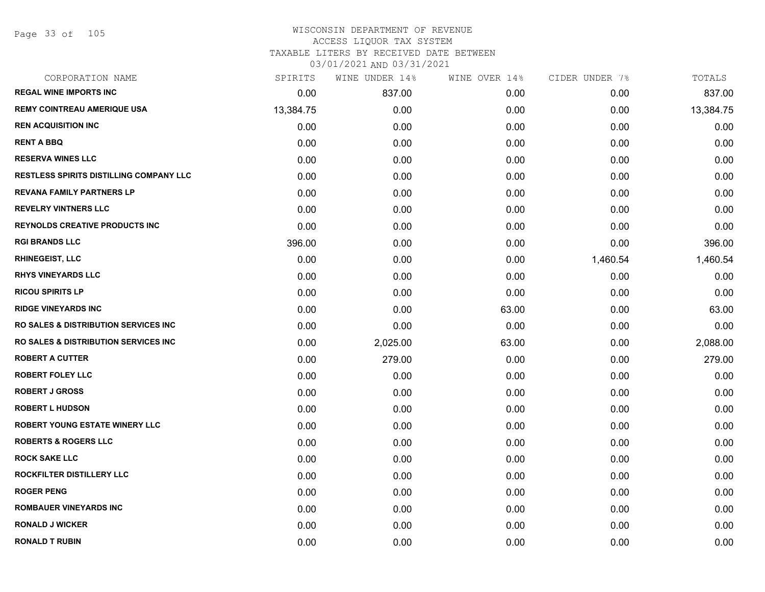### WISCONSIN DEPARTMENT OF REVENUE ACCESS LIQUOR TAX SYSTEM TAXABLE LITERS BY RECEIVED DATE BETWEEN

| CORPORATION NAME                                | SPIRITS   | WINE UNDER 14% | WINE OVER 14% | CIDER UNDER 7% | TOTALS    |
|-------------------------------------------------|-----------|----------------|---------------|----------------|-----------|
| <b>REGAL WINE IMPORTS INC</b>                   | 0.00      | 837.00         | 0.00          | 0.00           | 837.00    |
| <b>REMY COINTREAU AMERIQUE USA</b>              | 13,384.75 | 0.00           | 0.00          | 0.00           | 13,384.75 |
| <b>REN ACQUISITION INC</b>                      | 0.00      | 0.00           | 0.00          | 0.00           | 0.00      |
| <b>RENT A BBQ</b>                               | 0.00      | 0.00           | 0.00          | 0.00           | 0.00      |
| <b>RESERVA WINES LLC</b>                        | 0.00      | 0.00           | 0.00          | 0.00           | 0.00      |
| RESTLESS SPIRITS DISTILLING COMPANY LLC         | 0.00      | 0.00           | 0.00          | 0.00           | 0.00      |
| <b>REVANA FAMILY PARTNERS LP</b>                | 0.00      | 0.00           | 0.00          | 0.00           | 0.00      |
| <b>REVELRY VINTNERS LLC</b>                     | 0.00      | 0.00           | 0.00          | 0.00           | 0.00      |
| <b>REYNOLDS CREATIVE PRODUCTS INC</b>           | 0.00      | 0.00           | 0.00          | 0.00           | 0.00      |
| <b>RGI BRANDS LLC</b>                           | 396.00    | 0.00           | 0.00          | 0.00           | 396.00    |
| <b>RHINEGEIST, LLC</b>                          | 0.00      | 0.00           | 0.00          | 1,460.54       | 1,460.54  |
| <b>RHYS VINEYARDS LLC</b>                       | 0.00      | 0.00           | 0.00          | 0.00           | 0.00      |
| <b>RICOU SPIRITS LP</b>                         | 0.00      | 0.00           | 0.00          | 0.00           | 0.00      |
| <b>RIDGE VINEYARDS INC</b>                      | 0.00      | 0.00           | 63.00         | 0.00           | 63.00     |
| <b>RO SALES &amp; DISTRIBUTION SERVICES INC</b> | 0.00      | 0.00           | 0.00          | 0.00           | 0.00      |
| <b>RO SALES &amp; DISTRIBUTION SERVICES INC</b> | 0.00      | 2,025.00       | 63.00         | 0.00           | 2,088.00  |
| <b>ROBERT A CUTTER</b>                          | 0.00      | 279.00         | 0.00          | 0.00           | 279.00    |
| <b>ROBERT FOLEY LLC</b>                         | 0.00      | 0.00           | 0.00          | 0.00           | 0.00      |
| <b>ROBERT J GROSS</b>                           | 0.00      | 0.00           | 0.00          | 0.00           | 0.00      |
| <b>ROBERT L HUDSON</b>                          | 0.00      | 0.00           | 0.00          | 0.00           | 0.00      |
| ROBERT YOUNG ESTATE WINERY LLC                  | 0.00      | 0.00           | 0.00          | 0.00           | 0.00      |
| <b>ROBERTS &amp; ROGERS LLC</b>                 | 0.00      | 0.00           | 0.00          | 0.00           | 0.00      |
| <b>ROCK SAKE LLC</b>                            | 0.00      | 0.00           | 0.00          | 0.00           | 0.00      |
| ROCKFILTER DISTILLERY LLC                       | 0.00      | 0.00           | 0.00          | 0.00           | 0.00      |
| <b>ROGER PENG</b>                               | 0.00      | 0.00           | 0.00          | 0.00           | 0.00      |
| <b>ROMBAUER VINEYARDS INC</b>                   | 0.00      | 0.00           | 0.00          | 0.00           | 0.00      |
| <b>RONALD J WICKER</b>                          | 0.00      | 0.00           | 0.00          | 0.00           | 0.00      |
| <b>RONALD T RUBIN</b>                           | 0.00      | 0.00           | 0.00          | 0.00           | 0.00      |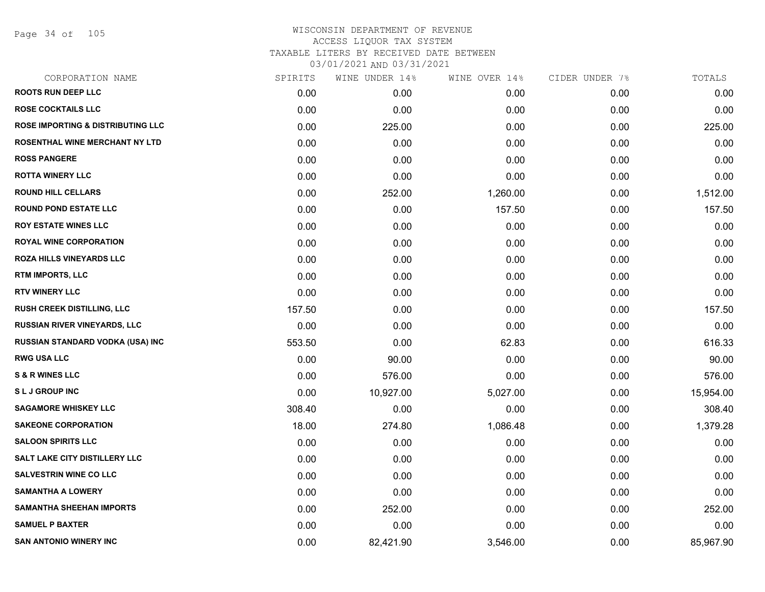Page 34 of 105

| CORPORATION NAME                             | SPIRITS | WINE UNDER 14% | WINE OVER 14% | CIDER UNDER 7% | TOTALS    |
|----------------------------------------------|---------|----------------|---------------|----------------|-----------|
| <b>ROOTS RUN DEEP LLC</b>                    | 0.00    | 0.00           | 0.00          | 0.00           | 0.00      |
| <b>ROSE COCKTAILS LLC</b>                    | 0.00    | 0.00           | 0.00          | 0.00           | 0.00      |
| <b>ROSE IMPORTING &amp; DISTRIBUTING LLC</b> | 0.00    | 225.00         | 0.00          | 0.00           | 225.00    |
| <b>ROSENTHAL WINE MERCHANT NY LTD</b>        | 0.00    | 0.00           | 0.00          | 0.00           | 0.00      |
| <b>ROSS PANGERE</b>                          | 0.00    | 0.00           | 0.00          | 0.00           | 0.00      |
| <b>ROTTA WINERY LLC</b>                      | 0.00    | 0.00           | 0.00          | 0.00           | 0.00      |
| <b>ROUND HILL CELLARS</b>                    | 0.00    | 252.00         | 1,260.00      | 0.00           | 1,512.00  |
| <b>ROUND POND ESTATE LLC</b>                 | 0.00    | 0.00           | 157.50        | 0.00           | 157.50    |
| <b>ROY ESTATE WINES LLC</b>                  | 0.00    | 0.00           | 0.00          | 0.00           | 0.00      |
| <b>ROYAL WINE CORPORATION</b>                | 0.00    | 0.00           | 0.00          | 0.00           | 0.00      |
| ROZA HILLS VINEYARDS LLC                     | 0.00    | 0.00           | 0.00          | 0.00           | 0.00      |
| <b>RTM IMPORTS, LLC</b>                      | 0.00    | 0.00           | 0.00          | 0.00           | 0.00      |
| <b>RTV WINERY LLC</b>                        | 0.00    | 0.00           | 0.00          | 0.00           | 0.00      |
| <b>RUSH CREEK DISTILLING, LLC</b>            | 157.50  | 0.00           | 0.00          | 0.00           | 157.50    |
| RUSSIAN RIVER VINEYARDS, LLC                 | 0.00    | 0.00           | 0.00          | 0.00           | 0.00      |
| RUSSIAN STANDARD VODKA (USA) INC             | 553.50  | 0.00           | 62.83         | 0.00           | 616.33    |
| <b>RWG USA LLC</b>                           | 0.00    | 90.00          | 0.00          | 0.00           | 90.00     |
| <b>S &amp; R WINES LLC</b>                   | 0.00    | 576.00         | 0.00          | 0.00           | 576.00    |
| <b>SLJ GROUP INC</b>                         | 0.00    | 10,927.00      | 5,027.00      | 0.00           | 15,954.00 |
| <b>SAGAMORE WHISKEY LLC</b>                  | 308.40  | 0.00           | 0.00          | 0.00           | 308.40    |
| <b>SAKEONE CORPORATION</b>                   | 18.00   | 274.80         | 1,086.48      | 0.00           | 1,379.28  |
| <b>SALOON SPIRITS LLC</b>                    | 0.00    | 0.00           | 0.00          | 0.00           | 0.00      |
| <b>SALT LAKE CITY DISTILLERY LLC</b>         | 0.00    | 0.00           | 0.00          | 0.00           | 0.00      |
| <b>SALVESTRIN WINE CO LLC</b>                | 0.00    | 0.00           | 0.00          | 0.00           | 0.00      |
| <b>SAMANTHA A LOWERY</b>                     | 0.00    | 0.00           | 0.00          | 0.00           | 0.00      |
| <b>SAMANTHA SHEEHAN IMPORTS</b>              | 0.00    | 252.00         | 0.00          | 0.00           | 252.00    |
| <b>SAMUEL P BAXTER</b>                       | 0.00    | 0.00           | 0.00          | 0.00           | 0.00      |
| <b>SAN ANTONIO WINERY INC</b>                | 0.00    | 82,421.90      | 3,546.00      | 0.00           | 85,967.90 |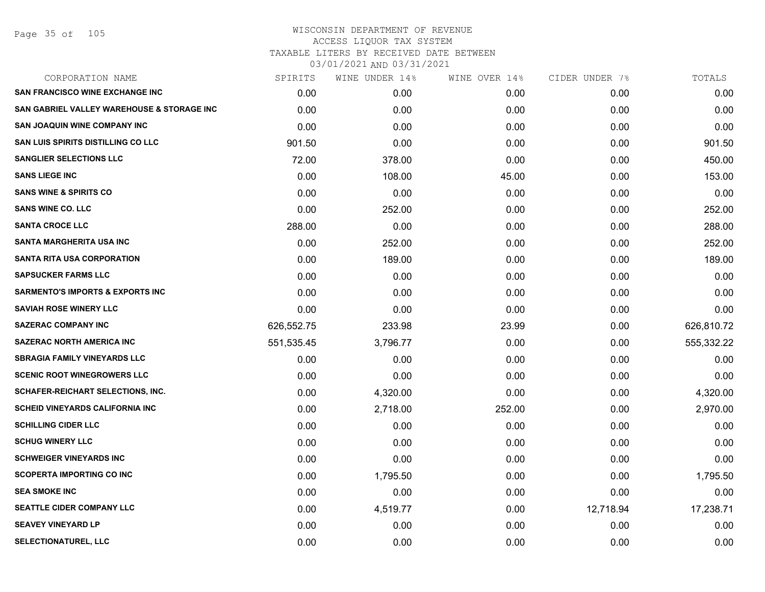| CORPORATION NAME                            | SPIRITS    | WINE UNDER 14% | WINE OVER 14% | CIDER UNDER 7% | TOTALS     |
|---------------------------------------------|------------|----------------|---------------|----------------|------------|
| <b>SAN FRANCISCO WINE EXCHANGE INC</b>      | 0.00       | 0.00           | 0.00          | 0.00           | 0.00       |
| SAN GABRIEL VALLEY WAREHOUSE & STORAGE INC  | 0.00       | 0.00           | 0.00          | 0.00           | 0.00       |
| <b>SAN JOAQUIN WINE COMPANY INC</b>         | 0.00       | 0.00           | 0.00          | 0.00           | 0.00       |
| <b>SAN LUIS SPIRITS DISTILLING CO LLC</b>   | 901.50     | 0.00           | 0.00          | 0.00           | 901.50     |
| <b>SANGLIER SELECTIONS LLC</b>              | 72.00      | 378.00         | 0.00          | 0.00           | 450.00     |
| <b>SANS LIEGE INC</b>                       | 0.00       | 108.00         | 45.00         | 0.00           | 153.00     |
| <b>SANS WINE &amp; SPIRITS CO</b>           | 0.00       | 0.00           | 0.00          | 0.00           | 0.00       |
| <b>SANS WINE CO. LLC</b>                    | 0.00       | 252.00         | 0.00          | 0.00           | 252.00     |
| <b>SANTA CROCE LLC</b>                      | 288.00     | 0.00           | 0.00          | 0.00           | 288.00     |
| SANTA MARGHERITA USA INC                    | 0.00       | 252.00         | 0.00          | 0.00           | 252.00     |
| <b>SANTA RITA USA CORPORATION</b>           | 0.00       | 189.00         | 0.00          | 0.00           | 189.00     |
| <b>SAPSUCKER FARMS LLC</b>                  | 0.00       | 0.00           | 0.00          | 0.00           | 0.00       |
| <b>SARMENTO'S IMPORTS &amp; EXPORTS INC</b> | 0.00       | 0.00           | 0.00          | 0.00           | 0.00       |
| <b>SAVIAH ROSE WINERY LLC</b>               | 0.00       | 0.00           | 0.00          | 0.00           | 0.00       |
| <b>SAZERAC COMPANY INC</b>                  | 626,552.75 | 233.98         | 23.99         | 0.00           | 626,810.72 |
| <b>SAZERAC NORTH AMERICA INC</b>            | 551,535.45 | 3,796.77       | 0.00          | 0.00           | 555,332.22 |
| <b>SBRAGIA FAMILY VINEYARDS LLC</b>         | 0.00       | 0.00           | 0.00          | 0.00           | 0.00       |
| <b>SCENIC ROOT WINEGROWERS LLC</b>          | 0.00       | 0.00           | 0.00          | 0.00           | 0.00       |
| SCHAFER-REICHART SELECTIONS, INC.           | 0.00       | 4,320.00       | 0.00          | 0.00           | 4,320.00   |
| <b>SCHEID VINEYARDS CALIFORNIA INC</b>      | 0.00       | 2,718.00       | 252.00        | 0.00           | 2,970.00   |
| <b>SCHILLING CIDER LLC</b>                  | 0.00       | 0.00           | 0.00          | 0.00           | 0.00       |
| <b>SCHUG WINERY LLC</b>                     | 0.00       | 0.00           | 0.00          | 0.00           | 0.00       |
| <b>SCHWEIGER VINEYARDS INC</b>              | 0.00       | 0.00           | 0.00          | 0.00           | 0.00       |
| <b>SCOPERTA IMPORTING CO INC</b>            | 0.00       | 1,795.50       | 0.00          | 0.00           | 1,795.50   |
| <b>SEA SMOKE INC</b>                        | 0.00       | 0.00           | 0.00          | 0.00           | 0.00       |
| <b>SEATTLE CIDER COMPANY LLC</b>            | 0.00       | 4,519.77       | 0.00          | 12,718.94      | 17,238.71  |
| <b>SEAVEY VINEYARD LP</b>                   | 0.00       | 0.00           | 0.00          | 0.00           | 0.00       |
| <b>SELECTIONATUREL, LLC</b>                 | 0.00       | 0.00           | 0.00          | 0.00           | 0.00       |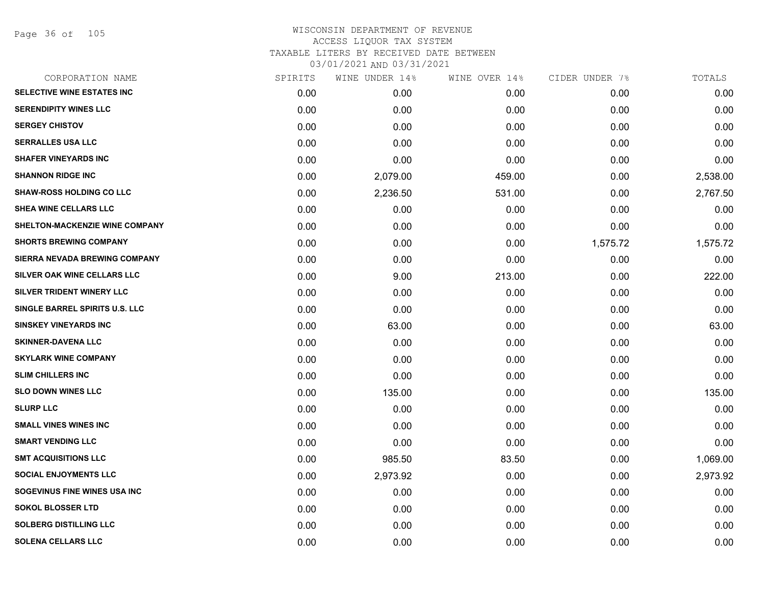| CORPORATION NAME                     | SPIRITS | WINE UNDER 14% | WINE OVER 14% | CIDER UNDER 7% | TOTALS   |
|--------------------------------------|---------|----------------|---------------|----------------|----------|
| SELECTIVE WINE ESTATES INC           | 0.00    | 0.00           | 0.00          | 0.00           | 0.00     |
| <b>SERENDIPITY WINES LLC</b>         | 0.00    | 0.00           | 0.00          | 0.00           | 0.00     |
| <b>SERGEY CHISTOV</b>                | 0.00    | 0.00           | 0.00          | 0.00           | 0.00     |
| <b>SERRALLES USA LLC</b>             | 0.00    | 0.00           | 0.00          | 0.00           | 0.00     |
| <b>SHAFER VINEYARDS INC</b>          | 0.00    | 0.00           | 0.00          | 0.00           | 0.00     |
| <b>SHANNON RIDGE INC</b>             | 0.00    | 2,079.00       | 459.00        | 0.00           | 2,538.00 |
| <b>SHAW-ROSS HOLDING CO LLC</b>      | 0.00    | 2,236.50       | 531.00        | 0.00           | 2,767.50 |
| <b>SHEA WINE CELLARS LLC</b>         | 0.00    | 0.00           | 0.00          | 0.00           | 0.00     |
| SHELTON-MACKENZIE WINE COMPANY       | 0.00    | 0.00           | 0.00          | 0.00           | 0.00     |
| <b>SHORTS BREWING COMPANY</b>        | 0.00    | 0.00           | 0.00          | 1,575.72       | 1,575.72 |
| <b>SIERRA NEVADA BREWING COMPANY</b> | 0.00    | 0.00           | 0.00          | 0.00           | 0.00     |
| SILVER OAK WINE CELLARS LLC          | 0.00    | 9.00           | 213.00        | 0.00           | 222.00   |
| SILVER TRIDENT WINERY LLC            | 0.00    | 0.00           | 0.00          | 0.00           | 0.00     |
| SINGLE BARREL SPIRITS U.S. LLC       | 0.00    | 0.00           | 0.00          | 0.00           | 0.00     |
| <b>SINSKEY VINEYARDS INC</b>         | 0.00    | 63.00          | 0.00          | 0.00           | 63.00    |
| <b>SKINNER-DAVENA LLC</b>            | 0.00    | 0.00           | 0.00          | 0.00           | 0.00     |
| <b>SKYLARK WINE COMPANY</b>          | 0.00    | 0.00           | 0.00          | 0.00           | 0.00     |
| <b>SLIM CHILLERS INC</b>             | 0.00    | 0.00           | 0.00          | 0.00           | 0.00     |
| <b>SLO DOWN WINES LLC</b>            | 0.00    | 135.00         | 0.00          | 0.00           | 135.00   |
| <b>SLURP LLC</b>                     | 0.00    | 0.00           | 0.00          | 0.00           | 0.00     |
| <b>SMALL VINES WINES INC</b>         | 0.00    | 0.00           | 0.00          | 0.00           | 0.00     |
| <b>SMART VENDING LLC</b>             | 0.00    | 0.00           | 0.00          | 0.00           | 0.00     |
| <b>SMT ACQUISITIONS LLC</b>          | 0.00    | 985.50         | 83.50         | 0.00           | 1,069.00 |
| <b>SOCIAL ENJOYMENTS LLC</b>         | 0.00    | 2,973.92       | 0.00          | 0.00           | 2,973.92 |
| SOGEVINUS FINE WINES USA INC         | 0.00    | 0.00           | 0.00          | 0.00           | 0.00     |
| <b>SOKOL BLOSSER LTD</b>             | 0.00    | 0.00           | 0.00          | 0.00           | 0.00     |
| <b>SOLBERG DISTILLING LLC</b>        | 0.00    | 0.00           | 0.00          | 0.00           | 0.00     |
| <b>SOLENA CELLARS LLC</b>            | 0.00    | 0.00           | 0.00          | 0.00           | 0.00     |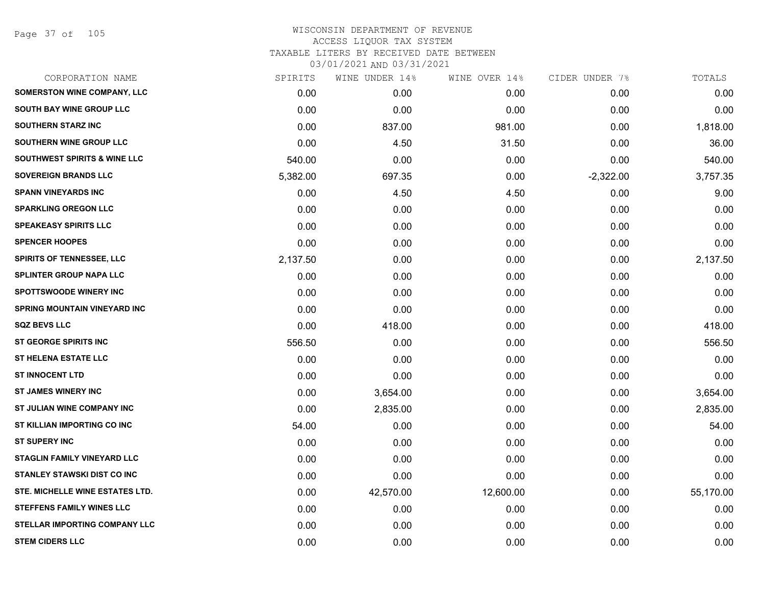Page 37 of 105

| CORPORATION NAME                        | SPIRITS  | WINE UNDER 14% | WINE OVER 14% | CIDER UNDER 7% | TOTALS    |
|-----------------------------------------|----------|----------------|---------------|----------------|-----------|
| <b>SOMERSTON WINE COMPANY, LLC</b>      | 0.00     | 0.00           | 0.00          | 0.00           | 0.00      |
| <b>SOUTH BAY WINE GROUP LLC</b>         | 0.00     | 0.00           | 0.00          | 0.00           | 0.00      |
| <b>SOUTHERN STARZ INC</b>               | 0.00     | 837.00         | 981.00        | 0.00           | 1,818.00  |
| SOUTHERN WINE GROUP LLC                 | 0.00     | 4.50           | 31.50         | 0.00           | 36.00     |
| <b>SOUTHWEST SPIRITS &amp; WINE LLC</b> | 540.00   | 0.00           | 0.00          | 0.00           | 540.00    |
| <b>SOVEREIGN BRANDS LLC</b>             | 5,382.00 | 697.35         | 0.00          | $-2,322.00$    | 3,757.35  |
| <b>SPANN VINEYARDS INC</b>              | 0.00     | 4.50           | 4.50          | 0.00           | 9.00      |
| <b>SPARKLING OREGON LLC</b>             | 0.00     | 0.00           | 0.00          | 0.00           | 0.00      |
| <b>SPEAKEASY SPIRITS LLC</b>            | 0.00     | 0.00           | 0.00          | 0.00           | 0.00      |
| <b>SPENCER HOOPES</b>                   | 0.00     | 0.00           | 0.00          | 0.00           | 0.00      |
| <b>SPIRITS OF TENNESSEE, LLC</b>        | 2,137.50 | 0.00           | 0.00          | 0.00           | 2,137.50  |
| <b>SPLINTER GROUP NAPA LLC</b>          | 0.00     | 0.00           | 0.00          | 0.00           | 0.00      |
| <b>SPOTTSWOODE WINERY INC</b>           | 0.00     | 0.00           | 0.00          | 0.00           | 0.00      |
| <b>SPRING MOUNTAIN VINEYARD INC</b>     | 0.00     | 0.00           | 0.00          | 0.00           | 0.00      |
| <b>SQZ BEVS LLC</b>                     | 0.00     | 418.00         | 0.00          | 0.00           | 418.00    |
| <b>ST GEORGE SPIRITS INC</b>            | 556.50   | 0.00           | 0.00          | 0.00           | 556.50    |
| <b>ST HELENA ESTATE LLC</b>             | 0.00     | 0.00           | 0.00          | 0.00           | 0.00      |
| <b>ST INNOCENT LTD</b>                  | 0.00     | 0.00           | 0.00          | 0.00           | 0.00      |
| <b>ST JAMES WINERY INC</b>              | 0.00     | 3,654.00       | 0.00          | 0.00           | 3,654.00  |
| ST JULIAN WINE COMPANY INC              | 0.00     | 2,835.00       | 0.00          | 0.00           | 2,835.00  |
| ST KILLIAN IMPORTING CO INC             | 54.00    | 0.00           | 0.00          | 0.00           | 54.00     |
| <b>ST SUPERY INC</b>                    | 0.00     | 0.00           | 0.00          | 0.00           | 0.00      |
| <b>STAGLIN FAMILY VINEYARD LLC</b>      | 0.00     | 0.00           | 0.00          | 0.00           | 0.00      |
| <b>STANLEY STAWSKI DIST CO INC</b>      | 0.00     | 0.00           | 0.00          | 0.00           | 0.00      |
| STE. MICHELLE WINE ESTATES LTD.         | 0.00     | 42,570.00      | 12,600.00     | 0.00           | 55,170.00 |
| <b>STEFFENS FAMILY WINES LLC</b>        | 0.00     | 0.00           | 0.00          | 0.00           | 0.00      |
| <b>STELLAR IMPORTING COMPANY LLC</b>    | 0.00     | 0.00           | 0.00          | 0.00           | 0.00      |
| <b>STEM CIDERS LLC</b>                  | 0.00     | 0.00           | 0.00          | 0.00           | 0.00      |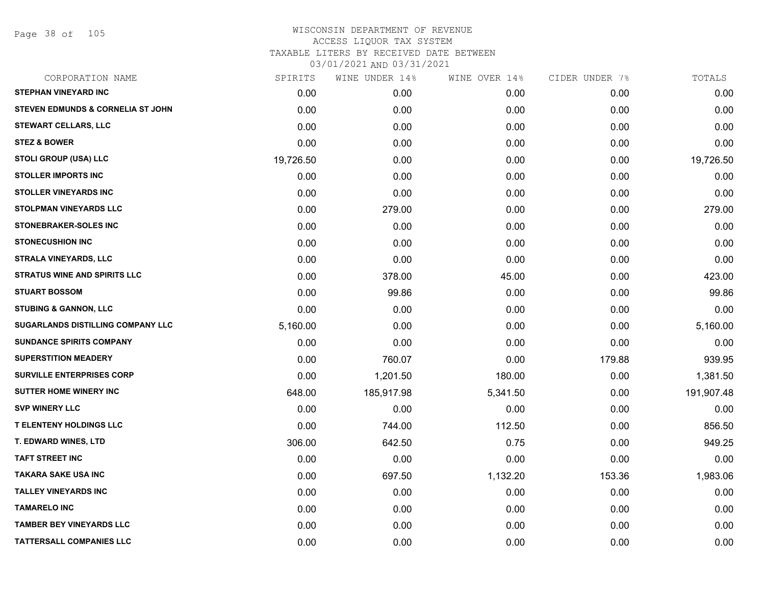Page 38 of 105

| CORPORATION NAME                             | SPIRITS   | WINE UNDER 14% | WINE OVER 14% | CIDER UNDER 7% | TOTALS     |
|----------------------------------------------|-----------|----------------|---------------|----------------|------------|
| <b>STEPHAN VINEYARD INC</b>                  | 0.00      | 0.00           | 0.00          | 0.00           | 0.00       |
| <b>STEVEN EDMUNDS &amp; CORNELIA ST JOHN</b> | 0.00      | 0.00           | 0.00          | 0.00           | 0.00       |
| <b>STEWART CELLARS, LLC</b>                  | 0.00      | 0.00           | 0.00          | 0.00           | 0.00       |
| <b>STEZ &amp; BOWER</b>                      | 0.00      | 0.00           | 0.00          | 0.00           | 0.00       |
| <b>STOLI GROUP (USA) LLC</b>                 | 19,726.50 | 0.00           | 0.00          | 0.00           | 19,726.50  |
| <b>STOLLER IMPORTS INC</b>                   | 0.00      | 0.00           | 0.00          | 0.00           | 0.00       |
| <b>STOLLER VINEYARDS INC</b>                 | 0.00      | 0.00           | 0.00          | 0.00           | 0.00       |
| <b>STOLPMAN VINEYARDS LLC</b>                | 0.00      | 279.00         | 0.00          | 0.00           | 279.00     |
| <b>STONEBRAKER-SOLES INC</b>                 | 0.00      | 0.00           | 0.00          | 0.00           | 0.00       |
| <b>STONECUSHION INC</b>                      | 0.00      | 0.00           | 0.00          | 0.00           | 0.00       |
| <b>STRALA VINEYARDS, LLC</b>                 | 0.00      | 0.00           | 0.00          | 0.00           | 0.00       |
| <b>STRATUS WINE AND SPIRITS LLC</b>          | 0.00      | 378.00         | 45.00         | 0.00           | 423.00     |
| <b>STUART BOSSOM</b>                         | 0.00      | 99.86          | 0.00          | 0.00           | 99.86      |
| <b>STUBING &amp; GANNON, LLC</b>             | 0.00      | 0.00           | 0.00          | 0.00           | 0.00       |
| <b>SUGARLANDS DISTILLING COMPANY LLC</b>     | 5,160.00  | 0.00           | 0.00          | 0.00           | 5,160.00   |
| <b>SUNDANCE SPIRITS COMPANY</b>              | 0.00      | 0.00           | 0.00          | 0.00           | 0.00       |
| <b>SUPERSTITION MEADERY</b>                  | 0.00      | 760.07         | 0.00          | 179.88         | 939.95     |
| <b>SURVILLE ENTERPRISES CORP</b>             | 0.00      | 1,201.50       | 180.00        | 0.00           | 1,381.50   |
| <b>SUTTER HOME WINERY INC</b>                | 648.00    | 185,917.98     | 5,341.50      | 0.00           | 191,907.48 |
| <b>SVP WINERY LLC</b>                        | 0.00      | 0.00           | 0.00          | 0.00           | 0.00       |
| <b>T ELENTENY HOLDINGS LLC</b>               | 0.00      | 744.00         | 112.50        | 0.00           | 856.50     |
| T. EDWARD WINES, LTD                         | 306.00    | 642.50         | 0.75          | 0.00           | 949.25     |
| <b>TAFT STREET INC</b>                       | 0.00      | 0.00           | 0.00          | 0.00           | 0.00       |
| <b>TAKARA SAKE USA INC</b>                   | 0.00      | 697.50         | 1,132.20      | 153.36         | 1,983.06   |
| <b>TALLEY VINEYARDS INC</b>                  | 0.00      | 0.00           | 0.00          | 0.00           | 0.00       |
| <b>TAMARELO INC</b>                          | 0.00      | 0.00           | 0.00          | 0.00           | 0.00       |
| <b>TAMBER BEY VINEYARDS LLC</b>              | 0.00      | 0.00           | 0.00          | 0.00           | 0.00       |
| <b>TATTERSALL COMPANIES LLC</b>              | 0.00      | 0.00           | 0.00          | 0.00           | 0.00       |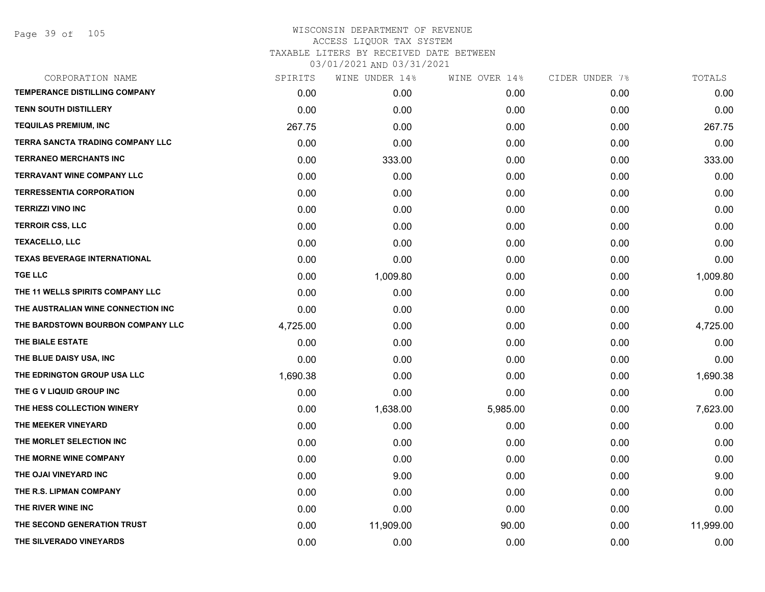| CORPORATION NAME                        | SPIRITS  | WINE UNDER 14% | WINE OVER 14% | CIDER UNDER 7% | TOTALS    |
|-----------------------------------------|----------|----------------|---------------|----------------|-----------|
| <b>TEMPERANCE DISTILLING COMPANY</b>    | 0.00     | 0.00           | 0.00          | 0.00           | 0.00      |
| <b>TENN SOUTH DISTILLERY</b>            | 0.00     | 0.00           | 0.00          | 0.00           | 0.00      |
| <b>TEQUILAS PREMIUM, INC</b>            | 267.75   | 0.00           | 0.00          | 0.00           | 267.75    |
| <b>TERRA SANCTA TRADING COMPANY LLC</b> | 0.00     | 0.00           | 0.00          | 0.00           | 0.00      |
| <b>TERRANEO MERCHANTS INC</b>           | 0.00     | 333.00         | 0.00          | 0.00           | 333.00    |
| TERRAVANT WINE COMPANY LLC              | 0.00     | 0.00           | 0.00          | 0.00           | 0.00      |
| <b>TERRESSENTIA CORPORATION</b>         | 0.00     | 0.00           | 0.00          | 0.00           | 0.00      |
| <b>TERRIZZI VINO INC</b>                | 0.00     | 0.00           | 0.00          | 0.00           | 0.00      |
| <b>TERROIR CSS, LLC</b>                 | 0.00     | 0.00           | 0.00          | 0.00           | 0.00      |
| <b>TEXACELLO, LLC</b>                   | 0.00     | 0.00           | 0.00          | 0.00           | 0.00      |
| <b>TEXAS BEVERAGE INTERNATIONAL</b>     | 0.00     | 0.00           | 0.00          | 0.00           | 0.00      |
| <b>TGE LLC</b>                          | 0.00     | 1,009.80       | 0.00          | 0.00           | 1,009.80  |
| THE 11 WELLS SPIRITS COMPANY LLC        | 0.00     | 0.00           | 0.00          | 0.00           | 0.00      |
| THE AUSTRALIAN WINE CONNECTION INC      | 0.00     | 0.00           | 0.00          | 0.00           | 0.00      |
| THE BARDSTOWN BOURBON COMPANY LLC       | 4,725.00 | 0.00           | 0.00          | 0.00           | 4,725.00  |
| THE BIALE ESTATE                        | 0.00     | 0.00           | 0.00          | 0.00           | 0.00      |
| THE BLUE DAISY USA, INC                 | 0.00     | 0.00           | 0.00          | 0.00           | 0.00      |
| THE EDRINGTON GROUP USA LLC             | 1,690.38 | 0.00           | 0.00          | 0.00           | 1,690.38  |
| THE G V LIQUID GROUP INC                | 0.00     | 0.00           | 0.00          | 0.00           | 0.00      |
| THE HESS COLLECTION WINERY              | 0.00     | 1,638.00       | 5,985.00      | 0.00           | 7,623.00  |
| THE MEEKER VINEYARD                     | 0.00     | 0.00           | 0.00          | 0.00           | 0.00      |
| THE MORLET SELECTION INC                | 0.00     | 0.00           | 0.00          | 0.00           | 0.00      |
| THE MORNE WINE COMPANY                  | 0.00     | 0.00           | 0.00          | 0.00           | 0.00      |
| THE OJAI VINEYARD INC                   | 0.00     | 9.00           | 0.00          | 0.00           | 9.00      |
| THE R.S. LIPMAN COMPANY                 | 0.00     | 0.00           | 0.00          | 0.00           | 0.00      |
| THE RIVER WINE INC                      | 0.00     | 0.00           | 0.00          | 0.00           | 0.00      |
| THE SECOND GENERATION TRUST             | 0.00     | 11,909.00      | 90.00         | 0.00           | 11,999.00 |
| THE SILVERADO VINEYARDS                 | 0.00     | 0.00           | 0.00          | 0.00           | 0.00      |
|                                         |          |                |               |                |           |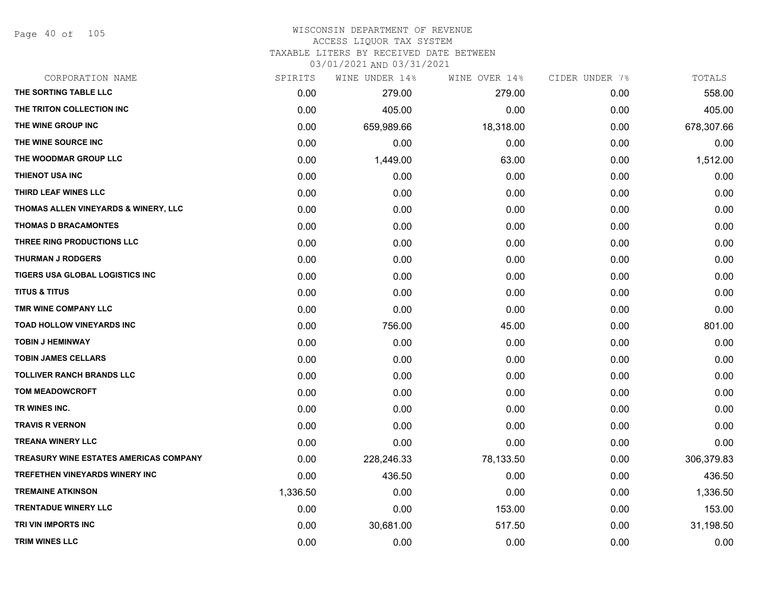Page 40 of 105

#### WISCONSIN DEPARTMENT OF REVENUE ACCESS LIQUOR TAX SYSTEM

TAXABLE LITERS BY RECEIVED DATE BETWEEN

| CORPORATION NAME                       | SPIRITS  | WINE UNDER 14% | WINE OVER 14% | CIDER UNDER 7% | TOTALS     |
|----------------------------------------|----------|----------------|---------------|----------------|------------|
| THE SORTING TABLE LLC                  | 0.00     | 279.00         | 279.00        | 0.00           | 558.00     |
| THE TRITON COLLECTION INC              | 0.00     | 405.00         | 0.00          | 0.00           | 405.00     |
| THE WINE GROUP INC                     | 0.00     | 659,989.66     | 18,318.00     | 0.00           | 678,307.66 |
| THE WINE SOURCE INC                    | 0.00     | 0.00           | 0.00          | 0.00           | 0.00       |
| THE WOODMAR GROUP LLC                  | 0.00     | 1,449.00       | 63.00         | 0.00           | 1,512.00   |
| THIENOT USA INC                        | 0.00     | 0.00           | 0.00          | 0.00           | 0.00       |
| THIRD LEAF WINES LLC                   | 0.00     | 0.00           | 0.00          | 0.00           | 0.00       |
| THOMAS ALLEN VINEYARDS & WINERY, LLC   | 0.00     | 0.00           | 0.00          | 0.00           | 0.00       |
| <b>THOMAS D BRACAMONTES</b>            | 0.00     | 0.00           | 0.00          | 0.00           | 0.00       |
| THREE RING PRODUCTIONS LLC             | 0.00     | 0.00           | 0.00          | 0.00           | 0.00       |
| <b>THURMAN J RODGERS</b>               | 0.00     | 0.00           | 0.00          | 0.00           | 0.00       |
| TIGERS USA GLOBAL LOGISTICS INC        | 0.00     | 0.00           | 0.00          | 0.00           | 0.00       |
| <b>TITUS &amp; TITUS</b>               | 0.00     | 0.00           | 0.00          | 0.00           | 0.00       |
| TMR WINE COMPANY LLC                   | 0.00     | 0.00           | 0.00          | 0.00           | 0.00       |
| <b>TOAD HOLLOW VINEYARDS INC</b>       | 0.00     | 756.00         | 45.00         | 0.00           | 801.00     |
| <b>TOBIN J HEMINWAY</b>                | 0.00     | 0.00           | 0.00          | 0.00           | 0.00       |
| <b>TOBIN JAMES CELLARS</b>             | 0.00     | 0.00           | 0.00          | 0.00           | 0.00       |
| <b>TOLLIVER RANCH BRANDS LLC</b>       | 0.00     | 0.00           | 0.00          | 0.00           | 0.00       |
| <b>TOM MEADOWCROFT</b>                 | 0.00     | 0.00           | 0.00          | 0.00           | 0.00       |
| TR WINES INC.                          | 0.00     | 0.00           | 0.00          | 0.00           | 0.00       |
| <b>TRAVIS R VERNON</b>                 | 0.00     | 0.00           | 0.00          | 0.00           | 0.00       |
| <b>TREANA WINERY LLC</b>               | 0.00     | 0.00           | 0.00          | 0.00           | 0.00       |
| TREASURY WINE ESTATES AMERICAS COMPANY | 0.00     | 228,246.33     | 78,133.50     | 0.00           | 306,379.83 |
| TREFETHEN VINEYARDS WINERY INC         | 0.00     | 436.50         | 0.00          | 0.00           | 436.50     |
| <b>TREMAINE ATKINSON</b>               | 1,336.50 | 0.00           | 0.00          | 0.00           | 1,336.50   |
| <b>TRENTADUE WINERY LLC</b>            | 0.00     | 0.00           | 153.00        | 0.00           | 153.00     |
| TRI VIN IMPORTS INC                    | 0.00     | 30,681.00      | 517.50        | 0.00           | 31,198.50  |
| <b>TRIM WINES LLC</b>                  | 0.00     | 0.00           | 0.00          | 0.00           | 0.00       |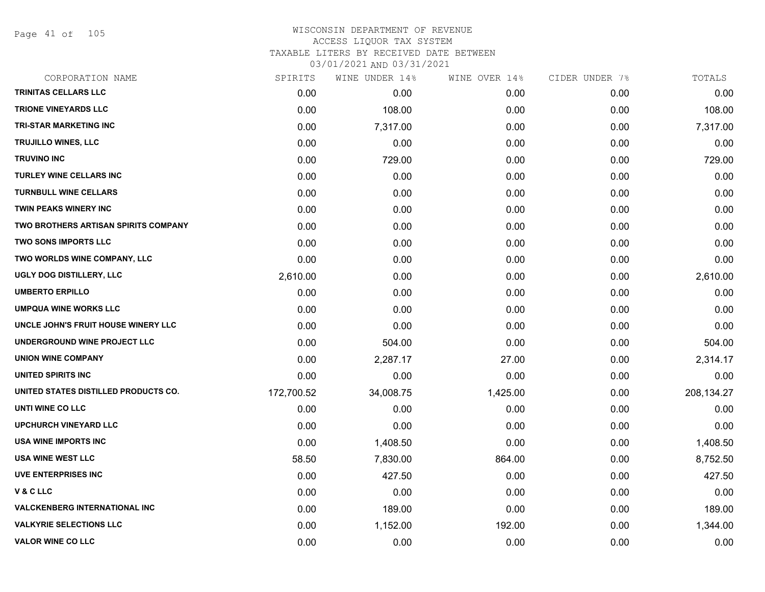Page 41 of 105

### WISCONSIN DEPARTMENT OF REVENUE ACCESS LIQUOR TAX SYSTEM TAXABLE LITERS BY RECEIVED DATE BETWEEN

| CORPORATION NAME                     | SPIRITS    | WINE UNDER 14% | WINE OVER 14% | CIDER UNDER 7% | TOTALS     |
|--------------------------------------|------------|----------------|---------------|----------------|------------|
| TRINITAS CELLARS LLC                 | 0.00       | 0.00           | 0.00          | 0.00           | 0.00       |
| <b>TRIONE VINEYARDS LLC</b>          | 0.00       | 108.00         | 0.00          | 0.00           | 108.00     |
| <b>TRI-STAR MARKETING INC</b>        | 0.00       | 7,317.00       | 0.00          | 0.00           | 7,317.00   |
| <b>TRUJILLO WINES, LLC</b>           | 0.00       | 0.00           | 0.00          | 0.00           | 0.00       |
| <b>TRUVINO INC</b>                   | 0.00       | 729.00         | 0.00          | 0.00           | 729.00     |
| <b>TURLEY WINE CELLARS INC</b>       | 0.00       | 0.00           | 0.00          | 0.00           | 0.00       |
| <b>TURNBULL WINE CELLARS</b>         | 0.00       | 0.00           | 0.00          | 0.00           | 0.00       |
| <b>TWIN PEAKS WINERY INC</b>         | 0.00       | 0.00           | 0.00          | 0.00           | 0.00       |
| TWO BROTHERS ARTISAN SPIRITS COMPANY | 0.00       | 0.00           | 0.00          | 0.00           | 0.00       |
| <b>TWO SONS IMPORTS LLC</b>          | 0.00       | 0.00           | 0.00          | 0.00           | 0.00       |
| TWO WORLDS WINE COMPANY, LLC         | 0.00       | 0.00           | 0.00          | 0.00           | 0.00       |
| UGLY DOG DISTILLERY, LLC             | 2,610.00   | 0.00           | 0.00          | 0.00           | 2,610.00   |
| <b>UMBERTO ERPILLO</b>               | 0.00       | 0.00           | 0.00          | 0.00           | 0.00       |
| <b>UMPQUA WINE WORKS LLC</b>         | 0.00       | 0.00           | 0.00          | 0.00           | 0.00       |
| UNCLE JOHN'S FRUIT HOUSE WINERY LLC  | 0.00       | 0.00           | 0.00          | 0.00           | 0.00       |
| UNDERGROUND WINE PROJECT LLC         | 0.00       | 504.00         | 0.00          | 0.00           | 504.00     |
| <b>UNION WINE COMPANY</b>            | 0.00       | 2,287.17       | 27.00         | 0.00           | 2,314.17   |
| UNITED SPIRITS INC                   | 0.00       | 0.00           | 0.00          | 0.00           | 0.00       |
| UNITED STATES DISTILLED PRODUCTS CO. | 172,700.52 | 34,008.75      | 1,425.00      | 0.00           | 208,134.27 |
| UNTI WINE CO LLC                     | 0.00       | 0.00           | 0.00          | 0.00           | 0.00       |
| <b>UPCHURCH VINEYARD LLC</b>         | 0.00       | 0.00           | 0.00          | 0.00           | 0.00       |
| <b>USA WINE IMPORTS INC</b>          | 0.00       | 1,408.50       | 0.00          | 0.00           | 1,408.50   |
| <b>USA WINE WEST LLC</b>             | 58.50      | 7,830.00       | 864.00        | 0.00           | 8,752.50   |
| <b>UVE ENTERPRISES INC</b>           | 0.00       | 427.50         | 0.00          | 0.00           | 427.50     |
| <b>V&amp;CLLC</b>                    | 0.00       | 0.00           | 0.00          | 0.00           | 0.00       |
| <b>VALCKENBERG INTERNATIONAL INC</b> | 0.00       | 189.00         | 0.00          | 0.00           | 189.00     |
| <b>VALKYRIE SELECTIONS LLC</b>       | 0.00       | 1,152.00       | 192.00        | 0.00           | 1,344.00   |
| <b>VALOR WINE CO LLC</b>             | 0.00       | 0.00           | 0.00          | 0.00           | 0.00       |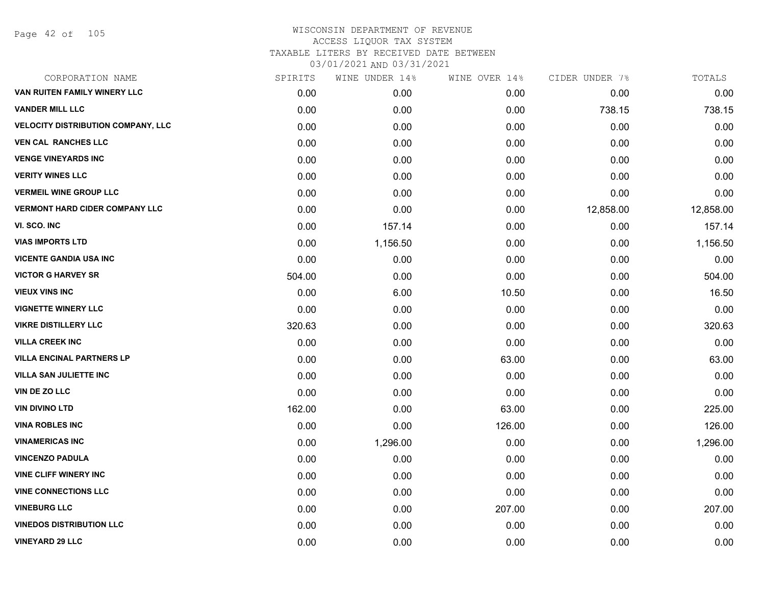| CORPORATION NAME                          | SPIRITS | WINE UNDER 14% | WINE OVER 14% | CIDER UNDER 7% | TOTALS    |
|-------------------------------------------|---------|----------------|---------------|----------------|-----------|
| VAN RUITEN FAMILY WINERY LLC              | 0.00    | 0.00           | 0.00          | 0.00           | 0.00      |
| <b>VANDER MILL LLC</b>                    | 0.00    | 0.00           | 0.00          | 738.15         | 738.15    |
| <b>VELOCITY DISTRIBUTION COMPANY, LLC</b> | 0.00    | 0.00           | 0.00          | 0.00           | 0.00      |
| <b>VEN CAL RANCHES LLC</b>                | 0.00    | 0.00           | 0.00          | 0.00           | 0.00      |
| <b>VENGE VINEYARDS INC</b>                | 0.00    | 0.00           | 0.00          | 0.00           | 0.00      |
| <b>VERITY WINES LLC</b>                   | 0.00    | 0.00           | 0.00          | 0.00           | 0.00      |
| <b>VERMEIL WINE GROUP LLC</b>             | 0.00    | 0.00           | 0.00          | 0.00           | 0.00      |
| <b>VERMONT HARD CIDER COMPANY LLC</b>     | 0.00    | 0.00           | 0.00          | 12,858.00      | 12,858.00 |
| VI. SCO. INC                              | 0.00    | 157.14         | 0.00          | 0.00           | 157.14    |
| <b>VIAS IMPORTS LTD</b>                   | 0.00    | 1,156.50       | 0.00          | 0.00           | 1,156.50  |
| <b>VICENTE GANDIA USA INC</b>             | 0.00    | 0.00           | 0.00          | 0.00           | 0.00      |
| <b>VICTOR G HARVEY SR</b>                 | 504.00  | 0.00           | 0.00          | 0.00           | 504.00    |
| <b>VIEUX VINS INC</b>                     | 0.00    | 6.00           | 10.50         | 0.00           | 16.50     |
| <b>VIGNETTE WINERY LLC</b>                | 0.00    | 0.00           | 0.00          | 0.00           | 0.00      |
| <b>VIKRE DISTILLERY LLC</b>               | 320.63  | 0.00           | 0.00          | 0.00           | 320.63    |
| <b>VILLA CREEK INC</b>                    | 0.00    | 0.00           | 0.00          | 0.00           | 0.00      |
| <b>VILLA ENCINAL PARTNERS LP</b>          | 0.00    | 0.00           | 63.00         | 0.00           | 63.00     |
| <b>VILLA SAN JULIETTE INC</b>             | 0.00    | 0.00           | 0.00          | 0.00           | 0.00      |
| VIN DE ZO LLC                             | 0.00    | 0.00           | 0.00          | 0.00           | 0.00      |
| <b>VIN DIVINO LTD</b>                     | 162.00  | 0.00           | 63.00         | 0.00           | 225.00    |
| <b>VINA ROBLES INC</b>                    | 0.00    | 0.00           | 126.00        | 0.00           | 126.00    |
| <b>VINAMERICAS INC</b>                    | 0.00    | 1,296.00       | 0.00          | 0.00           | 1,296.00  |
| <b>VINCENZO PADULA</b>                    | 0.00    | 0.00           | 0.00          | 0.00           | 0.00      |
| <b>VINE CLIFF WINERY INC</b>              | 0.00    | 0.00           | 0.00          | 0.00           | 0.00      |
| <b>VINE CONNECTIONS LLC</b>               | 0.00    | 0.00           | 0.00          | 0.00           | 0.00      |
| <b>VINEBURG LLC</b>                       | 0.00    | 0.00           | 207.00        | 0.00           | 207.00    |
| <b>VINEDOS DISTRIBUTION LLC</b>           | 0.00    | 0.00           | 0.00          | 0.00           | 0.00      |
| <b>VINEYARD 29 LLC</b>                    | 0.00    | 0.00           | 0.00          | 0.00           | 0.00      |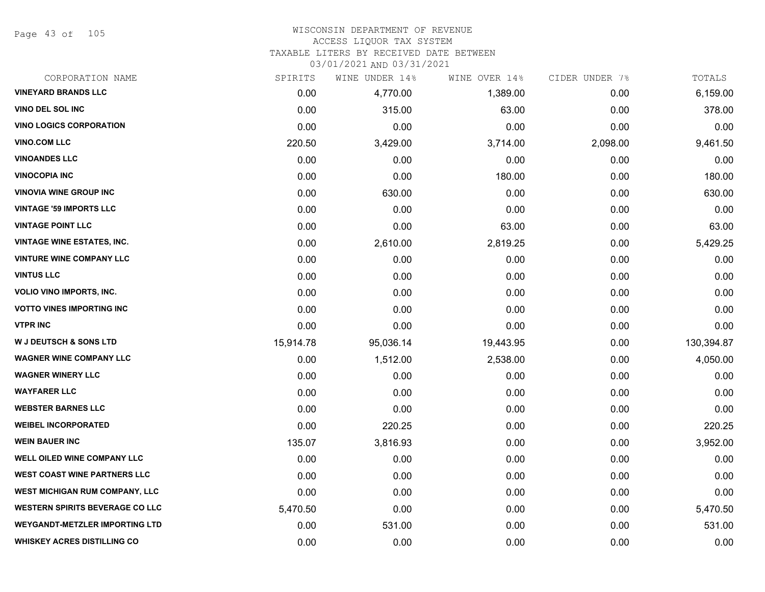Page 43 of 105

#### WISCONSIN DEPARTMENT OF REVENUE ACCESS LIQUOR TAX SYSTEM

TAXABLE LITERS BY RECEIVED DATE BETWEEN

| CORPORATION NAME                       | SPIRITS   | WINE UNDER 14% | WINE OVER 14% | CIDER UNDER 7% | TOTALS     |
|----------------------------------------|-----------|----------------|---------------|----------------|------------|
| <b>VINEYARD BRANDS LLC</b>             | 0.00      | 4,770.00       | 1,389.00      | 0.00           | 6,159.00   |
| VINO DEL SOL INC                       | 0.00      | 315.00         | 63.00         | 0.00           | 378.00     |
| <b>VINO LOGICS CORPORATION</b>         | 0.00      | 0.00           | 0.00          | 0.00           | 0.00       |
| <b>VINO.COM LLC</b>                    | 220.50    | 3,429.00       | 3,714.00      | 2,098.00       | 9,461.50   |
| <b>VINOANDES LLC</b>                   | 0.00      | 0.00           | 0.00          | 0.00           | 0.00       |
| <b>VINOCOPIA INC</b>                   | 0.00      | 0.00           | 180.00        | 0.00           | 180.00     |
| <b>VINOVIA WINE GROUP INC</b>          | 0.00      | 630.00         | 0.00          | 0.00           | 630.00     |
| <b>VINTAGE '59 IMPORTS LLC</b>         | 0.00      | 0.00           | 0.00          | 0.00           | 0.00       |
| <b>VINTAGE POINT LLC</b>               | 0.00      | 0.00           | 63.00         | 0.00           | 63.00      |
| <b>VINTAGE WINE ESTATES, INC.</b>      | 0.00      | 2,610.00       | 2,819.25      | 0.00           | 5,429.25   |
| <b>VINTURE WINE COMPANY LLC</b>        | 0.00      | 0.00           | 0.00          | 0.00           | 0.00       |
| <b>VINTUS LLC</b>                      | 0.00      | 0.00           | 0.00          | 0.00           | 0.00       |
| <b>VOLIO VINO IMPORTS, INC.</b>        | 0.00      | 0.00           | 0.00          | 0.00           | 0.00       |
| <b>VOTTO VINES IMPORTING INC</b>       | 0.00      | 0.00           | 0.00          | 0.00           | 0.00       |
| <b>VTPR INC</b>                        | 0.00      | 0.00           | 0.00          | 0.00           | 0.00       |
| <b>W J DEUTSCH &amp; SONS LTD</b>      | 15,914.78 | 95,036.14      | 19,443.95     | 0.00           | 130,394.87 |
| <b>WAGNER WINE COMPANY LLC</b>         | 0.00      | 1,512.00       | 2,538.00      | 0.00           | 4,050.00   |
| <b>WAGNER WINERY LLC</b>               | 0.00      | 0.00           | 0.00          | 0.00           | 0.00       |
| <b>WAYFARER LLC</b>                    | 0.00      | 0.00           | 0.00          | 0.00           | 0.00       |
| <b>WEBSTER BARNES LLC</b>              | 0.00      | 0.00           | 0.00          | 0.00           | 0.00       |
| <b>WEIBEL INCORPORATED</b>             | 0.00      | 220.25         | 0.00          | 0.00           | 220.25     |
| <b>WEIN BAUER INC</b>                  | 135.07    | 3,816.93       | 0.00          | 0.00           | 3,952.00   |
| <b>WELL OILED WINE COMPANY LLC</b>     | 0.00      | 0.00           | 0.00          | 0.00           | 0.00       |
| <b>WEST COAST WINE PARTNERS LLC</b>    | 0.00      | 0.00           | 0.00          | 0.00           | 0.00       |
| WEST MICHIGAN RUM COMPANY, LLC         | 0.00      | 0.00           | 0.00          | 0.00           | 0.00       |
| <b>WESTERN SPIRITS BEVERAGE CO LLC</b> | 5,470.50  | 0.00           | 0.00          | 0.00           | 5,470.50   |
| <b>WEYGANDT-METZLER IMPORTING LTD</b>  | 0.00      | 531.00         | 0.00          | 0.00           | 531.00     |
| <b>WHISKEY ACRES DISTILLING CO</b>     | 0.00      | 0.00           | 0.00          | 0.00           | 0.00       |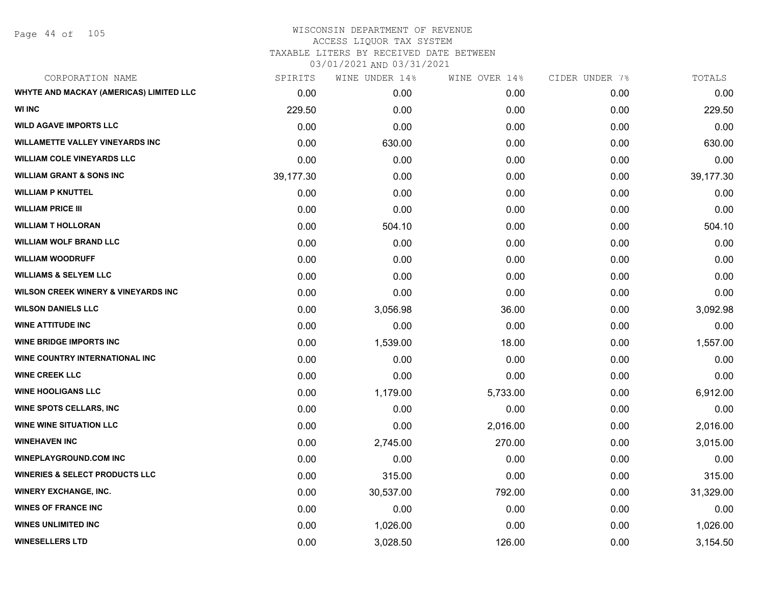# WISCONSIN DEPARTMENT OF REVENUE ACCESS LIQUOR TAX SYSTEM TAXABLE LITERS BY RECEIVED DATE BETWEEN

| CORPORATION NAME                               | SPIRITS   | WINE UNDER 14% | WINE OVER 14% | CIDER UNDER 7% | TOTALS    |
|------------------------------------------------|-----------|----------------|---------------|----------------|-----------|
| WHYTE AND MACKAY (AMERICAS) LIMITED LLC        | 0.00      | 0.00           | 0.00          | 0.00           | 0.00      |
| <b>WI INC</b>                                  | 229.50    | 0.00           | 0.00          | 0.00           | 229.50    |
| <b>WILD AGAVE IMPORTS LLC</b>                  | 0.00      | 0.00           | 0.00          | 0.00           | 0.00      |
| <b>WILLAMETTE VALLEY VINEYARDS INC</b>         | 0.00      | 630.00         | 0.00          | 0.00           | 630.00    |
| <b>WILLIAM COLE VINEYARDS LLC</b>              | 0.00      | 0.00           | 0.00          | 0.00           | 0.00      |
| <b>WILLIAM GRANT &amp; SONS INC</b>            | 39,177.30 | 0.00           | 0.00          | 0.00           | 39,177.30 |
| <b>WILLIAM P KNUTTEL</b>                       | 0.00      | 0.00           | 0.00          | 0.00           | 0.00      |
| <b>WILLIAM PRICE III</b>                       | 0.00      | 0.00           | 0.00          | 0.00           | 0.00      |
| <b>WILLIAM T HOLLORAN</b>                      | 0.00      | 504.10         | 0.00          | 0.00           | 504.10    |
| <b>WILLIAM WOLF BRAND LLC</b>                  | 0.00      | 0.00           | 0.00          | 0.00           | 0.00      |
| <b>WILLIAM WOODRUFF</b>                        | 0.00      | 0.00           | 0.00          | 0.00           | 0.00      |
| <b>WILLIAMS &amp; SELYEM LLC</b>               | 0.00      | 0.00           | 0.00          | 0.00           | 0.00      |
| <b>WILSON CREEK WINERY &amp; VINEYARDS INC</b> | 0.00      | 0.00           | 0.00          | 0.00           | 0.00      |
| <b>WILSON DANIELS LLC</b>                      | 0.00      | 3,056.98       | 36.00         | 0.00           | 3,092.98  |
| <b>WINE ATTITUDE INC</b>                       | 0.00      | 0.00           | 0.00          | 0.00           | 0.00      |
| <b>WINE BRIDGE IMPORTS INC</b>                 | 0.00      | 1,539.00       | 18.00         | 0.00           | 1,557.00  |
| <b>WINE COUNTRY INTERNATIONAL INC</b>          | 0.00      | 0.00           | 0.00          | 0.00           | 0.00      |
| <b>WINE CREEK LLC</b>                          | 0.00      | 0.00           | 0.00          | 0.00           | 0.00      |
| <b>WINE HOOLIGANS LLC</b>                      | 0.00      | 1,179.00       | 5,733.00      | 0.00           | 6,912.00  |
| <b>WINE SPOTS CELLARS, INC</b>                 | 0.00      | 0.00           | 0.00          | 0.00           | 0.00      |
| <b>WINE WINE SITUATION LLC</b>                 | 0.00      | 0.00           | 2,016.00      | 0.00           | 2,016.00  |
| <b>WINEHAVEN INC</b>                           | 0.00      | 2,745.00       | 270.00        | 0.00           | 3,015.00  |
| <b>WINEPLAYGROUND.COM INC</b>                  | 0.00      | 0.00           | 0.00          | 0.00           | 0.00      |
| <b>WINERIES &amp; SELECT PRODUCTS LLC</b>      | 0.00      | 315.00         | 0.00          | 0.00           | 315.00    |
| <b>WINERY EXCHANGE, INC.</b>                   | 0.00      | 30,537.00      | 792.00        | 0.00           | 31,329.00 |
| <b>WINES OF FRANCE INC</b>                     | 0.00      | 0.00           | 0.00          | 0.00           | 0.00      |
| <b>WINES UNLIMITED INC</b>                     | 0.00      | 1,026.00       | 0.00          | 0.00           | 1,026.00  |
| <b>WINESELLERS LTD</b>                         | 0.00      | 3,028.50       | 126.00        | 0.00           | 3,154.50  |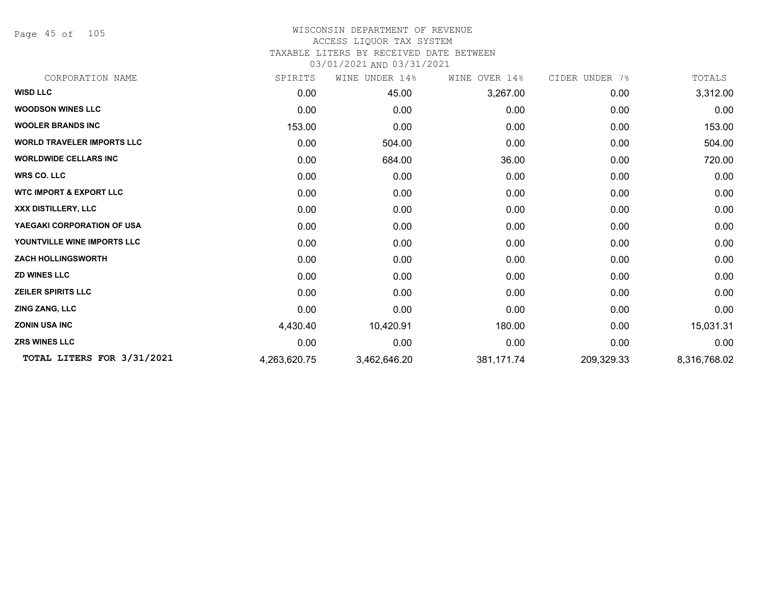Page 45 of 105

### WISCONSIN DEPARTMENT OF REVENUE ACCESS LIQUOR TAX SYSTEM TAXABLE LITERS BY RECEIVED DATE BETWEEN

| CORPORATION NAME                   | SPIRITS      | WINE UNDER 14% | WINE OVER 14% | CIDER UNDER 7% | TOTALS       |
|------------------------------------|--------------|----------------|---------------|----------------|--------------|
| <b>WISD LLC</b>                    | 0.00         | 45.00          | 3,267.00      | 0.00           | 3,312.00     |
| <b>WOODSON WINES LLC</b>           | 0.00         | 0.00           | 0.00          | 0.00           | 0.00         |
| <b>WOOLER BRANDS INC</b>           | 153.00       | 0.00           | 0.00          | 0.00           | 153.00       |
| <b>WORLD TRAVELER IMPORTS LLC</b>  | 0.00         | 504.00         | 0.00          | 0.00           | 504.00       |
| <b>WORLDWIDE CELLARS INC</b>       | 0.00         | 684.00         | 36.00         | 0.00           | 720.00       |
| <b>WRS CO. LLC</b>                 | 0.00         | 0.00           | 0.00          | 0.00           | 0.00         |
| <b>WTC IMPORT &amp; EXPORT LLC</b> | 0.00         | 0.00           | 0.00          | 0.00           | 0.00         |
| XXX DISTILLERY, LLC                | 0.00         | 0.00           | 0.00          | 0.00           | 0.00         |
| YAEGAKI CORPORATION OF USA         | 0.00         | 0.00           | 0.00          | 0.00           | 0.00         |
| YOUNTVILLE WINE IMPORTS LLC        | 0.00         | 0.00           | 0.00          | 0.00           | 0.00         |
| <b>ZACH HOLLINGSWORTH</b>          | 0.00         | 0.00           | 0.00          | 0.00           | 0.00         |
| <b>ZD WINES LLC</b>                | 0.00         | 0.00           | 0.00          | 0.00           | 0.00         |
| <b>ZEILER SPIRITS LLC</b>          | 0.00         | 0.00           | 0.00          | 0.00           | 0.00         |
| <b>ZING ZANG, LLC</b>              | 0.00         | 0.00           | 0.00          | 0.00           | 0.00         |
| <b>ZONIN USA INC</b>               | 4,430.40     | 10,420.91      | 180.00        | 0.00           | 15,031.31    |
| <b>ZRS WINES LLC</b>               | 0.00         | 0.00           | 0.00          | 0.00           | 0.00         |
| TOTAL LITERS FOR 3/31/2021         | 4,263,620.75 | 3,462,646.20   | 381,171.74    | 209,329.33     | 8,316,768.02 |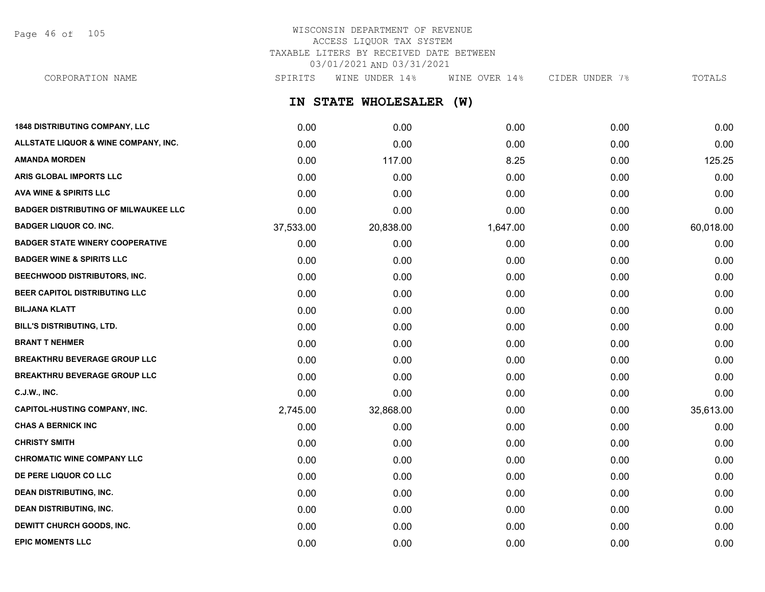Page 46 of 105

## WISCONSIN DEPARTMENT OF REVENUE ACCESS LIQUOR TAX SYSTEM TAXABLE LITERS BY RECEIVED DATE BETWEEN 03/01/2021 AND 03/31/2021

**IN STATE WHOLESALER (W) 1848 DISTRIBUTING COMPANY, LLC** 0.00 0.00 0.00 0.00 0.00 **ALLSTATE LIQUOR & WINE COMPANY, INC.** 0.00 0.00 0.00 0.00 0.00 **AMANDA MORDEN** 0.00 117.00 8.25 0.00 125.25 **ARIS GLOBAL IMPORTS LLC** 0.00 0.00 0.00 0.00 0.00 **AVA WINE & SPIRITS LLC** 0.00 0.00 0.00 0.00 0.00 **BADGER DISTRIBUTING OF MILWAUKEE LLC** 0.00 0.00 0.00 0.00 0.00 **BADGER LIQUOR CO. INC.** 37,533.00 20,838.00 1,647.00 0.00 60,018.00 **BADGER STATE WINERY COOPERATIVE** 0.00 0.00 0.00 0.00 0.00 **BADGER WINE & SPIRITS LLC** 0.00 0.00 0.00 0.00 0.00 **BEECHWOOD DISTRIBUTORS, INC.** 0.00 0.00 0.00 0.00 0.00 CORPORATION NAME SPIRITS WINE UNDER 14% WINE OVER 14% CIDER UNDER 7% TOTALS

**BEER CAPITOL DISTRIBUTING LLC** 0.00 0.00 0.00 0.00 0.00 **BILJANA KLATT** 0.00 0.00 0.00 0.00 0.00 **BILL'S DISTRIBUTING, LTD.** 0.00 0.00 0.00 0.00 0.00 **BRANT T NEHMER** 0.00 0.00 0.00 0.00 0.00 **BREAKTHRU BEVERAGE GROUP LLC**  $0.00$   $0.00$   $0.00$   $0.00$   $0.00$   $0.00$   $0.00$   $0.00$   $0.00$   $0.00$   $0.00$   $0.00$   $0.00$   $0.00$   $0.00$   $0.00$   $0.00$   $0.00$   $0.00$   $0.00$   $0.00$   $0.00$   $0.00$   $0.00$   $0.00$   $0.00$   $0.00$   $0$ **BREAKTHRU BEVERAGE GROUP LLC** 0.00 0.00 0.00 0.00 0.00 **C.J.W., INC.** 6.00 **0.00 0.00 0.00 0.00 0.00 0.00 0.00 0.00 0.00 0.00 0.00 0.00 0.00 0.00 CAPITOL-HUSTING COMPANY, INC.** 2,745.00 32,868.00 0.00 0.00 35,613.00 **CHAS A BERNICK INC** 0.00 0.00 0.00 0.00 0.00 **CHRISTY SMITH** 0.00 0.00 0.00 0.00 0.00 **CHROMATIC WINE COMPANY LLC** 0.00 0.00 0.00 0.00 0.00

**DE PERE LIQUOR CO LLC** 0.00 0.00 0.00 0.00 0.00 **DEAN DISTRIBUTING, INC.** 0.00 0.00 0.00 0.00 0.00 **DEAN DISTRIBUTING, INC.** 0.00 0.00 0.00 0.00 0.00 **DEWITT CHURCH GOODS, INC.** 0.00 0.00 0.00 0.00 0.00 **EPIC MOMENTS LLC** 0.00 0.00 0.00 0.00 0.00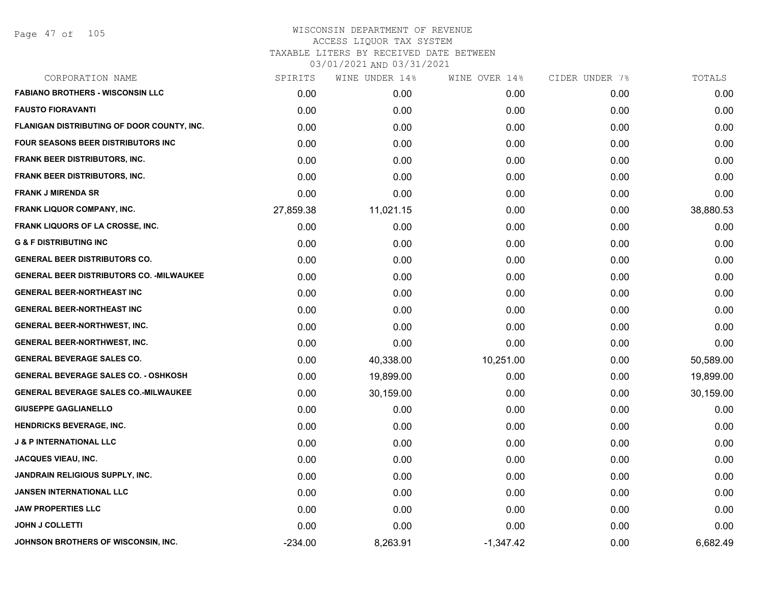| CORPORATION NAME                                 | SPIRITS   | WINE UNDER 14% | WINE OVER 14% | CIDER UNDER 7% | TOTALS    |
|--------------------------------------------------|-----------|----------------|---------------|----------------|-----------|
| <b>FABIANO BROTHERS - WISCONSIN LLC</b>          | 0.00      | 0.00           | 0.00          | 0.00           | 0.00      |
| <b>FAUSTO FIORAVANTI</b>                         | 0.00      | 0.00           | 0.00          | 0.00           | 0.00      |
| FLANIGAN DISTRIBUTING OF DOOR COUNTY, INC.       | 0.00      | 0.00           | 0.00          | 0.00           | 0.00      |
| <b>FOUR SEASONS BEER DISTRIBUTORS INC.</b>       | 0.00      | 0.00           | 0.00          | 0.00           | 0.00      |
| FRANK BEER DISTRIBUTORS, INC.                    | 0.00      | 0.00           | 0.00          | 0.00           | 0.00      |
| FRANK BEER DISTRIBUTORS, INC.                    | 0.00      | 0.00           | 0.00          | 0.00           | 0.00      |
| <b>FRANK J MIRENDA SR</b>                        | 0.00      | 0.00           | 0.00          | 0.00           | 0.00      |
| <b>FRANK LIQUOR COMPANY, INC.</b>                | 27,859.38 | 11,021.15      | 0.00          | 0.00           | 38,880.53 |
| FRANK LIQUORS OF LA CROSSE, INC.                 | 0.00      | 0.00           | 0.00          | 0.00           | 0.00      |
| <b>G &amp; F DISTRIBUTING INC</b>                | 0.00      | 0.00           | 0.00          | 0.00           | 0.00      |
| <b>GENERAL BEER DISTRIBUTORS CO.</b>             | 0.00      | 0.00           | 0.00          | 0.00           | 0.00      |
| <b>GENERAL BEER DISTRIBUTORS CO. - MILWAUKEE</b> | 0.00      | 0.00           | 0.00          | 0.00           | 0.00      |
| <b>GENERAL BEER-NORTHEAST INC</b>                | 0.00      | 0.00           | 0.00          | 0.00           | 0.00      |
| <b>GENERAL BEER-NORTHEAST INC</b>                | 0.00      | 0.00           | 0.00          | 0.00           | 0.00      |
| <b>GENERAL BEER-NORTHWEST, INC.</b>              | 0.00      | 0.00           | 0.00          | 0.00           | 0.00      |
| <b>GENERAL BEER-NORTHWEST, INC.</b>              | 0.00      | 0.00           | 0.00          | 0.00           | 0.00      |
| <b>GENERAL BEVERAGE SALES CO.</b>                | 0.00      | 40,338.00      | 10,251.00     | 0.00           | 50,589.00 |
| <b>GENERAL BEVERAGE SALES CO. - OSHKOSH</b>      | 0.00      | 19,899.00      | 0.00          | 0.00           | 19,899.00 |
| <b>GENERAL BEVERAGE SALES CO.-MILWAUKEE</b>      | 0.00      | 30,159.00      | 0.00          | 0.00           | 30,159.00 |
| <b>GIUSEPPE GAGLIANELLO</b>                      | 0.00      | 0.00           | 0.00          | 0.00           | 0.00      |
| <b>HENDRICKS BEVERAGE, INC.</b>                  | 0.00      | 0.00           | 0.00          | 0.00           | 0.00      |
| <b>J &amp; P INTERNATIONAL LLC</b>               | 0.00      | 0.00           | 0.00          | 0.00           | 0.00      |
| <b>JACQUES VIEAU, INC.</b>                       | 0.00      | 0.00           | 0.00          | 0.00           | 0.00      |
| <b>JANDRAIN RELIGIOUS SUPPLY, INC.</b>           | 0.00      | 0.00           | 0.00          | 0.00           | 0.00      |
| <b>JANSEN INTERNATIONAL LLC</b>                  | 0.00      | 0.00           | 0.00          | 0.00           | 0.00      |
| <b>JAW PROPERTIES LLC</b>                        | 0.00      | 0.00           | 0.00          | 0.00           | 0.00      |
| <b>JOHN J COLLETTI</b>                           | 0.00      | 0.00           | 0.00          | 0.00           | 0.00      |
| JOHNSON BROTHERS OF WISCONSIN, INC.              | $-234.00$ | 8,263.91       | $-1,347.42$   | 0.00           | 6,682.49  |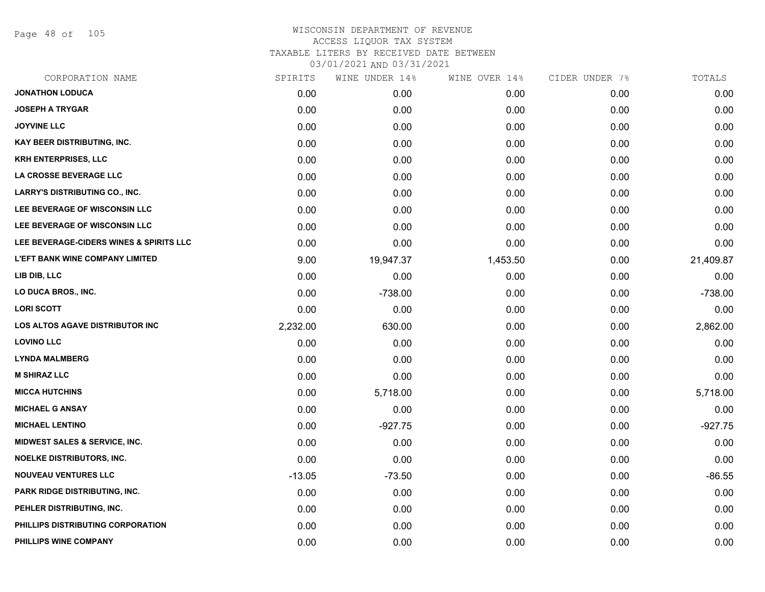Page 48 of 105

| CORPORATION NAME                        | SPIRITS  | WINE UNDER 14% | WINE OVER 14% | CIDER UNDER 7% | TOTALS    |
|-----------------------------------------|----------|----------------|---------------|----------------|-----------|
| <b>JONATHON LODUCA</b>                  | 0.00     | 0.00           | 0.00          | 0.00           | 0.00      |
| <b>JOSEPH A TRYGAR</b>                  | 0.00     | 0.00           | 0.00          | 0.00           | 0.00      |
| <b>JOYVINE LLC</b>                      | 0.00     | 0.00           | 0.00          | 0.00           | 0.00      |
| <b>KAY BEER DISTRIBUTING, INC.</b>      | 0.00     | 0.00           | 0.00          | 0.00           | 0.00      |
| <b>KRH ENTERPRISES, LLC</b>             | 0.00     | 0.00           | 0.00          | 0.00           | 0.00      |
| LA CROSSE BEVERAGE LLC                  | 0.00     | 0.00           | 0.00          | 0.00           | 0.00      |
| <b>LARRY'S DISTRIBUTING CO., INC.</b>   | 0.00     | 0.00           | 0.00          | 0.00           | 0.00      |
| LEE BEVERAGE OF WISCONSIN LLC           | 0.00     | 0.00           | 0.00          | 0.00           | 0.00      |
| LEE BEVERAGE OF WISCONSIN LLC           | 0.00     | 0.00           | 0.00          | 0.00           | 0.00      |
| LEE BEVERAGE-CIDERS WINES & SPIRITS LLC | 0.00     | 0.00           | 0.00          | 0.00           | 0.00      |
| <b>L'EFT BANK WINE COMPANY LIMITED</b>  | 9.00     | 19,947.37      | 1,453.50      | 0.00           | 21,409.87 |
| LIB DIB, LLC                            | 0.00     | 0.00           | 0.00          | 0.00           | 0.00      |
| LO DUCA BROS., INC.                     | 0.00     | $-738.00$      | 0.00          | 0.00           | $-738.00$ |
| <b>LORI SCOTT</b>                       | 0.00     | 0.00           | 0.00          | 0.00           | 0.00      |
| <b>LOS ALTOS AGAVE DISTRIBUTOR INC</b>  | 2,232.00 | 630.00         | 0.00          | 0.00           | 2,862.00  |
| <b>LOVINO LLC</b>                       | 0.00     | 0.00           | 0.00          | 0.00           | 0.00      |
| <b>LYNDA MALMBERG</b>                   | 0.00     | 0.00           | 0.00          | 0.00           | 0.00      |
| <b>M SHIRAZ LLC</b>                     | 0.00     | 0.00           | 0.00          | 0.00           | 0.00      |
| <b>MICCA HUTCHINS</b>                   | 0.00     | 5,718.00       | 0.00          | 0.00           | 5,718.00  |
| <b>MICHAEL G ANSAY</b>                  | 0.00     | 0.00           | 0.00          | 0.00           | 0.00      |
| <b>MICHAEL LENTINO</b>                  | 0.00     | $-927.75$      | 0.00          | 0.00           | $-927.75$ |
| MIDWEST SALES & SERVICE, INC.           | 0.00     | 0.00           | 0.00          | 0.00           | 0.00      |
| <b>NOELKE DISTRIBUTORS, INC.</b>        | 0.00     | 0.00           | 0.00          | 0.00           | 0.00      |
| <b>NOUVEAU VENTURES LLC</b>             | $-13.05$ | $-73.50$       | 0.00          | 0.00           | $-86.55$  |
| PARK RIDGE DISTRIBUTING, INC.           | 0.00     | 0.00           | 0.00          | 0.00           | 0.00      |
| PEHLER DISTRIBUTING, INC.               | 0.00     | 0.00           | 0.00          | 0.00           | 0.00      |
| PHILLIPS DISTRIBUTING CORPORATION       | 0.00     | 0.00           | 0.00          | 0.00           | 0.00      |
| PHILLIPS WINE COMPANY                   | 0.00     | 0.00           | 0.00          | 0.00           | 0.00      |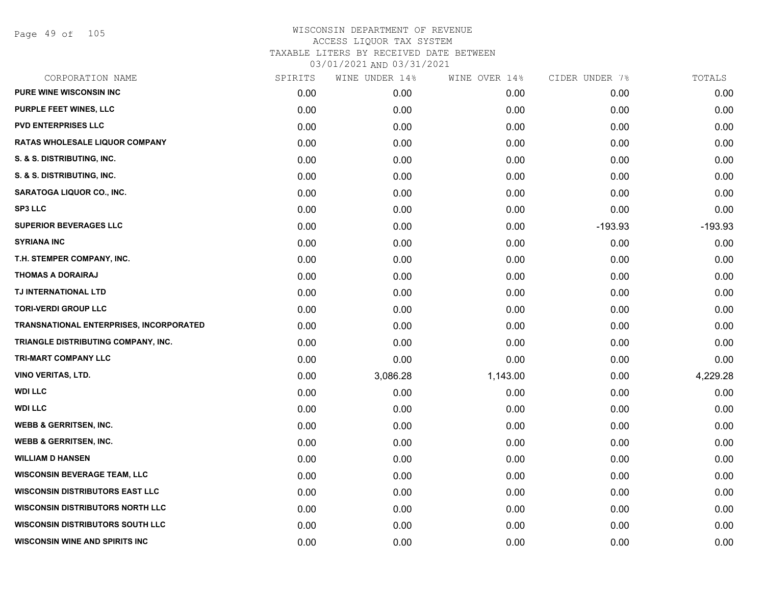Page 49 of 105

| CORPORATION NAME                        | SPIRITS | WINE UNDER 14% | WINE OVER 14% | CIDER UNDER 7% | TOTALS    |
|-----------------------------------------|---------|----------------|---------------|----------------|-----------|
| PURE WINE WISCONSIN INC                 | 0.00    | 0.00           | 0.00          | 0.00           | 0.00      |
| <b>PURPLE FEET WINES, LLC</b>           | 0.00    | 0.00           | 0.00          | 0.00           | 0.00      |
| <b>PVD ENTERPRISES LLC</b>              | 0.00    | 0.00           | 0.00          | 0.00           | 0.00      |
| <b>RATAS WHOLESALE LIQUOR COMPANY</b>   | 0.00    | 0.00           | 0.00          | 0.00           | 0.00      |
| S. & S. DISTRIBUTING, INC.              | 0.00    | 0.00           | 0.00          | 0.00           | 0.00      |
| S. & S. DISTRIBUTING, INC.              | 0.00    | 0.00           | 0.00          | 0.00           | 0.00      |
| SARATOGA LIQUOR CO., INC.               | 0.00    | 0.00           | 0.00          | 0.00           | 0.00      |
| <b>SP3 LLC</b>                          | 0.00    | 0.00           | 0.00          | 0.00           | 0.00      |
| <b>SUPERIOR BEVERAGES LLC</b>           | 0.00    | 0.00           | 0.00          | $-193.93$      | $-193.93$ |
| <b>SYRIANA INC</b>                      | 0.00    | 0.00           | 0.00          | 0.00           | 0.00      |
| T.H. STEMPER COMPANY, INC.              | 0.00    | 0.00           | 0.00          | 0.00           | 0.00      |
| <b>THOMAS A DORAIRAJ</b>                | 0.00    | 0.00           | 0.00          | 0.00           | 0.00      |
| TJ INTERNATIONAL LTD                    | 0.00    | 0.00           | 0.00          | 0.00           | 0.00      |
| <b>TORI-VERDI GROUP LLC</b>             | 0.00    | 0.00           | 0.00          | 0.00           | 0.00      |
| TRANSNATIONAL ENTERPRISES, INCORPORATED | 0.00    | 0.00           | 0.00          | 0.00           | 0.00      |
| TRIANGLE DISTRIBUTING COMPANY, INC.     | 0.00    | 0.00           | 0.00          | 0.00           | 0.00      |
| <b>TRI-MART COMPANY LLC</b>             | 0.00    | 0.00           | 0.00          | 0.00           | 0.00      |
| <b>VINO VERITAS, LTD.</b>               | 0.00    | 3,086.28       | 1,143.00      | 0.00           | 4,229.28  |
| <b>WDI LLC</b>                          | 0.00    | 0.00           | 0.00          | 0.00           | 0.00      |
| <b>WDI LLC</b>                          | 0.00    | 0.00           | 0.00          | 0.00           | 0.00      |
| <b>WEBB &amp; GERRITSEN, INC.</b>       | 0.00    | 0.00           | 0.00          | 0.00           | 0.00      |
| <b>WEBB &amp; GERRITSEN, INC.</b>       | 0.00    | 0.00           | 0.00          | 0.00           | 0.00      |
| <b>WILLIAM D HANSEN</b>                 | 0.00    | 0.00           | 0.00          | 0.00           | 0.00      |
| <b>WISCONSIN BEVERAGE TEAM, LLC</b>     | 0.00    | 0.00           | 0.00          | 0.00           | 0.00      |
| <b>WISCONSIN DISTRIBUTORS EAST LLC</b>  | 0.00    | 0.00           | 0.00          | 0.00           | 0.00      |
| <b>WISCONSIN DISTRIBUTORS NORTH LLC</b> | 0.00    | 0.00           | 0.00          | 0.00           | 0.00      |
| <b>WISCONSIN DISTRIBUTORS SOUTH LLC</b> | 0.00    | 0.00           | 0.00          | 0.00           | 0.00      |
| <b>WISCONSIN WINE AND SPIRITS INC</b>   | 0.00    | 0.00           | 0.00          | 0.00           | 0.00      |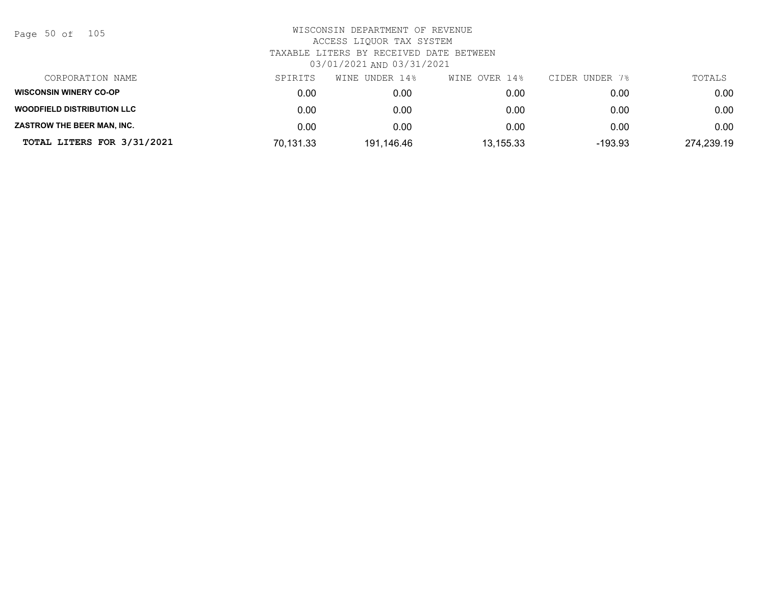Page 50 of 105

| CORPORATION NAME                  | SPIRITS   | WINE UNDER 14% | WINE OVER 14% | CIDER UNDER 7% | TOTALS     |
|-----------------------------------|-----------|----------------|---------------|----------------|------------|
| <b>WISCONSIN WINERY CO-OP</b>     | 0.00      | 0.00           | 0.00          | 0.00           | 0.00       |
| <b>WOODFIELD DISTRIBUTION LLC</b> | 0.00      | 0.00           | 0.00          | 0.00           | 0.00       |
| ZASTROW THE BEER MAN, INC.        | 0.00      | 0.00           | 0.00          | 0.00           | 0.00       |
| TOTAL LITERS FOR 3/31/2021        | 70,131.33 | 191.146.46     | 13,155.33     | $-193.93$      | 274,239.19 |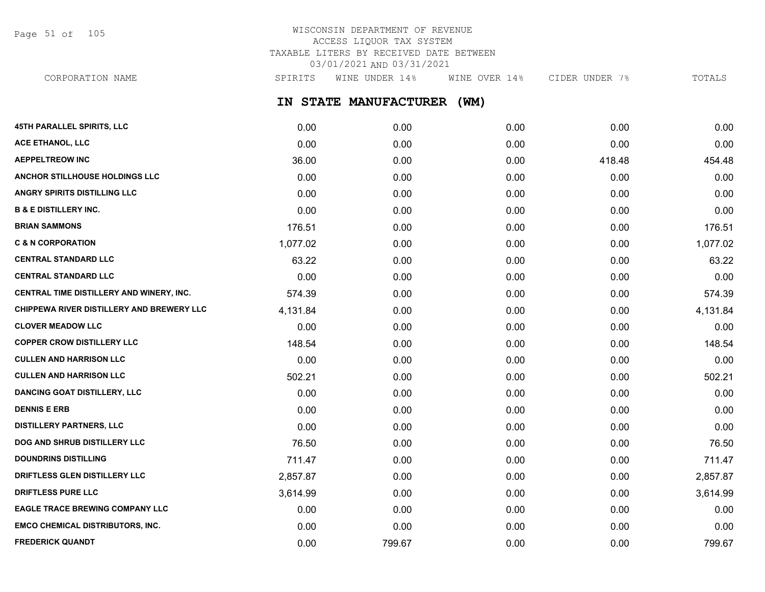Page 51 of 105

## WISCONSIN DEPARTMENT OF REVENUE ACCESS LIQUOR TAX SYSTEM TAXABLE LITERS BY RECEIVED DATE BETWEEN 03/01/2021 AND 03/31/2021

**IN STATE MANUFACTURER (WM) 45TH PARALLEL SPIRITS, LLC** 0.00 0.00 0.00 0.00 0.00 **ACE ETHANOL, LLC** 0.00 0.00 0.00 0.00 0.00 **AEPPELTREOW INC** 36.00 0.00 0.00 418.48 454.48 **ANCHOR STILLHOUSE HOLDINGS LLC** 0.00 0.00 0.00 0.00 0.00 **ANGRY SPIRITS DISTILLING LLC** 0.00 0.00 0.00 0.00 0.00 **B & E DISTILLERY INC.** 0.00 0.00 0.00 0.00 0.00 **BRIAN SAMMONS** 2000 176.51 2000 176.51 2000 176.51 2010 176.51 2010 176.51 2010 176.51 2010 176.51 2010 176.51 **C & N CORPORATION** 1,077.02 0.00 0.00 0.00 1,077.02 CORPORATION NAME SPIRITS WINE UNDER 14% WINE OVER 14% CIDER UNDER 7% TOTALS

| <b>CENTRAL STANDARD LLC</b>               | 63.22    | 0.00 | 0.00 | 0.00 | 63.22    |
|-------------------------------------------|----------|------|------|------|----------|
| <b>CENTRAL STANDARD LLC</b>               | 0.00     | 0.00 | 0.00 | 0.00 | 0.00     |
| CENTRAL TIME DISTILLERY AND WINERY, INC.  | 574.39   | 0.00 | 0.00 | 0.00 | 574.39   |
| CHIPPEWA RIVER DISTILLERY AND BREWERY LLC | 4,131.84 | 0.00 | 0.00 | 0.00 | 4,131.84 |
| <b>CLOVER MEADOW LLC</b>                  | 0.00     | 0.00 | 0.00 | 0.00 | 0.00     |
| <b>COPPER CROW DISTILLERY LLC</b>         | 148.54   | 0.00 | 0.00 | 0.00 | 148.54   |
| <b>CULLEN AND HARRISON LLC</b>            | 0.00     | 0.00 | 0.00 | 0.00 | 0.00     |
| <b>CULLEN AND HARRISON LLC</b>            | 502.21   | 0.00 | 0.00 | 0.00 | 502.21   |
| <b>DANCING GOAT DISTILLERY, LLC</b>       | 0.00     | 0.00 | 0.00 | 0.00 | 0.00     |
| <b>DENNIS E ERB</b>                       | 0.00     | 0.00 | 0.00 | 0.00 | 0.00     |
| <b>DISTILLERY PARTNERS, LLC</b>           | 0.00     | 0.00 | 0.00 | 0.00 | 0.00     |
| <b>DOG AND SHRUB DISTILLERY LLC</b>       | 76.50    | 0.00 | 0.00 | 0.00 | 76.50    |
| <b>DOUNDRINS DISTILLING</b>               | 711.47   | 0.00 | 0.00 | 0.00 | 711.47   |
| <b>DRIFTLESS GLEN DISTILLERY LLC</b>      | 2,857.87 | 0.00 | 0.00 | 0.00 | 2,857.87 |
| <b>DRIFTLESS PURE LLC</b>                 | 3,614.99 | 0.00 | 0.00 | 0.00 | 3,614.99 |
| <b>EAGLE TRACE BREWING COMPANY LLC</b>    | 0.00     | 0.00 | 0.00 | 0.00 | 0.00     |
|                                           |          |      |      |      |          |

**EMCO CHEMICAL DISTRIBUTORS, INC.** 0.00 0.00 0.00 0.00 0.00 **FREDERICK QUANDT** 0.00 799.67 0.00 0.00 799.67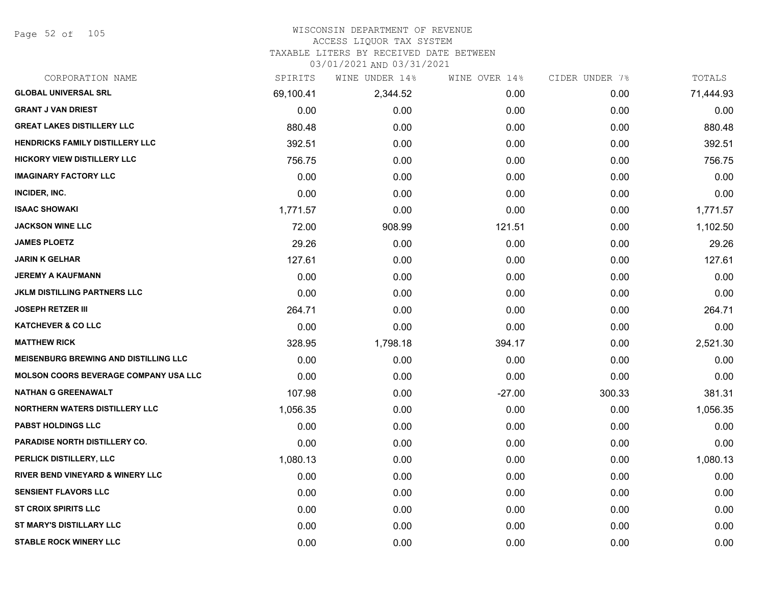Page 52 of 105

#### WISCONSIN DEPARTMENT OF REVENUE ACCESS LIQUOR TAX SYSTEM

TAXABLE LITERS BY RECEIVED DATE BETWEEN

| CORPORATION NAME                             | SPIRITS   | WINE UNDER 14% | WINE OVER 14% | CIDER UNDER 7% | TOTALS    |
|----------------------------------------------|-----------|----------------|---------------|----------------|-----------|
| <b>GLOBAL UNIVERSAL SRL</b>                  | 69,100.41 | 2,344.52       | 0.00          | 0.00           | 71,444.93 |
| <b>GRANT J VAN DRIEST</b>                    | 0.00      | 0.00           | 0.00          | 0.00           | 0.00      |
| <b>GREAT LAKES DISTILLERY LLC</b>            | 880.48    | 0.00           | 0.00          | 0.00           | 880.48    |
| <b>HENDRICKS FAMILY DISTILLERY LLC</b>       | 392.51    | 0.00           | 0.00          | 0.00           | 392.51    |
| <b>HICKORY VIEW DISTILLERY LLC</b>           | 756.75    | 0.00           | 0.00          | 0.00           | 756.75    |
| <b>IMAGINARY FACTORY LLC</b>                 | 0.00      | 0.00           | 0.00          | 0.00           | 0.00      |
| INCIDER, INC.                                | 0.00      | 0.00           | 0.00          | 0.00           | 0.00      |
| <b>ISAAC SHOWAKI</b>                         | 1,771.57  | 0.00           | 0.00          | 0.00           | 1,771.57  |
| <b>JACKSON WINE LLC</b>                      | 72.00     | 908.99         | 121.51        | 0.00           | 1,102.50  |
| <b>JAMES PLOETZ</b>                          | 29.26     | 0.00           | 0.00          | 0.00           | 29.26     |
| JARIN K GELHAR                               | 127.61    | 0.00           | 0.00          | 0.00           | 127.61    |
| <b>JEREMY A KAUFMANN</b>                     | 0.00      | 0.00           | 0.00          | 0.00           | 0.00      |
| <b>JKLM DISTILLING PARTNERS LLC</b>          | 0.00      | 0.00           | 0.00          | 0.00           | 0.00      |
| <b>JOSEPH RETZER III</b>                     | 264.71    | 0.00           | 0.00          | 0.00           | 264.71    |
| <b>KATCHEVER &amp; CO LLC</b>                | 0.00      | 0.00           | 0.00          | 0.00           | 0.00      |
| <b>MATTHEW RICK</b>                          | 328.95    | 1,798.18       | 394.17        | 0.00           | 2,521.30  |
| <b>MEISENBURG BREWING AND DISTILLING LLC</b> | 0.00      | 0.00           | 0.00          | 0.00           | 0.00      |
| <b>MOLSON COORS BEVERAGE COMPANY USA LLC</b> | 0.00      | 0.00           | 0.00          | 0.00           | 0.00      |
| <b>NATHAN G GREENAWALT</b>                   | 107.98    | 0.00           | $-27.00$      | 300.33         | 381.31    |
| <b>NORTHERN WATERS DISTILLERY LLC</b>        | 1,056.35  | 0.00           | 0.00          | 0.00           | 1,056.35  |
| <b>PABST HOLDINGS LLC</b>                    | 0.00      | 0.00           | 0.00          | 0.00           | 0.00      |
| <b>PARADISE NORTH DISTILLERY CO.</b>         | 0.00      | 0.00           | 0.00          | 0.00           | 0.00      |
| PERLICK DISTILLERY, LLC                      | 1,080.13  | 0.00           | 0.00          | 0.00           | 1,080.13  |
| <b>RIVER BEND VINEYARD &amp; WINERY LLC</b>  | 0.00      | 0.00           | 0.00          | 0.00           | 0.00      |
| <b>SENSIENT FLAVORS LLC</b>                  | 0.00      | 0.00           | 0.00          | 0.00           | 0.00      |
| <b>ST CROIX SPIRITS LLC</b>                  | 0.00      | 0.00           | 0.00          | 0.00           | 0.00      |
| ST MARY'S DISTILLARY LLC                     | 0.00      | 0.00           | 0.00          | 0.00           | 0.00      |
| <b>STABLE ROCK WINERY LLC</b>                | 0.00      | 0.00           | 0.00          | 0.00           | 0.00      |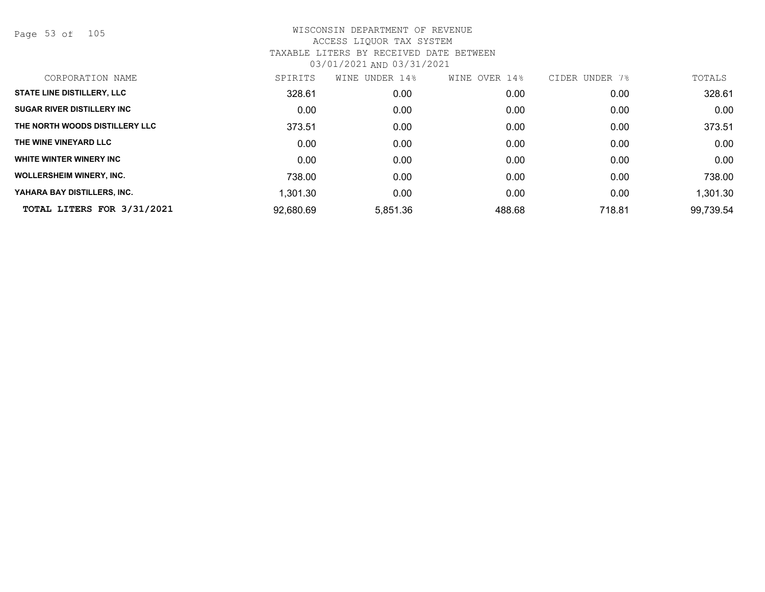Page 53 of 105

| SPIRITS   | UNDER 14%<br>WINE | WINE OVER 14% | CIDER UNDER 7% | TOTALS    |
|-----------|-------------------|---------------|----------------|-----------|
| 328.61    | 0.00              | 0.00          | 0.00           | 328.61    |
| 0.00      | 0.00              | 0.00          | 0.00           | 0.00      |
| 373.51    | 0.00              | 0.00          | 0.00           | 373.51    |
| 0.00      | 0.00              | 0.00          | 0.00           | 0.00      |
| 0.00      | 0.00              | 0.00          | 0.00           | 0.00      |
| 738.00    | 0.00              | 0.00          | 0.00           | 738.00    |
| 1,301.30  | 0.00              | 0.00          | 0.00           | 1,301.30  |
| 92,680.69 | 5,851.36          | 488.68        | 718.81         | 99,739.54 |
|           |                   |               |                |           |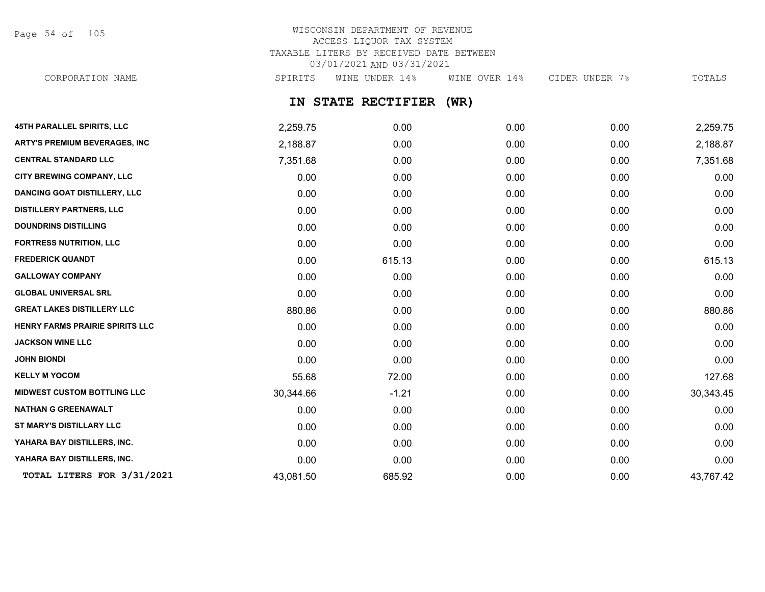Page 54 of 105

# WISCONSIN DEPARTMENT OF REVENUE ACCESS LIQUOR TAX SYSTEM TAXABLE LITERS BY RECEIVED DATE BETWEEN 03/01/2021 AND 03/31/2021

CORPORATION NAME SPIRITS WINE UNDER 14% WINE OVER 14% CIDER UNDER 7% TOTALS

## **IN STATE RECTIFIER (WR)**

| <b>45TH PARALLEL SPIRITS, LLC</b>    | 2,259.75  | 0.00    | 0.00 | 0.00 | 2,259.75  |
|--------------------------------------|-----------|---------|------|------|-----------|
| <b>ARTY'S PREMIUM BEVERAGES, INC</b> | 2,188.87  | 0.00    | 0.00 | 0.00 | 2,188.87  |
| <b>CENTRAL STANDARD LLC</b>          | 7,351.68  | 0.00    | 0.00 | 0.00 | 7,351.68  |
| CITY BREWING COMPANY, LLC            | 0.00      | 0.00    | 0.00 | 0.00 | 0.00      |
| <b>DANCING GOAT DISTILLERY, LLC</b>  | 0.00      | 0.00    | 0.00 | 0.00 | 0.00      |
| <b>DISTILLERY PARTNERS, LLC</b>      | 0.00      | 0.00    | 0.00 | 0.00 | 0.00      |
| <b>DOUNDRINS DISTILLING</b>          | 0.00      | 0.00    | 0.00 | 0.00 | 0.00      |
| <b>FORTRESS NUTRITION, LLC</b>       | 0.00      | 0.00    | 0.00 | 0.00 | 0.00      |
| <b>FREDERICK QUANDT</b>              | 0.00      | 615.13  | 0.00 | 0.00 | 615.13    |
| <b>GALLOWAY COMPANY</b>              | 0.00      | 0.00    | 0.00 | 0.00 | 0.00      |
| <b>GLOBAL UNIVERSAL SRL</b>          | 0.00      | 0.00    | 0.00 | 0.00 | 0.00      |
| <b>GREAT LAKES DISTILLERY LLC</b>    | 880.86    | 0.00    | 0.00 | 0.00 | 880.86    |
| HENRY FARMS PRAIRIE SPIRITS LLC      | 0.00      | 0.00    | 0.00 | 0.00 | 0.00      |
| <b>JACKSON WINE LLC</b>              | 0.00      | 0.00    | 0.00 | 0.00 | 0.00      |
| <b>JOHN BIONDI</b>                   | 0.00      | 0.00    | 0.00 | 0.00 | 0.00      |
| <b>KELLY M YOCOM</b>                 | 55.68     | 72.00   | 0.00 | 0.00 | 127.68    |
| <b>MIDWEST CUSTOM BOTTLING LLC</b>   | 30,344.66 | $-1.21$ | 0.00 | 0.00 | 30,343.45 |
| <b>NATHAN G GREENAWALT</b>           | 0.00      | 0.00    | 0.00 | 0.00 | 0.00      |
| ST MARY'S DISTILLARY LLC             | 0.00      | 0.00    | 0.00 | 0.00 | 0.00      |
| YAHARA BAY DISTILLERS, INC.          | 0.00      | 0.00    | 0.00 | 0.00 | 0.00      |
| YAHARA BAY DISTILLERS, INC.          | 0.00      | 0.00    | 0.00 | 0.00 | 0.00      |
| TOTAL LITERS FOR 3/31/2021           | 43,081.50 | 685.92  | 0.00 | 0.00 | 43,767.42 |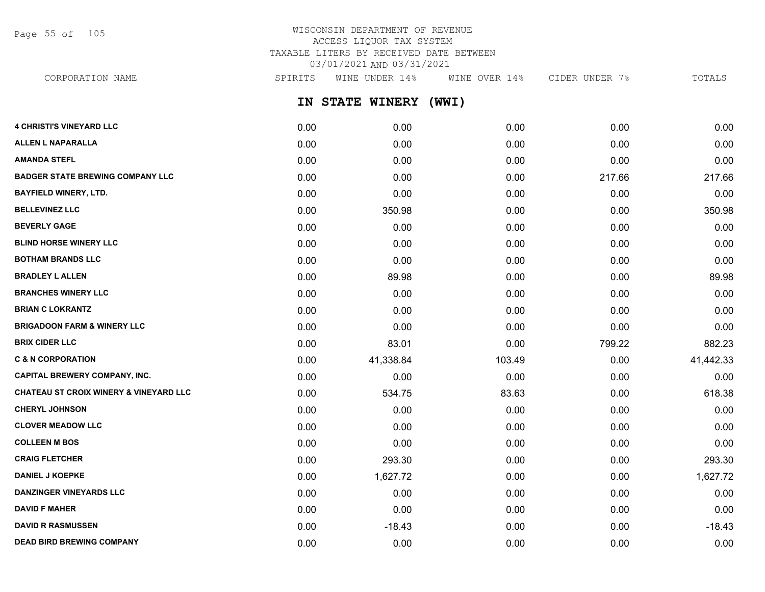Page 55 of 105

## WISCONSIN DEPARTMENT OF REVENUE ACCESS LIQUOR TAX SYSTEM TAXABLE LITERS BY RECEIVED DATE BETWEEN 03/01/2021 AND 03/31/2021

CORPORATION NAME SPIRITS WINE UNDER 14% WINE OVER 14% CIDER UNDER 7% TOTALS

**IN STATE WINERY (WWI)**

| <b>4 CHRISTI'S VINEYARD LLC</b>                   | 0.00 | 0.00      | 0.00   | 0.00   | 0.00      |
|---------------------------------------------------|------|-----------|--------|--------|-----------|
| <b>ALLEN L NAPARALLA</b>                          | 0.00 | 0.00      | 0.00   | 0.00   | 0.00      |
| <b>AMANDA STEFL</b>                               | 0.00 | 0.00      | 0.00   | 0.00   | 0.00      |
| <b>BADGER STATE BREWING COMPANY LLC</b>           | 0.00 | 0.00      | 0.00   | 217.66 | 217.66    |
| <b>BAYFIELD WINERY, LTD.</b>                      | 0.00 | 0.00      | 0.00   | 0.00   | 0.00      |
| <b>BELLEVINEZ LLC</b>                             | 0.00 | 350.98    | 0.00   | 0.00   | 350.98    |
| <b>BEVERLY GAGE</b>                               | 0.00 | 0.00      | 0.00   | 0.00   | 0.00      |
| <b>BLIND HORSE WINERY LLC</b>                     | 0.00 | 0.00      | 0.00   | 0.00   | 0.00      |
| <b>BOTHAM BRANDS LLC</b>                          | 0.00 | 0.00      | 0.00   | 0.00   | 0.00      |
| <b>BRADLEY L ALLEN</b>                            | 0.00 | 89.98     | 0.00   | 0.00   | 89.98     |
| <b>BRANCHES WINERY LLC</b>                        | 0.00 | 0.00      | 0.00   | 0.00   | 0.00      |
| <b>BRIAN C LOKRANTZ</b>                           | 0.00 | 0.00      | 0.00   | 0.00   | 0.00      |
| <b>BRIGADOON FARM &amp; WINERY LLC</b>            | 0.00 | 0.00      | 0.00   | 0.00   | 0.00      |
| <b>BRIX CIDER LLC</b>                             | 0.00 | 83.01     | 0.00   | 799.22 | 882.23    |
| <b>C &amp; N CORPORATION</b>                      | 0.00 | 41,338.84 | 103.49 | 0.00   | 41,442.33 |
| <b>CAPITAL BREWERY COMPANY, INC.</b>              | 0.00 | 0.00      | 0.00   | 0.00   | 0.00      |
| <b>CHATEAU ST CROIX WINERY &amp; VINEYARD LLC</b> | 0.00 | 534.75    | 83.63  | 0.00   | 618.38    |
| <b>CHERYL JOHNSON</b>                             | 0.00 | 0.00      | 0.00   | 0.00   | 0.00      |
| <b>CLOVER MEADOW LLC</b>                          | 0.00 | 0.00      | 0.00   | 0.00   | 0.00      |
| <b>COLLEEN M BOS</b>                              | 0.00 | 0.00      | 0.00   | 0.00   | 0.00      |
| <b>CRAIG FLETCHER</b>                             | 0.00 | 293.30    | 0.00   | 0.00   | 293.30    |
| <b>DANIEL J KOEPKE</b>                            | 0.00 | 1,627.72  | 0.00   | 0.00   | 1,627.72  |
| <b>DANZINGER VINEYARDS LLC</b>                    | 0.00 | 0.00      | 0.00   | 0.00   | 0.00      |
| <b>DAVID F MAHER</b>                              | 0.00 | 0.00      | 0.00   | 0.00   | 0.00      |
| <b>DAVID R RASMUSSEN</b>                          | 0.00 | $-18.43$  | 0.00   | 0.00   | $-18.43$  |
| <b>DEAD BIRD BREWING COMPANY</b>                  | 0.00 | 0.00      | 0.00   | 0.00   | 0.00      |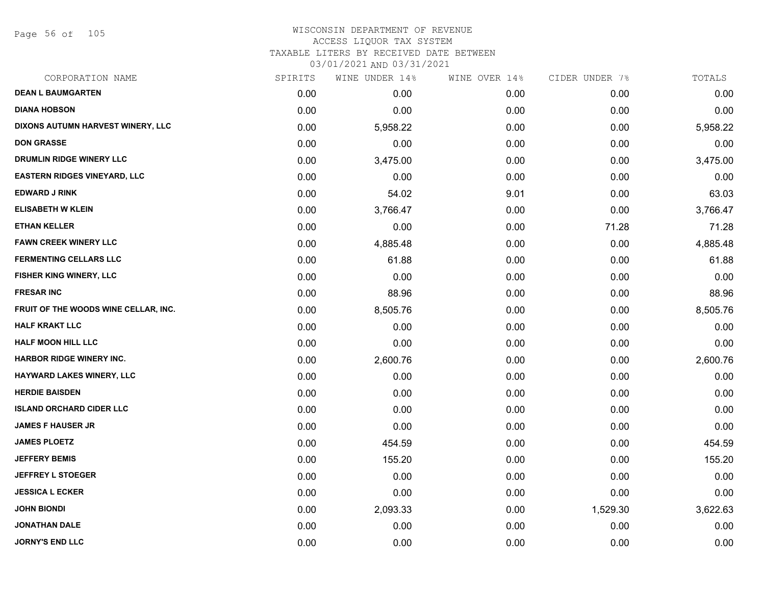Page 56 of 105

## WISCONSIN DEPARTMENT OF REVENUE ACCESS LIQUOR TAX SYSTEM TAXABLE LITERS BY RECEIVED DATE BETWEEN

| CORPORATION NAME                     | SPIRITS | WINE UNDER 14% | WINE OVER 14% | CIDER UNDER 7% | TOTALS   |
|--------------------------------------|---------|----------------|---------------|----------------|----------|
| <b>DEAN L BAUMGARTEN</b>             | 0.00    | 0.00           | 0.00          | 0.00           | 0.00     |
| <b>DIANA HOBSON</b>                  | 0.00    | 0.00           | 0.00          | 0.00           | 0.00     |
| DIXONS AUTUMN HARVEST WINERY, LLC    | 0.00    | 5,958.22       | 0.00          | 0.00           | 5,958.22 |
| <b>DON GRASSE</b>                    | 0.00    | 0.00           | 0.00          | 0.00           | 0.00     |
| DRUMLIN RIDGE WINERY LLC             | 0.00    | 3,475.00       | 0.00          | 0.00           | 3,475.00 |
| <b>EASTERN RIDGES VINEYARD, LLC</b>  | 0.00    | 0.00           | 0.00          | 0.00           | 0.00     |
| <b>EDWARD J RINK</b>                 | 0.00    | 54.02          | 9.01          | 0.00           | 63.03    |
| <b>ELISABETH W KLEIN</b>             | 0.00    | 3,766.47       | 0.00          | 0.00           | 3,766.47 |
| <b>ETHAN KELLER</b>                  | 0.00    | 0.00           | 0.00          | 71.28          | 71.28    |
| <b>FAWN CREEK WINERY LLC</b>         | 0.00    | 4,885.48       | 0.00          | 0.00           | 4,885.48 |
| <b>FERMENTING CELLARS LLC</b>        | 0.00    | 61.88          | 0.00          | 0.00           | 61.88    |
| FISHER KING WINERY, LLC              | 0.00    | 0.00           | 0.00          | 0.00           | 0.00     |
| <b>FRESAR INC</b>                    | 0.00    | 88.96          | 0.00          | 0.00           | 88.96    |
| FRUIT OF THE WOODS WINE CELLAR, INC. | 0.00    | 8,505.76       | 0.00          | 0.00           | 8,505.76 |
| <b>HALF KRAKT LLC</b>                | 0.00    | 0.00           | 0.00          | 0.00           | 0.00     |
| <b>HALF MOON HILL LLC</b>            | 0.00    | 0.00           | 0.00          | 0.00           | 0.00     |
| <b>HARBOR RIDGE WINERY INC.</b>      | 0.00    | 2,600.76       | 0.00          | 0.00           | 2,600.76 |
| HAYWARD LAKES WINERY, LLC            | 0.00    | 0.00           | 0.00          | 0.00           | 0.00     |
| <b>HERDIE BAISDEN</b>                | 0.00    | 0.00           | 0.00          | 0.00           | 0.00     |
| <b>ISLAND ORCHARD CIDER LLC</b>      | 0.00    | 0.00           | 0.00          | 0.00           | 0.00     |
| <b>JAMES F HAUSER JR</b>             | 0.00    | 0.00           | 0.00          | 0.00           | 0.00     |
| <b>JAMES PLOETZ</b>                  | 0.00    | 454.59         | 0.00          | 0.00           | 454.59   |
| <b>JEFFERY BEMIS</b>                 | 0.00    | 155.20         | 0.00          | 0.00           | 155.20   |
| <b>JEFFREY L STOEGER</b>             | 0.00    | 0.00           | 0.00          | 0.00           | 0.00     |
| <b>JESSICA L ECKER</b>               | 0.00    | 0.00           | 0.00          | 0.00           | 0.00     |
| <b>JOHN BIONDI</b>                   | 0.00    | 2,093.33       | 0.00          | 1,529.30       | 3,622.63 |
| <b>JONATHAN DALE</b>                 | 0.00    | 0.00           | 0.00          | 0.00           | 0.00     |
| <b>JORNY'S END LLC</b>               | 0.00    | 0.00           | 0.00          | 0.00           | 0.00     |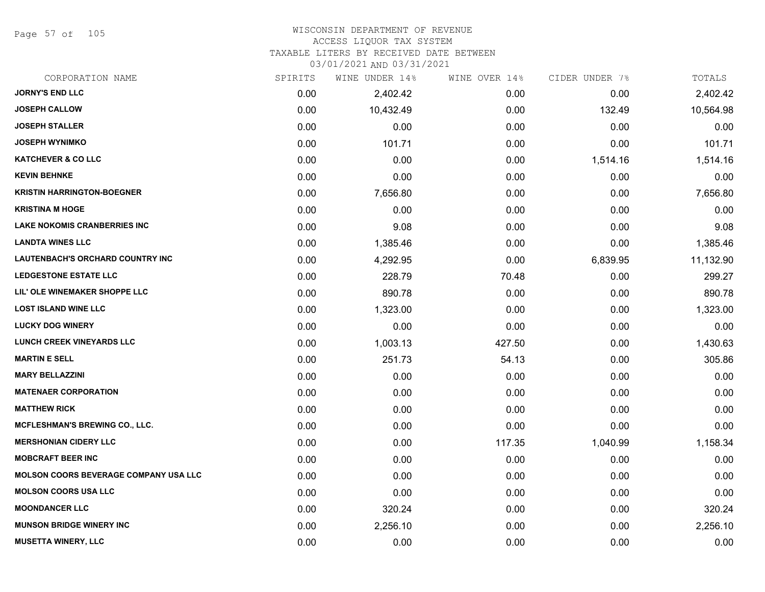Page 57 of 105

# WISCONSIN DEPARTMENT OF REVENUE

# ACCESS LIQUOR TAX SYSTEM

TAXABLE LITERS BY RECEIVED DATE BETWEEN

| CORPORATION NAME                             | SPIRITS | WINE UNDER 14% | WINE OVER 14% | CIDER UNDER 7% | TOTALS    |
|----------------------------------------------|---------|----------------|---------------|----------------|-----------|
| <b>JORNY'S END LLC</b>                       | 0.00    | 2,402.42       | 0.00          | 0.00           | 2,402.42  |
| <b>JOSEPH CALLOW</b>                         | 0.00    | 10,432.49      | 0.00          | 132.49         | 10,564.98 |
| <b>JOSEPH STALLER</b>                        | 0.00    | 0.00           | 0.00          | 0.00           | 0.00      |
| <b>JOSEPH WYNIMKO</b>                        | 0.00    | 101.71         | 0.00          | 0.00           | 101.71    |
| <b>KATCHEVER &amp; CO LLC</b>                | 0.00    | 0.00           | 0.00          | 1,514.16       | 1,514.16  |
| <b>KEVIN BEHNKE</b>                          | 0.00    | 0.00           | 0.00          | 0.00           | 0.00      |
| <b>KRISTIN HARRINGTON-BOEGNER</b>            | 0.00    | 7,656.80       | 0.00          | 0.00           | 7,656.80  |
| <b>KRISTINA M HOGE</b>                       | 0.00    | 0.00           | 0.00          | 0.00           | 0.00      |
| <b>LAKE NOKOMIS CRANBERRIES INC</b>          | 0.00    | 9.08           | 0.00          | 0.00           | 9.08      |
| <b>LANDTA WINES LLC</b>                      | 0.00    | 1,385.46       | 0.00          | 0.00           | 1,385.46  |
| LAUTENBACH'S ORCHARD COUNTRY INC             | 0.00    | 4,292.95       | 0.00          | 6,839.95       | 11,132.90 |
| <b>LEDGESTONE ESTATE LLC</b>                 | 0.00    | 228.79         | 70.48         | 0.00           | 299.27    |
| LIL' OLE WINEMAKER SHOPPE LLC                | 0.00    | 890.78         | 0.00          | 0.00           | 890.78    |
| <b>LOST ISLAND WINE LLC</b>                  | 0.00    | 1,323.00       | 0.00          | 0.00           | 1,323.00  |
| <b>LUCKY DOG WINERY</b>                      | 0.00    | 0.00           | 0.00          | 0.00           | 0.00      |
| <b>LUNCH CREEK VINEYARDS LLC</b>             | 0.00    | 1,003.13       | 427.50        | 0.00           | 1,430.63  |
| <b>MARTIN E SELL</b>                         | 0.00    | 251.73         | 54.13         | 0.00           | 305.86    |
| <b>MARY BELLAZZINI</b>                       | 0.00    | 0.00           | 0.00          | 0.00           | 0.00      |
| <b>MATENAER CORPORATION</b>                  | 0.00    | 0.00           | 0.00          | 0.00           | 0.00      |
| <b>MATTHEW RICK</b>                          | 0.00    | 0.00           | 0.00          | 0.00           | 0.00      |
| <b>MCFLESHMAN'S BREWING CO., LLC.</b>        | 0.00    | 0.00           | 0.00          | 0.00           | 0.00      |
| <b>MERSHONIAN CIDERY LLC</b>                 | 0.00    | 0.00           | 117.35        | 1,040.99       | 1,158.34  |
| <b>MOBCRAFT BEER INC</b>                     | 0.00    | 0.00           | 0.00          | 0.00           | 0.00      |
| <b>MOLSON COORS BEVERAGE COMPANY USA LLC</b> | 0.00    | 0.00           | 0.00          | 0.00           | 0.00      |
| <b>MOLSON COORS USA LLC</b>                  | 0.00    | 0.00           | 0.00          | 0.00           | 0.00      |
| <b>MOONDANCER LLC</b>                        | 0.00    | 320.24         | 0.00          | 0.00           | 320.24    |
| <b>MUNSON BRIDGE WINERY INC</b>              | 0.00    | 2,256.10       | 0.00          | 0.00           | 2,256.10  |
| <b>MUSETTA WINERY, LLC</b>                   | 0.00    | 0.00           | 0.00          | 0.00           | 0.00      |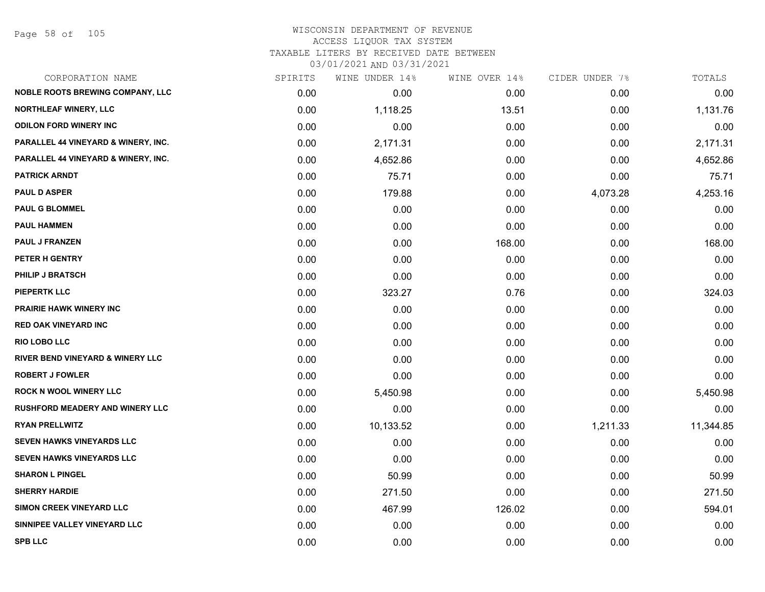Page 58 of 105

| CORPORATION NAME                            | SPIRITS | WINE UNDER 14% | WINE OVER 14% | CIDER UNDER 7% | TOTALS    |
|---------------------------------------------|---------|----------------|---------------|----------------|-----------|
| <b>NOBLE ROOTS BREWING COMPANY, LLC</b>     | 0.00    | 0.00           | 0.00          | 0.00           | 0.00      |
| <b>NORTHLEAF WINERY, LLC</b>                | 0.00    | 1,118.25       | 13.51         | 0.00           | 1,131.76  |
| <b>ODILON FORD WINERY INC</b>               | 0.00    | 0.00           | 0.00          | 0.00           | 0.00      |
| PARALLEL 44 VINEYARD & WINERY, INC.         | 0.00    | 2,171.31       | 0.00          | 0.00           | 2,171.31  |
| PARALLEL 44 VINEYARD & WINERY, INC.         | 0.00    | 4,652.86       | 0.00          | 0.00           | 4,652.86  |
| <b>PATRICK ARNDT</b>                        | 0.00    | 75.71          | 0.00          | 0.00           | 75.71     |
| <b>PAUL D ASPER</b>                         | 0.00    | 179.88         | 0.00          | 4,073.28       | 4,253.16  |
| <b>PAUL G BLOMMEL</b>                       | 0.00    | 0.00           | 0.00          | 0.00           | 0.00      |
| <b>PAUL HAMMEN</b>                          | 0.00    | 0.00           | 0.00          | 0.00           | 0.00      |
| <b>PAUL J FRANZEN</b>                       | 0.00    | 0.00           | 168.00        | 0.00           | 168.00    |
| PETER H GENTRY                              | 0.00    | 0.00           | 0.00          | 0.00           | 0.00      |
| <b>PHILIP J BRATSCH</b>                     | 0.00    | 0.00           | 0.00          | 0.00           | 0.00      |
| PIEPERTK LLC                                | 0.00    | 323.27         | 0.76          | 0.00           | 324.03    |
| <b>PRAIRIE HAWK WINERY INC</b>              | 0.00    | 0.00           | 0.00          | 0.00           | 0.00      |
| <b>RED OAK VINEYARD INC</b>                 | 0.00    | 0.00           | 0.00          | 0.00           | 0.00      |
| <b>RIO LOBO LLC</b>                         | 0.00    | 0.00           | 0.00          | 0.00           | 0.00      |
| <b>RIVER BEND VINEYARD &amp; WINERY LLC</b> | 0.00    | 0.00           | 0.00          | 0.00           | 0.00      |
| <b>ROBERT J FOWLER</b>                      | 0.00    | 0.00           | 0.00          | 0.00           | 0.00      |
| <b>ROCK N WOOL WINERY LLC</b>               | 0.00    | 5,450.98       | 0.00          | 0.00           | 5,450.98  |
| RUSHFORD MEADERY AND WINERY LLC             | 0.00    | 0.00           | 0.00          | 0.00           | 0.00      |
| <b>RYAN PRELLWITZ</b>                       | 0.00    | 10,133.52      | 0.00          | 1,211.33       | 11,344.85 |
| <b>SEVEN HAWKS VINEYARDS LLC</b>            | 0.00    | 0.00           | 0.00          | 0.00           | 0.00      |
| SEVEN HAWKS VINEYARDS LLC                   | 0.00    | 0.00           | 0.00          | 0.00           | 0.00      |
| <b>SHARON L PINGEL</b>                      | 0.00    | 50.99          | 0.00          | 0.00           | 50.99     |
| <b>SHERRY HARDIE</b>                        | 0.00    | 271.50         | 0.00          | 0.00           | 271.50    |
| SIMON CREEK VINEYARD LLC                    | 0.00    | 467.99         | 126.02        | 0.00           | 594.01    |
| SINNIPEE VALLEY VINEYARD LLC                | 0.00    | 0.00           | 0.00          | 0.00           | 0.00      |
| <b>SPB LLC</b>                              | 0.00    | 0.00           | 0.00          | 0.00           | 0.00      |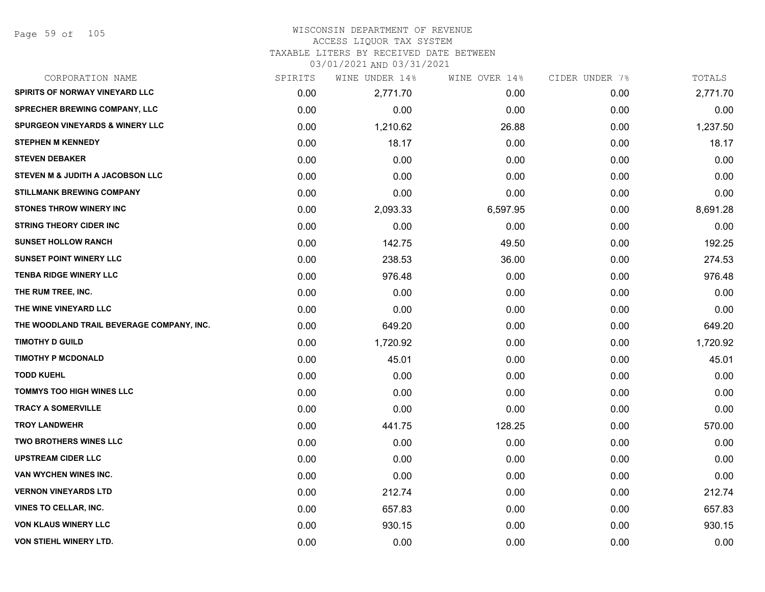Page 59 of 105

#### WISCONSIN DEPARTMENT OF REVENUE ACCESS LIQUOR TAX SYSTEM

TAXABLE LITERS BY RECEIVED DATE BETWEEN

| CORPORATION NAME                           | SPIRITS | WINE UNDER 14% | WINE OVER 14% | CIDER UNDER 7% | TOTALS   |
|--------------------------------------------|---------|----------------|---------------|----------------|----------|
| SPIRITS OF NORWAY VINEYARD LLC             | 0.00    | 2,771.70       | 0.00          | 0.00           | 2,771.70 |
| <b>SPRECHER BREWING COMPANY, LLC</b>       | 0.00    | 0.00           | 0.00          | 0.00           | 0.00     |
| <b>SPURGEON VINEYARDS &amp; WINERY LLC</b> | 0.00    | 1,210.62       | 26.88         | 0.00           | 1,237.50 |
| <b>STEPHEN M KENNEDY</b>                   | 0.00    | 18.17          | 0.00          | 0.00           | 18.17    |
| <b>STEVEN DEBAKER</b>                      | 0.00    | 0.00           | 0.00          | 0.00           | 0.00     |
| STEVEN M & JUDITH A JACOBSON LLC           | 0.00    | 0.00           | 0.00          | 0.00           | 0.00     |
| <b>STILLMANK BREWING COMPANY</b>           | 0.00    | 0.00           | 0.00          | 0.00           | 0.00     |
| <b>STONES THROW WINERY INC</b>             | 0.00    | 2,093.33       | 6,597.95      | 0.00           | 8,691.28 |
| <b>STRING THEORY CIDER INC</b>             | 0.00    | 0.00           | 0.00          | 0.00           | 0.00     |
| <b>SUNSET HOLLOW RANCH</b>                 | 0.00    | 142.75         | 49.50         | 0.00           | 192.25   |
| <b>SUNSET POINT WINERY LLC</b>             | 0.00    | 238.53         | 36.00         | 0.00           | 274.53   |
| <b>TENBA RIDGE WINERY LLC</b>              | 0.00    | 976.48         | 0.00          | 0.00           | 976.48   |
| THE RUM TREE, INC.                         | 0.00    | 0.00           | 0.00          | 0.00           | 0.00     |
| THE WINE VINEYARD LLC                      | 0.00    | 0.00           | 0.00          | 0.00           | 0.00     |
| THE WOODLAND TRAIL BEVERAGE COMPANY, INC.  | 0.00    | 649.20         | 0.00          | 0.00           | 649.20   |
| <b>TIMOTHY D GUILD</b>                     | 0.00    | 1,720.92       | 0.00          | 0.00           | 1,720.92 |
| <b>TIMOTHY P MCDONALD</b>                  | 0.00    | 45.01          | 0.00          | 0.00           | 45.01    |
| <b>TODD KUEHL</b>                          | 0.00    | 0.00           | 0.00          | 0.00           | 0.00     |
| <b>TOMMYS TOO HIGH WINES LLC</b>           | 0.00    | 0.00           | 0.00          | 0.00           | 0.00     |
| <b>TRACY A SOMERVILLE</b>                  | 0.00    | 0.00           | 0.00          | 0.00           | 0.00     |
| <b>TROY LANDWEHR</b>                       | 0.00    | 441.75         | 128.25        | 0.00           | 570.00   |
| <b>TWO BROTHERS WINES LLC</b>              | 0.00    | 0.00           | 0.00          | 0.00           | 0.00     |
| <b>UPSTREAM CIDER LLC</b>                  | 0.00    | 0.00           | 0.00          | 0.00           | 0.00     |
| <b>VAN WYCHEN WINES INC.</b>               | 0.00    | 0.00           | 0.00          | 0.00           | 0.00     |
| <b>VERNON VINEYARDS LTD</b>                | 0.00    | 212.74         | 0.00          | 0.00           | 212.74   |
| VINES TO CELLAR, INC.                      | 0.00    | 657.83         | 0.00          | 0.00           | 657.83   |
| <b>VON KLAUS WINERY LLC</b>                | 0.00    | 930.15         | 0.00          | 0.00           | 930.15   |
| <b>VON STIEHL WINERY LTD.</b>              | 0.00    | 0.00           | 0.00          | 0.00           | 0.00     |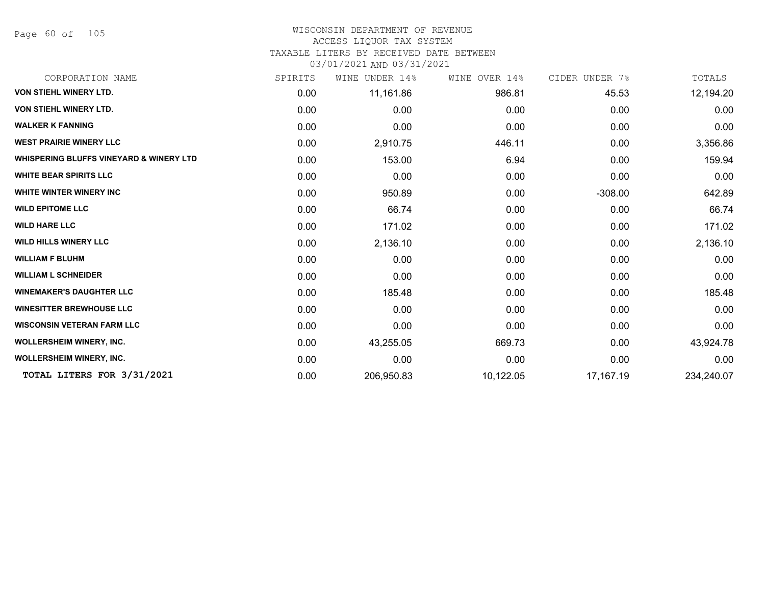Page 60 of 105

## WISCONSIN DEPARTMENT OF REVENUE

#### ACCESS LIQUOR TAX SYSTEM

TAXABLE LITERS BY RECEIVED DATE BETWEEN

| CORPORATION NAME                                   | SPIRITS | UNDER 14%<br>WINE | WINE OVER 14% | CIDER UNDER 7% | TOTALS     |
|----------------------------------------------------|---------|-------------------|---------------|----------------|------------|
| VON STIEHL WINERY LTD.                             | 0.00    | 11,161.86         | 986.81        | 45.53          | 12,194.20  |
| VON STIEHL WINERY LTD.                             | 0.00    | 0.00              | 0.00          | 0.00           | 0.00       |
| <b>WALKER K FANNING</b>                            | 0.00    | 0.00              | 0.00          | 0.00           | 0.00       |
| <b>WEST PRAIRIE WINERY LLC</b>                     | 0.00    | 2,910.75          | 446.11        | 0.00           | 3,356.86   |
| <b>WHISPERING BLUFFS VINEYARD &amp; WINERY LTD</b> | 0.00    | 153.00            | 6.94          | 0.00           | 159.94     |
| <b>WHITE BEAR SPIRITS LLC</b>                      | 0.00    | 0.00              | 0.00          | 0.00           | 0.00       |
| WHITE WINTER WINERY INC                            | 0.00    | 950.89            | 0.00          | $-308.00$      | 642.89     |
| <b>WILD EPITOME LLC</b>                            | 0.00    | 66.74             | 0.00          | 0.00           | 66.74      |
| <b>WILD HARE LLC</b>                               | 0.00    | 171.02            | 0.00          | 0.00           | 171.02     |
| <b>WILD HILLS WINERY LLC</b>                       | 0.00    | 2,136.10          | 0.00          | 0.00           | 2,136.10   |
| <b>WILLIAM F BLUHM</b>                             | 0.00    | 0.00              | 0.00          | 0.00           | 0.00       |
| <b>WILLIAM L SCHNEIDER</b>                         | 0.00    | 0.00              | 0.00          | 0.00           | 0.00       |
| <b>WINEMAKER'S DAUGHTER LLC</b>                    | 0.00    | 185.48            | 0.00          | 0.00           | 185.48     |
| <b>WINESITTER BREWHOUSE LLC</b>                    | 0.00    | 0.00              | 0.00          | 0.00           | 0.00       |
| <b>WISCONSIN VETERAN FARM LLC</b>                  | 0.00    | 0.00              | 0.00          | 0.00           | 0.00       |
| WOLLERSHEIM WINERY, INC.                           | 0.00    | 43,255.05         | 669.73        | 0.00           | 43,924.78  |
| <b>WOLLERSHEIM WINERY, INC.</b>                    | 0.00    | 0.00              | 0.00          | 0.00           | 0.00       |
| TOTAL LITERS FOR 3/31/2021                         | 0.00    | 206,950.83        | 10,122.05     | 17,167.19      | 234,240.07 |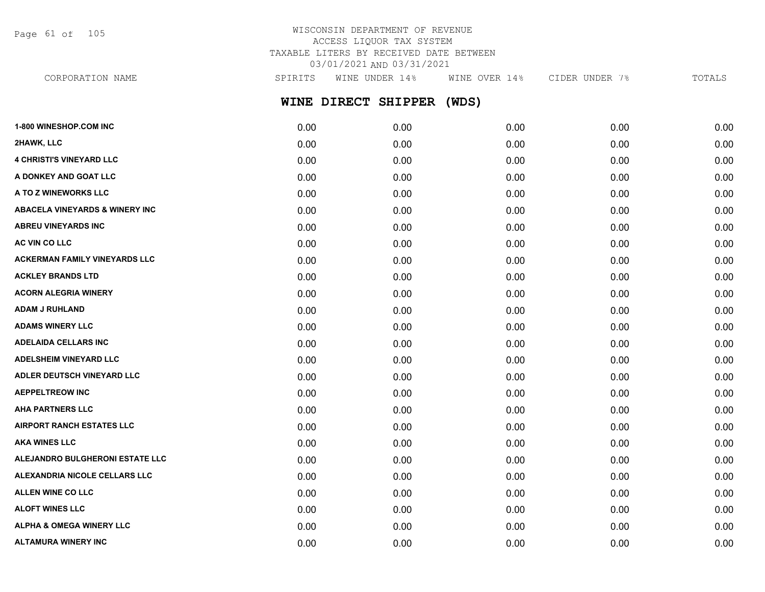Page 61 of 105

## WISCONSIN DEPARTMENT OF REVENUE ACCESS LIQUOR TAX SYSTEM TAXABLE LITERS BY RECEIVED DATE BETWEEN 03/01/2021 AND 03/31/2021

**WINE DIRECT SHIPPER (WDS)** CORPORATION NAME SPIRITS WINE UNDER 14% WINE OVER 14% CIDER UNDER 7% TOTALS

| <b>1-800 WINESHOP.COM INC</b>             | 0.00 | 0.00 | 0.00 | 0.00 | 0.00 |
|-------------------------------------------|------|------|------|------|------|
| 2HAWK, LLC                                | 0.00 | 0.00 | 0.00 | 0.00 | 0.00 |
| <b>4 CHRISTI'S VINEYARD LLC</b>           | 0.00 | 0.00 | 0.00 | 0.00 | 0.00 |
| A DONKEY AND GOAT LLC                     | 0.00 | 0.00 | 0.00 | 0.00 | 0.00 |
| A TO Z WINEWORKS LLC                      | 0.00 | 0.00 | 0.00 | 0.00 | 0.00 |
| <b>ABACELA VINEYARDS &amp; WINERY INC</b> | 0.00 | 0.00 | 0.00 | 0.00 | 0.00 |
| <b>ABREU VINEYARDS INC</b>                | 0.00 | 0.00 | 0.00 | 0.00 | 0.00 |
| AC VIN CO LLC                             | 0.00 | 0.00 | 0.00 | 0.00 | 0.00 |
| <b>ACKERMAN FAMILY VINEYARDS LLC</b>      | 0.00 | 0.00 | 0.00 | 0.00 | 0.00 |
| <b>ACKLEY BRANDS LTD</b>                  | 0.00 | 0.00 | 0.00 | 0.00 | 0.00 |
| <b>ACORN ALEGRIA WINERY</b>               | 0.00 | 0.00 | 0.00 | 0.00 | 0.00 |
| <b>ADAM J RUHLAND</b>                     | 0.00 | 0.00 | 0.00 | 0.00 | 0.00 |
| <b>ADAMS WINERY LLC</b>                   | 0.00 | 0.00 | 0.00 | 0.00 | 0.00 |
| <b>ADELAIDA CELLARS INC</b>               | 0.00 | 0.00 | 0.00 | 0.00 | 0.00 |
| <b>ADELSHEIM VINEYARD LLC</b>             | 0.00 | 0.00 | 0.00 | 0.00 | 0.00 |
| ADLER DEUTSCH VINEYARD LLC                | 0.00 | 0.00 | 0.00 | 0.00 | 0.00 |
| <b>AEPPELTREOW INC</b>                    | 0.00 | 0.00 | 0.00 | 0.00 | 0.00 |
| <b>AHA PARTNERS LLC</b>                   | 0.00 | 0.00 | 0.00 | 0.00 | 0.00 |
| <b>AIRPORT RANCH ESTATES LLC</b>          | 0.00 | 0.00 | 0.00 | 0.00 | 0.00 |
| <b>AKA WINES LLC</b>                      | 0.00 | 0.00 | 0.00 | 0.00 | 0.00 |
| ALEJANDRO BULGHERONI ESTATE LLC           | 0.00 | 0.00 | 0.00 | 0.00 | 0.00 |
| ALEXANDRIA NICOLE CELLARS LLC             | 0.00 | 0.00 | 0.00 | 0.00 | 0.00 |
| ALLEN WINE CO LLC                         | 0.00 | 0.00 | 0.00 | 0.00 | 0.00 |
| <b>ALOFT WINES LLC</b>                    | 0.00 | 0.00 | 0.00 | 0.00 | 0.00 |
| <b>ALPHA &amp; OMEGA WINERY LLC</b>       | 0.00 | 0.00 | 0.00 | 0.00 | 0.00 |
| <b>ALTAMURA WINERY INC</b>                | 0.00 | 0.00 | 0.00 | 0.00 | 0.00 |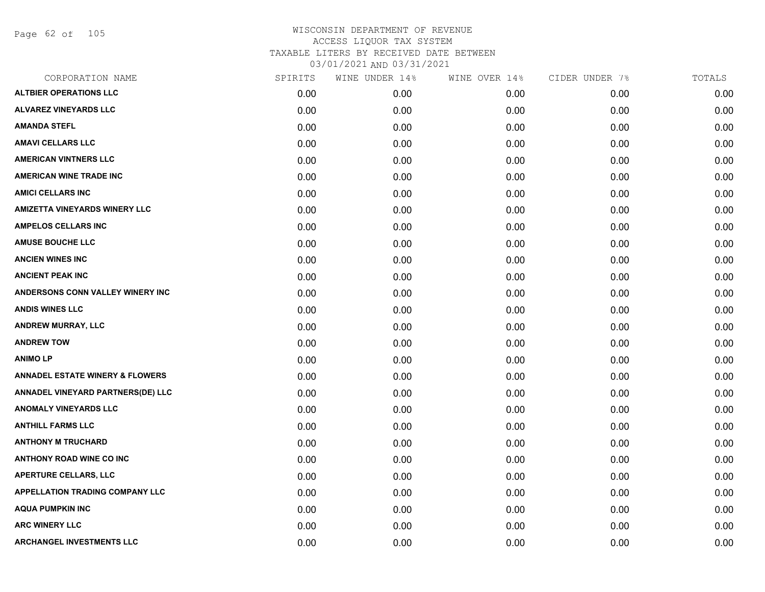Page 62 of 105

| CORPORATION NAME                           | SPIRITS | WINE UNDER 14% | WINE OVER 14% | CIDER UNDER 7% | TOTALS |
|--------------------------------------------|---------|----------------|---------------|----------------|--------|
| <b>ALTBIER OPERATIONS LLC</b>              | 0.00    | 0.00           | 0.00          | 0.00           | 0.00   |
| <b>ALVAREZ VINEYARDS LLC</b>               | 0.00    | 0.00           | 0.00          | 0.00           | 0.00   |
| <b>AMANDA STEFL</b>                        | 0.00    | 0.00           | 0.00          | 0.00           | 0.00   |
| <b>AMAVI CELLARS LLC</b>                   | 0.00    | 0.00           | 0.00          | 0.00           | 0.00   |
| <b>AMERICAN VINTNERS LLC</b>               | 0.00    | 0.00           | 0.00          | 0.00           | 0.00   |
| <b>AMERICAN WINE TRADE INC</b>             | 0.00    | 0.00           | 0.00          | 0.00           | 0.00   |
| <b>AMICI CELLARS INC</b>                   | 0.00    | 0.00           | 0.00          | 0.00           | 0.00   |
| <b>AMIZETTA VINEYARDS WINERY LLC</b>       | 0.00    | 0.00           | 0.00          | 0.00           | 0.00   |
| <b>AMPELOS CELLARS INC</b>                 | 0.00    | 0.00           | 0.00          | 0.00           | 0.00   |
| <b>AMUSE BOUCHE LLC</b>                    | 0.00    | 0.00           | 0.00          | 0.00           | 0.00   |
| <b>ANCIEN WINES INC</b>                    | 0.00    | 0.00           | 0.00          | 0.00           | 0.00   |
| <b>ANCIENT PEAK INC</b>                    | 0.00    | 0.00           | 0.00          | 0.00           | 0.00   |
| ANDERSONS CONN VALLEY WINERY INC           | 0.00    | 0.00           | 0.00          | 0.00           | 0.00   |
| <b>ANDIS WINES LLC</b>                     | 0.00    | 0.00           | 0.00          | 0.00           | 0.00   |
| <b>ANDREW MURRAY, LLC</b>                  | 0.00    | 0.00           | 0.00          | 0.00           | 0.00   |
| <b>ANDREW TOW</b>                          | 0.00    | 0.00           | 0.00          | 0.00           | 0.00   |
| <b>ANIMOLP</b>                             | 0.00    | 0.00           | 0.00          | 0.00           | 0.00   |
| <b>ANNADEL ESTATE WINERY &amp; FLOWERS</b> | 0.00    | 0.00           | 0.00          | 0.00           | 0.00   |
| ANNADEL VINEYARD PARTNERS(DE) LLC          | 0.00    | 0.00           | 0.00          | 0.00           | 0.00   |
| <b>ANOMALY VINEYARDS LLC</b>               | 0.00    | 0.00           | 0.00          | 0.00           | 0.00   |
| <b>ANTHILL FARMS LLC</b>                   | 0.00    | 0.00           | 0.00          | 0.00           | 0.00   |
| <b>ANTHONY M TRUCHARD</b>                  | 0.00    | 0.00           | 0.00          | 0.00           | 0.00   |
| <b>ANTHONY ROAD WINE CO INC</b>            | 0.00    | 0.00           | 0.00          | 0.00           | 0.00   |
| <b>APERTURE CELLARS, LLC</b>               | 0.00    | 0.00           | 0.00          | 0.00           | 0.00   |
| <b>APPELLATION TRADING COMPANY LLC</b>     | 0.00    | 0.00           | 0.00          | 0.00           | 0.00   |
| <b>AQUA PUMPKIN INC</b>                    | 0.00    | 0.00           | 0.00          | 0.00           | 0.00   |
| <b>ARC WINERY LLC</b>                      | 0.00    | 0.00           | 0.00          | 0.00           | 0.00   |
| <b>ARCHANGEL INVESTMENTS LLC</b>           | 0.00    | 0.00           | 0.00          | 0.00           | 0.00   |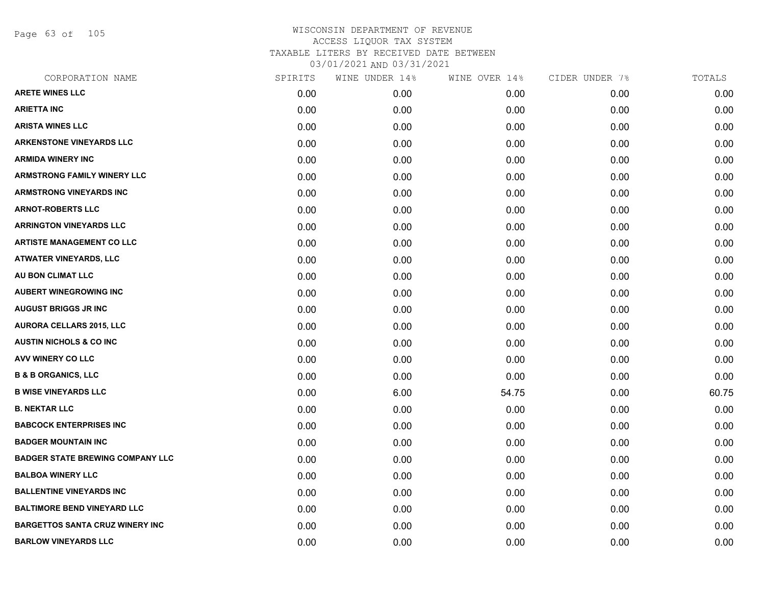Page 63 of 105

| CORPORATION NAME                        | SPIRITS | WINE UNDER 14% | WINE OVER 14% | CIDER UNDER 7% | TOTALS |
|-----------------------------------------|---------|----------------|---------------|----------------|--------|
| <b>ARETE WINES LLC</b>                  | 0.00    | 0.00           | 0.00          | 0.00           | 0.00   |
| <b>ARIETTA INC</b>                      | 0.00    | 0.00           | 0.00          | 0.00           | 0.00   |
| <b>ARISTA WINES LLC</b>                 | 0.00    | 0.00           | 0.00          | 0.00           | 0.00   |
| <b>ARKENSTONE VINEYARDS LLC</b>         | 0.00    | 0.00           | 0.00          | 0.00           | 0.00   |
| <b>ARMIDA WINERY INC</b>                | 0.00    | 0.00           | 0.00          | 0.00           | 0.00   |
| <b>ARMSTRONG FAMILY WINERY LLC</b>      | 0.00    | 0.00           | 0.00          | 0.00           | 0.00   |
| <b>ARMSTRONG VINEYARDS INC</b>          | 0.00    | 0.00           | 0.00          | 0.00           | 0.00   |
| <b>ARNOT-ROBERTS LLC</b>                | 0.00    | 0.00           | 0.00          | 0.00           | 0.00   |
| <b>ARRINGTON VINEYARDS LLC</b>          | 0.00    | 0.00           | 0.00          | 0.00           | 0.00   |
| <b>ARTISTE MANAGEMENT CO LLC</b>        | 0.00    | 0.00           | 0.00          | 0.00           | 0.00   |
| <b>ATWATER VINEYARDS, LLC</b>           | 0.00    | 0.00           | 0.00          | 0.00           | 0.00   |
| AU BON CLIMAT LLC                       | 0.00    | 0.00           | 0.00          | 0.00           | 0.00   |
| <b>AUBERT WINEGROWING INC</b>           | 0.00    | 0.00           | 0.00          | 0.00           | 0.00   |
| <b>AUGUST BRIGGS JR INC</b>             | 0.00    | 0.00           | 0.00          | 0.00           | 0.00   |
| <b>AURORA CELLARS 2015, LLC</b>         | 0.00    | 0.00           | 0.00          | 0.00           | 0.00   |
| <b>AUSTIN NICHOLS &amp; CO INC</b>      | 0.00    | 0.00           | 0.00          | 0.00           | 0.00   |
| <b>AVV WINERY CO LLC</b>                | 0.00    | 0.00           | 0.00          | 0.00           | 0.00   |
| <b>B &amp; B ORGANICS, LLC</b>          | 0.00    | 0.00           | 0.00          | 0.00           | 0.00   |
| <b>B WISE VINEYARDS LLC</b>             | 0.00    | 6.00           | 54.75         | 0.00           | 60.75  |
| <b>B. NEKTAR LLC</b>                    | 0.00    | 0.00           | 0.00          | 0.00           | 0.00   |
| <b>BABCOCK ENTERPRISES INC</b>          | 0.00    | 0.00           | 0.00          | 0.00           | 0.00   |
| <b>BADGER MOUNTAIN INC</b>              | 0.00    | 0.00           | 0.00          | 0.00           | 0.00   |
| <b>BADGER STATE BREWING COMPANY LLC</b> | 0.00    | 0.00           | 0.00          | 0.00           | 0.00   |
| <b>BALBOA WINERY LLC</b>                | 0.00    | 0.00           | 0.00          | 0.00           | 0.00   |
| <b>BALLENTINE VINEYARDS INC</b>         | 0.00    | 0.00           | 0.00          | 0.00           | 0.00   |
| <b>BALTIMORE BEND VINEYARD LLC</b>      | 0.00    | 0.00           | 0.00          | 0.00           | 0.00   |
| <b>BARGETTOS SANTA CRUZ WINERY INC</b>  | 0.00    | 0.00           | 0.00          | 0.00           | 0.00   |
| <b>BARLOW VINEYARDS LLC</b>             | 0.00    | 0.00           | 0.00          | 0.00           | 0.00   |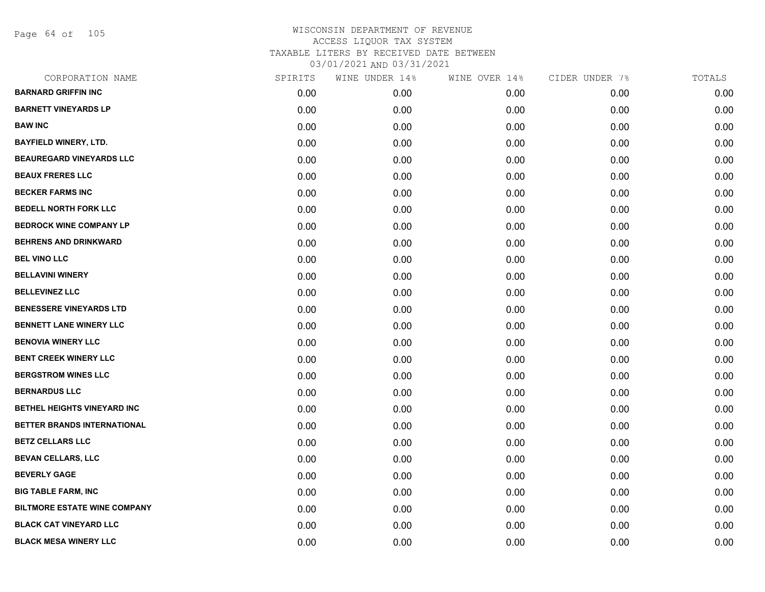Page 64 of 105

| CORPORATION NAME                    | SPIRITS | WINE UNDER 14% | WINE OVER 14% | CIDER UNDER 7% | TOTALS |
|-------------------------------------|---------|----------------|---------------|----------------|--------|
| <b>BARNARD GRIFFIN INC</b>          | 0.00    | 0.00           | 0.00          | 0.00           | 0.00   |
| <b>BARNETT VINEYARDS LP</b>         | 0.00    | 0.00           | 0.00          | 0.00           | 0.00   |
| <b>BAW INC</b>                      | 0.00    | 0.00           | 0.00          | 0.00           | 0.00   |
| <b>BAYFIELD WINERY, LTD.</b>        | 0.00    | 0.00           | 0.00          | 0.00           | 0.00   |
| <b>BEAUREGARD VINEYARDS LLC</b>     | 0.00    | 0.00           | 0.00          | 0.00           | 0.00   |
| <b>BEAUX FRERES LLC</b>             | 0.00    | 0.00           | 0.00          | 0.00           | 0.00   |
| <b>BECKER FARMS INC</b>             | 0.00    | 0.00           | 0.00          | 0.00           | 0.00   |
| <b>BEDELL NORTH FORK LLC</b>        | 0.00    | 0.00           | 0.00          | 0.00           | 0.00   |
| <b>BEDROCK WINE COMPANY LP</b>      | 0.00    | 0.00           | 0.00          | 0.00           | 0.00   |
| <b>BEHRENS AND DRINKWARD</b>        | 0.00    | 0.00           | 0.00          | 0.00           | 0.00   |
| <b>BEL VINO LLC</b>                 | 0.00    | 0.00           | 0.00          | 0.00           | 0.00   |
| <b>BELLAVINI WINERY</b>             | 0.00    | 0.00           | 0.00          | 0.00           | 0.00   |
| <b>BELLEVINEZ LLC</b>               | 0.00    | 0.00           | 0.00          | 0.00           | 0.00   |
| <b>BENESSERE VINEYARDS LTD</b>      | 0.00    | 0.00           | 0.00          | 0.00           | 0.00   |
| <b>BENNETT LANE WINERY LLC</b>      | 0.00    | 0.00           | 0.00          | 0.00           | 0.00   |
| <b>BENOVIA WINERY LLC</b>           | 0.00    | 0.00           | 0.00          | 0.00           | 0.00   |
| <b>BENT CREEK WINERY LLC</b>        | 0.00    | 0.00           | 0.00          | 0.00           | 0.00   |
| <b>BERGSTROM WINES LLC</b>          | 0.00    | 0.00           | 0.00          | 0.00           | 0.00   |
| <b>BERNARDUS LLC</b>                | 0.00    | 0.00           | 0.00          | 0.00           | 0.00   |
| BETHEL HEIGHTS VINEYARD INC         | 0.00    | 0.00           | 0.00          | 0.00           | 0.00   |
| BETTER BRANDS INTERNATIONAL         | 0.00    | 0.00           | 0.00          | 0.00           | 0.00   |
| <b>BETZ CELLARS LLC</b>             | 0.00    | 0.00           | 0.00          | 0.00           | 0.00   |
| <b>BEVAN CELLARS, LLC</b>           | 0.00    | 0.00           | 0.00          | 0.00           | 0.00   |
| <b>BEVERLY GAGE</b>                 | 0.00    | 0.00           | 0.00          | 0.00           | 0.00   |
| <b>BIG TABLE FARM, INC</b>          | 0.00    | 0.00           | 0.00          | 0.00           | 0.00   |
| <b>BILTMORE ESTATE WINE COMPANY</b> | 0.00    | 0.00           | 0.00          | 0.00           | 0.00   |
| <b>BLACK CAT VINEYARD LLC</b>       | 0.00    | 0.00           | 0.00          | 0.00           | 0.00   |
| <b>BLACK MESA WINERY LLC</b>        | 0.00    | 0.00           | 0.00          | 0.00           | 0.00   |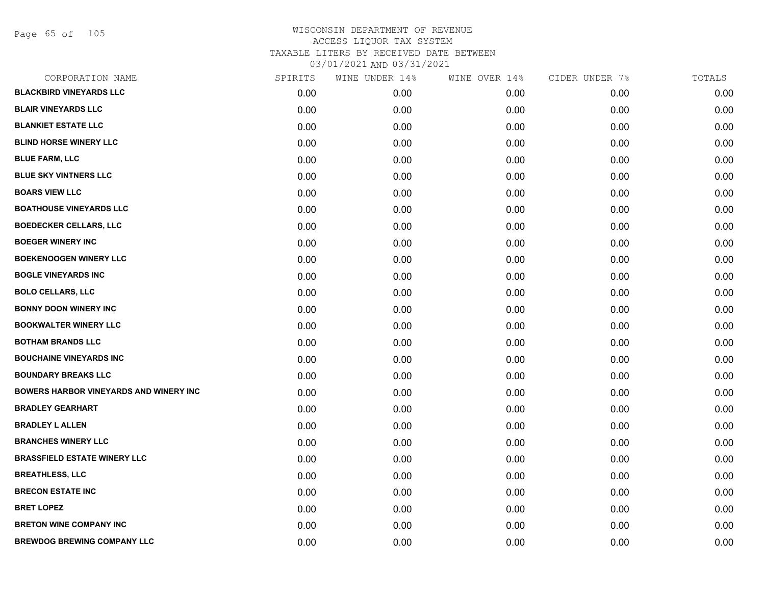Page 65 of 105

| CORPORATION NAME                              | SPIRITS | WINE UNDER 14% | WINE OVER 14% | CIDER UNDER 7% | TOTALS |
|-----------------------------------------------|---------|----------------|---------------|----------------|--------|
| <b>BLACKBIRD VINEYARDS LLC</b>                | 0.00    | 0.00           | 0.00          | 0.00           | 0.00   |
| <b>BLAIR VINEYARDS LLC</b>                    | 0.00    | 0.00           | 0.00          | 0.00           | 0.00   |
| <b>BLANKIET ESTATE LLC</b>                    | 0.00    | 0.00           | 0.00          | 0.00           | 0.00   |
| <b>BLIND HORSE WINERY LLC</b>                 | 0.00    | 0.00           | 0.00          | 0.00           | 0.00   |
| <b>BLUE FARM, LLC</b>                         | 0.00    | 0.00           | 0.00          | 0.00           | 0.00   |
| <b>BLUE SKY VINTNERS LLC</b>                  | 0.00    | 0.00           | 0.00          | 0.00           | 0.00   |
| <b>BOARS VIEW LLC</b>                         | 0.00    | 0.00           | 0.00          | 0.00           | 0.00   |
| <b>BOATHOUSE VINEYARDS LLC</b>                | 0.00    | 0.00           | 0.00          | 0.00           | 0.00   |
| <b>BOEDECKER CELLARS, LLC</b>                 | 0.00    | 0.00           | 0.00          | 0.00           | 0.00   |
| <b>BOEGER WINERY INC</b>                      | 0.00    | 0.00           | 0.00          | 0.00           | 0.00   |
| <b>BOEKENOOGEN WINERY LLC</b>                 | 0.00    | 0.00           | 0.00          | 0.00           | 0.00   |
| <b>BOGLE VINEYARDS INC</b>                    | 0.00    | 0.00           | 0.00          | 0.00           | 0.00   |
| <b>BOLO CELLARS, LLC</b>                      | 0.00    | 0.00           | 0.00          | 0.00           | 0.00   |
| <b>BONNY DOON WINERY INC</b>                  | 0.00    | 0.00           | 0.00          | 0.00           | 0.00   |
| <b>BOOKWALTER WINERY LLC</b>                  | 0.00    | 0.00           | 0.00          | 0.00           | 0.00   |
| <b>BOTHAM BRANDS LLC</b>                      | 0.00    | 0.00           | 0.00          | 0.00           | 0.00   |
| <b>BOUCHAINE VINEYARDS INC</b>                | 0.00    | 0.00           | 0.00          | 0.00           | 0.00   |
| <b>BOUNDARY BREAKS LLC</b>                    | 0.00    | 0.00           | 0.00          | 0.00           | 0.00   |
| <b>BOWERS HARBOR VINEYARDS AND WINERY INC</b> | 0.00    | 0.00           | 0.00          | 0.00           | 0.00   |
| <b>BRADLEY GEARHART</b>                       | 0.00    | 0.00           | 0.00          | 0.00           | 0.00   |
| <b>BRADLEY L ALLEN</b>                        | 0.00    | 0.00           | 0.00          | 0.00           | 0.00   |
| <b>BRANCHES WINERY LLC</b>                    | 0.00    | 0.00           | 0.00          | 0.00           | 0.00   |
| <b>BRASSFIELD ESTATE WINERY LLC</b>           | 0.00    | 0.00           | 0.00          | 0.00           | 0.00   |
| <b>BREATHLESS, LLC</b>                        | 0.00    | 0.00           | 0.00          | 0.00           | 0.00   |
| <b>BRECON ESTATE INC</b>                      | 0.00    | 0.00           | 0.00          | 0.00           | 0.00   |
| <b>BRET LOPEZ</b>                             | 0.00    | 0.00           | 0.00          | 0.00           | 0.00   |
| <b>BRETON WINE COMPANY INC</b>                | 0.00    | 0.00           | 0.00          | 0.00           | 0.00   |
| <b>BREWDOG BREWING COMPANY LLC</b>            | 0.00    | 0.00           | 0.00          | 0.00           | 0.00   |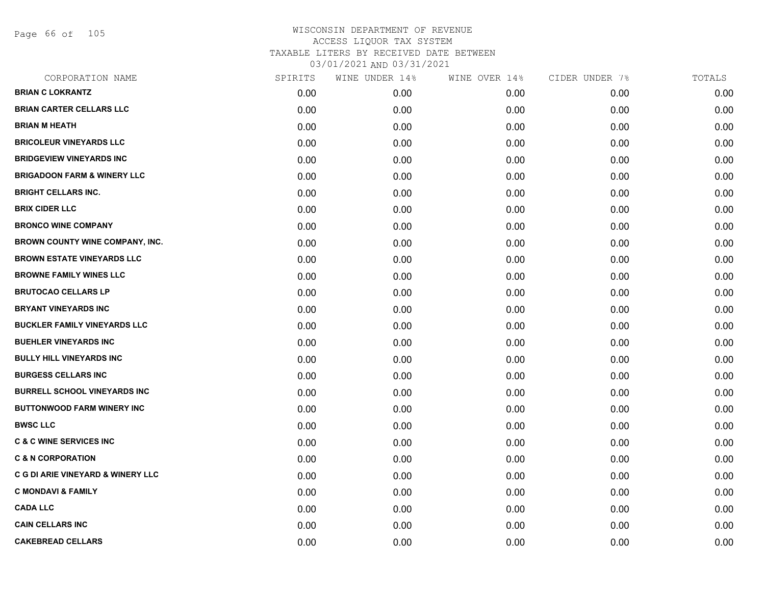Page 66 of 105

| CORPORATION NAME                             | SPIRITS | WINE UNDER 14% | WINE OVER 14% | CIDER UNDER 7% | TOTALS |
|----------------------------------------------|---------|----------------|---------------|----------------|--------|
| <b>BRIAN C LOKRANTZ</b>                      | 0.00    | 0.00           | 0.00          | 0.00           | 0.00   |
| <b>BRIAN CARTER CELLARS LLC</b>              | 0.00    | 0.00           | 0.00          | 0.00           | 0.00   |
| <b>BRIAN M HEATH</b>                         | 0.00    | 0.00           | 0.00          | 0.00           | 0.00   |
| <b>BRICOLEUR VINEYARDS LLC</b>               | 0.00    | 0.00           | 0.00          | 0.00           | 0.00   |
| <b>BRIDGEVIEW VINEYARDS INC</b>              | 0.00    | 0.00           | 0.00          | 0.00           | 0.00   |
| <b>BRIGADOON FARM &amp; WINERY LLC</b>       | 0.00    | 0.00           | 0.00          | 0.00           | 0.00   |
| <b>BRIGHT CELLARS INC.</b>                   | 0.00    | 0.00           | 0.00          | 0.00           | 0.00   |
| <b>BRIX CIDER LLC</b>                        | 0.00    | 0.00           | 0.00          | 0.00           | 0.00   |
| <b>BRONCO WINE COMPANY</b>                   | 0.00    | 0.00           | 0.00          | 0.00           | 0.00   |
| <b>BROWN COUNTY WINE COMPANY, INC.</b>       | 0.00    | 0.00           | 0.00          | 0.00           | 0.00   |
| <b>BROWN ESTATE VINEYARDS LLC</b>            | 0.00    | 0.00           | 0.00          | 0.00           | 0.00   |
| <b>BROWNE FAMILY WINES LLC</b>               | 0.00    | 0.00           | 0.00          | 0.00           | 0.00   |
| <b>BRUTOCAO CELLARS LP</b>                   | 0.00    | 0.00           | 0.00          | 0.00           | 0.00   |
| <b>BRYANT VINEYARDS INC</b>                  | 0.00    | 0.00           | 0.00          | 0.00           | 0.00   |
| <b>BUCKLER FAMILY VINEYARDS LLC</b>          | 0.00    | 0.00           | 0.00          | 0.00           | 0.00   |
| <b>BUEHLER VINEYARDS INC</b>                 | 0.00    | 0.00           | 0.00          | 0.00           | 0.00   |
| <b>BULLY HILL VINEYARDS INC</b>              | 0.00    | 0.00           | 0.00          | 0.00           | 0.00   |
| <b>BURGESS CELLARS INC</b>                   | 0.00    | 0.00           | 0.00          | 0.00           | 0.00   |
| <b>BURRELL SCHOOL VINEYARDS INC</b>          | 0.00    | 0.00           | 0.00          | 0.00           | 0.00   |
| <b>BUTTONWOOD FARM WINERY INC</b>            | 0.00    | 0.00           | 0.00          | 0.00           | 0.00   |
| <b>BWSC LLC</b>                              | 0.00    | 0.00           | 0.00          | 0.00           | 0.00   |
| <b>C &amp; C WINE SERVICES INC</b>           | 0.00    | 0.00           | 0.00          | 0.00           | 0.00   |
| <b>C &amp; N CORPORATION</b>                 | 0.00    | 0.00           | 0.00          | 0.00           | 0.00   |
| <b>C G DI ARIE VINEYARD &amp; WINERY LLC</b> | 0.00    | 0.00           | 0.00          | 0.00           | 0.00   |
| <b>C MONDAVI &amp; FAMILY</b>                | 0.00    | 0.00           | 0.00          | 0.00           | 0.00   |
| <b>CADA LLC</b>                              | 0.00    | 0.00           | 0.00          | 0.00           | 0.00   |
| <b>CAIN CELLARS INC</b>                      | 0.00    | 0.00           | 0.00          | 0.00           | 0.00   |
| <b>CAKEBREAD CELLARS</b>                     | 0.00    | 0.00           | 0.00          | 0.00           | 0.00   |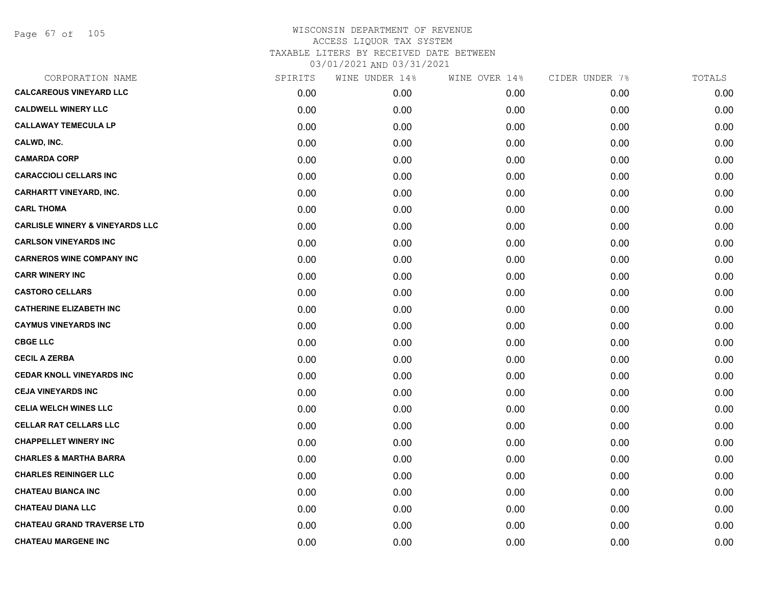Page 67 of 105

| CORPORATION NAME                           | SPIRITS | WINE UNDER 14% | WINE OVER 14% | CIDER UNDER 7% | TOTALS |
|--------------------------------------------|---------|----------------|---------------|----------------|--------|
| <b>CALCAREOUS VINEYARD LLC</b>             | 0.00    | 0.00           | 0.00          | 0.00           | 0.00   |
| <b>CALDWELL WINERY LLC</b>                 | 0.00    | 0.00           | 0.00          | 0.00           | 0.00   |
| <b>CALLAWAY TEMECULA LP</b>                | 0.00    | 0.00           | 0.00          | 0.00           | 0.00   |
| CALWD, INC.                                | 0.00    | 0.00           | 0.00          | 0.00           | 0.00   |
| <b>CAMARDA CORP</b>                        | 0.00    | 0.00           | 0.00          | 0.00           | 0.00   |
| <b>CARACCIOLI CELLARS INC</b>              | 0.00    | 0.00           | 0.00          | 0.00           | 0.00   |
| <b>CARHARTT VINEYARD, INC.</b>             | 0.00    | 0.00           | 0.00          | 0.00           | 0.00   |
| <b>CARL THOMA</b>                          | 0.00    | 0.00           | 0.00          | 0.00           | 0.00   |
| <b>CARLISLE WINERY &amp; VINEYARDS LLC</b> | 0.00    | 0.00           | 0.00          | 0.00           | 0.00   |
| <b>CARLSON VINEYARDS INC</b>               | 0.00    | 0.00           | 0.00          | 0.00           | 0.00   |
| <b>CARNEROS WINE COMPANY INC</b>           | 0.00    | 0.00           | 0.00          | 0.00           | 0.00   |
| <b>CARR WINERY INC</b>                     | 0.00    | 0.00           | 0.00          | 0.00           | 0.00   |
| <b>CASTORO CELLARS</b>                     | 0.00    | 0.00           | 0.00          | 0.00           | 0.00   |
| <b>CATHERINE ELIZABETH INC</b>             | 0.00    | 0.00           | 0.00          | 0.00           | 0.00   |
| <b>CAYMUS VINEYARDS INC</b>                | 0.00    | 0.00           | 0.00          | 0.00           | 0.00   |
| <b>CBGE LLC</b>                            | 0.00    | 0.00           | 0.00          | 0.00           | 0.00   |
| <b>CECIL A ZERBA</b>                       | 0.00    | 0.00           | 0.00          | 0.00           | 0.00   |
| <b>CEDAR KNOLL VINEYARDS INC</b>           | 0.00    | 0.00           | 0.00          | 0.00           | 0.00   |
| <b>CEJA VINEYARDS INC</b>                  | 0.00    | 0.00           | 0.00          | 0.00           | 0.00   |
| <b>CELIA WELCH WINES LLC</b>               | 0.00    | 0.00           | 0.00          | 0.00           | 0.00   |
| <b>CELLAR RAT CELLARS LLC</b>              | 0.00    | 0.00           | 0.00          | 0.00           | 0.00   |
| <b>CHAPPELLET WINERY INC</b>               | 0.00    | 0.00           | 0.00          | 0.00           | 0.00   |
| <b>CHARLES &amp; MARTHA BARRA</b>          | 0.00    | 0.00           | 0.00          | 0.00           | 0.00   |
| <b>CHARLES REININGER LLC</b>               | 0.00    | 0.00           | 0.00          | 0.00           | 0.00   |
| <b>CHATEAU BIANCA INC</b>                  | 0.00    | 0.00           | 0.00          | 0.00           | 0.00   |
| <b>CHATEAU DIANA LLC</b>                   | 0.00    | 0.00           | 0.00          | 0.00           | 0.00   |
| <b>CHATEAU GRAND TRAVERSE LTD</b>          | 0.00    | 0.00           | 0.00          | 0.00           | 0.00   |
| <b>CHATEAU MARGENE INC</b>                 | 0.00    | 0.00           | 0.00          | 0.00           | 0.00   |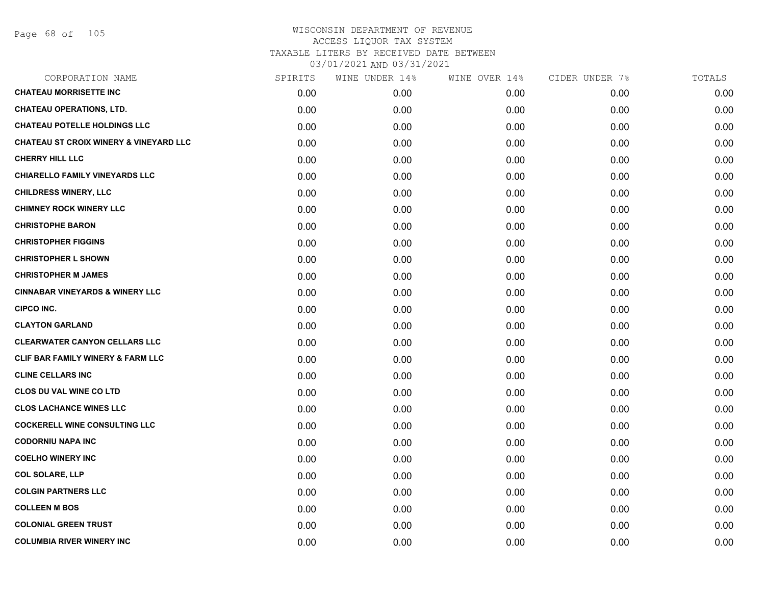| CORPORATION NAME                                  | SPIRITS | WINE UNDER 14% | WINE OVER 14% | CIDER UNDER 7% | TOTALS |
|---------------------------------------------------|---------|----------------|---------------|----------------|--------|
| <b>CHATEAU MORRISETTE INC</b>                     | 0.00    | 0.00           | 0.00          | 0.00           | 0.00   |
| <b>CHATEAU OPERATIONS, LTD.</b>                   | 0.00    | 0.00           | 0.00          | 0.00           | 0.00   |
| <b>CHATEAU POTELLE HOLDINGS LLC</b>               | 0.00    | 0.00           | 0.00          | 0.00           | 0.00   |
| <b>CHATEAU ST CROIX WINERY &amp; VINEYARD LLC</b> | 0.00    | 0.00           | 0.00          | 0.00           | 0.00   |
| <b>CHERRY HILL LLC</b>                            | 0.00    | 0.00           | 0.00          | 0.00           | 0.00   |
| <b>CHIARELLO FAMILY VINEYARDS LLC</b>             | 0.00    | 0.00           | 0.00          | 0.00           | 0.00   |
| <b>CHILDRESS WINERY, LLC</b>                      | 0.00    | 0.00           | 0.00          | 0.00           | 0.00   |
| <b>CHIMNEY ROCK WINERY LLC</b>                    | 0.00    | 0.00           | 0.00          | 0.00           | 0.00   |
| <b>CHRISTOPHE BARON</b>                           | 0.00    | 0.00           | 0.00          | 0.00           | 0.00   |
| <b>CHRISTOPHER FIGGINS</b>                        | 0.00    | 0.00           | 0.00          | 0.00           | 0.00   |
| <b>CHRISTOPHER L SHOWN</b>                        | 0.00    | 0.00           | 0.00          | 0.00           | 0.00   |
| <b>CHRISTOPHER M JAMES</b>                        | 0.00    | 0.00           | 0.00          | 0.00           | 0.00   |
| <b>CINNABAR VINEYARDS &amp; WINERY LLC</b>        | 0.00    | 0.00           | 0.00          | 0.00           | 0.00   |
| <b>CIPCO INC.</b>                                 | 0.00    | 0.00           | 0.00          | 0.00           | 0.00   |
| <b>CLAYTON GARLAND</b>                            | 0.00    | 0.00           | 0.00          | 0.00           | 0.00   |
| <b>CLEARWATER CANYON CELLARS LLC</b>              | 0.00    | 0.00           | 0.00          | 0.00           | 0.00   |
| CLIF BAR FAMILY WINERY & FARM LLC                 | 0.00    | 0.00           | 0.00          | 0.00           | 0.00   |
| <b>CLINE CELLARS INC</b>                          | 0.00    | 0.00           | 0.00          | 0.00           | 0.00   |
| CLOS DU VAL WINE CO LTD                           | 0.00    | 0.00           | 0.00          | 0.00           | 0.00   |
| <b>CLOS LACHANCE WINES LLC</b>                    | 0.00    | 0.00           | 0.00          | 0.00           | 0.00   |
| <b>COCKERELL WINE CONSULTING LLC</b>              | 0.00    | 0.00           | 0.00          | 0.00           | 0.00   |
| <b>CODORNIU NAPA INC</b>                          | 0.00    | 0.00           | 0.00          | 0.00           | 0.00   |
| <b>COELHO WINERY INC</b>                          | 0.00    | 0.00           | 0.00          | 0.00           | 0.00   |
| <b>COL SOLARE, LLP</b>                            | 0.00    | 0.00           | 0.00          | 0.00           | 0.00   |
| <b>COLGIN PARTNERS LLC</b>                        | 0.00    | 0.00           | 0.00          | 0.00           | 0.00   |
| <b>COLLEEN M BOS</b>                              | 0.00    | 0.00           | 0.00          | 0.00           | 0.00   |
| <b>COLONIAL GREEN TRUST</b>                       | 0.00    | 0.00           | 0.00          | 0.00           | 0.00   |
| <b>COLUMBIA RIVER WINERY INC</b>                  | 0.00    | 0.00           | 0.00          | 0.00           | 0.00   |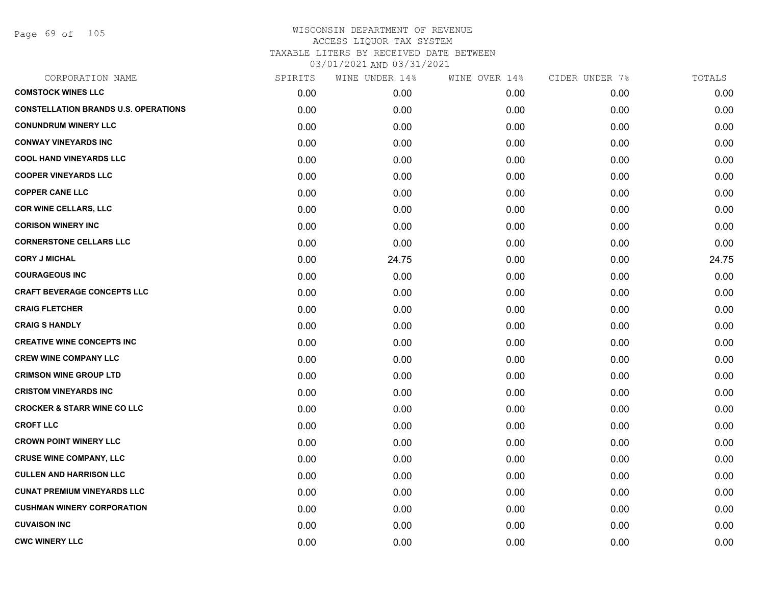Page 69 of 105

| CORPORATION NAME                            | SPIRITS | WINE UNDER 14% | WINE OVER 14% | CIDER UNDER 7% | TOTALS |
|---------------------------------------------|---------|----------------|---------------|----------------|--------|
| <b>COMSTOCK WINES LLC</b>                   | 0.00    | 0.00           | 0.00          | 0.00           | 0.00   |
| <b>CONSTELLATION BRANDS U.S. OPERATIONS</b> | 0.00    | 0.00           | 0.00          | 0.00           | 0.00   |
| <b>CONUNDRUM WINERY LLC</b>                 | 0.00    | 0.00           | 0.00          | 0.00           | 0.00   |
| <b>CONWAY VINEYARDS INC</b>                 | 0.00    | 0.00           | 0.00          | 0.00           | 0.00   |
| <b>COOL HAND VINEYARDS LLC</b>              | 0.00    | 0.00           | 0.00          | 0.00           | 0.00   |
| <b>COOPER VINEYARDS LLC</b>                 | 0.00    | 0.00           | 0.00          | 0.00           | 0.00   |
| <b>COPPER CANE LLC</b>                      | 0.00    | 0.00           | 0.00          | 0.00           | 0.00   |
| <b>COR WINE CELLARS, LLC</b>                | 0.00    | 0.00           | 0.00          | 0.00           | 0.00   |
| <b>CORISON WINERY INC</b>                   | 0.00    | 0.00           | 0.00          | 0.00           | 0.00   |
| <b>CORNERSTONE CELLARS LLC</b>              | 0.00    | 0.00           | 0.00          | 0.00           | 0.00   |
| <b>CORY J MICHAL</b>                        | 0.00    | 24.75          | 0.00          | 0.00           | 24.75  |
| <b>COURAGEOUS INC</b>                       | 0.00    | 0.00           | 0.00          | 0.00           | 0.00   |
| <b>CRAFT BEVERAGE CONCEPTS LLC</b>          | 0.00    | 0.00           | 0.00          | 0.00           | 0.00   |
| <b>CRAIG FLETCHER</b>                       | 0.00    | 0.00           | 0.00          | 0.00           | 0.00   |
| <b>CRAIG S HANDLY</b>                       | 0.00    | 0.00           | 0.00          | 0.00           | 0.00   |
| <b>CREATIVE WINE CONCEPTS INC</b>           | 0.00    | 0.00           | 0.00          | 0.00           | 0.00   |
| <b>CREW WINE COMPANY LLC</b>                | 0.00    | 0.00           | 0.00          | 0.00           | 0.00   |
| <b>CRIMSON WINE GROUP LTD</b>               | 0.00    | 0.00           | 0.00          | 0.00           | 0.00   |
| <b>CRISTOM VINEYARDS INC</b>                | 0.00    | 0.00           | 0.00          | 0.00           | 0.00   |
| <b>CROCKER &amp; STARR WINE CO LLC</b>      | 0.00    | 0.00           | 0.00          | 0.00           | 0.00   |
| <b>CROFT LLC</b>                            | 0.00    | 0.00           | 0.00          | 0.00           | 0.00   |
| <b>CROWN POINT WINERY LLC</b>               | 0.00    | 0.00           | 0.00          | 0.00           | 0.00   |
| <b>CRUSE WINE COMPANY, LLC</b>              | 0.00    | 0.00           | 0.00          | 0.00           | 0.00   |
| <b>CULLEN AND HARRISON LLC</b>              | 0.00    | 0.00           | 0.00          | 0.00           | 0.00   |
| <b>CUNAT PREMIUM VINEYARDS LLC</b>          | 0.00    | 0.00           | 0.00          | 0.00           | 0.00   |
| <b>CUSHMAN WINERY CORPORATION</b>           | 0.00    | 0.00           | 0.00          | 0.00           | 0.00   |
| <b>CUVAISON INC</b>                         | 0.00    | 0.00           | 0.00          | 0.00           | 0.00   |
| <b>CWC WINERY LLC</b>                       | 0.00    | 0.00           | 0.00          | 0.00           | 0.00   |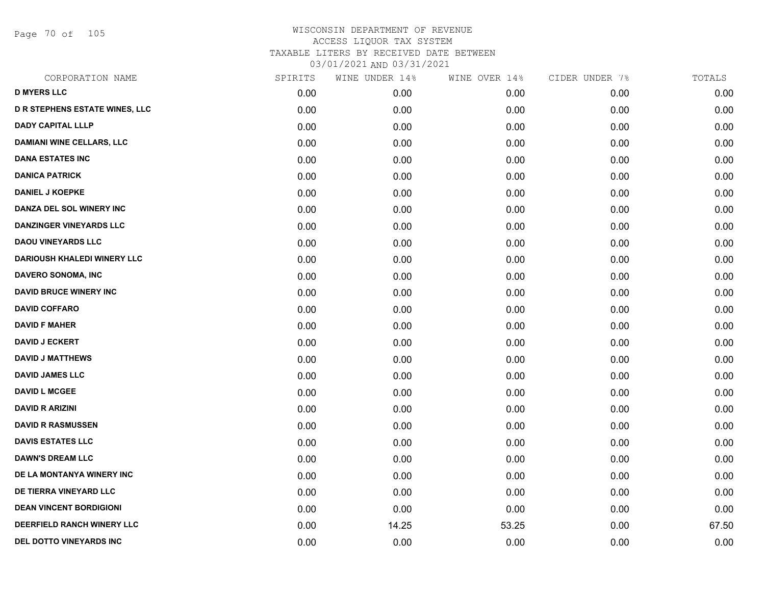Page 70 of 105

| CORPORATION NAME                      | SPIRITS | WINE UNDER 14% | WINE OVER 14% | CIDER UNDER 7% | TOTALS |
|---------------------------------------|---------|----------------|---------------|----------------|--------|
| <b>D MYERS LLC</b>                    | 0.00    | 0.00           | 0.00          | 0.00           | 0.00   |
| <b>D R STEPHENS ESTATE WINES, LLC</b> | 0.00    | 0.00           | 0.00          | 0.00           | 0.00   |
| <b>DADY CAPITAL LLLP</b>              | 0.00    | 0.00           | 0.00          | 0.00           | 0.00   |
| <b>DAMIANI WINE CELLARS, LLC</b>      | 0.00    | 0.00           | 0.00          | 0.00           | 0.00   |
| <b>DANA ESTATES INC</b>               | 0.00    | 0.00           | 0.00          | 0.00           | 0.00   |
| <b>DANICA PATRICK</b>                 | 0.00    | 0.00           | 0.00          | 0.00           | 0.00   |
| <b>DANIEL J KOEPKE</b>                | 0.00    | 0.00           | 0.00          | 0.00           | 0.00   |
| DANZA DEL SOL WINERY INC              | 0.00    | 0.00           | 0.00          | 0.00           | 0.00   |
| <b>DANZINGER VINEYARDS LLC</b>        | 0.00    | 0.00           | 0.00          | 0.00           | 0.00   |
| <b>DAOU VINEYARDS LLC</b>             | 0.00    | 0.00           | 0.00          | 0.00           | 0.00   |
| <b>DARIOUSH KHALEDI WINERY LLC</b>    | 0.00    | 0.00           | 0.00          | 0.00           | 0.00   |
| DAVERO SONOMA, INC                    | 0.00    | 0.00           | 0.00          | 0.00           | 0.00   |
| <b>DAVID BRUCE WINERY INC</b>         | 0.00    | 0.00           | 0.00          | 0.00           | 0.00   |
| <b>DAVID COFFARO</b>                  | 0.00    | 0.00           | 0.00          | 0.00           | 0.00   |
| <b>DAVID F MAHER</b>                  | 0.00    | 0.00           | 0.00          | 0.00           | 0.00   |
| <b>DAVID J ECKERT</b>                 | 0.00    | 0.00           | 0.00          | 0.00           | 0.00   |
| <b>DAVID J MATTHEWS</b>               | 0.00    | 0.00           | 0.00          | 0.00           | 0.00   |
| <b>DAVID JAMES LLC</b>                | 0.00    | 0.00           | 0.00          | 0.00           | 0.00   |
| <b>DAVID L MCGEE</b>                  | 0.00    | 0.00           | 0.00          | 0.00           | 0.00   |
| <b>DAVID R ARIZINI</b>                | 0.00    | 0.00           | 0.00          | 0.00           | 0.00   |
| <b>DAVID R RASMUSSEN</b>              | 0.00    | 0.00           | 0.00          | 0.00           | 0.00   |
| <b>DAVIS ESTATES LLC</b>              | 0.00    | 0.00           | 0.00          | 0.00           | 0.00   |
| <b>DAWN'S DREAM LLC</b>               | 0.00    | 0.00           | 0.00          | 0.00           | 0.00   |
| DE LA MONTANYA WINERY INC             | 0.00    | 0.00           | 0.00          | 0.00           | 0.00   |
| DE TIERRA VINEYARD LLC                | 0.00    | 0.00           | 0.00          | 0.00           | 0.00   |
| <b>DEAN VINCENT BORDIGIONI</b>        | 0.00    | 0.00           | 0.00          | 0.00           | 0.00   |
| DEERFIELD RANCH WINERY LLC            | 0.00    | 14.25          | 53.25         | 0.00           | 67.50  |
| DEL DOTTO VINEYARDS INC               | 0.00    | 0.00           | 0.00          | 0.00           | 0.00   |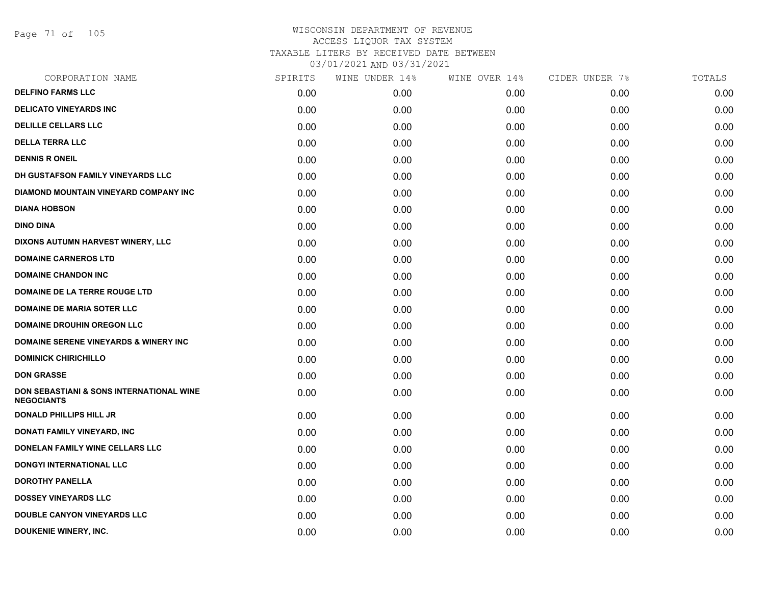Page 71 of 105

| CORPORATION NAME                                              | SPIRITS | WINE UNDER 14% | WINE OVER 14% | CIDER UNDER 7% | TOTALS |
|---------------------------------------------------------------|---------|----------------|---------------|----------------|--------|
| <b>DELFINO FARMS LLC</b>                                      | 0.00    | 0.00           | 0.00          | 0.00           | 0.00   |
| <b>DELICATO VINEYARDS INC</b>                                 | 0.00    | 0.00           | 0.00          | 0.00           | 0.00   |
| <b>DELILLE CELLARS LLC</b>                                    | 0.00    | 0.00           | 0.00          | 0.00           | 0.00   |
| <b>DELLA TERRA LLC</b>                                        | 0.00    | 0.00           | 0.00          | 0.00           | 0.00   |
| <b>DENNIS R ONEIL</b>                                         | 0.00    | 0.00           | 0.00          | 0.00           | 0.00   |
| DH GUSTAFSON FAMILY VINEYARDS LLC                             | 0.00    | 0.00           | 0.00          | 0.00           | 0.00   |
| DIAMOND MOUNTAIN VINEYARD COMPANY INC                         | 0.00    | 0.00           | 0.00          | 0.00           | 0.00   |
| <b>DIANA HOBSON</b>                                           | 0.00    | 0.00           | 0.00          | 0.00           | 0.00   |
| <b>DINO DINA</b>                                              | 0.00    | 0.00           | 0.00          | 0.00           | 0.00   |
| DIXONS AUTUMN HARVEST WINERY, LLC                             | 0.00    | 0.00           | 0.00          | 0.00           | 0.00   |
| <b>DOMAINE CARNEROS LTD</b>                                   | 0.00    | 0.00           | 0.00          | 0.00           | 0.00   |
| <b>DOMAINE CHANDON INC</b>                                    | 0.00    | 0.00           | 0.00          | 0.00           | 0.00   |
| <b>DOMAINE DE LA TERRE ROUGE LTD</b>                          | 0.00    | 0.00           | 0.00          | 0.00           | 0.00   |
| <b>DOMAINE DE MARIA SOTER LLC</b>                             | 0.00    | 0.00           | 0.00          | 0.00           | 0.00   |
| <b>DOMAINE DROUHIN OREGON LLC</b>                             | 0.00    | 0.00           | 0.00          | 0.00           | 0.00   |
| <b>DOMAINE SERENE VINEYARDS &amp; WINERY INC</b>              | 0.00    | 0.00           | 0.00          | 0.00           | 0.00   |
| <b>DOMINICK CHIRICHILLO</b>                                   | 0.00    | 0.00           | 0.00          | 0.00           | 0.00   |
| <b>DON GRASSE</b>                                             | 0.00    | 0.00           | 0.00          | 0.00           | 0.00   |
| DON SEBASTIANI & SONS INTERNATIONAL WINE<br><b>NEGOCIANTS</b> | 0.00    | 0.00           | 0.00          | 0.00           | 0.00   |
| <b>DONALD PHILLIPS HILL JR</b>                                | 0.00    | 0.00           | 0.00          | 0.00           | 0.00   |
| DONATI FAMILY VINEYARD, INC                                   | 0.00    | 0.00           | 0.00          | 0.00           | 0.00   |
| DONELAN FAMILY WINE CELLARS LLC                               | 0.00    | 0.00           | 0.00          | 0.00           | 0.00   |
| <b>DONGYI INTERNATIONAL LLC</b>                               | 0.00    | 0.00           | 0.00          | 0.00           | 0.00   |
| <b>DOROTHY PANELLA</b>                                        | 0.00    | 0.00           | 0.00          | 0.00           | 0.00   |
| <b>DOSSEY VINEYARDS LLC</b>                                   | 0.00    | 0.00           | 0.00          | 0.00           | 0.00   |
| <b>DOUBLE CANYON VINEYARDS LLC</b>                            | 0.00    | 0.00           | 0.00          | 0.00           | 0.00   |
| <b>DOUKENIE WINERY, INC.</b>                                  | 0.00    | 0.00           | 0.00          | 0.00           | 0.00   |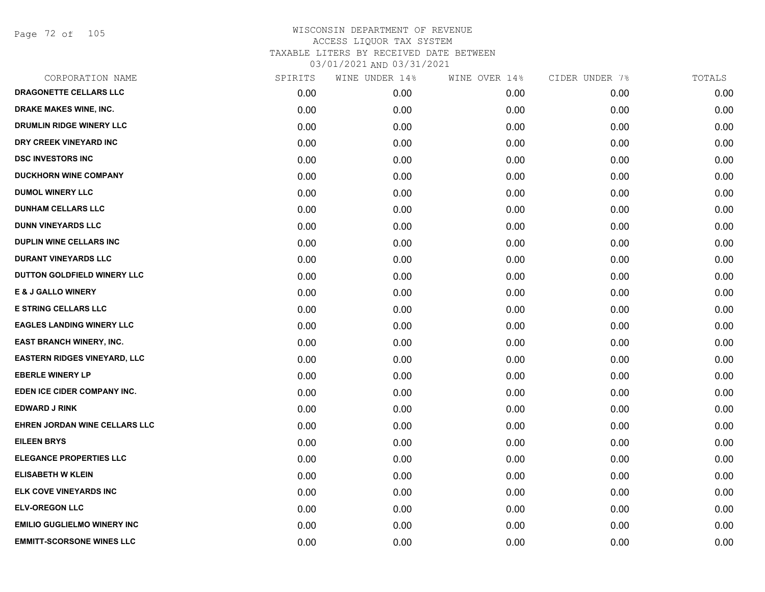Page 72 of 105

| CORPORATION NAME                    | SPIRITS | WINE UNDER 14% | WINE OVER 14% | CIDER UNDER 7% | TOTALS |
|-------------------------------------|---------|----------------|---------------|----------------|--------|
| DRAGONETTE CELLARS LLC              | 0.00    | 0.00           | 0.00          | 0.00           | 0.00   |
| <b>DRAKE MAKES WINE, INC.</b>       | 0.00    | 0.00           | 0.00          | 0.00           | 0.00   |
| DRUMLIN RIDGE WINERY LLC            | 0.00    | 0.00           | 0.00          | 0.00           | 0.00   |
| DRY CREEK VINEYARD INC              | 0.00    | 0.00           | 0.00          | 0.00           | 0.00   |
| <b>DSC INVESTORS INC</b>            | 0.00    | 0.00           | 0.00          | 0.00           | 0.00   |
| <b>DUCKHORN WINE COMPANY</b>        | 0.00    | 0.00           | 0.00          | 0.00           | 0.00   |
| <b>DUMOL WINERY LLC</b>             | 0.00    | 0.00           | 0.00          | 0.00           | 0.00   |
| <b>DUNHAM CELLARS LLC</b>           | 0.00    | 0.00           | 0.00          | 0.00           | 0.00   |
| <b>DUNN VINEYARDS LLC</b>           | 0.00    | 0.00           | 0.00          | 0.00           | 0.00   |
| DUPLIN WINE CELLARS INC             | 0.00    | 0.00           | 0.00          | 0.00           | 0.00   |
| <b>DURANT VINEYARDS LLC</b>         | 0.00    | 0.00           | 0.00          | 0.00           | 0.00   |
| DUTTON GOLDFIELD WINERY LLC         | 0.00    | 0.00           | 0.00          | 0.00           | 0.00   |
| E & J GALLO WINERY                  | 0.00    | 0.00           | 0.00          | 0.00           | 0.00   |
| <b>E STRING CELLARS LLC</b>         | 0.00    | 0.00           | 0.00          | 0.00           | 0.00   |
| <b>EAGLES LANDING WINERY LLC</b>    | 0.00    | 0.00           | 0.00          | 0.00           | 0.00   |
| EAST BRANCH WINERY, INC.            | 0.00    | 0.00           | 0.00          | 0.00           | 0.00   |
| <b>EASTERN RIDGES VINEYARD, LLC</b> | 0.00    | 0.00           | 0.00          | 0.00           | 0.00   |
| <b>EBERLE WINERY LP</b>             | 0.00    | 0.00           | 0.00          | 0.00           | 0.00   |
| EDEN ICE CIDER COMPANY INC.         | 0.00    | 0.00           | 0.00          | 0.00           | 0.00   |
| <b>EDWARD J RINK</b>                | 0.00    | 0.00           | 0.00          | 0.00           | 0.00   |
| EHREN JORDAN WINE CELLARS LLC       | 0.00    | 0.00           | 0.00          | 0.00           | 0.00   |
| <b>EILEEN BRYS</b>                  | 0.00    | 0.00           | 0.00          | 0.00           | 0.00   |
| <b>ELEGANCE PROPERTIES LLC</b>      | 0.00    | 0.00           | 0.00          | 0.00           | 0.00   |
| <b>ELISABETH W KLEIN</b>            | 0.00    | 0.00           | 0.00          | 0.00           | 0.00   |
| ELK COVE VINEYARDS INC              | 0.00    | 0.00           | 0.00          | 0.00           | 0.00   |
| <b>ELV-OREGON LLC</b>               | 0.00    | 0.00           | 0.00          | 0.00           | 0.00   |
| <b>EMILIO GUGLIELMO WINERY INC</b>  | 0.00    | 0.00           | 0.00          | 0.00           | 0.00   |
| <b>EMMITT-SCORSONE WINES LLC</b>    | 0.00    | 0.00           | 0.00          | 0.00           | 0.00   |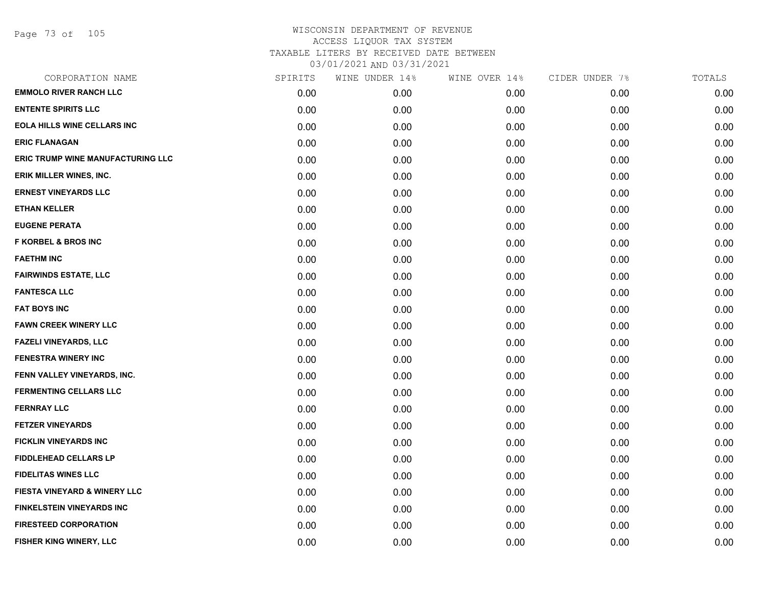Page 73 of 105

| CORPORATION NAME                         | SPIRITS | WINE UNDER 14% | WINE OVER 14% | CIDER UNDER 7% | TOTALS |
|------------------------------------------|---------|----------------|---------------|----------------|--------|
| <b>EMMOLO RIVER RANCH LLC</b>            | 0.00    | 0.00           | 0.00          | 0.00           | 0.00   |
| <b>ENTENTE SPIRITS LLC</b>               | 0.00    | 0.00           | 0.00          | 0.00           | 0.00   |
| EOLA HILLS WINE CELLARS INC              | 0.00    | 0.00           | 0.00          | 0.00           | 0.00   |
| <b>ERIC FLANAGAN</b>                     | 0.00    | 0.00           | 0.00          | 0.00           | 0.00   |
| <b>ERIC TRUMP WINE MANUFACTURING LLC</b> | 0.00    | 0.00           | 0.00          | 0.00           | 0.00   |
| ERIK MILLER WINES, INC.                  | 0.00    | 0.00           | 0.00          | 0.00           | 0.00   |
| <b>ERNEST VINEYARDS LLC</b>              | 0.00    | 0.00           | 0.00          | 0.00           | 0.00   |
| <b>ETHAN KELLER</b>                      | 0.00    | 0.00           | 0.00          | 0.00           | 0.00   |
| <b>EUGENE PERATA</b>                     | 0.00    | 0.00           | 0.00          | 0.00           | 0.00   |
| <b>F KORBEL &amp; BROS INC</b>           | 0.00    | 0.00           | 0.00          | 0.00           | 0.00   |
| <b>FAETHM INC</b>                        | 0.00    | 0.00           | 0.00          | 0.00           | 0.00   |
| <b>FAIRWINDS ESTATE, LLC</b>             | 0.00    | 0.00           | 0.00          | 0.00           | 0.00   |
| <b>FANTESCA LLC</b>                      | 0.00    | 0.00           | 0.00          | 0.00           | 0.00   |
| <b>FAT BOYS INC</b>                      | 0.00    | 0.00           | 0.00          | 0.00           | 0.00   |
| <b>FAWN CREEK WINERY LLC</b>             | 0.00    | 0.00           | 0.00          | 0.00           | 0.00   |
| <b>FAZELI VINEYARDS, LLC</b>             | 0.00    | 0.00           | 0.00          | 0.00           | 0.00   |
| <b>FENESTRA WINERY INC</b>               | 0.00    | 0.00           | 0.00          | 0.00           | 0.00   |
| FENN VALLEY VINEYARDS, INC.              | 0.00    | 0.00           | 0.00          | 0.00           | 0.00   |
| <b>FERMENTING CELLARS LLC</b>            | 0.00    | 0.00           | 0.00          | 0.00           | 0.00   |
| <b>FERNRAY LLC</b>                       | 0.00    | 0.00           | 0.00          | 0.00           | 0.00   |
| <b>FETZER VINEYARDS</b>                  | 0.00    | 0.00           | 0.00          | 0.00           | 0.00   |
| <b>FICKLIN VINEYARDS INC</b>             | 0.00    | 0.00           | 0.00          | 0.00           | 0.00   |
| <b>FIDDLEHEAD CELLARS LP</b>             | 0.00    | 0.00           | 0.00          | 0.00           | 0.00   |
| <b>FIDELITAS WINES LLC</b>               | 0.00    | 0.00           | 0.00          | 0.00           | 0.00   |
| <b>FIESTA VINEYARD &amp; WINERY LLC</b>  | 0.00    | 0.00           | 0.00          | 0.00           | 0.00   |
| FINKELSTEIN VINEYARDS INC                | 0.00    | 0.00           | 0.00          | 0.00           | 0.00   |
| <b>FIRESTEED CORPORATION</b>             | 0.00    | 0.00           | 0.00          | 0.00           | 0.00   |
| FISHER KING WINERY, LLC                  | 0.00    | 0.00           | 0.00          | 0.00           | 0.00   |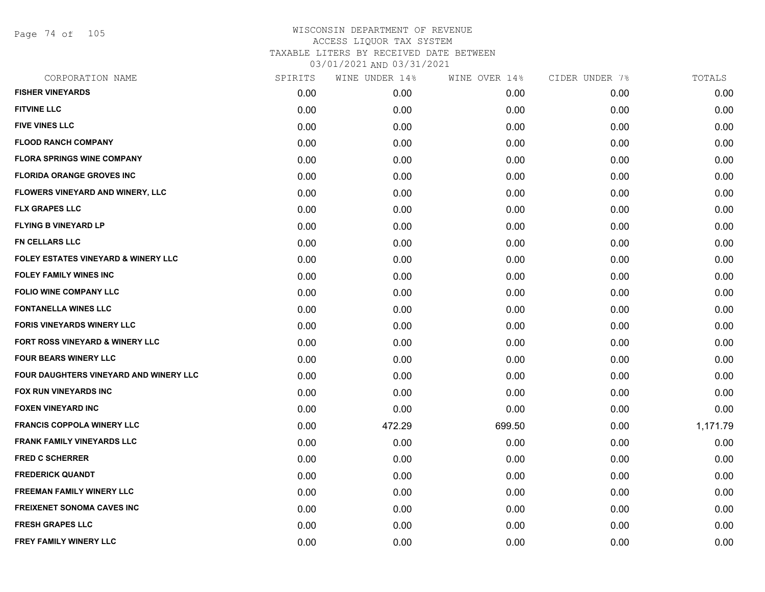Page 74 of 105

| CORPORATION NAME                               | SPIRITS | WINE UNDER 14% | WINE OVER 14% | CIDER UNDER 7% | TOTALS   |
|------------------------------------------------|---------|----------------|---------------|----------------|----------|
| <b>FISHER VINEYARDS</b>                        | 0.00    | 0.00           | 0.00          | 0.00           | 0.00     |
| <b>FITVINE LLC</b>                             | 0.00    | 0.00           | 0.00          | 0.00           | 0.00     |
| <b>FIVE VINES LLC</b>                          | 0.00    | 0.00           | 0.00          | 0.00           | 0.00     |
| <b>FLOOD RANCH COMPANY</b>                     | 0.00    | 0.00           | 0.00          | 0.00           | 0.00     |
| <b>FLORA SPRINGS WINE COMPANY</b>              | 0.00    | 0.00           | 0.00          | 0.00           | 0.00     |
| <b>FLORIDA ORANGE GROVES INC</b>               | 0.00    | 0.00           | 0.00          | 0.00           | 0.00     |
| FLOWERS VINEYARD AND WINERY, LLC               | 0.00    | 0.00           | 0.00          | 0.00           | 0.00     |
| <b>FLX GRAPES LLC</b>                          | 0.00    | 0.00           | 0.00          | 0.00           | 0.00     |
| <b>FLYING B VINEYARD LP</b>                    | 0.00    | 0.00           | 0.00          | 0.00           | 0.00     |
| <b>FN CELLARS LLC</b>                          | 0.00    | 0.00           | 0.00          | 0.00           | 0.00     |
| <b>FOLEY ESTATES VINEYARD &amp; WINERY LLC</b> | 0.00    | 0.00           | 0.00          | 0.00           | 0.00     |
| <b>FOLEY FAMILY WINES INC</b>                  | 0.00    | 0.00           | 0.00          | 0.00           | 0.00     |
| <b>FOLIO WINE COMPANY LLC</b>                  | 0.00    | 0.00           | 0.00          | 0.00           | 0.00     |
| <b>FONTANELLA WINES LLC</b>                    | 0.00    | 0.00           | 0.00          | 0.00           | 0.00     |
| <b>FORIS VINEYARDS WINERY LLC</b>              | 0.00    | 0.00           | 0.00          | 0.00           | 0.00     |
| FORT ROSS VINEYARD & WINERY LLC                | 0.00    | 0.00           | 0.00          | 0.00           | 0.00     |
| <b>FOUR BEARS WINERY LLC</b>                   | 0.00    | 0.00           | 0.00          | 0.00           | 0.00     |
| FOUR DAUGHTERS VINEYARD AND WINERY LLC         | 0.00    | 0.00           | 0.00          | 0.00           | 0.00     |
| FOX RUN VINEYARDS INC                          | 0.00    | 0.00           | 0.00          | 0.00           | 0.00     |
| <b>FOXEN VINEYARD INC</b>                      | 0.00    | 0.00           | 0.00          | 0.00           | 0.00     |
| <b>FRANCIS COPPOLA WINERY LLC</b>              | 0.00    | 472.29         | 699.50        | 0.00           | 1,171.79 |
| <b>FRANK FAMILY VINEYARDS LLC</b>              | 0.00    | 0.00           | 0.00          | 0.00           | 0.00     |
| <b>FRED C SCHERRER</b>                         | 0.00    | 0.00           | 0.00          | 0.00           | 0.00     |
| <b>FREDERICK QUANDT</b>                        | 0.00    | 0.00           | 0.00          | 0.00           | 0.00     |
| <b>FREEMAN FAMILY WINERY LLC</b>               | 0.00    | 0.00           | 0.00          | 0.00           | 0.00     |
| <b>FREIXENET SONOMA CAVES INC</b>              | 0.00    | 0.00           | 0.00          | 0.00           | 0.00     |
| <b>FRESH GRAPES LLC</b>                        | 0.00    | 0.00           | 0.00          | 0.00           | 0.00     |
| <b>FREY FAMILY WINERY LLC</b>                  | 0.00    | 0.00           | 0.00          | 0.00           | 0.00     |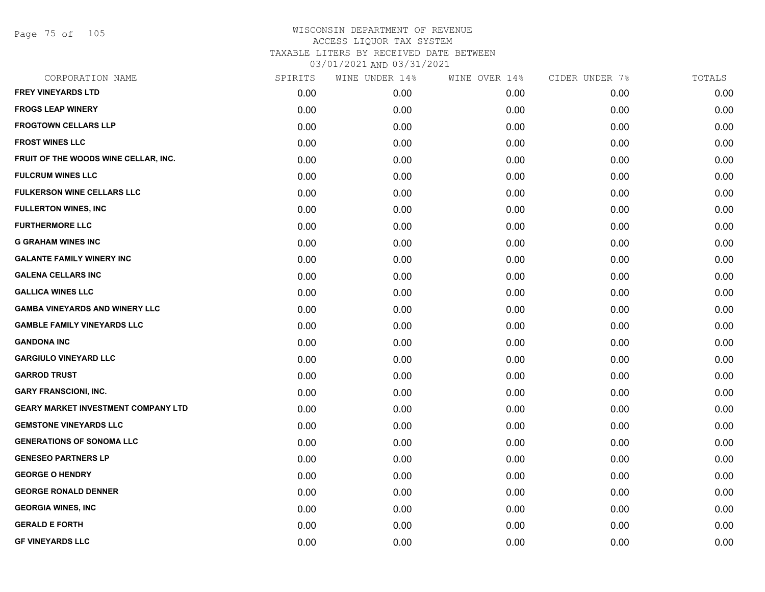Page 75 of 105

| CORPORATION NAME                           | SPIRITS | WINE UNDER 14% | WINE OVER 14% | CIDER UNDER 7% | TOTALS |
|--------------------------------------------|---------|----------------|---------------|----------------|--------|
| <b>FREY VINEYARDS LTD</b>                  | 0.00    | 0.00           | 0.00          | 0.00           | 0.00   |
| <b>FROGS LEAP WINERY</b>                   | 0.00    | 0.00           | 0.00          | 0.00           | 0.00   |
| <b>FROGTOWN CELLARS LLP</b>                | 0.00    | 0.00           | 0.00          | 0.00           | 0.00   |
| <b>FROST WINES LLC</b>                     | 0.00    | 0.00           | 0.00          | 0.00           | 0.00   |
| FRUIT OF THE WOODS WINE CELLAR, INC.       | 0.00    | 0.00           | 0.00          | 0.00           | 0.00   |
| <b>FULCRUM WINES LLC</b>                   | 0.00    | 0.00           | 0.00          | 0.00           | 0.00   |
| <b>FULKERSON WINE CELLARS LLC</b>          | 0.00    | 0.00           | 0.00          | 0.00           | 0.00   |
| <b>FULLERTON WINES, INC</b>                | 0.00    | 0.00           | 0.00          | 0.00           | 0.00   |
| <b>FURTHERMORE LLC</b>                     | 0.00    | 0.00           | 0.00          | 0.00           | 0.00   |
| <b>G GRAHAM WINES INC</b>                  | 0.00    | 0.00           | 0.00          | 0.00           | 0.00   |
| <b>GALANTE FAMILY WINERY INC</b>           | 0.00    | 0.00           | 0.00          | 0.00           | 0.00   |
| <b>GALENA CELLARS INC</b>                  | 0.00    | 0.00           | 0.00          | 0.00           | 0.00   |
| <b>GALLICA WINES LLC</b>                   | 0.00    | 0.00           | 0.00          | 0.00           | 0.00   |
| <b>GAMBA VINEYARDS AND WINERY LLC</b>      | 0.00    | 0.00           | 0.00          | 0.00           | 0.00   |
| <b>GAMBLE FAMILY VINEYARDS LLC</b>         | 0.00    | 0.00           | 0.00          | 0.00           | 0.00   |
| <b>GANDONA INC</b>                         | 0.00    | 0.00           | 0.00          | 0.00           | 0.00   |
| <b>GARGIULO VINEYARD LLC</b>               | 0.00    | 0.00           | 0.00          | 0.00           | 0.00   |
| <b>GARROD TRUST</b>                        | 0.00    | 0.00           | 0.00          | 0.00           | 0.00   |
| <b>GARY FRANSCIONI, INC.</b>               | 0.00    | 0.00           | 0.00          | 0.00           | 0.00   |
| <b>GEARY MARKET INVESTMENT COMPANY LTD</b> | 0.00    | 0.00           | 0.00          | 0.00           | 0.00   |
| <b>GEMSTONE VINEYARDS LLC</b>              | 0.00    | 0.00           | 0.00          | 0.00           | 0.00   |
| <b>GENERATIONS OF SONOMA LLC</b>           | 0.00    | 0.00           | 0.00          | 0.00           | 0.00   |
| <b>GENESEO PARTNERS LP</b>                 | 0.00    | 0.00           | 0.00          | 0.00           | 0.00   |
| <b>GEORGE O HENDRY</b>                     | 0.00    | 0.00           | 0.00          | 0.00           | 0.00   |
| <b>GEORGE RONALD DENNER</b>                | 0.00    | 0.00           | 0.00          | 0.00           | 0.00   |
| <b>GEORGIA WINES, INC</b>                  | 0.00    | 0.00           | 0.00          | 0.00           | 0.00   |
| <b>GERALD E FORTH</b>                      | 0.00    | 0.00           | 0.00          | 0.00           | 0.00   |
| <b>GF VINEYARDS LLC</b>                    | 0.00    | 0.00           | 0.00          | 0.00           | 0.00   |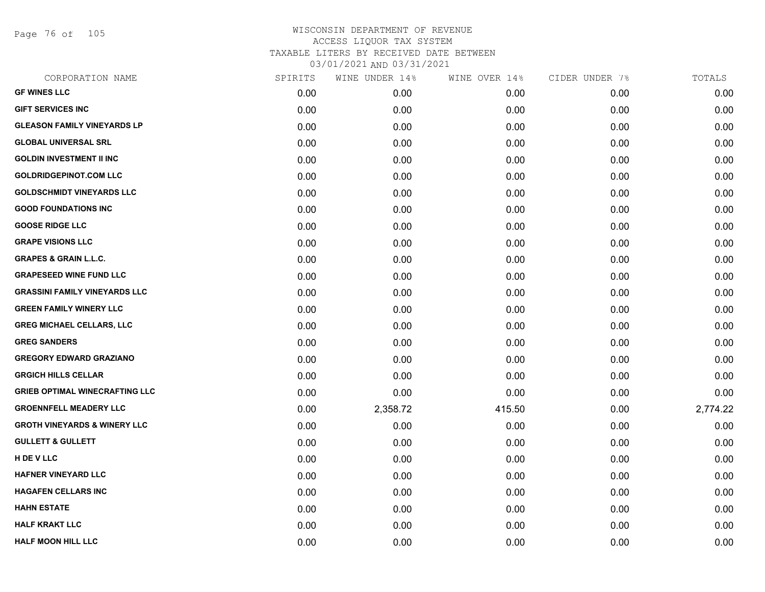Page 76 of 105

| CORPORATION NAME                        | SPIRITS | WINE UNDER 14% | WINE OVER 14% | CIDER UNDER 7% | TOTALS   |
|-----------------------------------------|---------|----------------|---------------|----------------|----------|
| <b>GF WINES LLC</b>                     | 0.00    | 0.00           | 0.00          | 0.00           | 0.00     |
| <b>GIFT SERVICES INC</b>                | 0.00    | 0.00           | 0.00          | 0.00           | 0.00     |
| <b>GLEASON FAMILY VINEYARDS LP</b>      | 0.00    | 0.00           | 0.00          | 0.00           | 0.00     |
| <b>GLOBAL UNIVERSAL SRL</b>             | 0.00    | 0.00           | 0.00          | 0.00           | 0.00     |
| <b>GOLDIN INVESTMENT II INC</b>         | 0.00    | 0.00           | 0.00          | 0.00           | 0.00     |
| <b>GOLDRIDGEPINOT.COM LLC</b>           | 0.00    | 0.00           | 0.00          | 0.00           | 0.00     |
| <b>GOLDSCHMIDT VINEYARDS LLC</b>        | 0.00    | 0.00           | 0.00          | 0.00           | 0.00     |
| <b>GOOD FOUNDATIONS INC</b>             | 0.00    | 0.00           | 0.00          | 0.00           | 0.00     |
| <b>GOOSE RIDGE LLC</b>                  | 0.00    | 0.00           | 0.00          | 0.00           | 0.00     |
| <b>GRAPE VISIONS LLC</b>                | 0.00    | 0.00           | 0.00          | 0.00           | 0.00     |
| <b>GRAPES &amp; GRAIN L.L.C.</b>        | 0.00    | 0.00           | 0.00          | 0.00           | 0.00     |
| <b>GRAPESEED WINE FUND LLC</b>          | 0.00    | 0.00           | 0.00          | 0.00           | 0.00     |
| <b>GRASSINI FAMILY VINEYARDS LLC</b>    | 0.00    | 0.00           | 0.00          | 0.00           | 0.00     |
| <b>GREEN FAMILY WINERY LLC</b>          | 0.00    | 0.00           | 0.00          | 0.00           | 0.00     |
| <b>GREG MICHAEL CELLARS, LLC</b>        | 0.00    | 0.00           | 0.00          | 0.00           | 0.00     |
| <b>GREG SANDERS</b>                     | 0.00    | 0.00           | 0.00          | 0.00           | 0.00     |
| <b>GREGORY EDWARD GRAZIANO</b>          | 0.00    | 0.00           | 0.00          | 0.00           | 0.00     |
| <b>GRGICH HILLS CELLAR</b>              | 0.00    | 0.00           | 0.00          | 0.00           | 0.00     |
| <b>GRIEB OPTIMAL WINECRAFTING LLC</b>   | 0.00    | 0.00           | 0.00          | 0.00           | 0.00     |
| <b>GROENNFELL MEADERY LLC</b>           | 0.00    | 2,358.72       | 415.50        | 0.00           | 2,774.22 |
| <b>GROTH VINEYARDS &amp; WINERY LLC</b> | 0.00    | 0.00           | 0.00          | 0.00           | 0.00     |
| <b>GULLETT &amp; GULLETT</b>            | 0.00    | 0.00           | 0.00          | 0.00           | 0.00     |
| H DE V LLC                              | 0.00    | 0.00           | 0.00          | 0.00           | 0.00     |
| <b>HAFNER VINEYARD LLC</b>              | 0.00    | 0.00           | 0.00          | 0.00           | 0.00     |
| <b>HAGAFEN CELLARS INC</b>              | 0.00    | 0.00           | 0.00          | 0.00           | 0.00     |
| <b>HAHN ESTATE</b>                      | 0.00    | 0.00           | 0.00          | 0.00           | 0.00     |
| <b>HALF KRAKT LLC</b>                   | 0.00    | 0.00           | 0.00          | 0.00           | 0.00     |
| <b>HALF MOON HILL LLC</b>               | 0.00    | 0.00           | 0.00          | 0.00           | 0.00     |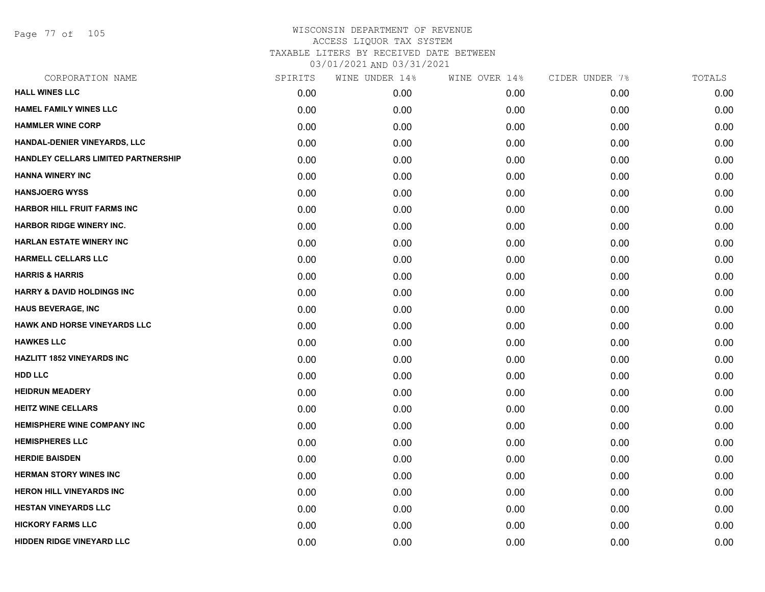Page 77 of 105

| CORPORATION NAME                      | SPIRITS | WINE UNDER 14% | WINE OVER 14% | CIDER UNDER 7% | TOTALS |
|---------------------------------------|---------|----------------|---------------|----------------|--------|
| <b>HALL WINES LLC</b>                 | 0.00    | 0.00           | 0.00          | 0.00           | 0.00   |
| <b>HAMEL FAMILY WINES LLC</b>         | 0.00    | 0.00           | 0.00          | 0.00           | 0.00   |
| <b>HAMMLER WINE CORP</b>              | 0.00    | 0.00           | 0.00          | 0.00           | 0.00   |
| HANDAL-DENIER VINEYARDS, LLC          | 0.00    | 0.00           | 0.00          | 0.00           | 0.00   |
| HANDLEY CELLARS LIMITED PARTNERSHIP   | 0.00    | 0.00           | 0.00          | 0.00           | 0.00   |
| <b>HANNA WINERY INC</b>               | 0.00    | 0.00           | 0.00          | 0.00           | 0.00   |
| <b>HANSJOERG WYSS</b>                 | 0.00    | 0.00           | 0.00          | 0.00           | 0.00   |
| <b>HARBOR HILL FRUIT FARMS INC</b>    | 0.00    | 0.00           | 0.00          | 0.00           | 0.00   |
| <b>HARBOR RIDGE WINERY INC.</b>       | 0.00    | 0.00           | 0.00          | 0.00           | 0.00   |
| <b>HARLAN ESTATE WINERY INC</b>       | 0.00    | 0.00           | 0.00          | 0.00           | 0.00   |
| <b>HARMELL CELLARS LLC</b>            | 0.00    | 0.00           | 0.00          | 0.00           | 0.00   |
| <b>HARRIS &amp; HARRIS</b>            | 0.00    | 0.00           | 0.00          | 0.00           | 0.00   |
| <b>HARRY &amp; DAVID HOLDINGS INC</b> | 0.00    | 0.00           | 0.00          | 0.00           | 0.00   |
| <b>HAUS BEVERAGE, INC</b>             | 0.00    | 0.00           | 0.00          | 0.00           | 0.00   |
| <b>HAWK AND HORSE VINEYARDS LLC</b>   | 0.00    | 0.00           | 0.00          | 0.00           | 0.00   |
| <b>HAWKES LLC</b>                     | 0.00    | 0.00           | 0.00          | 0.00           | 0.00   |
| <b>HAZLITT 1852 VINEYARDS INC</b>     | 0.00    | 0.00           | 0.00          | 0.00           | 0.00   |
| <b>HDD LLC</b>                        | 0.00    | 0.00           | 0.00          | 0.00           | 0.00   |
| <b>HEIDRUN MEADERY</b>                | 0.00    | 0.00           | 0.00          | 0.00           | 0.00   |
| <b>HEITZ WINE CELLARS</b>             | 0.00    | 0.00           | 0.00          | 0.00           | 0.00   |
| <b>HEMISPHERE WINE COMPANY INC</b>    | 0.00    | 0.00           | 0.00          | 0.00           | 0.00   |
| <b>HEMISPHERES LLC</b>                | 0.00    | 0.00           | 0.00          | 0.00           | 0.00   |
| <b>HERDIE BAISDEN</b>                 | 0.00    | 0.00           | 0.00          | 0.00           | 0.00   |
| <b>HERMAN STORY WINES INC</b>         | 0.00    | 0.00           | 0.00          | 0.00           | 0.00   |
| <b>HERON HILL VINEYARDS INC</b>       | 0.00    | 0.00           | 0.00          | 0.00           | 0.00   |
| <b>HESTAN VINEYARDS LLC</b>           | 0.00    | 0.00           | 0.00          | 0.00           | 0.00   |
| <b>HICKORY FARMS LLC</b>              | 0.00    | 0.00           | 0.00          | 0.00           | 0.00   |
| <b>HIDDEN RIDGE VINEYARD LLC</b>      | 0.00    | 0.00           | 0.00          | 0.00           | 0.00   |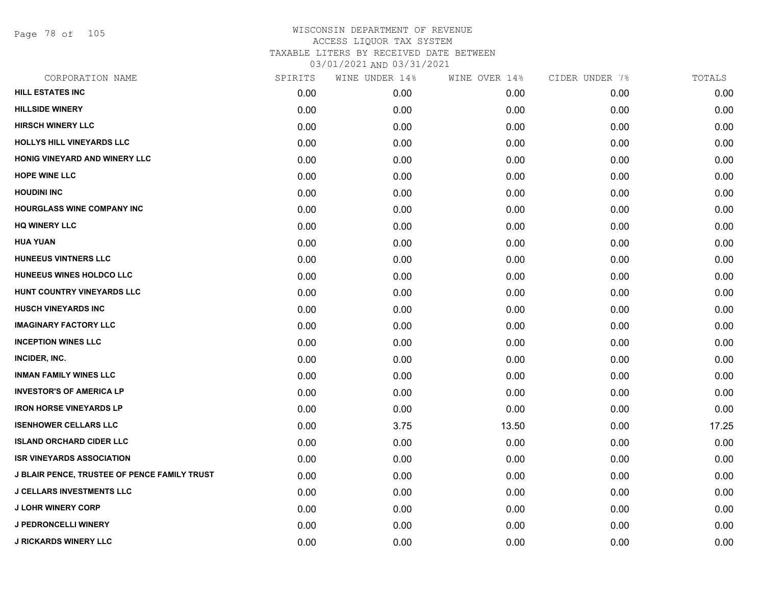Page 78 of 105

| CORPORATION NAME                                    | SPIRITS | WINE UNDER 14% | WINE OVER 14% | CIDER UNDER 7% | TOTALS |
|-----------------------------------------------------|---------|----------------|---------------|----------------|--------|
| <b>HILL ESTATES INC</b>                             | 0.00    | 0.00           | 0.00          | 0.00           | 0.00   |
| <b>HILLSIDE WINERY</b>                              | 0.00    | 0.00           | 0.00          | 0.00           | 0.00   |
| <b>HIRSCH WINERY LLC</b>                            | 0.00    | 0.00           | 0.00          | 0.00           | 0.00   |
| <b>HOLLYS HILL VINEYARDS LLC</b>                    | 0.00    | 0.00           | 0.00          | 0.00           | 0.00   |
| HONIG VINEYARD AND WINERY LLC                       | 0.00    | 0.00           | 0.00          | 0.00           | 0.00   |
| <b>HOPE WINE LLC</b>                                | 0.00    | 0.00           | 0.00          | 0.00           | 0.00   |
| <b>HOUDINI INC</b>                                  | 0.00    | 0.00           | 0.00          | 0.00           | 0.00   |
| <b>HOURGLASS WINE COMPANY INC</b>                   | 0.00    | 0.00           | 0.00          | 0.00           | 0.00   |
| <b>HQ WINERY LLC</b>                                | 0.00    | 0.00           | 0.00          | 0.00           | 0.00   |
| <b>HUA YUAN</b>                                     | 0.00    | 0.00           | 0.00          | 0.00           | 0.00   |
| <b>HUNEEUS VINTNERS LLC</b>                         | 0.00    | 0.00           | 0.00          | 0.00           | 0.00   |
| HUNEEUS WINES HOLDCO LLC                            | 0.00    | 0.00           | 0.00          | 0.00           | 0.00   |
| HUNT COUNTRY VINEYARDS LLC                          | 0.00    | 0.00           | 0.00          | 0.00           | 0.00   |
| <b>HUSCH VINEYARDS INC</b>                          | 0.00    | 0.00           | 0.00          | 0.00           | 0.00   |
| <b>IMAGINARY FACTORY LLC</b>                        | 0.00    | 0.00           | 0.00          | 0.00           | 0.00   |
| <b>INCEPTION WINES LLC</b>                          | 0.00    | 0.00           | 0.00          | 0.00           | 0.00   |
| INCIDER, INC.                                       | 0.00    | 0.00           | 0.00          | 0.00           | 0.00   |
| <b>INMAN FAMILY WINES LLC</b>                       | 0.00    | 0.00           | 0.00          | 0.00           | 0.00   |
| <b>INVESTOR'S OF AMERICA LP</b>                     | 0.00    | 0.00           | 0.00          | 0.00           | 0.00   |
| <b>IRON HORSE VINEYARDS LP</b>                      | 0.00    | 0.00           | 0.00          | 0.00           | 0.00   |
| <b>ISENHOWER CELLARS LLC</b>                        | 0.00    | 3.75           | 13.50         | 0.00           | 17.25  |
| <b>ISLAND ORCHARD CIDER LLC</b>                     | 0.00    | 0.00           | 0.00          | 0.00           | 0.00   |
| <b>ISR VINEYARDS ASSOCIATION</b>                    | 0.00    | 0.00           | 0.00          | 0.00           | 0.00   |
| <b>J BLAIR PENCE, TRUSTEE OF PENCE FAMILY TRUST</b> | 0.00    | 0.00           | 0.00          | 0.00           | 0.00   |
| <b>J CELLARS INVESTMENTS LLC</b>                    | 0.00    | 0.00           | 0.00          | 0.00           | 0.00   |
| <b>J LOHR WINERY CORP</b>                           | 0.00    | 0.00           | 0.00          | 0.00           | 0.00   |
| <b>J PEDRONCELLI WINERY</b>                         | 0.00    | 0.00           | 0.00          | 0.00           | 0.00   |
| <b>J RICKARDS WINERY LLC</b>                        | 0.00    | 0.00           | 0.00          | 0.00           | 0.00   |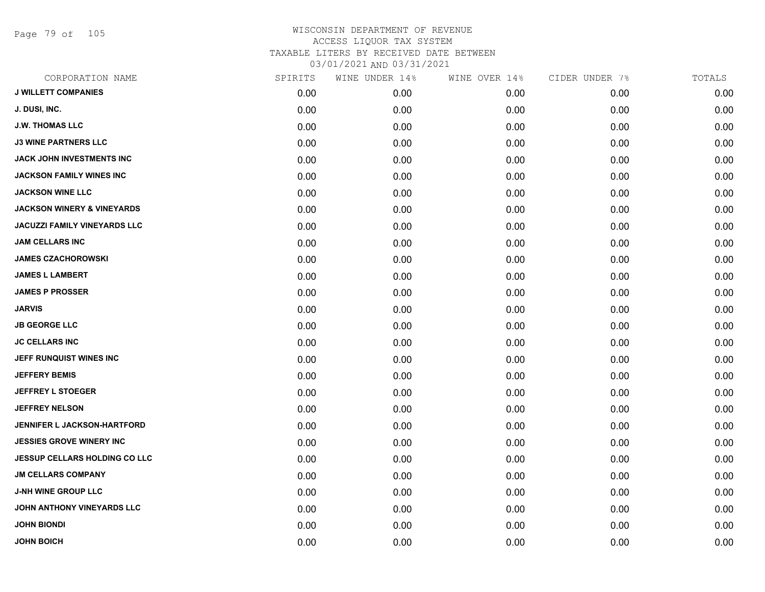Page 79 of 105

| CORPORATION NAME                      | SPIRITS | WINE UNDER 14% | WINE OVER 14% | CIDER UNDER 7% | TOTALS |
|---------------------------------------|---------|----------------|---------------|----------------|--------|
| <b>J WILLETT COMPANIES</b>            | 0.00    | 0.00           | 0.00          | 0.00           | 0.00   |
| J. DUSI, INC.                         | 0.00    | 0.00           | 0.00          | 0.00           | 0.00   |
| <b>J.W. THOMAS LLC</b>                | 0.00    | 0.00           | 0.00          | 0.00           | 0.00   |
| <b>J3 WINE PARTNERS LLC</b>           | 0.00    | 0.00           | 0.00          | 0.00           | 0.00   |
| <b>JACK JOHN INVESTMENTS INC</b>      | 0.00    | 0.00           | 0.00          | 0.00           | 0.00   |
| <b>JACKSON FAMILY WINES INC</b>       | 0.00    | 0.00           | 0.00          | 0.00           | 0.00   |
| <b>JACKSON WINE LLC</b>               | 0.00    | 0.00           | 0.00          | 0.00           | 0.00   |
| <b>JACKSON WINERY &amp; VINEYARDS</b> | 0.00    | 0.00           | 0.00          | 0.00           | 0.00   |
| <b>JACUZZI FAMILY VINEYARDS LLC</b>   | 0.00    | 0.00           | 0.00          | 0.00           | 0.00   |
| <b>JAM CELLARS INC</b>                | 0.00    | 0.00           | 0.00          | 0.00           | 0.00   |
| <b>JAMES CZACHOROWSKI</b>             | 0.00    | 0.00           | 0.00          | 0.00           | 0.00   |
| <b>JAMES L LAMBERT</b>                | 0.00    | 0.00           | 0.00          | 0.00           | 0.00   |
| <b>JAMES P PROSSER</b>                | 0.00    | 0.00           | 0.00          | 0.00           | 0.00   |
| <b>JARVIS</b>                         | 0.00    | 0.00           | 0.00          | 0.00           | 0.00   |
| <b>JB GEORGE LLC</b>                  | 0.00    | 0.00           | 0.00          | 0.00           | 0.00   |
| <b>JC CELLARS INC</b>                 | 0.00    | 0.00           | 0.00          | 0.00           | 0.00   |
| JEFF RUNQUIST WINES INC               | 0.00    | 0.00           | 0.00          | 0.00           | 0.00   |
| <b>JEFFERY BEMIS</b>                  | 0.00    | 0.00           | 0.00          | 0.00           | 0.00   |
| <b>JEFFREY L STOEGER</b>              | 0.00    | 0.00           | 0.00          | 0.00           | 0.00   |
| <b>JEFFREY NELSON</b>                 | 0.00    | 0.00           | 0.00          | 0.00           | 0.00   |
| JENNIFER L JACKSON-HARTFORD           | 0.00    | 0.00           | 0.00          | 0.00           | 0.00   |
| <b>JESSIES GROVE WINERY INC</b>       | 0.00    | 0.00           | 0.00          | 0.00           | 0.00   |
| <b>JESSUP CELLARS HOLDING CO LLC</b>  | 0.00    | 0.00           | 0.00          | 0.00           | 0.00   |
| <b>JM CELLARS COMPANY</b>             | 0.00    | 0.00           | 0.00          | 0.00           | 0.00   |
| <b>J-NH WINE GROUP LLC</b>            | 0.00    | 0.00           | 0.00          | 0.00           | 0.00   |
| JOHN ANTHONY VINEYARDS LLC            | 0.00    | 0.00           | 0.00          | 0.00           | 0.00   |
| <b>JOHN BIONDI</b>                    | 0.00    | 0.00           | 0.00          | 0.00           | 0.00   |
| <b>JOHN BOICH</b>                     | 0.00    | 0.00           | 0.00          | 0.00           | 0.00   |
|                                       |         |                |               |                |        |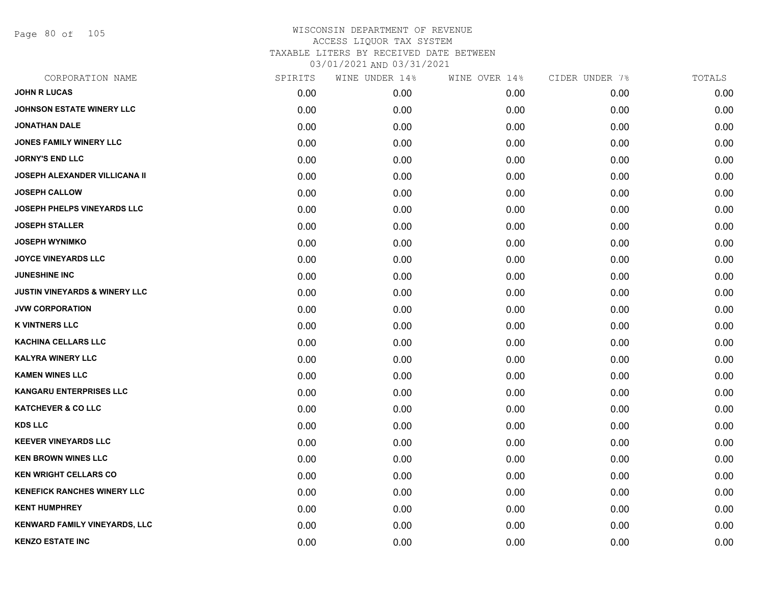Page 80 of 105

| CORPORATION NAME                         | SPIRITS | WINE UNDER 14% | WINE OVER 14% | CIDER UNDER 7% | TOTALS |
|------------------------------------------|---------|----------------|---------------|----------------|--------|
| <b>JOHN R LUCAS</b>                      | 0.00    | 0.00           | 0.00          | 0.00           | 0.00   |
| <b>JOHNSON ESTATE WINERY LLC</b>         | 0.00    | 0.00           | 0.00          | 0.00           | 0.00   |
| <b>JONATHAN DALE</b>                     | 0.00    | 0.00           | 0.00          | 0.00           | 0.00   |
| <b>JONES FAMILY WINERY LLC</b>           | 0.00    | 0.00           | 0.00          | 0.00           | 0.00   |
| <b>JORNY'S END LLC</b>                   | 0.00    | 0.00           | 0.00          | 0.00           | 0.00   |
| <b>JOSEPH ALEXANDER VILLICANA II</b>     | 0.00    | 0.00           | 0.00          | 0.00           | 0.00   |
| <b>JOSEPH CALLOW</b>                     | 0.00    | 0.00           | 0.00          | 0.00           | 0.00   |
| <b>JOSEPH PHELPS VINEYARDS LLC</b>       | 0.00    | 0.00           | 0.00          | 0.00           | 0.00   |
| <b>JOSEPH STALLER</b>                    | 0.00    | 0.00           | 0.00          | 0.00           | 0.00   |
| <b>JOSEPH WYNIMKO</b>                    | 0.00    | 0.00           | 0.00          | 0.00           | 0.00   |
| <b>JOYCE VINEYARDS LLC</b>               | 0.00    | 0.00           | 0.00          | 0.00           | 0.00   |
| <b>JUNESHINE INC</b>                     | 0.00    | 0.00           | 0.00          | 0.00           | 0.00   |
| <b>JUSTIN VINEYARDS &amp; WINERY LLC</b> | 0.00    | 0.00           | 0.00          | 0.00           | 0.00   |
| <b>JVW CORPORATION</b>                   | 0.00    | 0.00           | 0.00          | 0.00           | 0.00   |
| <b>K VINTNERS LLC</b>                    | 0.00    | 0.00           | 0.00          | 0.00           | 0.00   |
| <b>KACHINA CELLARS LLC</b>               | 0.00    | 0.00           | 0.00          | 0.00           | 0.00   |
| <b>KALYRA WINERY LLC</b>                 | 0.00    | 0.00           | 0.00          | 0.00           | 0.00   |
| <b>KAMEN WINES LLC</b>                   | 0.00    | 0.00           | 0.00          | 0.00           | 0.00   |
| <b>KANGARU ENTERPRISES LLC</b>           | 0.00    | 0.00           | 0.00          | 0.00           | 0.00   |
| <b>KATCHEVER &amp; CO LLC</b>            | 0.00    | 0.00           | 0.00          | 0.00           | 0.00   |
| <b>KDS LLC</b>                           | 0.00    | 0.00           | 0.00          | 0.00           | 0.00   |
| <b>KEEVER VINEYARDS LLC</b>              | 0.00    | 0.00           | 0.00          | 0.00           | 0.00   |
| <b>KEN BROWN WINES LLC</b>               | 0.00    | 0.00           | 0.00          | 0.00           | 0.00   |
| <b>KEN WRIGHT CELLARS CO</b>             | 0.00    | 0.00           | 0.00          | 0.00           | 0.00   |
| <b>KENEFICK RANCHES WINERY LLC</b>       | 0.00    | 0.00           | 0.00          | 0.00           | 0.00   |
| <b>KENT HUMPHREY</b>                     | 0.00    | 0.00           | 0.00          | 0.00           | 0.00   |
| <b>KENWARD FAMILY VINEYARDS, LLC</b>     | 0.00    | 0.00           | 0.00          | 0.00           | 0.00   |
| <b>KENZO ESTATE INC</b>                  | 0.00    | 0.00           | 0.00          | 0.00           | 0.00   |
|                                          |         |                |               |                |        |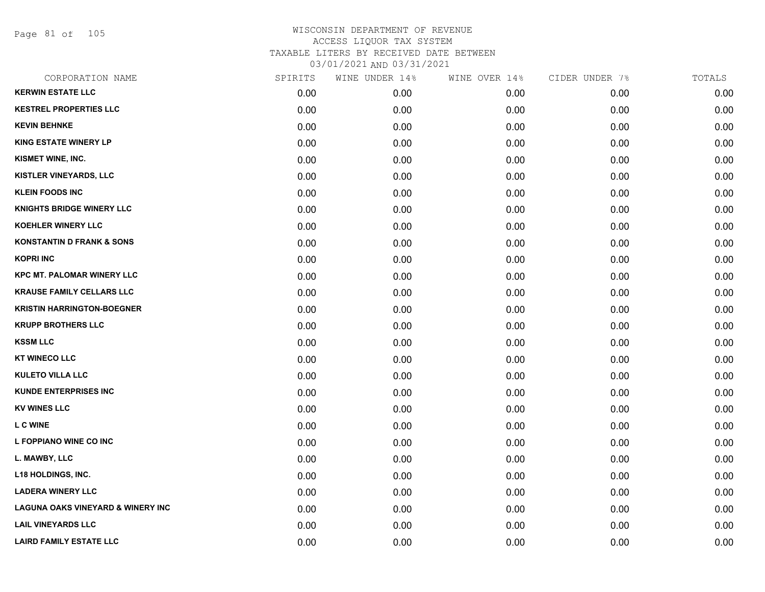Page 81 of 105

| CORPORATION NAME                             | SPIRITS | WINE UNDER 14% | WINE OVER 14% | CIDER UNDER 7% | TOTALS |
|----------------------------------------------|---------|----------------|---------------|----------------|--------|
| <b>KERWIN ESTATE LLC</b>                     | 0.00    | 0.00           | 0.00          | 0.00           | 0.00   |
| <b>KESTREL PROPERTIES LLC</b>                | 0.00    | 0.00           | 0.00          | 0.00           | 0.00   |
| <b>KEVIN BEHNKE</b>                          | 0.00    | 0.00           | 0.00          | 0.00           | 0.00   |
| <b>KING ESTATE WINERY LP</b>                 | 0.00    | 0.00           | 0.00          | 0.00           | 0.00   |
| KISMET WINE, INC.                            | 0.00    | 0.00           | 0.00          | 0.00           | 0.00   |
| KISTLER VINEYARDS, LLC                       | 0.00    | 0.00           | 0.00          | 0.00           | 0.00   |
| <b>KLEIN FOODS INC</b>                       | 0.00    | 0.00           | 0.00          | 0.00           | 0.00   |
| <b>KNIGHTS BRIDGE WINERY LLC</b>             | 0.00    | 0.00           | 0.00          | 0.00           | 0.00   |
| <b>KOEHLER WINERY LLC</b>                    | 0.00    | 0.00           | 0.00          | 0.00           | 0.00   |
| <b>KONSTANTIN D FRANK &amp; SONS</b>         | 0.00    | 0.00           | 0.00          | 0.00           | 0.00   |
| <b>KOPRI INC</b>                             | 0.00    | 0.00           | 0.00          | 0.00           | 0.00   |
| <b>KPC MT. PALOMAR WINERY LLC</b>            | 0.00    | 0.00           | 0.00          | 0.00           | 0.00   |
| <b>KRAUSE FAMILY CELLARS LLC</b>             | 0.00    | 0.00           | 0.00          | 0.00           | 0.00   |
| <b>KRISTIN HARRINGTON-BOEGNER</b>            | 0.00    | 0.00           | 0.00          | 0.00           | 0.00   |
| <b>KRUPP BROTHERS LLC</b>                    | 0.00    | 0.00           | 0.00          | 0.00           | 0.00   |
| <b>KSSM LLC</b>                              | 0.00    | 0.00           | 0.00          | 0.00           | 0.00   |
| <b>KT WINECO LLC</b>                         | 0.00    | 0.00           | 0.00          | 0.00           | 0.00   |
| <b>KULETO VILLA LLC</b>                      | 0.00    | 0.00           | 0.00          | 0.00           | 0.00   |
| <b>KUNDE ENTERPRISES INC</b>                 | 0.00    | 0.00           | 0.00          | 0.00           | 0.00   |
| <b>KV WINES LLC</b>                          | 0.00    | 0.00           | 0.00          | 0.00           | 0.00   |
| <b>LCWINE</b>                                | 0.00    | 0.00           | 0.00          | 0.00           | 0.00   |
| L FOPPIANO WINE CO INC                       | 0.00    | 0.00           | 0.00          | 0.00           | 0.00   |
| L. MAWBY, LLC                                | 0.00    | 0.00           | 0.00          | 0.00           | 0.00   |
| <b>L18 HOLDINGS, INC.</b>                    | 0.00    | 0.00           | 0.00          | 0.00           | 0.00   |
| <b>LADERA WINERY LLC</b>                     | 0.00    | 0.00           | 0.00          | 0.00           | 0.00   |
| <b>LAGUNA OAKS VINEYARD &amp; WINERY INC</b> | 0.00    | 0.00           | 0.00          | 0.00           | 0.00   |
| <b>LAIL VINEYARDS LLC</b>                    | 0.00    | 0.00           | 0.00          | 0.00           | 0.00   |
| <b>LAIRD FAMILY ESTATE LLC</b>               | 0.00    | 0.00           | 0.00          | 0.00           | 0.00   |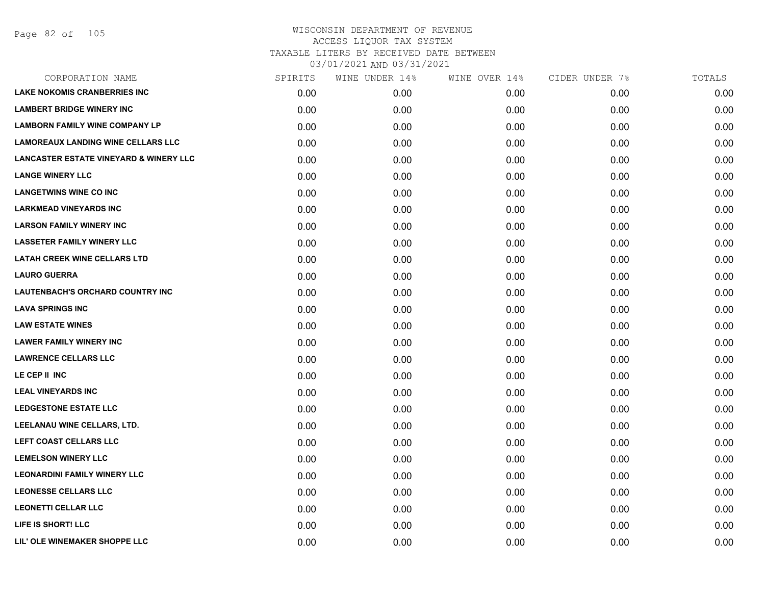| <b>LAKE NOKOMIS CRANBERRIES INC</b><br>0.00<br>0.00<br>0.00<br>0.00<br><b>LAMBERT BRIDGE WINERY INC</b><br>0.00<br>0.00<br>0.00<br>0.00<br><b>LAMBORN FAMILY WINE COMPANY LP</b><br>0.00<br>0.00<br>0.00<br>0.00<br><b>LAMOREAUX LANDING WINE CELLARS LLC</b><br>0.00<br>0.00<br>0.00<br>0.00<br><b>LANCASTER ESTATE VINEYARD &amp; WINERY LLC</b><br>0.00<br>0.00<br>0.00<br>0.00<br><b>LANGE WINERY LLC</b><br>0.00<br>0.00<br>0.00<br>0.00<br><b>LANGETWINS WINE CO INC</b><br>0.00<br>0.00<br>0.00<br>0.00<br><b>LARKMEAD VINEYARDS INC</b><br>0.00<br>0.00<br>0.00<br>0.00<br><b>LARSON FAMILY WINERY INC</b><br>0.00<br>0.00<br>0.00<br>0.00<br><b>LASSETER FAMILY WINERY LLC</b><br>0.00<br>0.00<br>0.00<br>0.00<br><b>LATAH CREEK WINE CELLARS LTD</b><br>0.00<br>0.00<br>0.00<br>0.00<br><b>LAURO GUERRA</b><br>0.00<br>0.00<br>0.00<br>0.00<br>LAUTENBACH'S ORCHARD COUNTRY INC<br>0.00<br>0.00<br>0.00<br>0.00<br><b>LAVA SPRINGS INC</b><br>0.00<br>0.00<br>0.00<br>0.00<br><b>LAW ESTATE WINES</b><br>0.00<br>0.00<br>0.00<br>0.00<br><b>LAWER FAMILY WINERY INC</b><br>0.00<br>0.00<br>0.00<br>0.00<br><b>LAWRENCE CELLARS LLC</b><br>0.00<br>0.00<br>0.00<br>0.00<br>LE CEP II INC<br>0.00<br>0.00<br>0.00<br>0.00<br><b>LEAL VINEYARDS INC</b><br>0.00<br>0.00<br>0.00<br>0.00<br><b>LEDGESTONE ESTATE LLC</b><br>0.00<br>0.00<br>0.00<br>0.00<br>LEELANAU WINE CELLARS, LTD.<br>0.00<br>0.00<br>0.00<br>0.00<br>LEFT COAST CELLARS LLC<br>0.00<br>0.00<br>0.00<br>0.00<br><b>LEMELSON WINERY LLC</b><br>0.00<br>0.00<br>0.00<br>0.00<br><b>LEONARDINI FAMILY WINERY LLC</b><br>0.00<br>0.00<br>0.00<br>0.00<br><b>LEONESSE CELLARS LLC</b><br>0.00<br>0.00<br>0.00<br>0.00<br><b>LEONETTI CELLAR LLC</b><br>0.00<br>0.00<br>0.00<br>0.00<br>LIFE IS SHORT! LLC<br>0.00<br>0.00<br>0.00<br>0.00<br>LIL' OLE WINEMAKER SHOPPE LLC<br>0.00<br>0.00<br>0.00<br>0.00 | CORPORATION NAME | SPIRITS | WINE UNDER 14% | WINE OVER 14% | CIDER UNDER 7% | TOTALS |
|----------------------------------------------------------------------------------------------------------------------------------------------------------------------------------------------------------------------------------------------------------------------------------------------------------------------------------------------------------------------------------------------------------------------------------------------------------------------------------------------------------------------------------------------------------------------------------------------------------------------------------------------------------------------------------------------------------------------------------------------------------------------------------------------------------------------------------------------------------------------------------------------------------------------------------------------------------------------------------------------------------------------------------------------------------------------------------------------------------------------------------------------------------------------------------------------------------------------------------------------------------------------------------------------------------------------------------------------------------------------------------------------------------------------------------------------------------------------------------------------------------------------------------------------------------------------------------------------------------------------------------------------------------------------------------------------------------------------------------------------------------------------------------------------------------------------------------------------------------------------------------|------------------|---------|----------------|---------------|----------------|--------|
|                                                                                                                                                                                                                                                                                                                                                                                                                                                                                                                                                                                                                                                                                                                                                                                                                                                                                                                                                                                                                                                                                                                                                                                                                                                                                                                                                                                                                                                                                                                                                                                                                                                                                                                                                                                                                                                                                  |                  |         |                |               |                | 0.00   |
|                                                                                                                                                                                                                                                                                                                                                                                                                                                                                                                                                                                                                                                                                                                                                                                                                                                                                                                                                                                                                                                                                                                                                                                                                                                                                                                                                                                                                                                                                                                                                                                                                                                                                                                                                                                                                                                                                  |                  |         |                |               |                | 0.00   |
|                                                                                                                                                                                                                                                                                                                                                                                                                                                                                                                                                                                                                                                                                                                                                                                                                                                                                                                                                                                                                                                                                                                                                                                                                                                                                                                                                                                                                                                                                                                                                                                                                                                                                                                                                                                                                                                                                  |                  |         |                |               |                | 0.00   |
|                                                                                                                                                                                                                                                                                                                                                                                                                                                                                                                                                                                                                                                                                                                                                                                                                                                                                                                                                                                                                                                                                                                                                                                                                                                                                                                                                                                                                                                                                                                                                                                                                                                                                                                                                                                                                                                                                  |                  |         |                |               |                | 0.00   |
|                                                                                                                                                                                                                                                                                                                                                                                                                                                                                                                                                                                                                                                                                                                                                                                                                                                                                                                                                                                                                                                                                                                                                                                                                                                                                                                                                                                                                                                                                                                                                                                                                                                                                                                                                                                                                                                                                  |                  |         |                |               |                | 0.00   |
|                                                                                                                                                                                                                                                                                                                                                                                                                                                                                                                                                                                                                                                                                                                                                                                                                                                                                                                                                                                                                                                                                                                                                                                                                                                                                                                                                                                                                                                                                                                                                                                                                                                                                                                                                                                                                                                                                  |                  |         |                |               |                | 0.00   |
|                                                                                                                                                                                                                                                                                                                                                                                                                                                                                                                                                                                                                                                                                                                                                                                                                                                                                                                                                                                                                                                                                                                                                                                                                                                                                                                                                                                                                                                                                                                                                                                                                                                                                                                                                                                                                                                                                  |                  |         |                |               |                | 0.00   |
|                                                                                                                                                                                                                                                                                                                                                                                                                                                                                                                                                                                                                                                                                                                                                                                                                                                                                                                                                                                                                                                                                                                                                                                                                                                                                                                                                                                                                                                                                                                                                                                                                                                                                                                                                                                                                                                                                  |                  |         |                |               |                | 0.00   |
|                                                                                                                                                                                                                                                                                                                                                                                                                                                                                                                                                                                                                                                                                                                                                                                                                                                                                                                                                                                                                                                                                                                                                                                                                                                                                                                                                                                                                                                                                                                                                                                                                                                                                                                                                                                                                                                                                  |                  |         |                |               |                | 0.00   |
|                                                                                                                                                                                                                                                                                                                                                                                                                                                                                                                                                                                                                                                                                                                                                                                                                                                                                                                                                                                                                                                                                                                                                                                                                                                                                                                                                                                                                                                                                                                                                                                                                                                                                                                                                                                                                                                                                  |                  |         |                |               |                | 0.00   |
|                                                                                                                                                                                                                                                                                                                                                                                                                                                                                                                                                                                                                                                                                                                                                                                                                                                                                                                                                                                                                                                                                                                                                                                                                                                                                                                                                                                                                                                                                                                                                                                                                                                                                                                                                                                                                                                                                  |                  |         |                |               |                | 0.00   |
|                                                                                                                                                                                                                                                                                                                                                                                                                                                                                                                                                                                                                                                                                                                                                                                                                                                                                                                                                                                                                                                                                                                                                                                                                                                                                                                                                                                                                                                                                                                                                                                                                                                                                                                                                                                                                                                                                  |                  |         |                |               |                | 0.00   |
|                                                                                                                                                                                                                                                                                                                                                                                                                                                                                                                                                                                                                                                                                                                                                                                                                                                                                                                                                                                                                                                                                                                                                                                                                                                                                                                                                                                                                                                                                                                                                                                                                                                                                                                                                                                                                                                                                  |                  |         |                |               |                | 0.00   |
|                                                                                                                                                                                                                                                                                                                                                                                                                                                                                                                                                                                                                                                                                                                                                                                                                                                                                                                                                                                                                                                                                                                                                                                                                                                                                                                                                                                                                                                                                                                                                                                                                                                                                                                                                                                                                                                                                  |                  |         |                |               |                | 0.00   |
|                                                                                                                                                                                                                                                                                                                                                                                                                                                                                                                                                                                                                                                                                                                                                                                                                                                                                                                                                                                                                                                                                                                                                                                                                                                                                                                                                                                                                                                                                                                                                                                                                                                                                                                                                                                                                                                                                  |                  |         |                |               |                | 0.00   |
|                                                                                                                                                                                                                                                                                                                                                                                                                                                                                                                                                                                                                                                                                                                                                                                                                                                                                                                                                                                                                                                                                                                                                                                                                                                                                                                                                                                                                                                                                                                                                                                                                                                                                                                                                                                                                                                                                  |                  |         |                |               |                | 0.00   |
|                                                                                                                                                                                                                                                                                                                                                                                                                                                                                                                                                                                                                                                                                                                                                                                                                                                                                                                                                                                                                                                                                                                                                                                                                                                                                                                                                                                                                                                                                                                                                                                                                                                                                                                                                                                                                                                                                  |                  |         |                |               |                | 0.00   |
|                                                                                                                                                                                                                                                                                                                                                                                                                                                                                                                                                                                                                                                                                                                                                                                                                                                                                                                                                                                                                                                                                                                                                                                                                                                                                                                                                                                                                                                                                                                                                                                                                                                                                                                                                                                                                                                                                  |                  |         |                |               |                | 0.00   |
|                                                                                                                                                                                                                                                                                                                                                                                                                                                                                                                                                                                                                                                                                                                                                                                                                                                                                                                                                                                                                                                                                                                                                                                                                                                                                                                                                                                                                                                                                                                                                                                                                                                                                                                                                                                                                                                                                  |                  |         |                |               |                | 0.00   |
|                                                                                                                                                                                                                                                                                                                                                                                                                                                                                                                                                                                                                                                                                                                                                                                                                                                                                                                                                                                                                                                                                                                                                                                                                                                                                                                                                                                                                                                                                                                                                                                                                                                                                                                                                                                                                                                                                  |                  |         |                |               |                | 0.00   |
|                                                                                                                                                                                                                                                                                                                                                                                                                                                                                                                                                                                                                                                                                                                                                                                                                                                                                                                                                                                                                                                                                                                                                                                                                                                                                                                                                                                                                                                                                                                                                                                                                                                                                                                                                                                                                                                                                  |                  |         |                |               |                | 0.00   |
|                                                                                                                                                                                                                                                                                                                                                                                                                                                                                                                                                                                                                                                                                                                                                                                                                                                                                                                                                                                                                                                                                                                                                                                                                                                                                                                                                                                                                                                                                                                                                                                                                                                                                                                                                                                                                                                                                  |                  |         |                |               |                | 0.00   |
|                                                                                                                                                                                                                                                                                                                                                                                                                                                                                                                                                                                                                                                                                                                                                                                                                                                                                                                                                                                                                                                                                                                                                                                                                                                                                                                                                                                                                                                                                                                                                                                                                                                                                                                                                                                                                                                                                  |                  |         |                |               |                | 0.00   |
|                                                                                                                                                                                                                                                                                                                                                                                                                                                                                                                                                                                                                                                                                                                                                                                                                                                                                                                                                                                                                                                                                                                                                                                                                                                                                                                                                                                                                                                                                                                                                                                                                                                                                                                                                                                                                                                                                  |                  |         |                |               |                | 0.00   |
|                                                                                                                                                                                                                                                                                                                                                                                                                                                                                                                                                                                                                                                                                                                                                                                                                                                                                                                                                                                                                                                                                                                                                                                                                                                                                                                                                                                                                                                                                                                                                                                                                                                                                                                                                                                                                                                                                  |                  |         |                |               |                | 0.00   |
|                                                                                                                                                                                                                                                                                                                                                                                                                                                                                                                                                                                                                                                                                                                                                                                                                                                                                                                                                                                                                                                                                                                                                                                                                                                                                                                                                                                                                                                                                                                                                                                                                                                                                                                                                                                                                                                                                  |                  |         |                |               |                | 0.00   |
|                                                                                                                                                                                                                                                                                                                                                                                                                                                                                                                                                                                                                                                                                                                                                                                                                                                                                                                                                                                                                                                                                                                                                                                                                                                                                                                                                                                                                                                                                                                                                                                                                                                                                                                                                                                                                                                                                  |                  |         |                |               |                | 0.00   |
|                                                                                                                                                                                                                                                                                                                                                                                                                                                                                                                                                                                                                                                                                                                                                                                                                                                                                                                                                                                                                                                                                                                                                                                                                                                                                                                                                                                                                                                                                                                                                                                                                                                                                                                                                                                                                                                                                  |                  |         |                |               |                | 0.00   |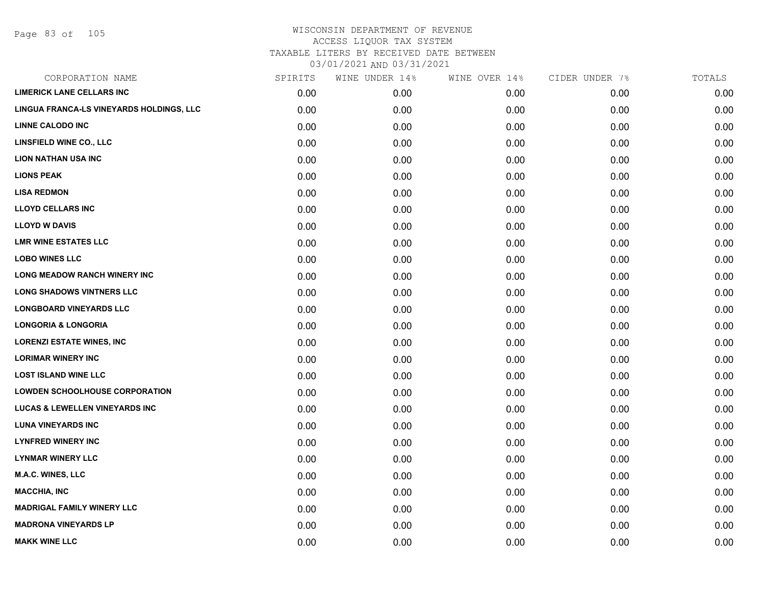| CORPORATION NAME                          | SPIRITS | WINE UNDER 14% | WINE OVER 14% | CIDER UNDER 7% | TOTALS |
|-------------------------------------------|---------|----------------|---------------|----------------|--------|
| <b>LIMERICK LANE CELLARS INC</b>          | 0.00    | 0.00           | 0.00          | 0.00           | 0.00   |
| LINGUA FRANCA-LS VINEYARDS HOLDINGS, LLC  | 0.00    | 0.00           | 0.00          | 0.00           | 0.00   |
| <b>LINNE CALODO INC</b>                   | 0.00    | 0.00           | 0.00          | 0.00           | 0.00   |
| LINSFIELD WINE CO., LLC                   | 0.00    | 0.00           | 0.00          | 0.00           | 0.00   |
| <b>LION NATHAN USA INC</b>                | 0.00    | 0.00           | 0.00          | 0.00           | 0.00   |
| <b>LIONS PEAK</b>                         | 0.00    | 0.00           | 0.00          | 0.00           | 0.00   |
| <b>LISA REDMON</b>                        | 0.00    | 0.00           | 0.00          | 0.00           | 0.00   |
| <b>LLOYD CELLARS INC</b>                  | 0.00    | 0.00           | 0.00          | 0.00           | 0.00   |
| <b>LLOYD W DAVIS</b>                      | 0.00    | 0.00           | 0.00          | 0.00           | 0.00   |
| <b>LMR WINE ESTATES LLC</b>               | 0.00    | 0.00           | 0.00          | 0.00           | 0.00   |
| <b>LOBO WINES LLC</b>                     | 0.00    | 0.00           | 0.00          | 0.00           | 0.00   |
| <b>LONG MEADOW RANCH WINERY INC</b>       | 0.00    | 0.00           | 0.00          | 0.00           | 0.00   |
| <b>LONG SHADOWS VINTNERS LLC</b>          | 0.00    | 0.00           | 0.00          | 0.00           | 0.00   |
| <b>LONGBOARD VINEYARDS LLC</b>            | 0.00    | 0.00           | 0.00          | 0.00           | 0.00   |
| <b>LONGORIA &amp; LONGORIA</b>            | 0.00    | 0.00           | 0.00          | 0.00           | 0.00   |
| <b>LORENZI ESTATE WINES, INC</b>          | 0.00    | 0.00           | 0.00          | 0.00           | 0.00   |
| <b>LORIMAR WINERY INC</b>                 | 0.00    | 0.00           | 0.00          | 0.00           | 0.00   |
| <b>LOST ISLAND WINE LLC</b>               | 0.00    | 0.00           | 0.00          | 0.00           | 0.00   |
| <b>LOWDEN SCHOOLHOUSE CORPORATION</b>     | 0.00    | 0.00           | 0.00          | 0.00           | 0.00   |
| <b>LUCAS &amp; LEWELLEN VINEYARDS INC</b> | 0.00    | 0.00           | 0.00          | 0.00           | 0.00   |
| <b>LUNA VINEYARDS INC</b>                 | 0.00    | 0.00           | 0.00          | 0.00           | 0.00   |
| <b>LYNFRED WINERY INC</b>                 | 0.00    | 0.00           | 0.00          | 0.00           | 0.00   |
| <b>LYNMAR WINERY LLC</b>                  | 0.00    | 0.00           | 0.00          | 0.00           | 0.00   |
| M.A.C. WINES, LLC                         | 0.00    | 0.00           | 0.00          | 0.00           | 0.00   |
| <b>MACCHIA, INC</b>                       | 0.00    | 0.00           | 0.00          | 0.00           | 0.00   |
| <b>MADRIGAL FAMILY WINERY LLC</b>         | 0.00    | 0.00           | 0.00          | 0.00           | 0.00   |
| <b>MADRONA VINEYARDS LP</b>               | 0.00    | 0.00           | 0.00          | 0.00           | 0.00   |
| <b>MAKK WINE LLC</b>                      | 0.00    | 0.00           | 0.00          | 0.00           | 0.00   |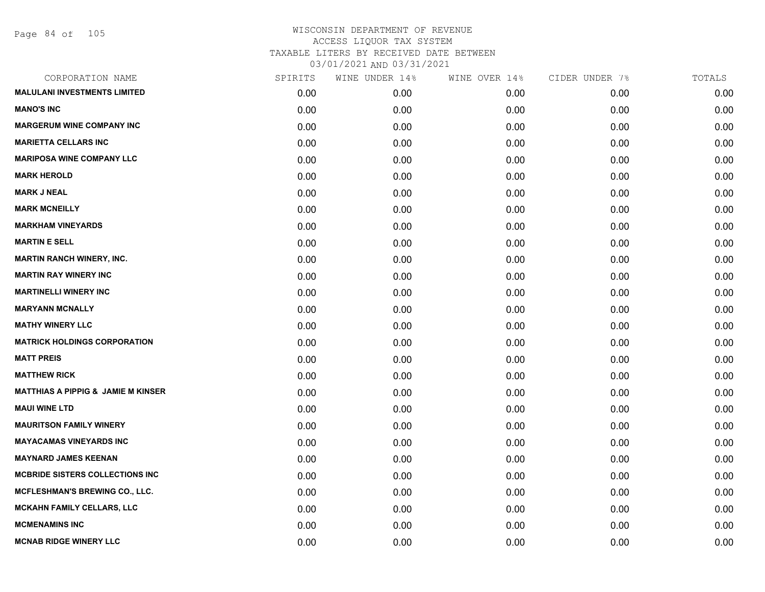| CORPORATION NAME                              | SPIRITS | WINE UNDER 14% | WINE OVER 14% | CIDER UNDER 7% | TOTALS |
|-----------------------------------------------|---------|----------------|---------------|----------------|--------|
| <b>MALULANI INVESTMENTS LIMITED</b>           | 0.00    | 0.00           | 0.00          | 0.00           | 0.00   |
| <b>MANO'S INC</b>                             | 0.00    | 0.00           | 0.00          | 0.00           | 0.00   |
| <b>MARGERUM WINE COMPANY INC</b>              | 0.00    | 0.00           | 0.00          | 0.00           | 0.00   |
| <b>MARIETTA CELLARS INC</b>                   | 0.00    | 0.00           | 0.00          | 0.00           | 0.00   |
| <b>MARIPOSA WINE COMPANY LLC</b>              | 0.00    | 0.00           | 0.00          | 0.00           | 0.00   |
| <b>MARK HEROLD</b>                            | 0.00    | 0.00           | 0.00          | 0.00           | 0.00   |
| <b>MARK J NEAL</b>                            | 0.00    | 0.00           | 0.00          | 0.00           | 0.00   |
| <b>MARK MCNEILLY</b>                          | 0.00    | 0.00           | 0.00          | 0.00           | 0.00   |
| <b>MARKHAM VINEYARDS</b>                      | 0.00    | 0.00           | 0.00          | 0.00           | 0.00   |
| <b>MARTIN E SELL</b>                          | 0.00    | 0.00           | 0.00          | 0.00           | 0.00   |
| <b>MARTIN RANCH WINERY, INC.</b>              | 0.00    | 0.00           | 0.00          | 0.00           | 0.00   |
| <b>MARTIN RAY WINERY INC</b>                  | 0.00    | 0.00           | 0.00          | 0.00           | 0.00   |
| <b>MARTINELLI WINERY INC</b>                  | 0.00    | 0.00           | 0.00          | 0.00           | 0.00   |
| <b>MARYANN MCNALLY</b>                        | 0.00    | 0.00           | 0.00          | 0.00           | 0.00   |
| <b>MATHY WINERY LLC</b>                       | 0.00    | 0.00           | 0.00          | 0.00           | 0.00   |
| <b>MATRICK HOLDINGS CORPORATION</b>           | 0.00    | 0.00           | 0.00          | 0.00           | 0.00   |
| <b>MATT PREIS</b>                             | 0.00    | 0.00           | 0.00          | 0.00           | 0.00   |
| <b>MATTHEW RICK</b>                           | 0.00    | 0.00           | 0.00          | 0.00           | 0.00   |
| <b>MATTHIAS A PIPPIG &amp; JAMIE M KINSER</b> | 0.00    | 0.00           | 0.00          | 0.00           | 0.00   |
| <b>MAUI WINE LTD</b>                          | 0.00    | 0.00           | 0.00          | 0.00           | 0.00   |
| <b>MAURITSON FAMILY WINERY</b>                | 0.00    | 0.00           | 0.00          | 0.00           | 0.00   |
| <b>MAYACAMAS VINEYARDS INC</b>                | 0.00    | 0.00           | 0.00          | 0.00           | 0.00   |
| <b>MAYNARD JAMES KEENAN</b>                   | 0.00    | 0.00           | 0.00          | 0.00           | 0.00   |
| <b>MCBRIDE SISTERS COLLECTIONS INC.</b>       | 0.00    | 0.00           | 0.00          | 0.00           | 0.00   |
| MCFLESHMAN'S BREWING CO., LLC.                | 0.00    | 0.00           | 0.00          | 0.00           | 0.00   |
| <b>MCKAHN FAMILY CELLARS, LLC</b>             | 0.00    | 0.00           | 0.00          | 0.00           | 0.00   |
| <b>MCMENAMINS INC</b>                         | 0.00    | 0.00           | 0.00          | 0.00           | 0.00   |
| <b>MCNAB RIDGE WINERY LLC</b>                 | 0.00    | 0.00           | 0.00          | 0.00           | 0.00   |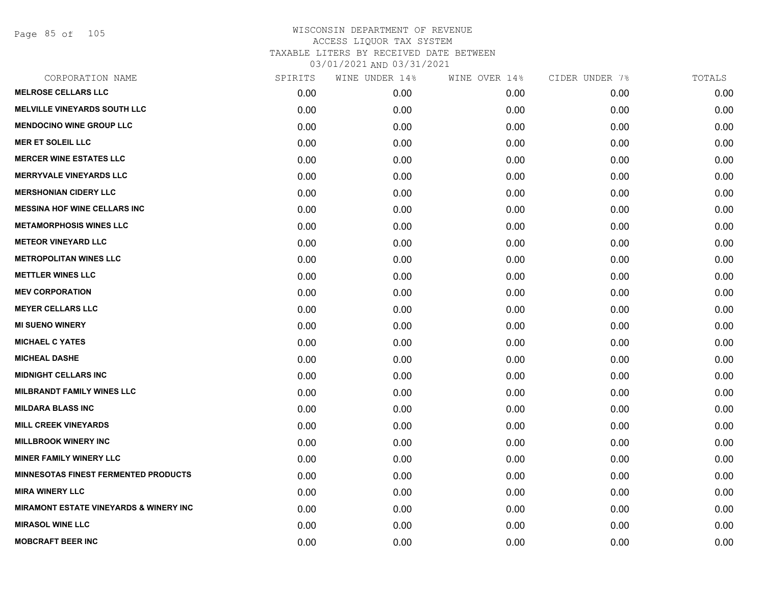Page 85 of 105

| CORPORATION NAME                                  | SPIRITS | WINE UNDER 14% | WINE OVER 14% | CIDER UNDER 7% | TOTALS |
|---------------------------------------------------|---------|----------------|---------------|----------------|--------|
| <b>MELROSE CELLARS LLC</b>                        | 0.00    | 0.00           | 0.00          | 0.00           | 0.00   |
| <b>MELVILLE VINEYARDS SOUTH LLC</b>               | 0.00    | 0.00           | 0.00          | 0.00           | 0.00   |
| <b>MENDOCINO WINE GROUP LLC</b>                   | 0.00    | 0.00           | 0.00          | 0.00           | 0.00   |
| <b>MER ET SOLEIL LLC</b>                          | 0.00    | 0.00           | 0.00          | 0.00           | 0.00   |
| <b>MERCER WINE ESTATES LLC</b>                    | 0.00    | 0.00           | 0.00          | 0.00           | 0.00   |
| <b>MERRYVALE VINEYARDS LLC</b>                    | 0.00    | 0.00           | 0.00          | 0.00           | 0.00   |
| <b>MERSHONIAN CIDERY LLC</b>                      | 0.00    | 0.00           | 0.00          | 0.00           | 0.00   |
| <b>MESSINA HOF WINE CELLARS INC</b>               | 0.00    | 0.00           | 0.00          | 0.00           | 0.00   |
| <b>METAMORPHOSIS WINES LLC</b>                    | 0.00    | 0.00           | 0.00          | 0.00           | 0.00   |
| <b>METEOR VINEYARD LLC</b>                        | 0.00    | 0.00           | 0.00          | 0.00           | 0.00   |
| <b>METROPOLITAN WINES LLC</b>                     | 0.00    | 0.00           | 0.00          | 0.00           | 0.00   |
| <b>METTLER WINES LLC</b>                          | 0.00    | 0.00           | 0.00          | 0.00           | 0.00   |
| <b>MEV CORPORATION</b>                            | 0.00    | 0.00           | 0.00          | 0.00           | 0.00   |
| <b>MEYER CELLARS LLC</b>                          | 0.00    | 0.00           | 0.00          | 0.00           | 0.00   |
| <b>MI SUENO WINERY</b>                            | 0.00    | 0.00           | 0.00          | 0.00           | 0.00   |
| <b>MICHAEL C YATES</b>                            | 0.00    | 0.00           | 0.00          | 0.00           | 0.00   |
| <b>MICHEAL DASHE</b>                              | 0.00    | 0.00           | 0.00          | 0.00           | 0.00   |
| <b>MIDNIGHT CELLARS INC</b>                       | 0.00    | 0.00           | 0.00          | 0.00           | 0.00   |
| <b>MILBRANDT FAMILY WINES LLC</b>                 | 0.00    | 0.00           | 0.00          | 0.00           | 0.00   |
| <b>MILDARA BLASS INC</b>                          | 0.00    | 0.00           | 0.00          | 0.00           | 0.00   |
| <b>MILL CREEK VINEYARDS</b>                       | 0.00    | 0.00           | 0.00          | 0.00           | 0.00   |
| <b>MILLBROOK WINERY INC</b>                       | 0.00    | 0.00           | 0.00          | 0.00           | 0.00   |
| <b>MINER FAMILY WINERY LLC</b>                    | 0.00    | 0.00           | 0.00          | 0.00           | 0.00   |
| <b>MINNESOTAS FINEST FERMENTED PRODUCTS</b>       | 0.00    | 0.00           | 0.00          | 0.00           | 0.00   |
| <b>MIRA WINERY LLC</b>                            | 0.00    | 0.00           | 0.00          | 0.00           | 0.00   |
| <b>MIRAMONT ESTATE VINEYARDS &amp; WINERY INC</b> | 0.00    | 0.00           | 0.00          | 0.00           | 0.00   |
| <b>MIRASOL WINE LLC</b>                           | 0.00    | 0.00           | 0.00          | 0.00           | 0.00   |
| <b>MOBCRAFT BEER INC</b>                          | 0.00    | 0.00           | 0.00          | 0.00           | 0.00   |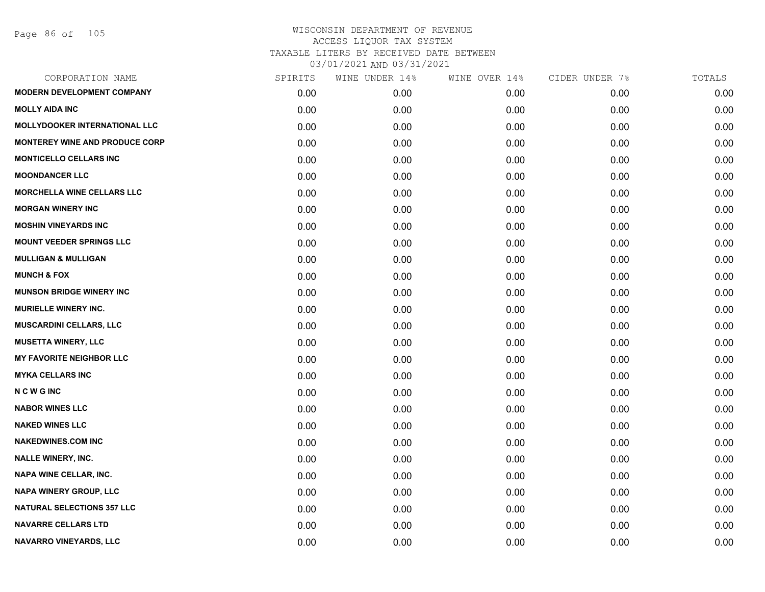| CORPORATION NAME                      | SPIRITS | WINE UNDER 14% | WINE OVER 14% | CIDER UNDER 7% | TOTALS |
|---------------------------------------|---------|----------------|---------------|----------------|--------|
| <b>MODERN DEVELOPMENT COMPANY</b>     | 0.00    | 0.00           | 0.00          | 0.00           | 0.00   |
| <b>MOLLY AIDA INC</b>                 | 0.00    | 0.00           | 0.00          | 0.00           | 0.00   |
| MOLLYDOOKER INTERNATIONAL LLC         | 0.00    | 0.00           | 0.00          | 0.00           | 0.00   |
| <b>MONTEREY WINE AND PRODUCE CORP</b> | 0.00    | 0.00           | 0.00          | 0.00           | 0.00   |
| <b>MONTICELLO CELLARS INC</b>         | 0.00    | 0.00           | 0.00          | 0.00           | 0.00   |
| <b>MOONDANCER LLC</b>                 | 0.00    | 0.00           | 0.00          | 0.00           | 0.00   |
| <b>MORCHELLA WINE CELLARS LLC</b>     | 0.00    | 0.00           | 0.00          | 0.00           | 0.00   |
| <b>MORGAN WINERY INC</b>              | 0.00    | 0.00           | 0.00          | 0.00           | 0.00   |
| <b>MOSHIN VINEYARDS INC</b>           | 0.00    | 0.00           | 0.00          | 0.00           | 0.00   |
| <b>MOUNT VEEDER SPRINGS LLC</b>       | 0.00    | 0.00           | 0.00          | 0.00           | 0.00   |
| <b>MULLIGAN &amp; MULLIGAN</b>        | 0.00    | 0.00           | 0.00          | 0.00           | 0.00   |
| <b>MUNCH &amp; FOX</b>                | 0.00    | 0.00           | 0.00          | 0.00           | 0.00   |
| <b>MUNSON BRIDGE WINERY INC</b>       | 0.00    | 0.00           | 0.00          | 0.00           | 0.00   |
| <b>MURIELLE WINERY INC.</b>           | 0.00    | 0.00           | 0.00          | 0.00           | 0.00   |
| <b>MUSCARDINI CELLARS, LLC</b>        | 0.00    | 0.00           | 0.00          | 0.00           | 0.00   |
| <b>MUSETTA WINERY, LLC</b>            | 0.00    | 0.00           | 0.00          | 0.00           | 0.00   |
| <b>MY FAVORITE NEIGHBOR LLC</b>       | 0.00    | 0.00           | 0.00          | 0.00           | 0.00   |
| <b>MYKA CELLARS INC</b>               | 0.00    | 0.00           | 0.00          | 0.00           | 0.00   |
| <b>NCWGINC</b>                        | 0.00    | 0.00           | 0.00          | 0.00           | 0.00   |
| <b>NABOR WINES LLC</b>                | 0.00    | 0.00           | 0.00          | 0.00           | 0.00   |
| <b>NAKED WINES LLC</b>                | 0.00    | 0.00           | 0.00          | 0.00           | 0.00   |
| <b>NAKEDWINES.COM INC</b>             | 0.00    | 0.00           | 0.00          | 0.00           | 0.00   |
| <b>NALLE WINERY, INC.</b>             | 0.00    | 0.00           | 0.00          | 0.00           | 0.00   |
| <b>NAPA WINE CELLAR, INC.</b>         | 0.00    | 0.00           | 0.00          | 0.00           | 0.00   |
| <b>NAPA WINERY GROUP, LLC</b>         | 0.00    | 0.00           | 0.00          | 0.00           | 0.00   |
| <b>NATURAL SELECTIONS 357 LLC</b>     | 0.00    | 0.00           | 0.00          | 0.00           | 0.00   |
| <b>NAVARRE CELLARS LTD</b>            | 0.00    | 0.00           | 0.00          | 0.00           | 0.00   |
| NAVARRO VINEYARDS, LLC                | 0.00    | 0.00           | 0.00          | 0.00           | 0.00   |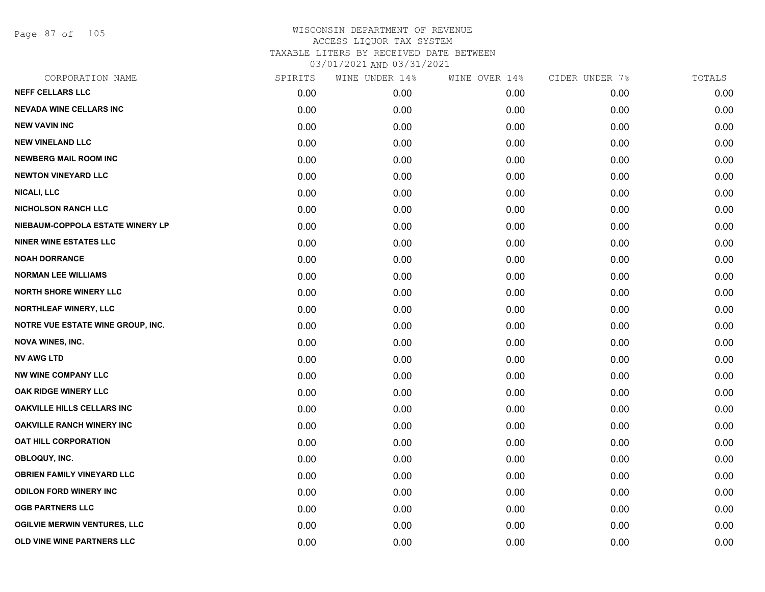Page 87 of 105

| CORPORATION NAME                    | SPIRITS | WINE UNDER 14% | WINE OVER 14% | CIDER UNDER 7% | TOTALS |
|-------------------------------------|---------|----------------|---------------|----------------|--------|
| <b>NEFF CELLARS LLC</b>             | 0.00    | 0.00           | 0.00          | 0.00           | 0.00   |
| <b>NEVADA WINE CELLARS INC</b>      | 0.00    | 0.00           | 0.00          | 0.00           | 0.00   |
| <b>NEW VAVIN INC</b>                | 0.00    | 0.00           | 0.00          | 0.00           | 0.00   |
| <b>NEW VINELAND LLC</b>             | 0.00    | 0.00           | 0.00          | 0.00           | 0.00   |
| <b>NEWBERG MAIL ROOM INC</b>        | 0.00    | 0.00           | 0.00          | 0.00           | 0.00   |
| <b>NEWTON VINEYARD LLC</b>          | 0.00    | 0.00           | 0.00          | 0.00           | 0.00   |
| NICALI, LLC                         | 0.00    | 0.00           | 0.00          | 0.00           | 0.00   |
| <b>NICHOLSON RANCH LLC</b>          | 0.00    | 0.00           | 0.00          | 0.00           | 0.00   |
| NIEBAUM-COPPOLA ESTATE WINERY LP    | 0.00    | 0.00           | 0.00          | 0.00           | 0.00   |
| <b>NINER WINE ESTATES LLC</b>       | 0.00    | 0.00           | 0.00          | 0.00           | 0.00   |
| <b>NOAH DORRANCE</b>                | 0.00    | 0.00           | 0.00          | 0.00           | 0.00   |
| <b>NORMAN LEE WILLIAMS</b>          | 0.00    | 0.00           | 0.00          | 0.00           | 0.00   |
| <b>NORTH SHORE WINERY LLC</b>       | 0.00    | 0.00           | 0.00          | 0.00           | 0.00   |
| NORTHLEAF WINERY, LLC               | 0.00    | 0.00           | 0.00          | 0.00           | 0.00   |
| NOTRE VUE ESTATE WINE GROUP, INC.   | 0.00    | 0.00           | 0.00          | 0.00           | 0.00   |
| <b>NOVA WINES, INC.</b>             | 0.00    | 0.00           | 0.00          | 0.00           | 0.00   |
| <b>NV AWG LTD</b>                   | 0.00    | 0.00           | 0.00          | 0.00           | 0.00   |
| <b>NW WINE COMPANY LLC</b>          | 0.00    | 0.00           | 0.00          | 0.00           | 0.00   |
| OAK RIDGE WINERY LLC                | 0.00    | 0.00           | 0.00          | 0.00           | 0.00   |
| <b>OAKVILLE HILLS CELLARS INC</b>   | 0.00    | 0.00           | 0.00          | 0.00           | 0.00   |
| <b>OAKVILLE RANCH WINERY INC</b>    | 0.00    | 0.00           | 0.00          | 0.00           | 0.00   |
| <b>OAT HILL CORPORATION</b>         | 0.00    | 0.00           | 0.00          | 0.00           | 0.00   |
| OBLOQUY, INC.                       | 0.00    | 0.00           | 0.00          | 0.00           | 0.00   |
| <b>OBRIEN FAMILY VINEYARD LLC</b>   | 0.00    | 0.00           | 0.00          | 0.00           | 0.00   |
| <b>ODILON FORD WINERY INC</b>       | 0.00    | 0.00           | 0.00          | 0.00           | 0.00   |
| <b>OGB PARTNERS LLC</b>             | 0.00    | 0.00           | 0.00          | 0.00           | 0.00   |
| <b>OGILVIE MERWIN VENTURES, LLC</b> | 0.00    | 0.00           | 0.00          | 0.00           | 0.00   |
| OLD VINE WINE PARTNERS LLC          | 0.00    | 0.00           | 0.00          | 0.00           | 0.00   |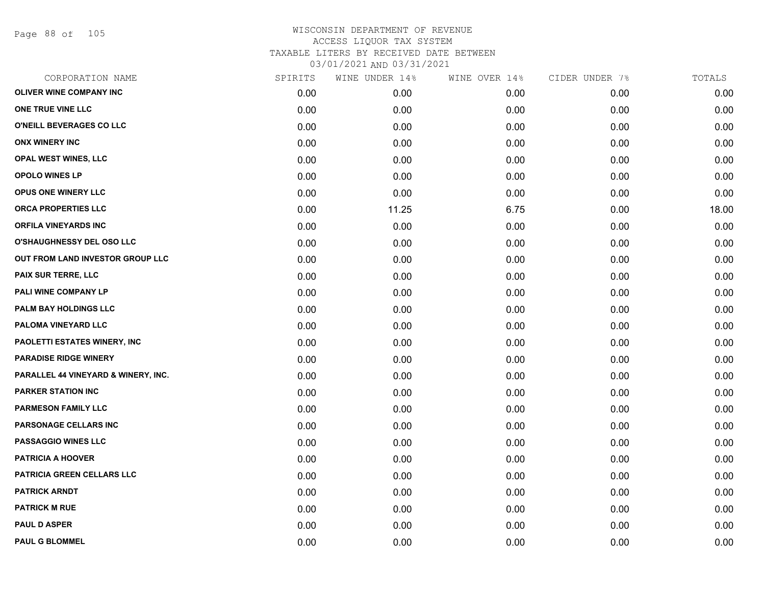Page 88 of 105

| CORPORATION NAME                    | SPIRITS | WINE UNDER 14% | WINE OVER 14% | CIDER UNDER 7% | TOTALS |
|-------------------------------------|---------|----------------|---------------|----------------|--------|
| <b>OLIVER WINE COMPANY INC</b>      | 0.00    | 0.00           | 0.00          | 0.00           | 0.00   |
| ONE TRUE VINE LLC                   | 0.00    | 0.00           | 0.00          | 0.00           | 0.00   |
| O'NEILL BEVERAGES CO LLC            | 0.00    | 0.00           | 0.00          | 0.00           | 0.00   |
| <b>ONX WINERY INC</b>               | 0.00    | 0.00           | 0.00          | 0.00           | 0.00   |
| <b>OPAL WEST WINES, LLC</b>         | 0.00    | 0.00           | 0.00          | 0.00           | 0.00   |
| OPOLO WINES LP                      | 0.00    | 0.00           | 0.00          | 0.00           | 0.00   |
| OPUS ONE WINERY LLC                 | 0.00    | 0.00           | 0.00          | 0.00           | 0.00   |
| <b>ORCA PROPERTIES LLC</b>          | 0.00    | 11.25          | 6.75          | 0.00           | 18.00  |
| <b>ORFILA VINEYARDS INC</b>         | 0.00    | 0.00           | 0.00          | 0.00           | 0.00   |
| <b>O'SHAUGHNESSY DEL OSO LLC</b>    | 0.00    | 0.00           | 0.00          | 0.00           | 0.00   |
| OUT FROM LAND INVESTOR GROUP LLC    | 0.00    | 0.00           | 0.00          | 0.00           | 0.00   |
| PAIX SUR TERRE, LLC                 | 0.00    | 0.00           | 0.00          | 0.00           | 0.00   |
| PALI WINE COMPANY LP                | 0.00    | 0.00           | 0.00          | 0.00           | 0.00   |
| PALM BAY HOLDINGS LLC               | 0.00    | 0.00           | 0.00          | 0.00           | 0.00   |
| PALOMA VINEYARD LLC                 | 0.00    | 0.00           | 0.00          | 0.00           | 0.00   |
| <b>PAOLETTI ESTATES WINERY, INC</b> | 0.00    | 0.00           | 0.00          | 0.00           | 0.00   |
| <b>PARADISE RIDGE WINERY</b>        | 0.00    | 0.00           | 0.00          | 0.00           | 0.00   |
| PARALLEL 44 VINEYARD & WINERY, INC. | 0.00    | 0.00           | 0.00          | 0.00           | 0.00   |
| <b>PARKER STATION INC</b>           | 0.00    | 0.00           | 0.00          | 0.00           | 0.00   |
| <b>PARMESON FAMILY LLC</b>          | 0.00    | 0.00           | 0.00          | 0.00           | 0.00   |
| PARSONAGE CELLARS INC               | 0.00    | 0.00           | 0.00          | 0.00           | 0.00   |
| <b>PASSAGGIO WINES LLC</b>          | 0.00    | 0.00           | 0.00          | 0.00           | 0.00   |
| <b>PATRICIA A HOOVER</b>            | 0.00    | 0.00           | 0.00          | 0.00           | 0.00   |
| PATRICIA GREEN CELLARS LLC          | 0.00    | 0.00           | 0.00          | 0.00           | 0.00   |
| <b>PATRICK ARNDT</b>                | 0.00    | 0.00           | 0.00          | 0.00           | 0.00   |
| <b>PATRICK M RUE</b>                | 0.00    | 0.00           | 0.00          | 0.00           | 0.00   |
| <b>PAUL D ASPER</b>                 | 0.00    | 0.00           | 0.00          | 0.00           | 0.00   |
| <b>PAUL G BLOMMEL</b>               | 0.00    | 0.00           | 0.00          | 0.00           | 0.00   |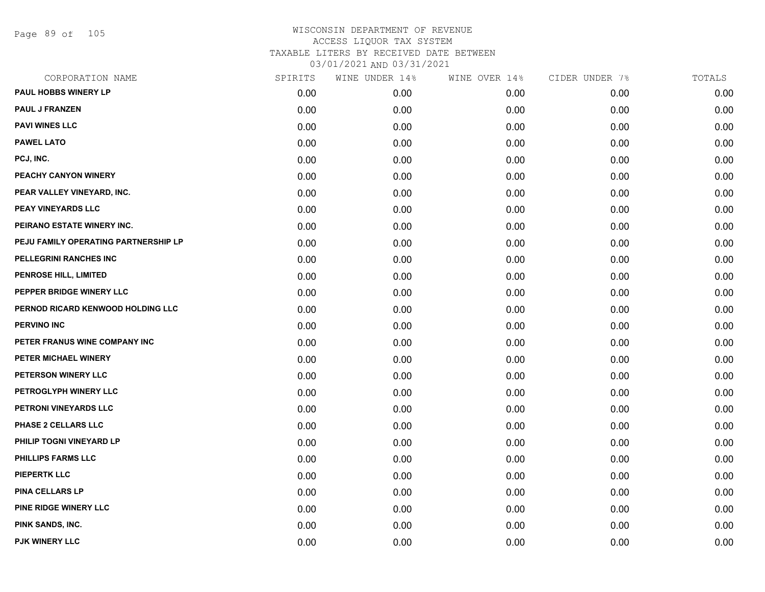Page 89 of 105

| CORPORATION NAME                     | SPIRITS | WINE UNDER 14% | WINE OVER 14% | CIDER UNDER 7% | TOTALS |
|--------------------------------------|---------|----------------|---------------|----------------|--------|
| <b>PAUL HOBBS WINERY LP</b>          | 0.00    | 0.00           | 0.00          | 0.00           | 0.00   |
| <b>PAUL J FRANZEN</b>                | 0.00    | 0.00           | 0.00          | 0.00           | 0.00   |
| <b>PAVI WINES LLC</b>                | 0.00    | 0.00           | 0.00          | 0.00           | 0.00   |
| <b>PAWEL LATO</b>                    | 0.00    | 0.00           | 0.00          | 0.00           | 0.00   |
| PCJ, INC.                            | 0.00    | 0.00           | 0.00          | 0.00           | 0.00   |
| PEACHY CANYON WINERY                 | 0.00    | 0.00           | 0.00          | 0.00           | 0.00   |
| PEAR VALLEY VINEYARD, INC.           | 0.00    | 0.00           | 0.00          | 0.00           | 0.00   |
| <b>PEAY VINEYARDS LLC</b>            | 0.00    | 0.00           | 0.00          | 0.00           | 0.00   |
| PEIRANO ESTATE WINERY INC.           | 0.00    | 0.00           | 0.00          | 0.00           | 0.00   |
| PEJU FAMILY OPERATING PARTNERSHIP LP | 0.00    | 0.00           | 0.00          | 0.00           | 0.00   |
| PELLEGRINI RANCHES INC               | 0.00    | 0.00           | 0.00          | 0.00           | 0.00   |
| PENROSE HILL, LIMITED                | 0.00    | 0.00           | 0.00          | 0.00           | 0.00   |
| PEPPER BRIDGE WINERY LLC             | 0.00    | 0.00           | 0.00          | 0.00           | 0.00   |
| PERNOD RICARD KENWOOD HOLDING LLC    | 0.00    | 0.00           | 0.00          | 0.00           | 0.00   |
| <b>PERVINO INC</b>                   | 0.00    | 0.00           | 0.00          | 0.00           | 0.00   |
| PETER FRANUS WINE COMPANY INC        | 0.00    | 0.00           | 0.00          | 0.00           | 0.00   |
| PETER MICHAEL WINERY                 | 0.00    | 0.00           | 0.00          | 0.00           | 0.00   |
| PETERSON WINERY LLC                  | 0.00    | 0.00           | 0.00          | 0.00           | 0.00   |
| PETROGLYPH WINERY LLC                | 0.00    | 0.00           | 0.00          | 0.00           | 0.00   |
| PETRONI VINEYARDS LLC                | 0.00    | 0.00           | 0.00          | 0.00           | 0.00   |
| PHASE 2 CELLARS LLC                  | 0.00    | 0.00           | 0.00          | 0.00           | 0.00   |
| PHILIP TOGNI VINEYARD LP             | 0.00    | 0.00           | 0.00          | 0.00           | 0.00   |
| PHILLIPS FARMS LLC                   | 0.00    | 0.00           | 0.00          | 0.00           | 0.00   |
| <b>PIEPERTK LLC</b>                  | 0.00    | 0.00           | 0.00          | 0.00           | 0.00   |
| <b>PINA CELLARS LP</b>               | 0.00    | 0.00           | 0.00          | 0.00           | 0.00   |
| PINE RIDGE WINERY LLC                | 0.00    | 0.00           | 0.00          | 0.00           | 0.00   |
| PINK SANDS, INC.                     | 0.00    | 0.00           | 0.00          | 0.00           | 0.00   |
| PJK WINERY LLC                       | 0.00    | 0.00           | 0.00          | 0.00           | 0.00   |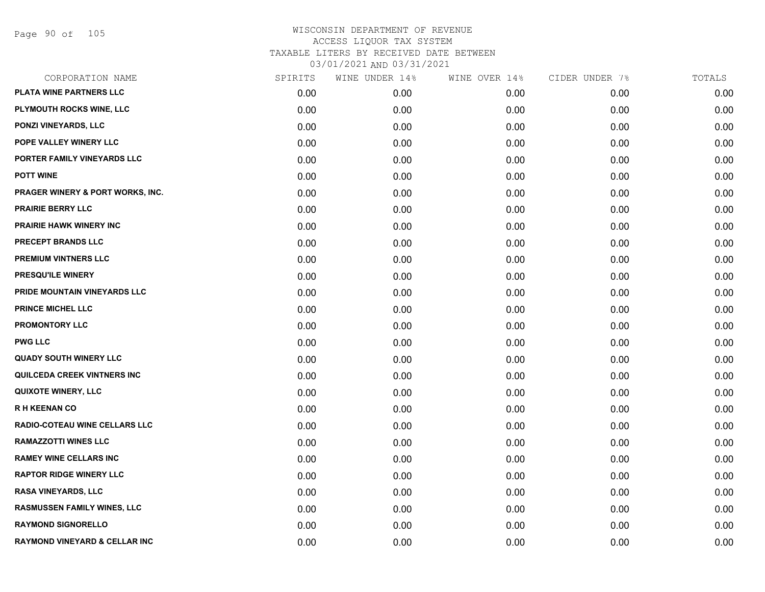Page 90 of 105

| CORPORATION NAME                            | SPIRITS | WINE UNDER 14% | WINE OVER 14% | CIDER UNDER 7% | TOTALS |
|---------------------------------------------|---------|----------------|---------------|----------------|--------|
| <b>PLATA WINE PARTNERS LLC</b>              | 0.00    | 0.00           | 0.00          | 0.00           | 0.00   |
| PLYMOUTH ROCKS WINE, LLC                    | 0.00    | 0.00           | 0.00          | 0.00           | 0.00   |
| PONZI VINEYARDS, LLC                        | 0.00    | 0.00           | 0.00          | 0.00           | 0.00   |
| POPE VALLEY WINERY LLC                      | 0.00    | 0.00           | 0.00          | 0.00           | 0.00   |
| PORTER FAMILY VINEYARDS LLC                 | 0.00    | 0.00           | 0.00          | 0.00           | 0.00   |
| <b>POTT WINE</b>                            | 0.00    | 0.00           | 0.00          | 0.00           | 0.00   |
| <b>PRAGER WINERY &amp; PORT WORKS, INC.</b> | 0.00    | 0.00           | 0.00          | 0.00           | 0.00   |
| <b>PRAIRIE BERRY LLC</b>                    | 0.00    | 0.00           | 0.00          | 0.00           | 0.00   |
| <b>PRAIRIE HAWK WINERY INC</b>              | 0.00    | 0.00           | 0.00          | 0.00           | 0.00   |
| PRECEPT BRANDS LLC                          | 0.00    | 0.00           | 0.00          | 0.00           | 0.00   |
| PREMIUM VINTNERS LLC                        | 0.00    | 0.00           | 0.00          | 0.00           | 0.00   |
| PRESQU'ILE WINERY                           | 0.00    | 0.00           | 0.00          | 0.00           | 0.00   |
| PRIDE MOUNTAIN VINEYARDS LLC                | 0.00    | 0.00           | 0.00          | 0.00           | 0.00   |
| <b>PRINCE MICHEL LLC</b>                    | 0.00    | 0.00           | 0.00          | 0.00           | 0.00   |
| PROMONTORY LLC                              | 0.00    | 0.00           | 0.00          | 0.00           | 0.00   |
| <b>PWG LLC</b>                              | 0.00    | 0.00           | 0.00          | 0.00           | 0.00   |
| <b>QUADY SOUTH WINERY LLC</b>               | 0.00    | 0.00           | 0.00          | 0.00           | 0.00   |
| QUILCEDA CREEK VINTNERS INC                 | 0.00    | 0.00           | 0.00          | 0.00           | 0.00   |
| <b>QUIXOTE WINERY, LLC</b>                  | 0.00    | 0.00           | 0.00          | 0.00           | 0.00   |
| <b>RH KEENAN CO</b>                         | 0.00    | 0.00           | 0.00          | 0.00           | 0.00   |
| RADIO-COTEAU WINE CELLARS LLC               | 0.00    | 0.00           | 0.00          | 0.00           | 0.00   |
| <b>RAMAZZOTTI WINES LLC</b>                 | 0.00    | 0.00           | 0.00          | 0.00           | 0.00   |
| <b>RAMEY WINE CELLARS INC</b>               | 0.00    | 0.00           | 0.00          | 0.00           | 0.00   |
| <b>RAPTOR RIDGE WINERY LLC</b>              | 0.00    | 0.00           | 0.00          | 0.00           | 0.00   |
| <b>RASA VINEYARDS, LLC</b>                  | 0.00    | 0.00           | 0.00          | 0.00           | 0.00   |
| RASMUSSEN FAMILY WINES, LLC                 | 0.00    | 0.00           | 0.00          | 0.00           | 0.00   |
| <b>RAYMOND SIGNORELLO</b>                   | 0.00    | 0.00           | 0.00          | 0.00           | 0.00   |
| <b>RAYMOND VINEYARD &amp; CELLAR INC</b>    | 0.00    | 0.00           | 0.00          | 0.00           | 0.00   |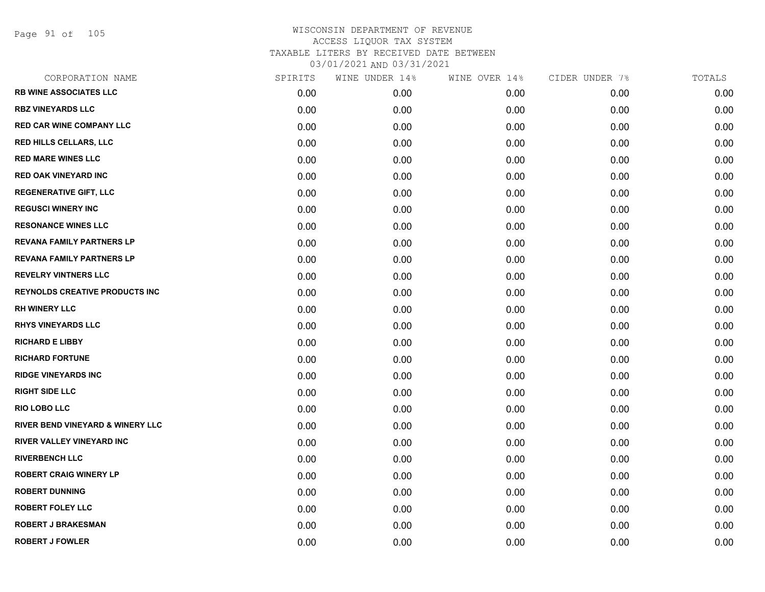Page 91 of 105

| <b>RB WINE ASSOCIATES LLC</b><br>0.00<br><b>RBZ VINEYARDS LLC</b><br>0.00<br><b>RED CAR WINE COMPANY LLC</b><br>0.00<br><b>RED HILLS CELLARS, LLC</b><br>0.00<br><b>RED MARE WINES LLC</b><br>0.00<br><b>RED OAK VINEYARD INC</b><br>0.00<br><b>REGENERATIVE GIFT, LLC</b><br>0.00<br><b>REGUSCI WINERY INC</b><br>0.00<br><b>RESONANCE WINES LLC</b><br>0.00<br><b>REVANA FAMILY PARTNERS LP</b><br>0.00<br><b>REVANA FAMILY PARTNERS LP</b><br>0.00<br><b>REVELRY VINTNERS LLC</b><br>0.00<br><b>REYNOLDS CREATIVE PRODUCTS INC</b><br>0.00 | 0.00<br>0.00<br>0.00<br>0.00<br>0.00 | 0.00<br>0.00<br>0.00<br>0.00 | 0.00<br>0.00<br>0.00 | 0.00<br>0.00<br>0.00 |
|-----------------------------------------------------------------------------------------------------------------------------------------------------------------------------------------------------------------------------------------------------------------------------------------------------------------------------------------------------------------------------------------------------------------------------------------------------------------------------------------------------------------------------------------------|--------------------------------------|------------------------------|----------------------|----------------------|
|                                                                                                                                                                                                                                                                                                                                                                                                                                                                                                                                               |                                      |                              |                      |                      |
|                                                                                                                                                                                                                                                                                                                                                                                                                                                                                                                                               |                                      |                              |                      |                      |
|                                                                                                                                                                                                                                                                                                                                                                                                                                                                                                                                               |                                      |                              |                      |                      |
|                                                                                                                                                                                                                                                                                                                                                                                                                                                                                                                                               |                                      |                              | 0.00                 | 0.00                 |
|                                                                                                                                                                                                                                                                                                                                                                                                                                                                                                                                               |                                      | 0.00                         | 0.00                 | 0.00                 |
|                                                                                                                                                                                                                                                                                                                                                                                                                                                                                                                                               | 0.00                                 | 0.00                         | 0.00                 | 0.00                 |
|                                                                                                                                                                                                                                                                                                                                                                                                                                                                                                                                               | 0.00                                 | 0.00                         | 0.00                 | 0.00                 |
|                                                                                                                                                                                                                                                                                                                                                                                                                                                                                                                                               | 0.00                                 | 0.00                         | 0.00                 | 0.00                 |
|                                                                                                                                                                                                                                                                                                                                                                                                                                                                                                                                               | 0.00                                 | 0.00                         | 0.00                 | 0.00                 |
|                                                                                                                                                                                                                                                                                                                                                                                                                                                                                                                                               | 0.00                                 | 0.00                         | 0.00                 | 0.00                 |
|                                                                                                                                                                                                                                                                                                                                                                                                                                                                                                                                               | 0.00                                 | 0.00                         | 0.00                 | 0.00                 |
|                                                                                                                                                                                                                                                                                                                                                                                                                                                                                                                                               | 0.00                                 | 0.00                         | 0.00                 | 0.00                 |
|                                                                                                                                                                                                                                                                                                                                                                                                                                                                                                                                               | 0.00                                 | 0.00                         | 0.00                 | 0.00                 |
| <b>RH WINERY LLC</b><br>0.00                                                                                                                                                                                                                                                                                                                                                                                                                                                                                                                  | 0.00                                 | 0.00                         | 0.00                 | 0.00                 |
| <b>RHYS VINEYARDS LLC</b><br>0.00                                                                                                                                                                                                                                                                                                                                                                                                                                                                                                             | 0.00                                 | 0.00                         | 0.00                 | 0.00                 |
| <b>RICHARD E LIBBY</b><br>0.00                                                                                                                                                                                                                                                                                                                                                                                                                                                                                                                | 0.00                                 | 0.00                         | 0.00                 | 0.00                 |
| <b>RICHARD FORTUNE</b><br>0.00                                                                                                                                                                                                                                                                                                                                                                                                                                                                                                                | 0.00                                 | 0.00                         | 0.00                 | 0.00                 |
| <b>RIDGE VINEYARDS INC</b><br>0.00                                                                                                                                                                                                                                                                                                                                                                                                                                                                                                            | 0.00                                 | 0.00                         | 0.00                 | 0.00                 |
| <b>RIGHT SIDE LLC</b><br>0.00                                                                                                                                                                                                                                                                                                                                                                                                                                                                                                                 | 0.00                                 | 0.00                         | 0.00                 | 0.00                 |
| <b>RIO LOBO LLC</b><br>0.00                                                                                                                                                                                                                                                                                                                                                                                                                                                                                                                   | 0.00                                 | 0.00                         | 0.00                 | 0.00                 |
| <b>RIVER BEND VINEYARD &amp; WINERY LLC</b><br>0.00                                                                                                                                                                                                                                                                                                                                                                                                                                                                                           | 0.00                                 | 0.00                         | 0.00                 | 0.00                 |
| RIVER VALLEY VINEYARD INC<br>0.00                                                                                                                                                                                                                                                                                                                                                                                                                                                                                                             | 0.00                                 | 0.00                         | 0.00                 | 0.00                 |
| <b>RIVERBENCH LLC</b><br>0.00                                                                                                                                                                                                                                                                                                                                                                                                                                                                                                                 | 0.00                                 | 0.00                         | 0.00                 | 0.00                 |
| <b>ROBERT CRAIG WINERY LP</b><br>0.00                                                                                                                                                                                                                                                                                                                                                                                                                                                                                                         | 0.00                                 | 0.00                         | 0.00                 | 0.00                 |
| <b>ROBERT DUNNING</b><br>0.00                                                                                                                                                                                                                                                                                                                                                                                                                                                                                                                 | 0.00                                 | 0.00                         | 0.00                 | 0.00                 |
| <b>ROBERT FOLEY LLC</b><br>0.00                                                                                                                                                                                                                                                                                                                                                                                                                                                                                                               | 0.00                                 | 0.00                         | 0.00                 | 0.00                 |
| <b>ROBERT J BRAKESMAN</b><br>0.00                                                                                                                                                                                                                                                                                                                                                                                                                                                                                                             | 0.00                                 | 0.00                         | 0.00                 | 0.00                 |
| <b>ROBERT J FOWLER</b><br>0.00                                                                                                                                                                                                                                                                                                                                                                                                                                                                                                                |                                      |                              |                      |                      |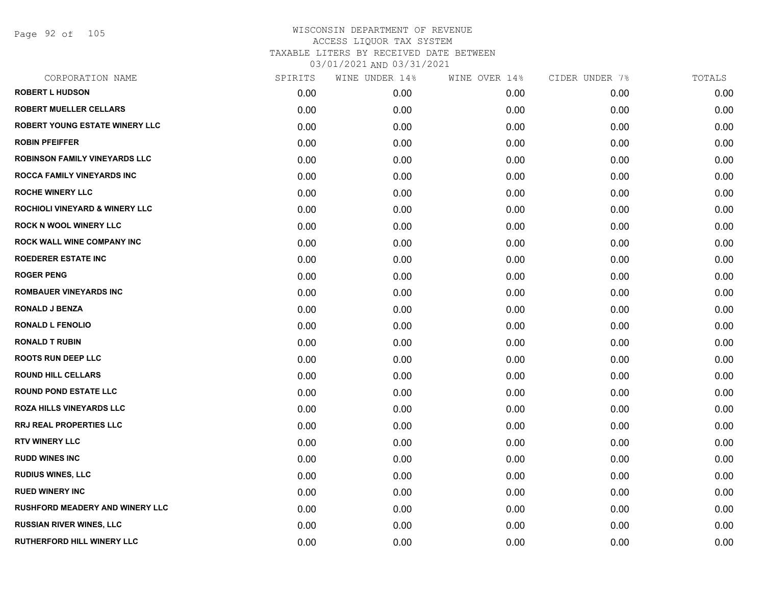Page 92 of 105

| CORPORATION NAME                          | SPIRITS | WINE UNDER 14% | WINE OVER 14% | CIDER UNDER 7% | TOTALS |
|-------------------------------------------|---------|----------------|---------------|----------------|--------|
| <b>ROBERT L HUDSON</b>                    | 0.00    | 0.00           | 0.00          | 0.00           | 0.00   |
| <b>ROBERT MUELLER CELLARS</b>             | 0.00    | 0.00           | 0.00          | 0.00           | 0.00   |
| <b>ROBERT YOUNG ESTATE WINERY LLC</b>     | 0.00    | 0.00           | 0.00          | 0.00           | 0.00   |
| <b>ROBIN PFEIFFER</b>                     | 0.00    | 0.00           | 0.00          | 0.00           | 0.00   |
| <b>ROBINSON FAMILY VINEYARDS LLC</b>      | 0.00    | 0.00           | 0.00          | 0.00           | 0.00   |
| <b>ROCCA FAMILY VINEYARDS INC</b>         | 0.00    | 0.00           | 0.00          | 0.00           | 0.00   |
| <b>ROCHE WINERY LLC</b>                   | 0.00    | 0.00           | 0.00          | 0.00           | 0.00   |
| <b>ROCHIOLI VINEYARD &amp; WINERY LLC</b> | 0.00    | 0.00           | 0.00          | 0.00           | 0.00   |
| <b>ROCK N WOOL WINERY LLC</b>             | 0.00    | 0.00           | 0.00          | 0.00           | 0.00   |
| <b>ROCK WALL WINE COMPANY INC</b>         | 0.00    | 0.00           | 0.00          | 0.00           | 0.00   |
| <b>ROEDERER ESTATE INC</b>                | 0.00    | 0.00           | 0.00          | 0.00           | 0.00   |
| <b>ROGER PENG</b>                         | 0.00    | 0.00           | 0.00          | 0.00           | 0.00   |
| <b>ROMBAUER VINEYARDS INC</b>             | 0.00    | 0.00           | 0.00          | 0.00           | 0.00   |
| <b>RONALD J BENZA</b>                     | 0.00    | 0.00           | 0.00          | 0.00           | 0.00   |
| <b>RONALD L FENOLIO</b>                   | 0.00    | 0.00           | 0.00          | 0.00           | 0.00   |
| <b>RONALD T RUBIN</b>                     | 0.00    | 0.00           | 0.00          | 0.00           | 0.00   |
| <b>ROOTS RUN DEEP LLC</b>                 | 0.00    | 0.00           | 0.00          | 0.00           | 0.00   |
| <b>ROUND HILL CELLARS</b>                 | 0.00    | 0.00           | 0.00          | 0.00           | 0.00   |
| <b>ROUND POND ESTATE LLC</b>              | 0.00    | 0.00           | 0.00          | 0.00           | 0.00   |
| <b>ROZA HILLS VINEYARDS LLC</b>           | 0.00    | 0.00           | 0.00          | 0.00           | 0.00   |
| <b>RRJ REAL PROPERTIES LLC</b>            | 0.00    | 0.00           | 0.00          | 0.00           | 0.00   |
| <b>RTV WINERY LLC</b>                     | 0.00    | 0.00           | 0.00          | 0.00           | 0.00   |
| <b>RUDD WINES INC</b>                     | 0.00    | 0.00           | 0.00          | 0.00           | 0.00   |
| <b>RUDIUS WINES, LLC</b>                  | 0.00    | 0.00           | 0.00          | 0.00           | 0.00   |
| <b>RUED WINERY INC</b>                    | 0.00    | 0.00           | 0.00          | 0.00           | 0.00   |
| <b>RUSHFORD MEADERY AND WINERY LLC</b>    | 0.00    | 0.00           | 0.00          | 0.00           | 0.00   |
| <b>RUSSIAN RIVER WINES, LLC</b>           | 0.00    | 0.00           | 0.00          | 0.00           | 0.00   |
| <b>RUTHERFORD HILL WINERY LLC</b>         | 0.00    | 0.00           | 0.00          | 0.00           | 0.00   |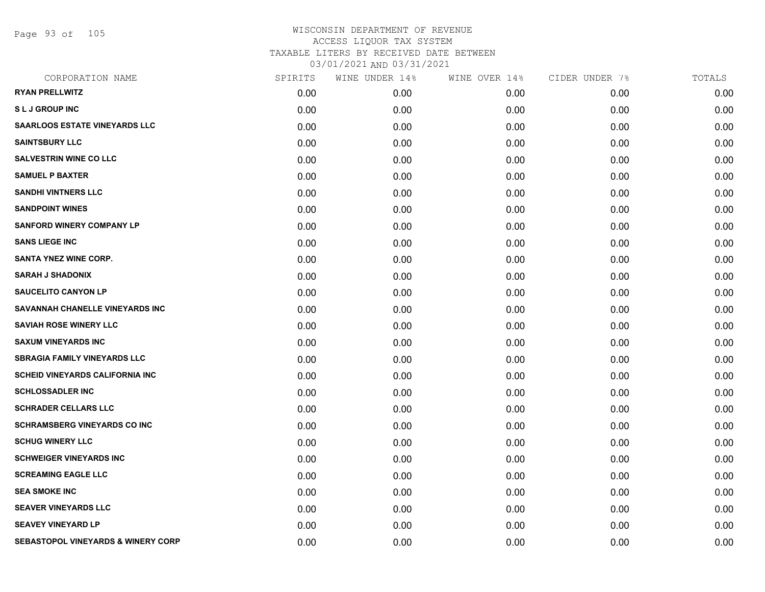Page 93 of 105

| CORPORATION NAME                              | SPIRITS | WINE UNDER 14% | WINE OVER 14% | CIDER UNDER 7% | TOTALS |
|-----------------------------------------------|---------|----------------|---------------|----------------|--------|
| <b>RYAN PRELLWITZ</b>                         | 0.00    | 0.00           | 0.00          | 0.00           | 0.00   |
| <b>SLJ GROUP INC</b>                          | 0.00    | 0.00           | 0.00          | 0.00           | 0.00   |
| <b>SAARLOOS ESTATE VINEYARDS LLC</b>          | 0.00    | 0.00           | 0.00          | 0.00           | 0.00   |
| <b>SAINTSBURY LLC</b>                         | 0.00    | 0.00           | 0.00          | 0.00           | 0.00   |
| <b>SALVESTRIN WINE CO LLC</b>                 | 0.00    | 0.00           | 0.00          | 0.00           | 0.00   |
| <b>SAMUEL P BAXTER</b>                        | 0.00    | 0.00           | 0.00          | 0.00           | 0.00   |
| <b>SANDHI VINTNERS LLC</b>                    | 0.00    | 0.00           | 0.00          | 0.00           | 0.00   |
| <b>SANDPOINT WINES</b>                        | 0.00    | 0.00           | 0.00          | 0.00           | 0.00   |
| <b>SANFORD WINERY COMPANY LP</b>              | 0.00    | 0.00           | 0.00          | 0.00           | 0.00   |
| <b>SANS LIEGE INC</b>                         | 0.00    | 0.00           | 0.00          | 0.00           | 0.00   |
| <b>SANTA YNEZ WINE CORP.</b>                  | 0.00    | 0.00           | 0.00          | 0.00           | 0.00   |
| <b>SARAH J SHADONIX</b>                       | 0.00    | 0.00           | 0.00          | 0.00           | 0.00   |
| <b>SAUCELITO CANYON LP</b>                    | 0.00    | 0.00           | 0.00          | 0.00           | 0.00   |
| SAVANNAH CHANELLE VINEYARDS INC               | 0.00    | 0.00           | 0.00          | 0.00           | 0.00   |
| <b>SAVIAH ROSE WINERY LLC</b>                 | 0.00    | 0.00           | 0.00          | 0.00           | 0.00   |
| <b>SAXUM VINEYARDS INC</b>                    | 0.00    | 0.00           | 0.00          | 0.00           | 0.00   |
| <b>SBRAGIA FAMILY VINEYARDS LLC</b>           | 0.00    | 0.00           | 0.00          | 0.00           | 0.00   |
| SCHEID VINEYARDS CALIFORNIA INC               | 0.00    | 0.00           | 0.00          | 0.00           | 0.00   |
| <b>SCHLOSSADLER INC</b>                       | 0.00    | 0.00           | 0.00          | 0.00           | 0.00   |
| <b>SCHRADER CELLARS LLC</b>                   | 0.00    | 0.00           | 0.00          | 0.00           | 0.00   |
| <b>SCHRAMSBERG VINEYARDS CO INC</b>           | 0.00    | 0.00           | 0.00          | 0.00           | 0.00   |
| <b>SCHUG WINERY LLC</b>                       | 0.00    | 0.00           | 0.00          | 0.00           | 0.00   |
| <b>SCHWEIGER VINEYARDS INC</b>                | 0.00    | 0.00           | 0.00          | 0.00           | 0.00   |
| <b>SCREAMING EAGLE LLC</b>                    | 0.00    | 0.00           | 0.00          | 0.00           | 0.00   |
| <b>SEA SMOKE INC</b>                          | 0.00    | 0.00           | 0.00          | 0.00           | 0.00   |
| <b>SEAVER VINEYARDS LLC</b>                   | 0.00    | 0.00           | 0.00          | 0.00           | 0.00   |
| <b>SEAVEY VINEYARD LP</b>                     | 0.00    | 0.00           | 0.00          | 0.00           | 0.00   |
| <b>SEBASTOPOL VINEYARDS &amp; WINERY CORP</b> | 0.00    | 0.00           | 0.00          | 0.00           | 0.00   |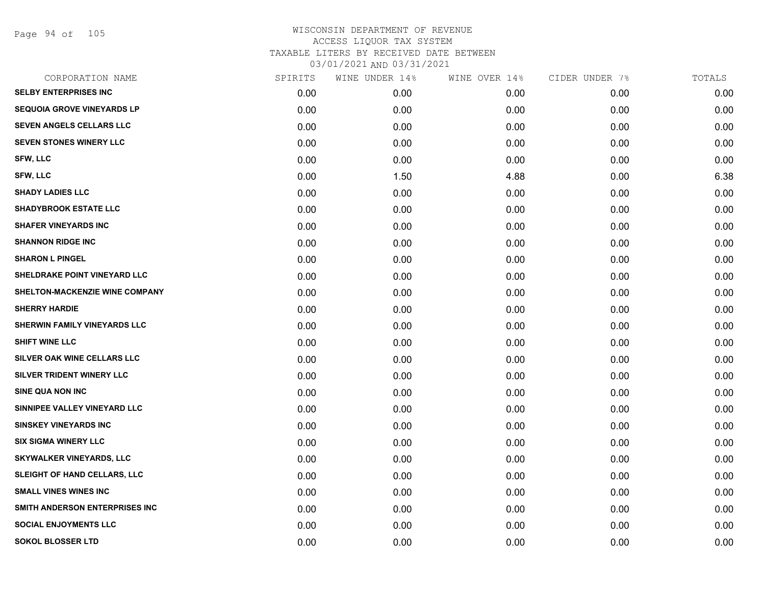Page 94 of 105

| CORPORATION NAME                    | SPIRITS | WINE UNDER 14% | WINE OVER 14% | CIDER UNDER 7% | TOTALS |
|-------------------------------------|---------|----------------|---------------|----------------|--------|
| <b>SELBY ENTERPRISES INC</b>        | 0.00    | 0.00           | 0.00          | 0.00           | 0.00   |
| <b>SEQUOIA GROVE VINEYARDS LP</b>   | 0.00    | 0.00           | 0.00          | 0.00           | 0.00   |
| <b>SEVEN ANGELS CELLARS LLC</b>     | 0.00    | 0.00           | 0.00          | 0.00           | 0.00   |
| SEVEN STONES WINERY LLC             | 0.00    | 0.00           | 0.00          | 0.00           | 0.00   |
| <b>SFW, LLC</b>                     | 0.00    | 0.00           | 0.00          | 0.00           | 0.00   |
| <b>SFW, LLC</b>                     | 0.00    | 1.50           | 4.88          | 0.00           | 6.38   |
| <b>SHADY LADIES LLC</b>             | 0.00    | 0.00           | 0.00          | 0.00           | 0.00   |
| <b>SHADYBROOK ESTATE LLC</b>        | 0.00    | 0.00           | 0.00          | 0.00           | 0.00   |
| <b>SHAFER VINEYARDS INC</b>         | 0.00    | 0.00           | 0.00          | 0.00           | 0.00   |
| <b>SHANNON RIDGE INC</b>            | 0.00    | 0.00           | 0.00          | 0.00           | 0.00   |
| <b>SHARON L PINGEL</b>              | 0.00    | 0.00           | 0.00          | 0.00           | 0.00   |
| SHELDRAKE POINT VINEYARD LLC        | 0.00    | 0.00           | 0.00          | 0.00           | 0.00   |
| SHELTON-MACKENZIE WINE COMPANY      | 0.00    | 0.00           | 0.00          | 0.00           | 0.00   |
| <b>SHERRY HARDIE</b>                | 0.00    | 0.00           | 0.00          | 0.00           | 0.00   |
| SHERWIN FAMILY VINEYARDS LLC        | 0.00    | 0.00           | 0.00          | 0.00           | 0.00   |
| <b>SHIFT WINE LLC</b>               | 0.00    | 0.00           | 0.00          | 0.00           | 0.00   |
| SILVER OAK WINE CELLARS LLC         | 0.00    | 0.00           | 0.00          | 0.00           | 0.00   |
| SILVER TRIDENT WINERY LLC           | 0.00    | 0.00           | 0.00          | 0.00           | 0.00   |
| <b>SINE QUA NON INC</b>             | 0.00    | 0.00           | 0.00          | 0.00           | 0.00   |
| SINNIPEE VALLEY VINEYARD LLC        | 0.00    | 0.00           | 0.00          | 0.00           | 0.00   |
| <b>SINSKEY VINEYARDS INC</b>        | 0.00    | 0.00           | 0.00          | 0.00           | 0.00   |
| <b>SIX SIGMA WINERY LLC</b>         | 0.00    | 0.00           | 0.00          | 0.00           | 0.00   |
| <b>SKYWALKER VINEYARDS, LLC</b>     | 0.00    | 0.00           | 0.00          | 0.00           | 0.00   |
| <b>SLEIGHT OF HAND CELLARS, LLC</b> | 0.00    | 0.00           | 0.00          | 0.00           | 0.00   |
| <b>SMALL VINES WINES INC</b>        | 0.00    | 0.00           | 0.00          | 0.00           | 0.00   |
| SMITH ANDERSON ENTERPRISES INC      | 0.00    | 0.00           | 0.00          | 0.00           | 0.00   |
| <b>SOCIAL ENJOYMENTS LLC</b>        | 0.00    | 0.00           | 0.00          | 0.00           | 0.00   |
| SOKOL BLOSSER LTD                   | 0.00    | 0.00           | 0.00          | 0.00           | 0.00   |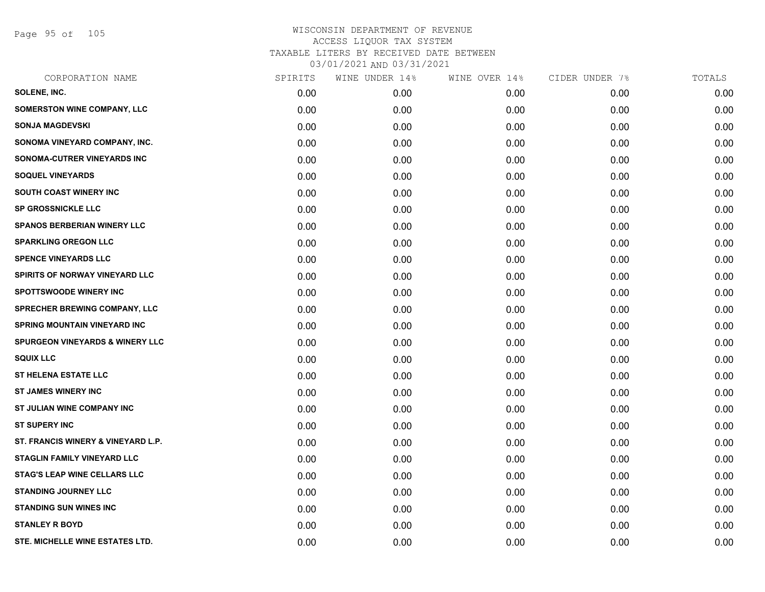Page 95 of 105

| CORPORATION NAME                           | SPIRITS | WINE UNDER 14% | WINE OVER 14% | CIDER UNDER 7% | TOTALS |
|--------------------------------------------|---------|----------------|---------------|----------------|--------|
| SOLENE, INC.                               | 0.00    | 0.00           | 0.00          | 0.00           | 0.00   |
| <b>SOMERSTON WINE COMPANY, LLC</b>         | 0.00    | 0.00           | 0.00          | 0.00           | 0.00   |
| <b>SONJA MAGDEVSKI</b>                     | 0.00    | 0.00           | 0.00          | 0.00           | 0.00   |
| SONOMA VINEYARD COMPANY, INC.              | 0.00    | 0.00           | 0.00          | 0.00           | 0.00   |
| SONOMA-CUTRER VINEYARDS INC                | 0.00    | 0.00           | 0.00          | 0.00           | 0.00   |
| <b>SOQUEL VINEYARDS</b>                    | 0.00    | 0.00           | 0.00          | 0.00           | 0.00   |
| <b>SOUTH COAST WINERY INC</b>              | 0.00    | 0.00           | 0.00          | 0.00           | 0.00   |
| <b>SP GROSSNICKLE LLC</b>                  | 0.00    | 0.00           | 0.00          | 0.00           | 0.00   |
| <b>SPANOS BERBERIAN WINERY LLC</b>         | 0.00    | 0.00           | 0.00          | 0.00           | 0.00   |
| <b>SPARKLING OREGON LLC</b>                | 0.00    | 0.00           | 0.00          | 0.00           | 0.00   |
| <b>SPENCE VINEYARDS LLC</b>                | 0.00    | 0.00           | 0.00          | 0.00           | 0.00   |
| SPIRITS OF NORWAY VINEYARD LLC             | 0.00    | 0.00           | 0.00          | 0.00           | 0.00   |
| <b>SPOTTSWOODE WINERY INC</b>              | 0.00    | 0.00           | 0.00          | 0.00           | 0.00   |
| <b>SPRECHER BREWING COMPANY, LLC</b>       | 0.00    | 0.00           | 0.00          | 0.00           | 0.00   |
| <b>SPRING MOUNTAIN VINEYARD INC</b>        | 0.00    | 0.00           | 0.00          | 0.00           | 0.00   |
| <b>SPURGEON VINEYARDS &amp; WINERY LLC</b> | 0.00    | 0.00           | 0.00          | 0.00           | 0.00   |
| <b>SQUIX LLC</b>                           | 0.00    | 0.00           | 0.00          | 0.00           | 0.00   |
| <b>ST HELENA ESTATE LLC</b>                | 0.00    | 0.00           | 0.00          | 0.00           | 0.00   |
| <b>ST JAMES WINERY INC</b>                 | 0.00    | 0.00           | 0.00          | 0.00           | 0.00   |
| ST JULIAN WINE COMPANY INC                 | 0.00    | 0.00           | 0.00          | 0.00           | 0.00   |
| <b>ST SUPERY INC</b>                       | 0.00    | 0.00           | 0.00          | 0.00           | 0.00   |
| ST. FRANCIS WINERY & VINEYARD L.P.         | 0.00    | 0.00           | 0.00          | 0.00           | 0.00   |
| <b>STAGLIN FAMILY VINEYARD LLC</b>         | 0.00    | 0.00           | 0.00          | 0.00           | 0.00   |
| STAG'S LEAP WINE CELLARS LLC               | 0.00    | 0.00           | 0.00          | 0.00           | 0.00   |
| <b>STANDING JOURNEY LLC</b>                | 0.00    | 0.00           | 0.00          | 0.00           | 0.00   |
| <b>STANDING SUN WINES INC</b>              | 0.00    | 0.00           | 0.00          | 0.00           | 0.00   |
| <b>STANLEY R BOYD</b>                      | 0.00    | 0.00           | 0.00          | 0.00           | 0.00   |
| STE. MICHELLE WINE ESTATES LTD.            | 0.00    | 0.00           | 0.00          | 0.00           | 0.00   |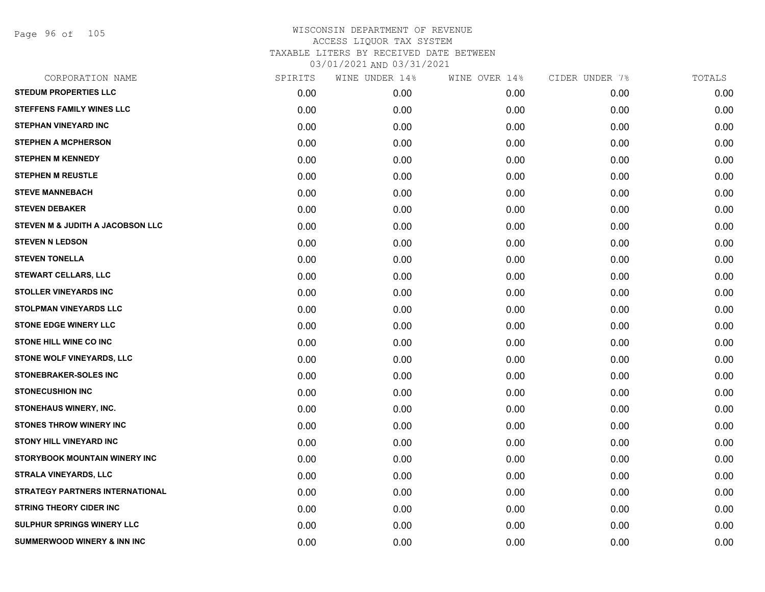Page 96 of 105

| CORPORATION NAME                       | SPIRITS | WINE UNDER 14% | WINE OVER 14% | CIDER UNDER 7% | TOTALS |
|----------------------------------------|---------|----------------|---------------|----------------|--------|
| <b>STEDUM PROPERTIES LLC</b>           | 0.00    | 0.00           | 0.00          | 0.00           | 0.00   |
| <b>STEFFENS FAMILY WINES LLC</b>       | 0.00    | 0.00           | 0.00          | 0.00           | 0.00   |
| <b>STEPHAN VINEYARD INC</b>            | 0.00    | 0.00           | 0.00          | 0.00           | 0.00   |
| <b>STEPHEN A MCPHERSON</b>             | 0.00    | 0.00           | 0.00          | 0.00           | 0.00   |
| <b>STEPHEN M KENNEDY</b>               | 0.00    | 0.00           | 0.00          | 0.00           | 0.00   |
| <b>STEPHEN M REUSTLE</b>               | 0.00    | 0.00           | 0.00          | 0.00           | 0.00   |
| <b>STEVE MANNEBACH</b>                 | 0.00    | 0.00           | 0.00          | 0.00           | 0.00   |
| <b>STEVEN DEBAKER</b>                  | 0.00    | 0.00           | 0.00          | 0.00           | 0.00   |
| STEVEN M & JUDITH A JACOBSON LLC       | 0.00    | 0.00           | 0.00          | 0.00           | 0.00   |
| <b>STEVEN N LEDSON</b>                 | 0.00    | 0.00           | 0.00          | 0.00           | 0.00   |
| <b>STEVEN TONELLA</b>                  | 0.00    | 0.00           | 0.00          | 0.00           | 0.00   |
| STEWART CELLARS, LLC                   | 0.00    | 0.00           | 0.00          | 0.00           | 0.00   |
| <b>STOLLER VINEYARDS INC</b>           | 0.00    | 0.00           | 0.00          | 0.00           | 0.00   |
| STOLPMAN VINEYARDS LLC                 | 0.00    | 0.00           | 0.00          | 0.00           | 0.00   |
| <b>STONE EDGE WINERY LLC</b>           | 0.00    | 0.00           | 0.00          | 0.00           | 0.00   |
| <b>STONE HILL WINE CO INC</b>          | 0.00    | 0.00           | 0.00          | 0.00           | 0.00   |
| STONE WOLF VINEYARDS, LLC              | 0.00    | 0.00           | 0.00          | 0.00           | 0.00   |
| STONEBRAKER-SOLES INC                  | 0.00    | 0.00           | 0.00          | 0.00           | 0.00   |
| <b>STONECUSHION INC</b>                | 0.00    | 0.00           | 0.00          | 0.00           | 0.00   |
| STONEHAUS WINERY, INC.                 | 0.00    | 0.00           | 0.00          | 0.00           | 0.00   |
| <b>STONES THROW WINERY INC</b>         | 0.00    | 0.00           | 0.00          | 0.00           | 0.00   |
| STONY HILL VINEYARD INC                | 0.00    | 0.00           | 0.00          | 0.00           | 0.00   |
| STORYBOOK MOUNTAIN WINERY INC          | 0.00    | 0.00           | 0.00          | 0.00           | 0.00   |
| <b>STRALA VINEYARDS, LLC</b>           | 0.00    | 0.00           | 0.00          | 0.00           | 0.00   |
| <b>STRATEGY PARTNERS INTERNATIONAL</b> | 0.00    | 0.00           | 0.00          | 0.00           | 0.00   |
| <b>STRING THEORY CIDER INC</b>         | 0.00    | 0.00           | 0.00          | 0.00           | 0.00   |
| <b>SULPHUR SPRINGS WINERY LLC</b>      | 0.00    | 0.00           | 0.00          | 0.00           | 0.00   |
| SUMMERWOOD WINERY & INN INC            | 0.00    | 0.00           | 0.00          | 0.00           | 0.00   |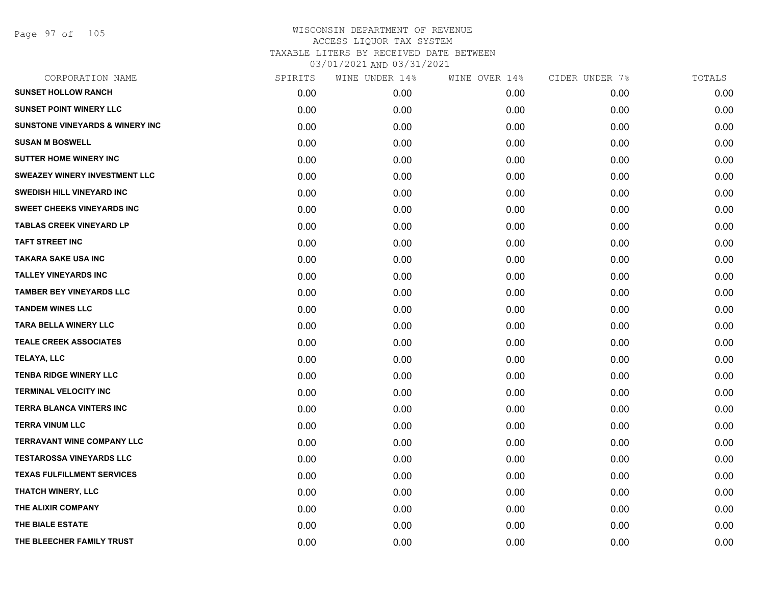Page 97 of 105

| CORPORATION NAME                           | SPIRITS | WINE UNDER 14% | WINE OVER 14% | CIDER UNDER 7% | TOTALS |
|--------------------------------------------|---------|----------------|---------------|----------------|--------|
| <b>SUNSET HOLLOW RANCH</b>                 | 0.00    | 0.00           | 0.00          | 0.00           | 0.00   |
| <b>SUNSET POINT WINERY LLC</b>             | 0.00    | 0.00           | 0.00          | 0.00           | 0.00   |
| <b>SUNSTONE VINEYARDS &amp; WINERY INC</b> | 0.00    | 0.00           | 0.00          | 0.00           | 0.00   |
| <b>SUSAN M BOSWELL</b>                     | 0.00    | 0.00           | 0.00          | 0.00           | 0.00   |
| <b>SUTTER HOME WINERY INC</b>              | 0.00    | 0.00           | 0.00          | 0.00           | 0.00   |
| <b>SWEAZEY WINERY INVESTMENT LLC</b>       | 0.00    | 0.00           | 0.00          | 0.00           | 0.00   |
| <b>SWEDISH HILL VINEYARD INC</b>           | 0.00    | 0.00           | 0.00          | 0.00           | 0.00   |
| <b>SWEET CHEEKS VINEYARDS INC</b>          | 0.00    | 0.00           | 0.00          | 0.00           | 0.00   |
| <b>TABLAS CREEK VINEYARD LP</b>            | 0.00    | 0.00           | 0.00          | 0.00           | 0.00   |
| <b>TAFT STREET INC</b>                     | 0.00    | 0.00           | 0.00          | 0.00           | 0.00   |
| <b>TAKARA SAKE USA INC</b>                 | 0.00    | 0.00           | 0.00          | 0.00           | 0.00   |
| <b>TALLEY VINEYARDS INC</b>                | 0.00    | 0.00           | 0.00          | 0.00           | 0.00   |
| <b>TAMBER BEY VINEYARDS LLC</b>            | 0.00    | 0.00           | 0.00          | 0.00           | 0.00   |
| <b>TANDEM WINES LLC</b>                    | 0.00    | 0.00           | 0.00          | 0.00           | 0.00   |
| TARA BELLA WINERY LLC                      | 0.00    | 0.00           | 0.00          | 0.00           | 0.00   |
| <b>TEALE CREEK ASSOCIATES</b>              | 0.00    | 0.00           | 0.00          | 0.00           | 0.00   |
| <b>TELAYA, LLC</b>                         | 0.00    | 0.00           | 0.00          | 0.00           | 0.00   |
| <b>TENBA RIDGE WINERY LLC</b>              | 0.00    | 0.00           | 0.00          | 0.00           | 0.00   |
| <b>TERMINAL VELOCITY INC</b>               | 0.00    | 0.00           | 0.00          | 0.00           | 0.00   |
| <b>TERRA BLANCA VINTERS INC</b>            | 0.00    | 0.00           | 0.00          | 0.00           | 0.00   |
| <b>TERRA VINUM LLC</b>                     | 0.00    | 0.00           | 0.00          | 0.00           | 0.00   |
| <b>TERRAVANT WINE COMPANY LLC</b>          | 0.00    | 0.00           | 0.00          | 0.00           | 0.00   |
| <b>TESTAROSSA VINEYARDS LLC</b>            | 0.00    | 0.00           | 0.00          | 0.00           | 0.00   |
| <b>TEXAS FULFILLMENT SERVICES</b>          | 0.00    | 0.00           | 0.00          | 0.00           | 0.00   |
| THATCH WINERY, LLC                         | 0.00    | 0.00           | 0.00          | 0.00           | 0.00   |
| THE ALIXIR COMPANY                         | 0.00    | 0.00           | 0.00          | 0.00           | 0.00   |
| THE BIALE ESTATE                           | 0.00    | 0.00           | 0.00          | 0.00           | 0.00   |
| THE BLEECHER FAMILY TRUST                  | 0.00    | 0.00           | 0.00          | 0.00           | 0.00   |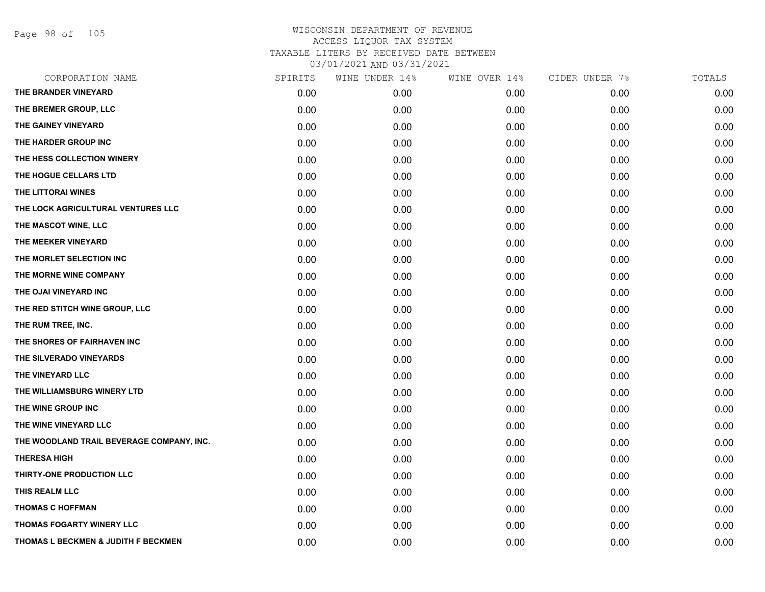Page 98 of 105

| CORPORATION NAME                          | SPIRITS | WINE UNDER 14% | WINE OVER 14% | CIDER UNDER 7% | TOTALS |
|-------------------------------------------|---------|----------------|---------------|----------------|--------|
| THE BRANDER VINEYARD                      | 0.00    | 0.00           | 0.00          | 0.00           | 0.00   |
| THE BREMER GROUP, LLC                     | 0.00    | 0.00           | 0.00          | 0.00           | 0.00   |
| THE GAINEY VINEYARD                       | 0.00    | 0.00           | 0.00          | 0.00           | 0.00   |
| THE HARDER GROUP INC                      | 0.00    | 0.00           | 0.00          | 0.00           | 0.00   |
| THE HESS COLLECTION WINERY                | 0.00    | 0.00           | 0.00          | 0.00           | 0.00   |
| THE HOGUE CELLARS LTD                     | 0.00    | 0.00           | 0.00          | 0.00           | 0.00   |
| THE LITTORAI WINES                        | 0.00    | 0.00           | 0.00          | 0.00           | 0.00   |
| THE LOCK AGRICULTURAL VENTURES LLC        | 0.00    | 0.00           | 0.00          | 0.00           | 0.00   |
| THE MASCOT WINE, LLC                      | 0.00    | 0.00           | 0.00          | 0.00           | 0.00   |
| THE MEEKER VINEYARD                       | 0.00    | 0.00           | 0.00          | 0.00           | 0.00   |
| THE MORLET SELECTION INC                  | 0.00    | 0.00           | 0.00          | 0.00           | 0.00   |
| THE MORNE WINE COMPANY                    | 0.00    | 0.00           | 0.00          | 0.00           | 0.00   |
| THE OJAI VINEYARD INC                     | 0.00    | 0.00           | 0.00          | 0.00           | 0.00   |
| THE RED STITCH WINE GROUP, LLC            | 0.00    | 0.00           | 0.00          | 0.00           | 0.00   |
| THE RUM TREE, INC.                        | 0.00    | 0.00           | 0.00          | 0.00           | 0.00   |
| THE SHORES OF FAIRHAVEN INC               | 0.00    | 0.00           | 0.00          | 0.00           | 0.00   |
| THE SILVERADO VINEYARDS                   | 0.00    | 0.00           | 0.00          | 0.00           | 0.00   |
| THE VINEYARD LLC                          | 0.00    | 0.00           | 0.00          | 0.00           | 0.00   |
| THE WILLIAMSBURG WINERY LTD               | 0.00    | 0.00           | 0.00          | 0.00           | 0.00   |
| THE WINE GROUP INC                        | 0.00    | 0.00           | 0.00          | 0.00           | 0.00   |
| THE WINE VINEYARD LLC                     | 0.00    | 0.00           | 0.00          | 0.00           | 0.00   |
| THE WOODLAND TRAIL BEVERAGE COMPANY, INC. | 0.00    | 0.00           | 0.00          | 0.00           | 0.00   |
| <b>THERESA HIGH</b>                       | 0.00    | 0.00           | 0.00          | 0.00           | 0.00   |
| THIRTY-ONE PRODUCTION LLC                 | 0.00    | 0.00           | 0.00          | 0.00           | 0.00   |
| THIS REALM LLC                            | 0.00    | 0.00           | 0.00          | 0.00           | 0.00   |
| <b>THOMAS C HOFFMAN</b>                   | 0.00    | 0.00           | 0.00          | 0.00           | 0.00   |
| <b>THOMAS FOGARTY WINERY LLC</b>          | 0.00    | 0.00           | 0.00          | 0.00           | 0.00   |
| THOMAS L BECKMEN & JUDITH F BECKMEN       | 0.00    | 0.00           | 0.00          | 0.00           | 0.00   |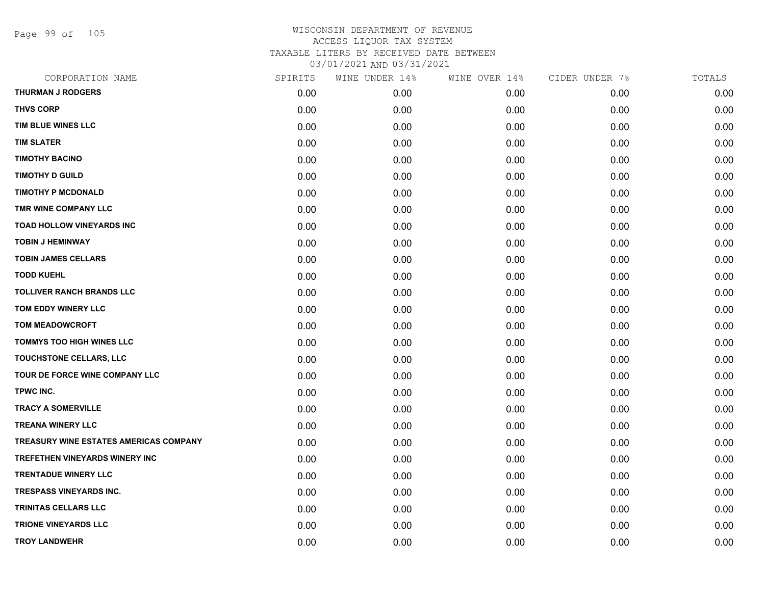Page 99 of 105

| CORPORATION NAME                              | SPIRITS | WINE UNDER 14% | WINE OVER 14% | CIDER UNDER 7% | TOTALS |
|-----------------------------------------------|---------|----------------|---------------|----------------|--------|
| <b>THURMAN J RODGERS</b>                      | 0.00    | 0.00           | 0.00          | 0.00           | 0.00   |
| <b>THVS CORP</b>                              | 0.00    | 0.00           | 0.00          | 0.00           | 0.00   |
| TIM BLUE WINES LLC                            | 0.00    | 0.00           | 0.00          | 0.00           | 0.00   |
| <b>TIM SLATER</b>                             | 0.00    | 0.00           | 0.00          | 0.00           | 0.00   |
| <b>TIMOTHY BACINO</b>                         | 0.00    | 0.00           | 0.00          | 0.00           | 0.00   |
| <b>TIMOTHY D GUILD</b>                        | 0.00    | 0.00           | 0.00          | 0.00           | 0.00   |
| <b>TIMOTHY P MCDONALD</b>                     | 0.00    | 0.00           | 0.00          | 0.00           | 0.00   |
| TMR WINE COMPANY LLC                          | 0.00    | 0.00           | 0.00          | 0.00           | 0.00   |
| <b>TOAD HOLLOW VINEYARDS INC</b>              | 0.00    | 0.00           | 0.00          | 0.00           | 0.00   |
| <b>TOBIN J HEMINWAY</b>                       | 0.00    | 0.00           | 0.00          | 0.00           | 0.00   |
| <b>TOBIN JAMES CELLARS</b>                    | 0.00    | 0.00           | 0.00          | 0.00           | 0.00   |
| <b>TODD KUEHL</b>                             | 0.00    | 0.00           | 0.00          | 0.00           | 0.00   |
| <b>TOLLIVER RANCH BRANDS LLC</b>              | 0.00    | 0.00           | 0.00          | 0.00           | 0.00   |
| TOM EDDY WINERY LLC                           | 0.00    | 0.00           | 0.00          | 0.00           | 0.00   |
| <b>TOM MEADOWCROFT</b>                        | 0.00    | 0.00           | 0.00          | 0.00           | 0.00   |
| <b>TOMMYS TOO HIGH WINES LLC</b>              | 0.00    | 0.00           | 0.00          | 0.00           | 0.00   |
| TOUCHSTONE CELLARS, LLC                       | 0.00    | 0.00           | 0.00          | 0.00           | 0.00   |
| TOUR DE FORCE WINE COMPANY LLC                | 0.00    | 0.00           | 0.00          | 0.00           | 0.00   |
| TPWC INC.                                     | 0.00    | 0.00           | 0.00          | 0.00           | 0.00   |
| <b>TRACY A SOMERVILLE</b>                     | 0.00    | 0.00           | 0.00          | 0.00           | 0.00   |
| <b>TREANA WINERY LLC</b>                      | 0.00    | 0.00           | 0.00          | 0.00           | 0.00   |
| <b>TREASURY WINE ESTATES AMERICAS COMPANY</b> | 0.00    | 0.00           | 0.00          | 0.00           | 0.00   |
| TREFETHEN VINEYARDS WINERY INC                | 0.00    | 0.00           | 0.00          | 0.00           | 0.00   |
| <b>TRENTADUE WINERY LLC</b>                   | 0.00    | 0.00           | 0.00          | 0.00           | 0.00   |
| <b>TRESPASS VINEYARDS INC.</b>                | 0.00    | 0.00           | 0.00          | 0.00           | 0.00   |
| TRINITAS CELLARS LLC                          | 0.00    | 0.00           | 0.00          | 0.00           | 0.00   |
| <b>TRIONE VINEYARDS LLC</b>                   | 0.00    | 0.00           | 0.00          | 0.00           | 0.00   |
| <b>TROY LANDWEHR</b>                          | 0.00    | 0.00           | 0.00          | 0.00           | 0.00   |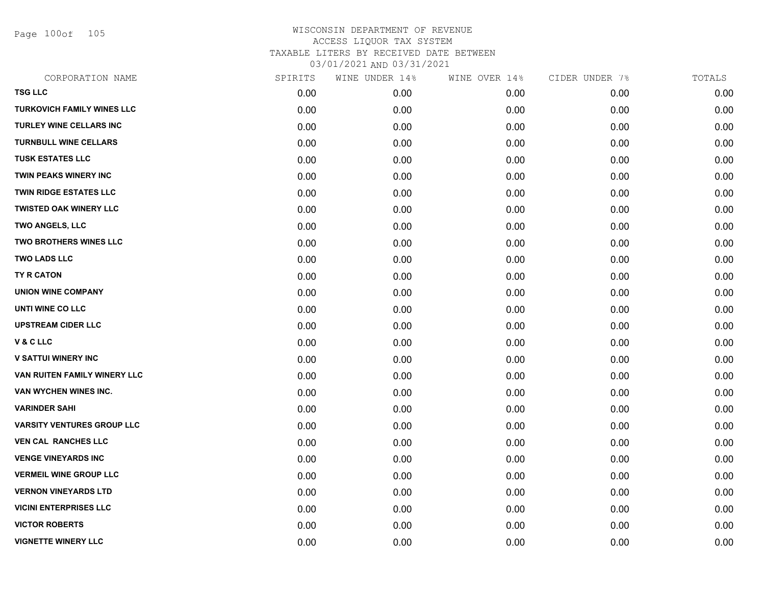Page 100of 105

| CORPORATION NAME                  | SPIRITS | WINE UNDER 14% | WINE OVER 14% | CIDER UNDER 7% | TOTALS |
|-----------------------------------|---------|----------------|---------------|----------------|--------|
| <b>TSG LLC</b>                    | 0.00    | 0.00           | 0.00          | 0.00           | 0.00   |
| <b>TURKOVICH FAMILY WINES LLC</b> | 0.00    | 0.00           | 0.00          | 0.00           | 0.00   |
| TURLEY WINE CELLARS INC           | 0.00    | 0.00           | 0.00          | 0.00           | 0.00   |
| <b>TURNBULL WINE CELLARS</b>      | 0.00    | 0.00           | 0.00          | 0.00           | 0.00   |
| <b>TUSK ESTATES LLC</b>           | 0.00    | 0.00           | 0.00          | 0.00           | 0.00   |
| <b>TWIN PEAKS WINERY INC</b>      | 0.00    | 0.00           | 0.00          | 0.00           | 0.00   |
| <b>TWIN RIDGE ESTATES LLC</b>     | 0.00    | 0.00           | 0.00          | 0.00           | 0.00   |
| <b>TWISTED OAK WINERY LLC</b>     | 0.00    | 0.00           | 0.00          | 0.00           | 0.00   |
| <b>TWO ANGELS, LLC</b>            | 0.00    | 0.00           | 0.00          | 0.00           | 0.00   |
| <b>TWO BROTHERS WINES LLC</b>     | 0.00    | 0.00           | 0.00          | 0.00           | 0.00   |
| <b>TWO LADS LLC</b>               | 0.00    | 0.00           | 0.00          | 0.00           | 0.00   |
| TY R CATON                        | 0.00    | 0.00           | 0.00          | 0.00           | 0.00   |
| <b>UNION WINE COMPANY</b>         | 0.00    | 0.00           | 0.00          | 0.00           | 0.00   |
| UNTI WINE CO LLC                  | 0.00    | 0.00           | 0.00          | 0.00           | 0.00   |
| <b>UPSTREAM CIDER LLC</b>         | 0.00    | 0.00           | 0.00          | 0.00           | 0.00   |
| V & C LLC                         | 0.00    | 0.00           | 0.00          | 0.00           | 0.00   |
| <b>V SATTUI WINERY INC</b>        | 0.00    | 0.00           | 0.00          | 0.00           | 0.00   |
| VAN RUITEN FAMILY WINERY LLC      | 0.00    | 0.00           | 0.00          | 0.00           | 0.00   |
| VAN WYCHEN WINES INC.             | 0.00    | 0.00           | 0.00          | 0.00           | 0.00   |
| <b>VARINDER SAHI</b>              | 0.00    | 0.00           | 0.00          | 0.00           | 0.00   |
| <b>VARSITY VENTURES GROUP LLC</b> | 0.00    | 0.00           | 0.00          | 0.00           | 0.00   |
| <b>VEN CAL RANCHES LLC</b>        | 0.00    | 0.00           | 0.00          | 0.00           | 0.00   |
| <b>VENGE VINEYARDS INC</b>        | 0.00    | 0.00           | 0.00          | 0.00           | 0.00   |
| <b>VERMEIL WINE GROUP LLC</b>     | 0.00    | 0.00           | 0.00          | 0.00           | 0.00   |
| <b>VERNON VINEYARDS LTD</b>       | 0.00    | 0.00           | 0.00          | 0.00           | 0.00   |
| <b>VICINI ENTERPRISES LLC</b>     | 0.00    | 0.00           | 0.00          | 0.00           | 0.00   |
| <b>VICTOR ROBERTS</b>             | 0.00    | 0.00           | 0.00          | 0.00           | 0.00   |
| <b>VIGNETTE WINERY LLC</b>        | 0.00    | 0.00           | 0.00          | 0.00           | 0.00   |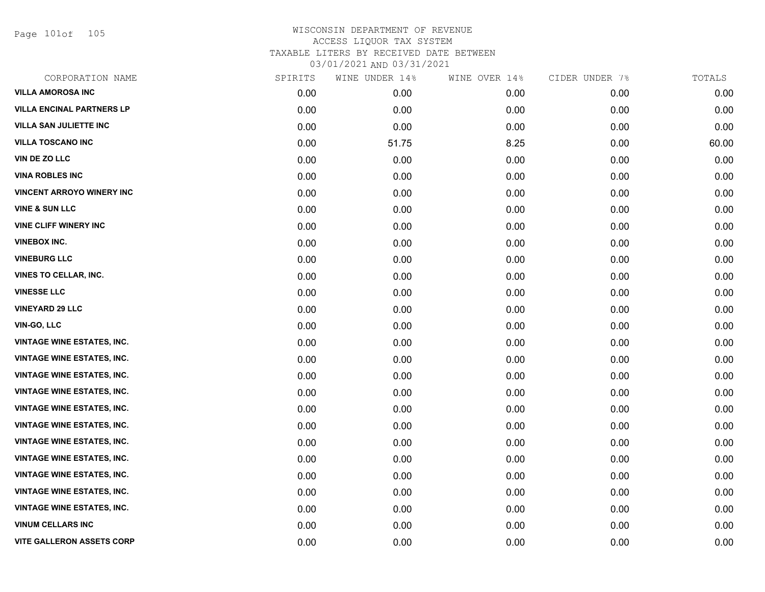Page 101of 105

| CORPORATION NAME                  | SPIRITS | WINE UNDER 14% | WINE OVER 14% | CIDER UNDER 7% | TOTALS |
|-----------------------------------|---------|----------------|---------------|----------------|--------|
| <b>VILLA AMOROSA INC</b>          | 0.00    | 0.00           | 0.00          | 0.00           | 0.00   |
| <b>VILLA ENCINAL PARTNERS LP</b>  | 0.00    | 0.00           | 0.00          | 0.00           | 0.00   |
| <b>VILLA SAN JULIETTE INC</b>     | 0.00    | 0.00           | 0.00          | 0.00           | 0.00   |
| <b>VILLA TOSCANO INC</b>          | 0.00    | 51.75          | 8.25          | 0.00           | 60.00  |
| <b>VIN DE ZO LLC</b>              | 0.00    | 0.00           | 0.00          | 0.00           | 0.00   |
| <b>VINA ROBLES INC</b>            | 0.00    | 0.00           | 0.00          | 0.00           | 0.00   |
| <b>VINCENT ARROYO WINERY INC</b>  | 0.00    | 0.00           | 0.00          | 0.00           | 0.00   |
| <b>VINE &amp; SUN LLC</b>         | 0.00    | 0.00           | 0.00          | 0.00           | 0.00   |
| <b>VINE CLIFF WINERY INC</b>      | 0.00    | 0.00           | 0.00          | 0.00           | 0.00   |
| <b>VINEBOX INC.</b>               | 0.00    | 0.00           | 0.00          | 0.00           | 0.00   |
| <b>VINEBURG LLC</b>               | 0.00    | 0.00           | 0.00          | 0.00           | 0.00   |
| <b>VINES TO CELLAR, INC.</b>      | 0.00    | 0.00           | 0.00          | 0.00           | 0.00   |
| <b>VINESSE LLC</b>                | 0.00    | 0.00           | 0.00          | 0.00           | 0.00   |
| <b>VINEYARD 29 LLC</b>            | 0.00    | 0.00           | 0.00          | 0.00           | 0.00   |
| VIN-GO, LLC                       | 0.00    | 0.00           | 0.00          | 0.00           | 0.00   |
| <b>VINTAGE WINE ESTATES, INC.</b> | 0.00    | 0.00           | 0.00          | 0.00           | 0.00   |
| <b>VINTAGE WINE ESTATES, INC.</b> | 0.00    | 0.00           | 0.00          | 0.00           | 0.00   |
| <b>VINTAGE WINE ESTATES, INC.</b> | 0.00    | 0.00           | 0.00          | 0.00           | 0.00   |
| <b>VINTAGE WINE ESTATES, INC.</b> | 0.00    | 0.00           | 0.00          | 0.00           | 0.00   |
| <b>VINTAGE WINE ESTATES, INC.</b> | 0.00    | 0.00           | 0.00          | 0.00           | 0.00   |
| <b>VINTAGE WINE ESTATES, INC.</b> | 0.00    | 0.00           | 0.00          | 0.00           | 0.00   |
| <b>VINTAGE WINE ESTATES, INC.</b> | 0.00    | 0.00           | 0.00          | 0.00           | 0.00   |
| <b>VINTAGE WINE ESTATES, INC.</b> | 0.00    | 0.00           | 0.00          | 0.00           | 0.00   |
| <b>VINTAGE WINE ESTATES, INC.</b> | 0.00    | 0.00           | 0.00          | 0.00           | 0.00   |
| <b>VINTAGE WINE ESTATES, INC.</b> | 0.00    | 0.00           | 0.00          | 0.00           | 0.00   |
| <b>VINTAGE WINE ESTATES, INC.</b> | 0.00    | 0.00           | 0.00          | 0.00           | 0.00   |
| VINUM CELLARS INC                 | 0.00    | 0.00           | 0.00          | 0.00           | 0.00   |
| <b>VITE GALLERON ASSETS CORP</b>  | 0.00    | 0.00           | 0.00          | 0.00           | 0.00   |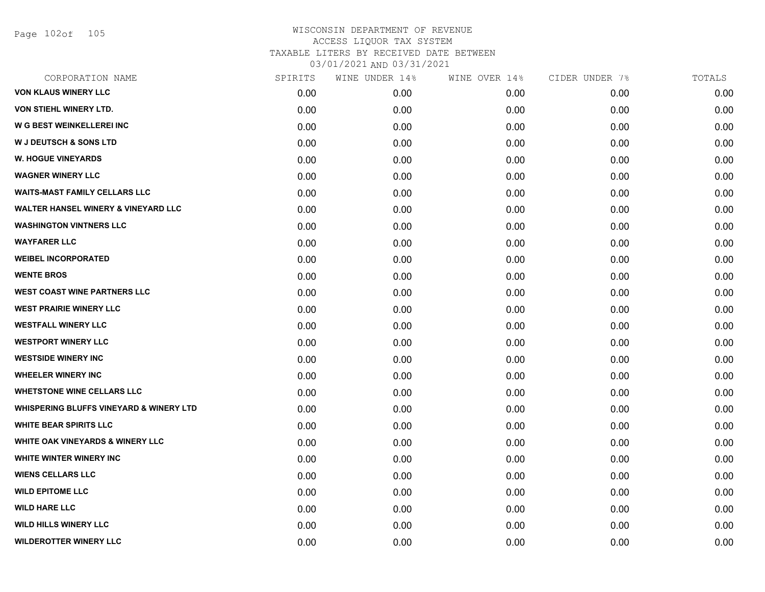Page 102of 105

| CORPORATION NAME                                   | SPIRITS | WINE UNDER 14% | WINE OVER 14% | CIDER UNDER 7% | TOTALS |
|----------------------------------------------------|---------|----------------|---------------|----------------|--------|
| <b>VON KLAUS WINERY LLC</b>                        | 0.00    | 0.00           | 0.00          | 0.00           | 0.00   |
| VON STIEHL WINERY LTD.                             | 0.00    | 0.00           | 0.00          | 0.00           | 0.00   |
| W G BEST WEINKELLEREI INC                          | 0.00    | 0.00           | 0.00          | 0.00           | 0.00   |
| <b>W J DEUTSCH &amp; SONS LTD</b>                  | 0.00    | 0.00           | 0.00          | 0.00           | 0.00   |
| <b>W. HOGUE VINEYARDS</b>                          | 0.00    | 0.00           | 0.00          | 0.00           | 0.00   |
| <b>WAGNER WINERY LLC</b>                           | 0.00    | 0.00           | 0.00          | 0.00           | 0.00   |
| <b>WAITS-MAST FAMILY CELLARS LLC</b>               | 0.00    | 0.00           | 0.00          | 0.00           | 0.00   |
| <b>WALTER HANSEL WINERY &amp; VINEYARD LLC</b>     | 0.00    | 0.00           | 0.00          | 0.00           | 0.00   |
| <b>WASHINGTON VINTNERS LLC</b>                     | 0.00    | 0.00           | 0.00          | 0.00           | 0.00   |
| <b>WAYFARER LLC</b>                                | 0.00    | 0.00           | 0.00          | 0.00           | 0.00   |
| <b>WEIBEL INCORPORATED</b>                         | 0.00    | 0.00           | 0.00          | 0.00           | 0.00   |
| <b>WENTE BROS</b>                                  | 0.00    | 0.00           | 0.00          | 0.00           | 0.00   |
| <b>WEST COAST WINE PARTNERS LLC</b>                | 0.00    | 0.00           | 0.00          | 0.00           | 0.00   |
| <b>WEST PRAIRIE WINERY LLC</b>                     | 0.00    | 0.00           | 0.00          | 0.00           | 0.00   |
| <b>WESTFALL WINERY LLC</b>                         | 0.00    | 0.00           | 0.00          | 0.00           | 0.00   |
| <b>WESTPORT WINERY LLC</b>                         | 0.00    | 0.00           | 0.00          | 0.00           | 0.00   |
| <b>WESTSIDE WINERY INC</b>                         | 0.00    | 0.00           | 0.00          | 0.00           | 0.00   |
| <b>WHEELER WINERY INC</b>                          | 0.00    | 0.00           | 0.00          | 0.00           | 0.00   |
| <b>WHETSTONE WINE CELLARS LLC</b>                  | 0.00    | 0.00           | 0.00          | 0.00           | 0.00   |
| <b>WHISPERING BLUFFS VINEYARD &amp; WINERY LTD</b> | 0.00    | 0.00           | 0.00          | 0.00           | 0.00   |
| <b>WHITE BEAR SPIRITS LLC</b>                      | 0.00    | 0.00           | 0.00          | 0.00           | 0.00   |
| WHITE OAK VINEYARDS & WINERY LLC                   | 0.00    | 0.00           | 0.00          | 0.00           | 0.00   |
| <b>WHITE WINTER WINERY INC</b>                     | 0.00    | 0.00           | 0.00          | 0.00           | 0.00   |
| <b>WIENS CELLARS LLC</b>                           | 0.00    | 0.00           | 0.00          | 0.00           | 0.00   |
| <b>WILD EPITOME LLC</b>                            | 0.00    | 0.00           | 0.00          | 0.00           | 0.00   |
| <b>WILD HARE LLC</b>                               | 0.00    | 0.00           | 0.00          | 0.00           | 0.00   |
| <b>WILD HILLS WINERY LLC</b>                       | 0.00    | 0.00           | 0.00          | 0.00           | 0.00   |
| <b>WILDEROTTER WINERY LLC</b>                      | 0.00    | 0.00           | 0.00          | 0.00           | 0.00   |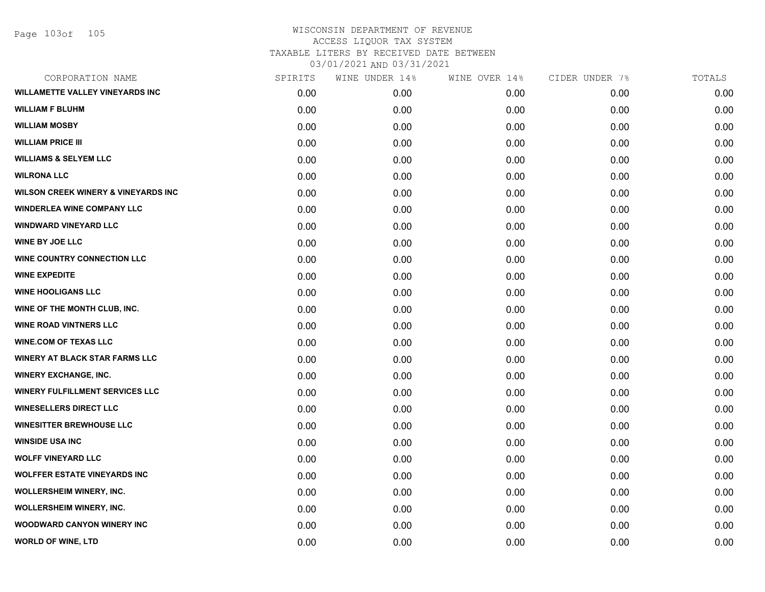Page 103of 105

| CORPORATION NAME                               | SPIRITS | WINE UNDER 14% | WINE OVER 14% | CIDER UNDER 7% | TOTALS |
|------------------------------------------------|---------|----------------|---------------|----------------|--------|
| <b>WILLAMETTE VALLEY VINEYARDS INC</b>         | 0.00    | 0.00           | 0.00          | 0.00           | 0.00   |
| <b>WILLIAM F BLUHM</b>                         | 0.00    | 0.00           | 0.00          | 0.00           | 0.00   |
| <b>WILLIAM MOSBY</b>                           | 0.00    | 0.00           | 0.00          | 0.00           | 0.00   |
| <b>WILLIAM PRICE III</b>                       | 0.00    | 0.00           | 0.00          | 0.00           | 0.00   |
| <b>WILLIAMS &amp; SELYEM LLC</b>               | 0.00    | 0.00           | 0.00          | 0.00           | 0.00   |
| <b>WILRONA LLC</b>                             | 0.00    | 0.00           | 0.00          | 0.00           | 0.00   |
| <b>WILSON CREEK WINERY &amp; VINEYARDS INC</b> | 0.00    | 0.00           | 0.00          | 0.00           | 0.00   |
| <b>WINDERLEA WINE COMPANY LLC</b>              | 0.00    | 0.00           | 0.00          | 0.00           | 0.00   |
| <b>WINDWARD VINEYARD LLC</b>                   | 0.00    | 0.00           | 0.00          | 0.00           | 0.00   |
| <b>WINE BY JOE LLC</b>                         | 0.00    | 0.00           | 0.00          | 0.00           | 0.00   |
| <b>WINE COUNTRY CONNECTION LLC</b>             | 0.00    | 0.00           | 0.00          | 0.00           | 0.00   |
| <b>WINE EXPEDITE</b>                           | 0.00    | 0.00           | 0.00          | 0.00           | 0.00   |
| <b>WINE HOOLIGANS LLC</b>                      | 0.00    | 0.00           | 0.00          | 0.00           | 0.00   |
| WINE OF THE MONTH CLUB, INC.                   | 0.00    | 0.00           | 0.00          | 0.00           | 0.00   |
| <b>WINE ROAD VINTNERS LLC</b>                  | 0.00    | 0.00           | 0.00          | 0.00           | 0.00   |
| <b>WINE.COM OF TEXAS LLC</b>                   | 0.00    | 0.00           | 0.00          | 0.00           | 0.00   |
| <b>WINERY AT BLACK STAR FARMS LLC</b>          | 0.00    | 0.00           | 0.00          | 0.00           | 0.00   |
| <b>WINERY EXCHANGE, INC.</b>                   | 0.00    | 0.00           | 0.00          | 0.00           | 0.00   |
| <b>WINERY FULFILLMENT SERVICES LLC</b>         | 0.00    | 0.00           | 0.00          | 0.00           | 0.00   |
| <b>WINESELLERS DIRECT LLC</b>                  | 0.00    | 0.00           | 0.00          | 0.00           | 0.00   |
| <b>WINESITTER BREWHOUSE LLC</b>                | 0.00    | 0.00           | 0.00          | 0.00           | 0.00   |
| <b>WINSIDE USA INC</b>                         | 0.00    | 0.00           | 0.00          | 0.00           | 0.00   |
| <b>WOLFF VINEYARD LLC</b>                      | 0.00    | 0.00           | 0.00          | 0.00           | 0.00   |
| <b>WOLFFER ESTATE VINEYARDS INC</b>            | 0.00    | 0.00           | 0.00          | 0.00           | 0.00   |
| <b>WOLLERSHEIM WINERY, INC.</b>                | 0.00    | 0.00           | 0.00          | 0.00           | 0.00   |
| <b>WOLLERSHEIM WINERY, INC.</b>                | 0.00    | 0.00           | 0.00          | 0.00           | 0.00   |
| <b>WOODWARD CANYON WINERY INC</b>              | 0.00    | 0.00           | 0.00          | 0.00           | 0.00   |
| WORLD OF WINE, LTD                             | 0.00    | 0.00           | 0.00          | 0.00           | 0.00   |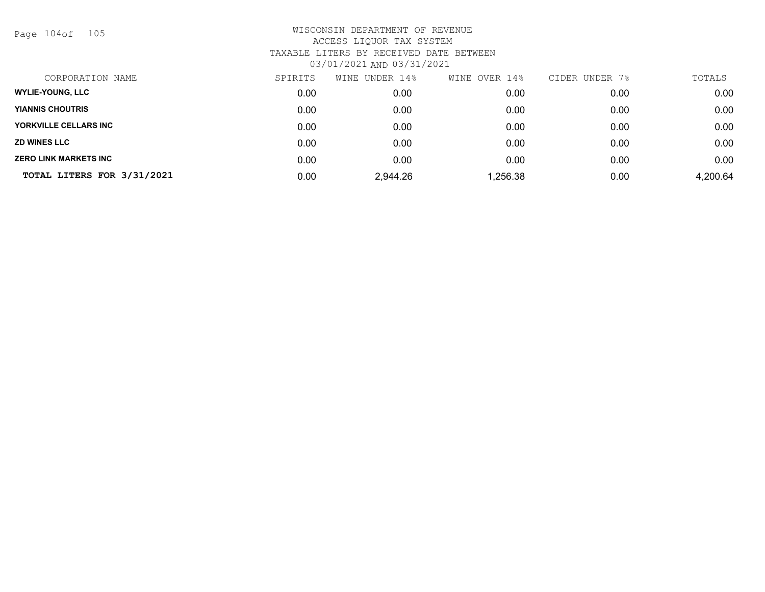Page 104of 105

| CORPORATION NAME             | SPIRITS | WINE UNDER 14% | WINE OVER 14% | CIDER UNDER 7% | TOTALS   |
|------------------------------|---------|----------------|---------------|----------------|----------|
| <b>WYLIE-YOUNG, LLC</b>      | 0.00    | 0.00           | 0.00          | 0.00           | 0.00     |
| <b>YIANNIS CHOUTRIS</b>      | 0.00    | 0.00           | 0.00          | 0.00           | 0.00     |
| YORKVILLE CELLARS INC        | 0.00    | 0.00           | 0.00          | 0.00           | 0.00     |
| <b>ZD WINES LLC</b>          | 0.00    | 0.00           | 0.00          | 0.00           | 0.00     |
| <b>ZERO LINK MARKETS INC</b> | 0.00    | 0.00           | 0.00          | 0.00           | 0.00     |
| TOTAL LITERS FOR 3/31/2021   | 0.00    | 2,944.26       | .256.38       | 0.00           | 4,200.64 |